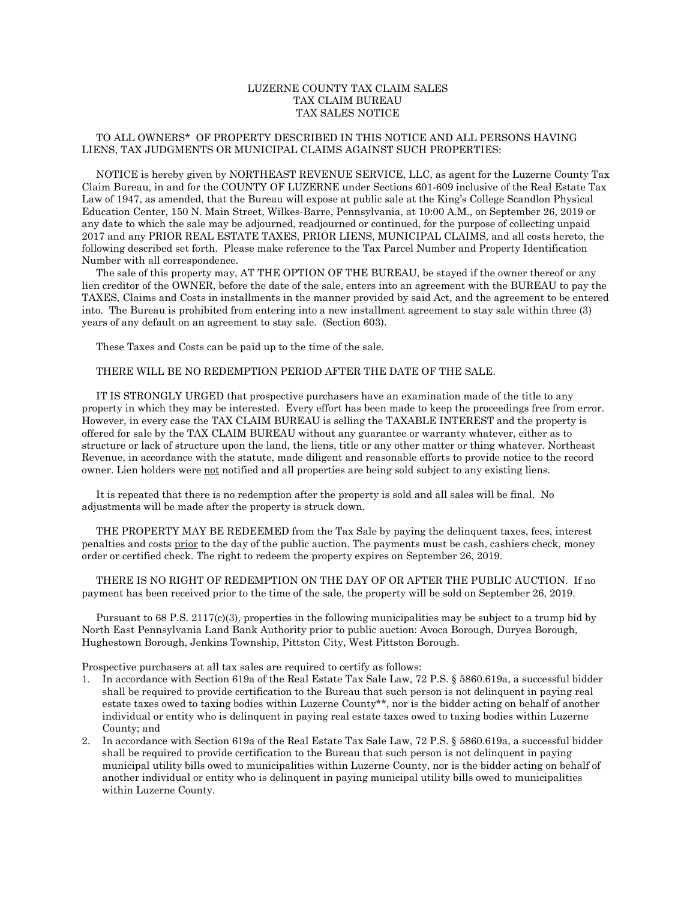## LUZERNE COUNTY TAX CLAIM SALES TAX CLAIM BUREAU TAX SALES NOTICE

## TO ALL OWNERS\* OF PROPERTY DESCRIBED IN THIS NOTICE AND ALL PERSONS HAVING LIENS, TAX JUDGMENTS OR MUNICIPAL CLAIMS AGAINST SUCH PROPERTIES:

 NOTICE is hereby given by NORTHEAST REVENUE SERVICE, LLC, as agent for the Luzerne County Tax Claim Bureau, in and for the COUNTY OF LUZERNE under Sections 601-609 inclusive of the Real Estate Tax Law of 1947, as amended, that the Bureau will expose at public sale at the King's College Scandlon Physical Education Center, 150 N. Main Street, Wilkes-Barre, Pennsylvania, at 10:00 A.M., on September 26, 2019 or any date to which the sale may be adjourned, readjourned or continued, for the purpose of collecting unpaid 2017 and any PRIOR REAL ESTATE TAXES, PRIOR LIENS, MUNICIPAL CLAIMS, and all costs hereto, the following described set forth. Please make reference to the Tax Parcel Number and Property Identification Number with all correspondence.

 The sale of this property may, AT THE OPTION OF THE BUREAU, be stayed if the owner thereof or any lien creditor of the OWNER, before the date of the sale, enters into an agreement with the BUREAU to pay the TAXES, Claims and Costs in installments in the manner provided by said Act, and the agreement to be entered into. The Bureau is prohibited from entering into a new installment agreement to stay sale within three (3) years of any default on an agreement to stay sale. (Section 603).

These Taxes and Costs can be paid up to the time of the sale.

## THERE WILL BE NO REDEMPTION PERIOD AFTER THE DATE OF THE SALE.

 IT IS STRONGLY URGED that prospective purchasers have an examination made of the title to any property in which they may be interested. Every effort has been made to keep the proceedings free from error. However, in every case the TAX CLAIM BUREAU is selling the TAXABLE INTEREST and the property is offered for sale by the TAX CLAIM BUREAU without any guarantee or warranty whatever, either as to structure or lack of structure upon the land, the liens, title or any other matter or thing whatever. Northeast Revenue, in accordance with the statute, made diligent and reasonable efforts to provide notice to the record owner. Lien holders were not notified and all properties are being sold subject to any existing liens.

 It is repeated that there is no redemption after the property is sold and all sales will be final. No adjustments will be made after the property is struck down.

 THE PROPERTY MAY BE REDEEMED from the Tax Sale by paying the delinquent taxes, fees, interest penalties and costs prior to the day of the public auction. The payments must be cash, cashiers check, money order or certified check. The right to redeem the property expires on September 26, 2019.

 THERE IS NO RIGHT OF REDEMPTION ON THE DAY OF OR AFTER THE PUBLIC AUCTION. If no payment has been received prior to the time of the sale, the property will be sold on September 26, 2019.

 Pursuant to 68 P.S. 2117(c)(3), properties in the following municipalities may be subject to a trump bid by North East Pennsylvania Land Bank Authority prior to public auction: Avoca Borough, Duryea Borough, Hughestown Borough, Jenkins Township, Pittston City, West Pittston Borough.

Prospective purchasers at all tax sales are required to certify as follows:

- 1. In accordance with Section 619a of the Real Estate Tax Sale Law, 72 P.S. § 5860.619a, a successful bidder shall be required to provide certification to the Bureau that such person is not delinquent in paying real estate taxes owed to taxing bodies within Luzerne County\*\*, nor is the bidder acting on behalf of another individual or entity who is delinquent in paying real estate taxes owed to taxing bodies within Luzerne County; and
- 2. In accordance with Section 619a of the Real Estate Tax Sale Law, 72 P.S. § 5860.619a, a successful bidder shall be required to provide certification to the Bureau that such person is not delinquent in paying municipal utility bills owed to municipalities within Luzerne County, nor is the bidder acting on behalf of another individual or entity who is delinquent in paying municipal utility bills owed to municipalities within Luzerne County.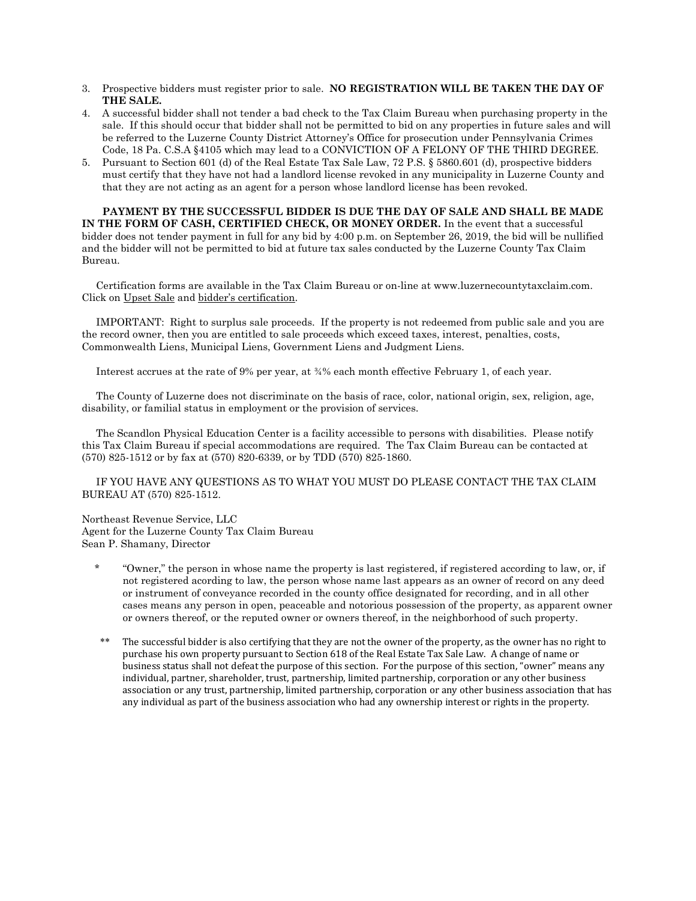- 3. Prospective bidders must register prior to sale. **NO REGISTRATION WILL BE TAKEN THE DAY OF THE SALE.**
- 4. A successful bidder shall not tender a bad check to the Tax Claim Bureau when purchasing property in the sale. If this should occur that bidder shall not be permitted to bid on any properties in future sales and will be referred to the Luzerne County District Attorney's Office for prosecution under Pennsylvania Crimes Code, 18 Pa. C.S.A §4105 which may lead to a CONVICTION OF A FELONY OF THE THIRD DEGREE.
- 5. Pursuant to Section 601 (d) of the Real Estate Tax Sale Law, 72 P.S. § 5860.601 (d), prospective bidders must certify that they have not had a landlord license revoked in any municipality in Luzerne County and that they are not acting as an agent for a person whose landlord license has been revoked.

**PAYMENT BY THE SUCCESSFUL BIDDER IS DUE THE DAY OF SALE AND SHALL BE MADE IN THE FORM OF CASH, CERTIFIED CHECK, OR MONEY ORDER.** In the event that a successful bidder does not tender payment in full for any bid by 4:00 p.m. on September 26, 2019, the bid will be nullified and the bidder will not be permitted to bid at future tax sales conducted by the Luzerne County Tax Claim Bureau.

 Certification forms are available in the Tax Claim Bureau or on-line at www.luzernecountytaxclaim.com. Click on Upset Sale and bidder's certification.

 IMPORTANT: Right to surplus sale proceeds. If the property is not redeemed from public sale and you are the record owner, then you are entitled to sale proceeds which exceed taxes, interest, penalties, costs, Commonwealth Liens, Municipal Liens, Government Liens and Judgment Liens.

Interest accrues at the rate of 9% per year, at ¾% each month effective February 1, of each year.

 The County of Luzerne does not discriminate on the basis of race, color, national origin, sex, religion, age, disability, or familial status in employment or the provision of services.

 The Scandlon Physical Education Center is a facility accessible to persons with disabilities. Please notify this Tax Claim Bureau if special accommodations are required. The Tax Claim Bureau can be contacted at (570) 825-1512 or by fax at (570) 820-6339, or by TDD (570) 825-1860.

 IF YOU HAVE ANY QUESTIONS AS TO WHAT YOU MUST DO PLEASE CONTACT THE TAX CLAIM BUREAU AT (570) 825-1512.

Northeast Revenue Service, LLC Agent for the Luzerne County Tax Claim Bureau Sean P. Shamany, Director

- \* "Owner," the person in whose name the property is last registered, if registered according to law, or, if not registered acording to law, the person whose name last appears as an owner of record on any deed or instrument of conveyance recorded in the county office designated for recording, and in all other cases means any person in open, peaceable and notorious possession of the property, as apparent owner or owners thereof, or the reputed owner or owners thereof, in the neighborhood of such property.
- The successful bidder is also certifying that they are not the owner of the property, as the owner has no right to purchase his own property pursuant to Section 618 of the Real Estate Tax Sale Law. A change of name or business status shall not defeat the purpose of this section. For the purpose of this section, "owner" means any individual, partner, shareholder, trust, partnership, limited partnership, corporation or any other business association or any trust, partnership, limited partnership, corporation or any other business association that has any individual as part of the business association who had any ownership interest or rights in the property.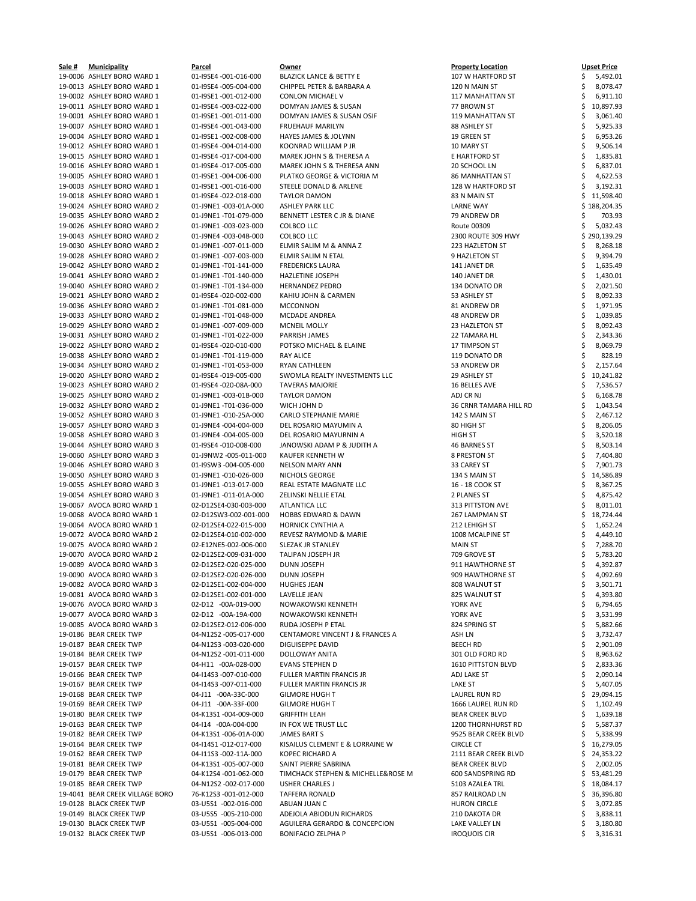| Sale # | <b>Municipality</b>             | Parcel                | Owner                                      | <b>Property Location</b>  | <b>Upset Price</b> |
|--------|---------------------------------|-----------------------|--------------------------------------------|---------------------------|--------------------|
|        | 19-0006 ASHLEY BORO WARD 1      | 01-I9SE4 -001-016-000 | <b>BLAZICK LANCE &amp; BETTY E</b>         | 107 W HARTFORD ST         | 5,492.01           |
|        | 19-0013 ASHLEY BORO WARD 1      | 01-I9SE4 -005-004-000 | CHIPPEL PETER & BARBARA A                  | 120 N MAIN ST             | 8,078.47           |
|        | 19-0002 ASHLEY BORO WARD 1      | 01-I9SE1-001-012-000  | <b>CONLON MICHAEL V</b>                    | 117 MANHATTAN ST          | 6,911.10           |
|        | 19-0011 ASHLEY BORO WARD 1      | 01-I9SE4 -003-022-000 | DOMYAN JAMES & SUSAN                       | 77 BROWN ST               | 10,897.93          |
|        | 19-0001 ASHLEY BORO WARD 1      | 01-I9SE1 -001-011-000 | DOMYAN JAMES & SUSAN OSIF                  | <b>119 MANHATTAN ST</b>   | 3,061.40           |
|        | 19-0007 ASHLEY BORO WARD 1      | 01-I9SE4 -001-043-000 | <b>FRUEHAUF MARILYN</b>                    | 88 ASHLEY ST              | 5,925.33           |
|        |                                 |                       |                                            |                           |                    |
|        | 19-0004 ASHLEY BORO WARD 1      | 01-I9SE1 -002-008-000 | HAYES JAMES & JOLYNN                       | 19 GREEN ST               | 6,953.26           |
|        | 19-0012 ASHLEY BORO WARD 1      | 01-I9SE4 -004-014-000 | <b>KOONRAD WILLIAM P JR</b>                | 10 MARY ST                | 9,506.14           |
|        | 19-0015 ASHLEY BORO WARD 1      | 01-I9SE4 -017-004-000 | MAREK JOHN S & THERESA A                   | E HARTFORD ST             | 1,835.81           |
|        | 19-0016 ASHLEY BORO WARD 1      | 01-I9SE4 -017-005-000 | MAREK JOHN S & THERESA ANN                 | 20 SCHOOL LN              | 6,837.01           |
|        | 19-0005 ASHLEY BORO WARD 1      | 01-I9SE1 -004-006-000 | PLATKO GEORGE & VICTORIA M                 | <b>86 MANHATTAN ST</b>    | 4,622.53           |
|        | 19-0003 ASHLEY BORO WARD 1      | 01-I9SE1 -001-016-000 | STEELE DONALD & ARLENE                     | 128 W HARTFORD ST         | 3,192.31           |
|        |                                 |                       |                                            |                           |                    |
|        | 19-0018 ASHLEY BORO WARD 1      | 01-I9SE4 -022-018-000 | <b>TAYLOR DAMON</b>                        | 83 N MAIN ST              | 11,598.40          |
|        | 19-0024 ASHLEY BORO WARD 2      | 01-J9NE1 -003-01A-000 | <b>ASHLEY PARK LLC</b>                     | <b>LARNE WAY</b>          | \$188,204.35       |
|        | 19-0035 ASHLEY BORO WARD 2      | 01-J9NE1 -T01-079-000 | BENNETT LESTER C JR & DIANE                | 79 ANDREW DR              | 703.93             |
|        | 19-0026 ASHLEY BORO WARD 2      | 01-J9NE1-003-023-000  | <b>COLBCO LLC</b>                          | Route 00309               | 5,032.43           |
|        | 19-0043 ASHLEY BORO WARD 2      | 01-J9NE4 -003-04B-000 | <b>COLBCO LLC</b>                          | 2300 ROUTE 309 HWY        | \$290,139.29       |
|        | 19-0030 ASHLEY BORO WARD 2      | 01-J9NE1-007-011-000  | ELMIR SALIM M & ANNA Z                     | 223 HAZLETON ST           | 8,268.18           |
|        | 19-0028 ASHLEY BORO WARD 2      | 01-J9NE1 -007-003-000 | ELMIR SALIM N ETAL                         | 9 HAZLETON ST             | 9,394.79           |
|        |                                 |                       |                                            |                           |                    |
|        | 19-0042 ASHLEY BORO WARD 2      | 01-J9NE1 -T01-141-000 | <b>FREDERICKS LAURA</b>                    | 141 JANET DR              | 1,635.49           |
|        | 19-0041 ASHLEY BORO WARD 2      | 01-J9NE1 -T01-140-000 | HAZLETINE JOSEPH                           | 140 JANET DR              | 1,430.01           |
|        | 19-0040 ASHLEY BORO WARD 2      | 01-J9NE1 -T01-134-000 | <b>HERNANDEZ PEDRO</b>                     | 134 DONATO DR             | 2,021.50           |
|        | 19-0021 ASHLEY BORO WARD 2      | 01-I9SE4 -020-002-000 | KAHIU JOHN & CARMEN                        | 53 ASHLEY ST              | 8,092.33           |
|        | 19-0036 ASHLEY BORO WARD 2      | 01-J9NE1 -T01-081-000 | <b>MCCONNON</b>                            | 81 ANDREW DR              | 1,971.95           |
|        | 19-0033 ASHLEY BORO WARD 2      | 01-J9NE1 -T01-048-000 | MCDADE ANDREA                              | 48 ANDREW DR              | 1,039.85           |
|        |                                 |                       |                                            |                           |                    |
|        | 19-0029 ASHLEY BORO WARD 2      | 01-J9NE1 -007-009-000 | <b>MCNEIL MOLLY</b>                        | 23 HAZLETON ST            | 8,092.43           |
|        | 19-0031 ASHLEY BORO WARD 2      | 01-J9NE1 -T01-022-000 | PARRISH JAMES                              | <b>22 TAMARA HL</b>       | 2,343.36           |
|        | 19-0022 ASHLEY BORO WARD 2      | 01-I9SE4 -020-010-000 | POTSKO MICHAEL & ELAINE                    | 17 TIMPSON ST             | 8,069.79           |
|        | 19-0038 ASHLEY BORO WARD 2      | 01-J9NE1 -T01-119-000 | <b>RAY ALICE</b>                           | 119 DONATO DR             | 828.19             |
|        | 19-0034 ASHLEY BORO WARD 2      | 01-J9NE1 -T01-053-000 | <b>RYAN CATHLEEN</b>                       | 53 ANDREW DR              | 2,157.64           |
|        | 19-0020 ASHLEY BORO WARD 2      | 01-I9SE4 -019-005-000 | SWOMLA REALTY INVESTMENTS LLC              | 29 ASHLEY ST              | 10,241.82          |
|        |                                 |                       |                                            |                           |                    |
|        | 19-0023 ASHLEY BORO WARD 2      | 01-I9SE4 -020-08A-000 | <b>TAVERAS MAJORIE</b>                     | 16 BELLES AVE             | 7,536.57           |
|        | 19-0025 ASHLEY BORO WARD 2      | 01-J9NE1 -003-01B-000 | <b>TAYLOR DAMON</b>                        | ADJ CR NJ                 | 6,168.78           |
|        | 19-0032 ASHLEY BORO WARD 2      | 01-J9NE1 -T01-036-000 | WICH JOHN D                                | 36 CRNR TAMARA HILL RD    | 1,043.54           |
|        | 19-0052 ASHLEY BORO WARD 3      | 01-J9NE1 -010-25A-000 | CARLO STEPHANIE MARIE                      | 142 S MAIN ST             | 2,467.12           |
|        | 19-0057 ASHLEY BORO WARD 3      | 01-J9NE4 -004-004-000 | DEL ROSARIO MAYUMIN A                      | 80 HIGH ST                | 8,206.05           |
|        | 19-0058 ASHLEY BORO WARD 3      | 01-J9NE4 -004-005-000 | DEL ROSARIO MAYURNIN A                     | <b>HIGH ST</b>            | 3,520.18           |
|        | 19-0044 ASHLEY BORO WARD 3      | 01-I9SE4 -010-008-000 | JANOWSKI ADAM P & JUDITH A                 | 46 BARNES ST              | 8,503.14           |
|        |                                 |                       |                                            |                           |                    |
|        | 19-0060 ASHLEY BORO WARD 3      | 01-J9NW2 -005-011-000 | KAUFER KENNETH W                           | 8 PRESTON ST              | 7,404.80           |
|        | 19-0046 ASHLEY BORO WARD 3      | 01-I9SW3 -004-005-000 | <b>NELSON MARY ANN</b>                     | 33 CAREY ST               | 7,901.73           |
|        | 19-0050 ASHLEY BORO WARD 3      | 01-J9NE1-010-026-000  | NICHOLS GEORGE                             | 134 S MAIN ST             | 14,586.89          |
|        | 19-0055 ASHLEY BORO WARD 3      | 01-J9NE1 -013-017-000 | REAL ESTATE MAGNATE LLC                    | 16 - 18 COOK ST           | 8,367.25           |
|        | 19-0054 ASHLEY BORO WARD 3      | 01-J9NE1 -011-01A-000 | ZELINSKI NELLIE ETAL                       | 2 PLANES ST               | 4,875.42           |
|        | 19-0067 AVOCA BORO WARD 1       | 02-D12SE4-030-003-000 | <b>ATLANTICA LLC</b>                       | 313 PITTSTON AVE          | 8,011.01           |
|        |                                 |                       |                                            |                           |                    |
|        | 19-0068 AVOCA BORO WARD 1       | 02-D12SW3-002-001-000 | HOBBS EDWARD & DAWN                        | 267 LAMPMAN ST            | 18,724.44          |
|        | 19-0064 AVOCA BORO WARD 1       | 02-D12SE4-022-015-000 | <b>HORNICK CYNTHIA A</b>                   | 212 LEHIGH ST             | 1,652.24           |
|        | 19-0072 AVOCA BORO WARD 2       | 02-D12SE4-010-002-000 | REVESZ RAYMOND & MARIE                     | 1008 MCALPINE ST          | 4,449.10           |
|        | 19-0075 AVOCA BORO WARD 2       | 02-E12NE5-002-006-000 | SLEZAK JR STANLEY                          | MAIN ST                   | 7,288.70           |
|        | 19-0070 AVOCA BORO WARD 2       | 02-D12SE2-009-031-000 | TALIPAN JOSEPH JR                          | 709 GROVE ST              | 5,783.20           |
|        | 19-0089 AVOCA BORO WARD 3       | 02-D12SE2-020-025-000 | DUNN JOSEPH                                | 911 HAWTHORNE ST          | 4,392.87           |
|        | 19-0090 AVOCA BORO WARD 3       | 02-D12SE2-020-026-000 | DUNN JOSEPH                                | 909 HAWTHORNE ST          | 4,092.69           |
|        |                                 |                       |                                            |                           |                    |
|        | 19-0082 AVOCA BORO WARD 3       | 02-D12SE1-002-004-000 | <b>HUGHES JEAN</b>                         | 808 WALNUT ST             | 3,501.71           |
|        | 19-0081 AVOCA BORO WARD 3       | 02-D12SE1-002-001-000 | LAVELLE JEAN                               | 825 WALNUT ST             | 4,393.80           |
|        | 19-0076 AVOCA BORO WARD 3       | 02-D12 -00A-019-000   | NOWAKOWSKI KENNETH                         | YORK AVE                  | 6,794.65           |
|        | 19-0077 AVOCA BORO WARD 3       | 02-D12 -00A-19A-000   | NOWAKOWSKI KENNETH                         | YORK AVE                  | 3,531.99           |
|        | 19-0085 AVOCA BORO WARD 3       | 02-D12SE2-012-006-000 | RUDA JOSEPH P ETAL                         | 824 SPRING ST             | 5,882.66           |
|        | 19-0186 BEAR CREEK TWP          | 04-N12S2 -005-017-000 | <b>CENTAMORE VINCENT J &amp; FRANCES A</b> | ASH LN                    | 3,732.47           |
|        | 19-0187 BEAR CREEK TWP          | 04-N12S3 -003-020-000 | <b>DIGUISEPPE DAVID</b>                    |                           |                    |
|        |                                 |                       |                                            | <b>BEECH RD</b>           | 2,901.09           |
|        | 19-0184 BEAR CREEK TWP          | 04-N12S2 -001-011-000 | DOLLOWAY ANITA                             | 301 OLD FORD RD           | 8,963.62           |
|        | 19-0157 BEAR CREEK TWP          | 04-H11 -00A-028-000   | <b>EVANS STEPHEN D</b>                     | <b>1610 PITTSTON BLVD</b> | 2,833.36           |
|        | 19-0166 BEAR CREEK TWP          | 04-I14S3 -007-010-000 | <b>FULLER MARTIN FRANCIS JR</b>            | ADJ LAKE ST               | 2,090.14           |
|        | 19-0167 BEAR CREEK TWP          | 04-I14S3 -007-011-000 | FULLER MARTIN FRANCIS JR                   | <b>LAKE ST</b>            | 5,407.05           |
|        | 19-0168 BEAR CREEK TWP          | 04-J11 -00A-33C-000   | <b>GILMORE HUGH T</b>                      | LAUREL RUN RD             | 29,094.15          |
|        | 19-0169 BEAR CREEK TWP          | 04-J11 -00A-33F-000   | <b>GILMORE HUGH T</b>                      | 1666 LAUREL RUN RD        | 1,102.49           |
|        |                                 |                       |                                            |                           |                    |
|        | 19-0180 BEAR CREEK TWP          | 04-K13S1-004-009-000  | <b>GRIFFITH LEAH</b>                       | <b>BEAR CREEK BLVD</b>    | 1,639.18           |
|        | 19-0163 BEAR CREEK TWP          | 04-114 -00A-004-000   | IN FOX WE TRUST LLC                        | <b>1200 THORNHURST RD</b> | 5,587.37           |
|        | 19-0182 BEAR CREEK TWP          | 04-K13S1-006-01A-000  | <b>JAMES BART S</b>                        | 9525 BEAR CREEK BLVD      | 5,338.99           |
|        | 19-0164 BEAR CREEK TWP          | 04-114S1 -012-017-000 | KISAILUS CLEMENT E & LORRAINE W            | <b>CIRCLE CT</b>          | 16,279.05          |
|        | 19-0162 BEAR CREEK TWP          | 04-I11S3 -002-11A-000 | <b>KOPEC RICHARD A</b>                     | 2111 BEAR CREEK BLVD      | 24,353.22          |
|        | 19-0181 BEAR CREEK TWP          | 04-K13S1-005-007-000  | SAINT PIERRE SABRINA                       | <b>BEAR CREEK BLVD</b>    | 2,002.05           |
|        |                                 | 04-K12S4 -001-062-000 | TIMCHACK STEPHEN & MICHELLE&ROSE M         |                           |                    |
|        | 19-0179 BEAR CREEK TWP          |                       |                                            | 600 SANDSPRING RD         | 53,481.29          |
|        | 19-0185 BEAR CREEK TWP          | 04-N12S2 -002-017-000 | <b>USHER CHARLES J</b>                     | 5103 AZALEA TRL           | 18,084.17          |
|        | 19-4041 BEAR CREEK VILLAGE BORO | 76-K12S3 -001-012-000 | <b>TAFFERA RONALD</b>                      | 857 RAILROAD LN           | 36,396.80          |
|        | 19-0128 BLACK CREEK TWP         | 03-U5S1 -002-016-000  | ABUAN JUAN C                               | <b>HURON CIRCLE</b>       | 3,072.85           |
|        | 19-0149 BLACK CREEK TWP         | 03-U5S5 -005-210-000  | ADEJOLA ABIODUN RICHARDS                   | 210 DAKOTA DR             | 3,838.11           |
|        | 19-0130 BLACK CREEK TWP         | 03-U5S1 -005-004-000  | AGUILERA GERARDO & CONCEPCION              | LAKE VALLEY LN            | 3,180.80           |
|        | 19-0132 BLACK CREEK TWP         | 03-U5S1 -006-013-000  | <b>BONIFACIO ZELPHA P</b>                  | <b>IROQUOIS CIR</b>       | 3,316.31           |
|        |                                 |                       |                                            |                           |                    |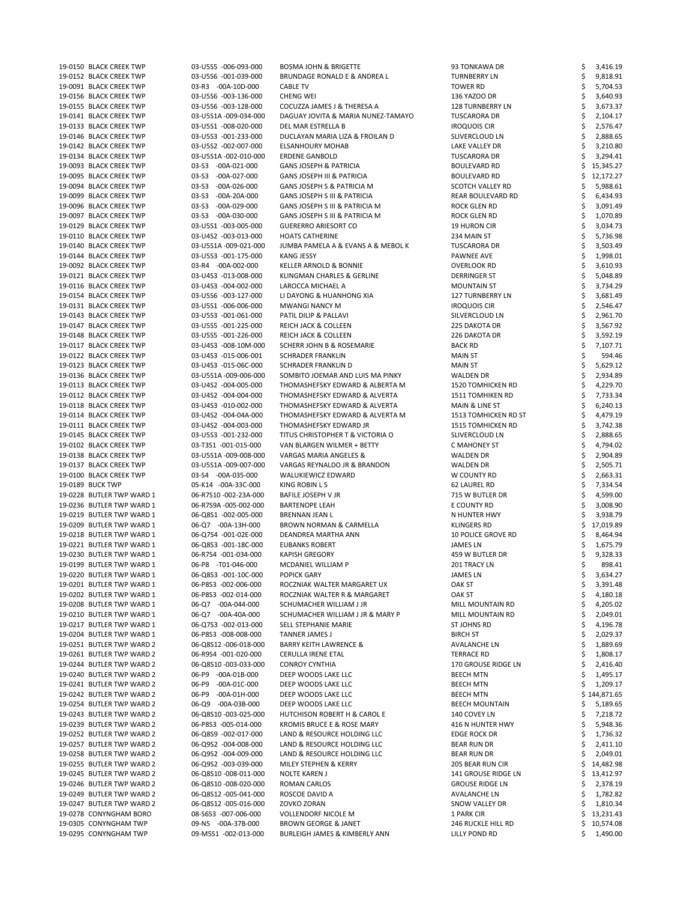| 19-0150 BLACK CREEK TWP   | 03-U5S5 -006-093-000  | <b>BOSMA JOHN &amp; BRIGETTE</b>         | 93 TONKAWA DR              | 3,416.19     |        |
|---------------------------|-----------------------|------------------------------------------|----------------------------|--------------|--------|
| 19-0152 BLACK CREEK TWP   | 03-U5S6 -001-039-000  | <b>BRUNDAGE RONALD E &amp; ANDREA L</b>  | <b>TURNBERRY LN</b>        | 9,818.91     |        |
| 19-0091 BLACK CREEK TWP   | 03-R3 -00A-10D-000    | <b>CABLE TV</b>                          | <b>TOWER RD</b>            | 5,704.53     |        |
| 19-0156 BLACK CREEK TWP   | 03-U5S6 -003-136-000  | <b>CHENG WEI</b>                         | 136 YAZOO DR               | 3,640.93     |        |
| 19-0155 BLACK CREEK TWP   | 03-U5S6 -003-128-000  | COCUZZA JAMES J & THERESA A              | <b>128 TURNBERRY LN</b>    | 3,673.37     |        |
| 19-0141 BLACK CREEK TWP   | 03-U5S1A -009-034-000 | DAGUAY JOVITA & MARIA NUNEZ-TAMAYO       | <b>TUSCARORA DR</b>        | 2,104.17     |        |
| 19-0133 BLACK CREEK TWP   | 03-U5S1 -008-020-000  | DEL MAR ESTRELLA B                       | <b>IROQUOIS CIR</b>        | 2,576.47     |        |
| 19-0146 BLACK CREEK TWP   | 03-U5S3 -001-233-000  | DUCLAYAN MARIA LIZA & FROILAN D          | SLIVERCLOUD LN             | 2,888.65     |        |
| 19-0142 BLACK CREEK TWP   | 03-U5S2 -002-007-000  | <b>ELSANHOURY MOHAB</b>                  | LAKE VALLEY DR             | 3,210.80     |        |
| 19-0134 BLACK CREEK TWP   | 03-U5S1A -002-010-000 | <b>ERDENE GANBOLD</b>                    | <b>TUSCARORA DR</b>        | 3,294.41     |        |
| 19-0093 BLACK CREEK TWP   | 03-S3 -00A-021-000    | <b>GANS JOSEPH &amp; PATRICIA</b>        | <b>BOULEVARD RD</b>        | 15,345.27    |        |
| 19-0095 BLACK CREEK TWP   | 03-S3 -00A-027-000    | <b>GANS JOSEPH III &amp; PATRICIA</b>    | <b>BOULEVARD RD</b>        | 12,172.27    |        |
| 19-0094 BLACK CREEK TWP   | 03-S3 -00A-026-000    | GANS JOSEPH S & PATRICIA M               | SCOTCH VALLEY RD           | 5,988.61     |        |
| 19-0099 BLACK CREEK TWP   | 03-S3 -00A-20A-000    | <b>GANS JOSEPH S III &amp; PATRICIA</b>  | REAR BOULEVARD RD          | 6,434.93     |        |
| 19-0096 BLACK CREEK TWP   | 03-S3 -00A-029-000    | GANS JOSEPH S III & PATRICIA M           | ROCK GLEN RD               | 3,091.49     |        |
| 19-0097 BLACK CREEK TWP   | 03-S3 -00A-030-000    | GANS JOSEPH S III & PATRICIA M           | ROCK GLEN RD               | 1,070.89     |        |
| 19-0129 BLACK CREEK TWP   | 03-U5S1 -003-005-000  | <b>GUERERRO ARIESORT CO</b>              | <b>19 HURON CIR</b>        | 3,034.73     |        |
| 19-0110 BLACK CREEK TWP   | 03-U4S2 -003-013-000  | <b>HOATS CATHERINE</b>                   | 234 MAIN ST                |              |        |
|                           | 03-U5S1A -009-021-000 |                                          |                            | 5,736.98     |        |
| 19-0140 BLACK CREEK TWP   |                       | JUMBA PAMELA A & EVANS A & MEBOL K       | <b>TUSCARORA DR</b>        | 3,503.49     |        |
| 19-0144 BLACK CREEK TWP   | 03-U5S3 -001-175-000  | KANG JESSY                               | PAWNEE AVE                 | 1,998.01     |        |
| 19-0092 BLACK CREEK TWP   | 03-R4 -00A-002-000    | KELLER ARNOLD & BONNIE                   | <b>OVERLOOK RD</b>         | 3,610.93     |        |
| 19-0121 BLACK CREEK TWP   | 03-U4S3 -013-008-000  | KLINGMAN CHARLES & GERLINE               | <b>DERRINGER ST</b>        | 5,048.89     |        |
| 19-0116 BLACK CREEK TWP   | 03-U4S3 -004-002-000  | LAROCCA MICHAEL A                        | <b>MOUNTAIN ST</b>         | 3,734.29     |        |
| 19-0154 BLACK CREEK TWP   | 03-U5S6 -003-127-000  | LI DAYONG & HUANHONG XIA                 | <b>127 TURNBERRY LN</b>    | 3,681.49     |        |
| 19-0131 BLACK CREEK TWP   | 03-U5S1 -006-006-000  | MWANGI NANCY M                           | <b>IROQUOIS CIR</b>        | 2,546.47     |        |
| 19-0143 BLACK CREEK TWP   | 03-U5S3 -001-061-000  | PATIL DILIP & PALLAVI                    | SILVERCLOUD LN             | 2,961.70     |        |
| 19-0147 BLACK CREEK TWP   | 03-U5S5 -001-225-000  | <b>REICH JACK &amp; COLLEEN</b>          | 225 DAKOTA DR              | 3,567.92     |        |
| 19-0148 BLACK CREEK TWP   | 03-U5S5 -001-226-000  | <b>REICH JACK &amp; COLLEEN</b>          | 226 DAKOTA DR              | 3,592.19     |        |
| 19-0117 BLACK CREEK TWP   | 03-U4S3 -008-10M-000  | <b>SCHERR JOHN B &amp; ROSEMARIE</b>     | <b>BACK RD</b>             | 7,107.71     |        |
| 19-0122 BLACK CREEK TWP   | 03-U4S3 -015-006-001  | <b>SCHRADER FRANKLIN</b>                 | <b>MAIN ST</b>             |              | 594.46 |
| 19-0123 BLACK CREEK TWP   | 03-U4S3 -015-06C-000  | <b>SCHRADER FRANKLIN D</b>               | <b>MAIN ST</b>             | 5,629.12     |        |
| 19-0136 BLACK CREEK TWP   | 03-U5S1A -009-006-000 | SOMBITO JOEMAR AND LUIS MA PINKY         | <b>WALDEN DR</b>           | 2,934.89     |        |
| 19-0113 BLACK CREEK TWP   | 03-U4S2 -004-005-000  | THOMASHEFSKY EDWARD & ALBERTA M          | <b>1520 TOMHICKEN RD</b>   | 4,229.70     |        |
| 19-0112 BLACK CREEK TWP   | 03-U4S2 -004-004-000  | THOMASHEFSKY EDWARD & ALVERTA            | <b>1511 TOMHIKEN RD</b>    | 7,733.34     |        |
| 19-0118 BLACK CREEK TWP   | 03-U4S3 -010-002-000  | THOMASHEFSKY EDWARD & ALVERTA            | MAIN & LINE ST             | 6,240.13     |        |
| 19-0114 BLACK CREEK TWP   | 03-U4S2 -004-04A-000  | THOMASHEFSKY EDWARD & ALVERTA M          | 1513 TOMHICKEN RD ST       | 4,479.19     |        |
| 19-0111 BLACK CREEK TWP   | 03-U4S2 -004-003-000  | THOMASHEFSKY EDWARD JR                   | <b>1515 TOMHICKEN RD</b>   | 3,742.38     |        |
| 19-0145 BLACK CREEK TWP   | 03-U5S3 -001-232-000  | TITUS CHRISTOPHER T & VICTORIA O         | SLIVERCLOUD LN             | 2,888.65     |        |
| 19-0102 BLACK CREEK TWP   | 03-T3S1 -001-015-000  | VAN BLARGEN WILMER + BETTY               | C MAHONEY ST               | 4,794.02     |        |
|                           | 03-U5S1A -009-008-000 |                                          |                            |              |        |
| 19-0138 BLACK CREEK TWP   |                       | <b>VARGAS MARIA ANGELES &amp;</b>        | <b>WALDEN DR</b>           | 2,904.89     |        |
| 19-0137 BLACK CREEK TWP   | 03-U5S1A -009-007-000 | VARGAS REYNALDO JR & BRANDON             | WALDEN DR                  | 2,505.71     |        |
| 19-0100 BLACK CREEK TWP   | 03-S4 -00A-035-000    | WALUKIEWICZ EDWARD                       | W COUNTY RD                | 2,663.31     |        |
| 19-0189 BUCK TWP          | 05-K14 -00A-33C-000   | KING ROBIN L S                           | 62 LAUREL RD               | 7,334.54     |        |
| 19-0228 BUTLER TWP WARD 1 | 06-R7S10-002-23A-000  | BAFILE JOSEPH V JR                       | 715 W BUTLER DR            | 4,599.00     |        |
| 19-0236 BUTLER TWP WARD 1 | 06-R7S9A -005-002-000 | <b>BARTENOPE LEAH</b>                    | E COUNTY RD                | 3,008.90     |        |
| 19-0219 BUTLER TWP WARD 1 | 06-Q8S1 -002-005-000  | <b>BRENNAN JEAN L</b>                    | N HUNTER HWY               | 3,938.79     |        |
| 19-0209 BUTLER TWP WARD 1 | 06-Q7 -00A-13H-000    | <b>BROWN NORMAN &amp; CARMELLA</b>       | <b>KLINGERS RD</b>         | 17,019.89    |        |
| 19-0218 BUTLER TWP WARD 1 | 06-Q7S4 -001-02E-000  | DEANDREA MARTHA ANN                      | <b>10 POLICE GROVE RD</b>  | 8,464.94     |        |
| 19-0221 BUTLER TWP WARD 1 | 06-Q8S3 -001-18C-000  | <b>EUBANKS ROBERT</b>                    | <b>JAMES LN</b>            | 1,675.79     |        |
| 19-0230 BUTLER TWP WARD 1 | 06-R7S4 -001-034-000  | <b>KAPISH GREGORY</b>                    | 459 W BUTLER DR            | 9,328.33     |        |
| 19-0199 BUTLER TWP WARD 1 | 06-P8 -T01-046-000    | MCDANIEL WILLIAM P                       | 201 TRACY LN               |              | 898.41 |
| 19-0220 BUTLER TWP WARD 1 | 06-Q8S3 -001-10C-000  | <b>POPICK GARY</b>                       | <b>JAMES LN</b>            | 3,634.27     |        |
| 19-0201 BUTLER TWP WARD 1 | 06-P8S3 -002-006-000  | ROCZNIAK WALTER MARGARET UX              | OAK ST                     | 3,391.48     |        |
| 19-0202 BUTLER TWP WARD 1 | 06-P8S3 -002-014-000  | ROCZNIAK WALTER R & MARGARET             | <b>OAK ST</b>              | 4,180.18     |        |
| 19-0208 BUTLER TWP WARD 1 | 06-Q7 -00A-044-000    | SCHUMACHER WILLIAM J JR                  | MILL MOUNTAIN RD           | 4,205.02     |        |
| 19-0210 BUTLER TWP WARD 1 | 06-Q7 -00A-40A-000    | SCHUMACHER WILLIAM J JR & MARY P         | MILL MOUNTAIN RD           | 2,049.01     |        |
| 19-0217 BUTLER TWP WARD 1 | 06-Q7S3 -002-013-000  | SELL STEPHANIE MARIE                     | <b>ST JOHNS RD</b>         | 4,196.78     |        |
| 19-0204 BUTLER TWP WARD 1 | 06-P8S3 -008-008-000  | <b>TANNER JAMES J</b>                    | <b>BIRCH ST</b>            | 2,029.37     |        |
| 19-0251 BUTLER TWP WARD 2 | 06-Q8S12 -006-018-000 | <b>BARRY KEITH LAWRENCE &amp;</b>        | <b>AVALANCHE LN</b>        | 1,889.69     |        |
| 19-0261 BUTLER TWP WARD 2 | 06-R9S4 -001-020-000  | CERULLA IRENE ETAL                       | TERRACE RD                 | 1,808.17     |        |
| 19-0244 BUTLER TWP WARD 2 | 06-Q8S10-003-033-000  | <b>CONROY CYNTHIA</b>                    | 170 GROUSE RIDGE LN        | 2,416.40     |        |
| 19-0240 BUTLER TWP WARD 2 | 06-P9 -00A-01B-000    | DEEP WOODS LAKE LLC                      | <b>BEECH MTN</b>           | 1,495.17     |        |
| 19-0241 BUTLER TWP WARD 2 | 06-P9 -00A-01C-000    | DEEP WOODS LAKE LLC                      | <b>BEECH MTN</b>           | 1,209.17     |        |
| 19-0242 BUTLER TWP WARD 2 | 06-P9 -00A-01H-000    |                                          |                            |              |        |
|                           |                       | DEEP WOODS LAKE LLC                      | <b>BEECH MTN</b>           | \$144,871.65 |        |
| 19-0254 BUTLER TWP WARD 2 | 06-Q9 -00A-03B-000    | DEEP WOODS LAKE LLC                      | <b>BEECH MOUNTAIN</b>      | 5,189.65     |        |
| 19-0243 BUTLER TWP WARD 2 | 06-Q8S10-003-025-000  | HUTCHISON ROBERT H & CAROL E             | 140 COVEY LN               | 7,218.72     |        |
| 19-0239 BUTLER TWP WARD 2 | 06-P8S3 -005-014-000  | KROMIS BRUCE E & ROSE MARY               | 416 N HUNTER HWY           | 5,948.36     |        |
| 19-0252 BUTLER TWP WARD 2 | 06-Q8S9 -002-017-000  | LAND & RESOURCE HOLDING LLC              | EDGE ROCK DR               | 1,736.32     |        |
| 19-0257 BUTLER TWP WARD 2 | 06-Q9S2 -004-008-000  | LAND & RESOURCE HOLDING LLC              | <b>BEAR RUN DR</b>         | 2,411.10     |        |
| 19-0258 BUTLER TWP WARD 2 | 06-Q9S2 -004-009-000  | LAND & RESOURCE HOLDING LLC              | <b>BEAR RUN DR</b>         | 2,049.01     |        |
| 19-0255 BUTLER TWP WARD 2 | 06-Q9S2 -003-039-000  | MILEY STEPHEN & KERRY                    | 205 BEAR RUN CIR           | 14,482.98    |        |
| 19-0245 BUTLER TWP WARD 2 | 06-Q8S10-008-011-000  | <b>NOLTE KAREN J</b>                     | <b>141 GROUSE RIDGE LN</b> | 13,412.97    |        |
| 19-0246 BUTLER TWP WARD 2 | 06-Q8S10-008-020-000  | <b>ROMAN CARLOS</b>                      | <b>GROUSE RIDGE LN</b>     | 2,378.19     |        |
| 19-0249 BUTLER TWP WARD 2 | 06-Q8S12 -005-041-000 | ROSCOE DAVID A                           | <b>AVALANCHE LN</b>        | 1,782.82     |        |
| 19-0247 BUTLER TWP WARD 2 | 06-Q8S12 -005-016-000 | ZOVKO ZORAN                              | SNOW VALLEY DR             | 1,810.34     |        |
| 19-0278 CONYNGHAM BORO    | 08-S6S3 -007-006-000  | <b>VOLLENDORF NICOLE M</b>               | 1 PARK CIR                 | 13,231.43    |        |
| 19-0305 CONYNGHAM TWP     | 09-N5 -00A-37B-000    | BROWN GEORGE & JANET                     | 246 RUCKLE HILL RD         | 10,574.08    |        |
| 19-0295 CONYNGHAM TWP     | 09-M5S1 -002-013-000  | <b>BURLEIGH JAMES &amp; KIMBERLY ANN</b> | LILLY POND RD              | 1,490.00     |        |
|                           |                       |                                          |                            |              |        |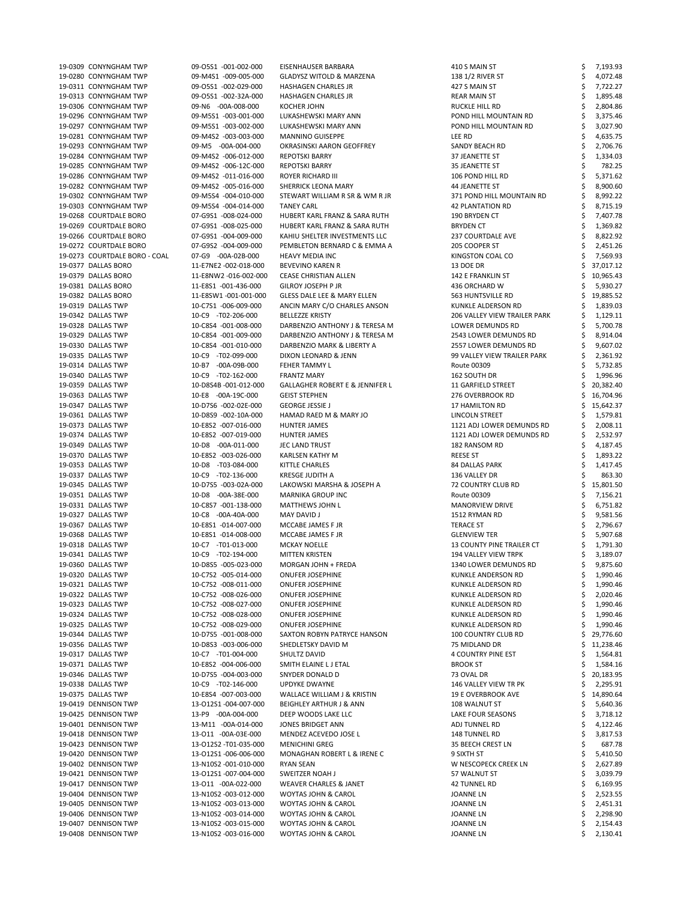| 19-0309 CONYNGHAM TWP                        | 09-05S1 -001-002-000                           | EISENHAUSER BARBARA                                              | 410 S MAIN ST                    | 7,193.93                         |
|----------------------------------------------|------------------------------------------------|------------------------------------------------------------------|----------------------------------|----------------------------------|
| 19-0280 CONYNGHAM TWP                        | 09-M4S1 -009-005-000                           | <b>GLADYSZ WITOLD &amp; MARZENA</b>                              | 138 1/2 RIVER ST                 | 4,072.48                         |
| 19-0311 CONYNGHAM TWP                        | 09-05S1 -002-029-000                           | <b>HASHAGEN CHARLES JR</b>                                       | 427 S MAIN ST                    | 7,722.27                         |
| 19-0313 CONYNGHAM TWP                        | 09-05S1 -002-32A-000                           | <b>HASHAGEN CHARLES JR</b>                                       | <b>REAR MAIN ST</b>              | 1,895.48                         |
| 19-0306 CONYNGHAM TWP                        | 09-N6 -00A-008-000                             | <b>KOCHER JOHN</b>                                               | RUCKLE HILL RD                   | 2,804.86                         |
| 19-0296 CONYNGHAM TWP                        | 09-M5S1 -003-001-000                           | LUKASHEWSKI MARY ANN                                             | POND HILL MOUNTAIN RD            | 3,375.46                         |
|                                              |                                                |                                                                  |                                  |                                  |
| 19-0297 CONYNGHAM TWP                        | 09-M5S1 -003-002-000                           | LUKASHEWSKI MARY ANN                                             | POND HILL MOUNTAIN RD            | 3,027.90                         |
| 19-0281 CONYNGHAM TWP                        | 09-M4S2 -003-003-000                           | <b>MANNINO GUISEPPE</b>                                          | LEE RD                           | 4,635.75                         |
| 19-0293 CONYNGHAM TWP                        | 09-M5 -00A-004-000                             | OKRASINSKI AARON GEOFFREY                                        | SANDY BEACH RD                   | 2,706.76                         |
| 19-0284 CONYNGHAM TWP                        | 09-M4S2 -006-012-000                           | <b>REPOTSKI BARRY</b>                                            | 37 JEANETTE ST                   | 1,334.03                         |
| 19-0285 CONYNGHAM TWP                        | 09-M4S2 -006-12C-000                           | <b>REPOTSKI BARRY</b>                                            | 35 JEANETTE ST                   | 782.25                           |
| 19-0286 CONYNGHAM TWP                        | 09-M4S2 -011-016-000                           | <b>ROYER RICHARD III</b>                                         | 106 POND HILL RD                 | 5,371.62                         |
| 19-0282 CONYNGHAM TWP                        | 09-M4S2 -005-016-000                           | <b>SHERRICK LEONA MARY</b>                                       | 44 JEANETTE ST                   | 8,900.60                         |
|                                              |                                                |                                                                  |                                  |                                  |
| 19-0302 CONYNGHAM TWP                        | 09-M5S4 -004-010-000                           | STEWART WILLIAM R SR & WM R JR                                   | 371 POND HILL MOUNTAIN RD        | 8,992.22                         |
| 19-0303 CONYNGHAM TWP                        | 09-M5S4 -004-014-000                           | <b>TANEY CARL</b>                                                | <b>42 PLANTATION RD</b>          | 8,715.19                         |
| 19-0268 COURTDALE BORO                       | 07-G9S1 -008-024-000                           | HUBERT KARL FRANZ & SARA RUTH                                    | 190 BRYDEN CT                    | 7,407.78                         |
| 19-0269 COURTDALE BORO                       | 07-G9S1 -008-025-000                           | HUBERT KARL FRANZ & SARA RUTH                                    | <b>BRYDEN CT</b>                 | 1,369.82                         |
| 19-0266 COURTDALE BORO                       | 07-G9S1 -004-009-000                           | KAHIU SHELTER INVESTMENTS LLC                                    | <b>237 COURTDALE AVE</b>         | 8,822.92                         |
| 19-0272 COURTDALE BORO                       | 07-G9S2 -004-009-000                           | PEMBLETON BERNARD C & EMMA A                                     | 205 COOPER ST                    | 2,451.26                         |
| 19-0273 COURTDALE BORO - COAL                | 07-G9 -00A-02B-000                             | <b>HEAVY MEDIA INC</b>                                           | KINGSTON COAL CO                 | 7,569.93                         |
| 19-0377 DALLAS BORO                          | 11-E7NE2 -002-018-000                          | <b>BEVEVINO KAREN R</b>                                          | 13 DOE DR                        | 37,017.12                        |
|                                              |                                                |                                                                  |                                  |                                  |
| 19-0379 DALLAS BORO                          | 11-E8NW2 -016-002-000                          | <b>CEASE CHRISTIAN ALLEN</b>                                     | 142 E FRANKLIN ST                | 10,965.43                        |
| 19-0381 DALLAS BORO                          | 11-E8S1 -001-436-000                           | <b>GILROY JOSEPH P JR</b>                                        | 436 ORCHARD W                    | 5,930.27                         |
| 19-0382 DALLAS BORO                          | 11-E8SW1-001-001-000                           | GLESS DALE LEE & MARY ELLEN                                      | 563 HUNTSVILLE RD                | 19,885.52                        |
| 19-0319 DALLAS TWP                           | 10-C7S1 -006-009-000                           | ANCIN MARY C/O CHARLES ANSON                                     | KUNKLE ALDERSON RD               | 1,839.03                         |
| 19-0342 DALLAS TWP                           | 10-C9 -T02-206-000                             | <b>BELLEZZE KRISTY</b>                                           | 206 VALLEY VIEW TRAILER PARK     | 1,129.11                         |
| 19-0328 DALLAS TWP                           | 10-C8S4 -001-008-000                           | DARBENZIO ANTHONY J & TERESA M                                   | LOWER DEMUNDS RD                 | 5,700.78                         |
| 19-0329 DALLAS TWP                           | 10-C8S4 -001-009-000                           | DARBENZIO ANTHONY J & TERESA M                                   | 2543 LOWER DEMUNDS RD            | 8,914.04                         |
| 19-0330 DALLAS TWP                           | 10-C8S4 -001-010-000                           | DARBENZIO MARK & LIBERTY A                                       | 2557 LOWER DEMUNDS RD            | 9,607.02                         |
|                                              |                                                |                                                                  |                                  |                                  |
| 19-0335 DALLAS TWP                           | 10-C9 -T02-099-000                             | DIXON LEONARD & JENN                                             | 99 VALLEY VIEW TRAILER PARK      | 2,361.92                         |
| 19-0314 DALLAS TWP                           | 10-B7 -00A-09B-000                             | FEHER TAMMY L                                                    | Route 00309                      | 5,732.85                         |
| 19-0340 DALLAS TWP                           | 10-C9 -T02-162-000                             | <b>FRANTZ MARY</b>                                               | 162 SOUTH DR                     | 1,996.96                         |
| 19-0359 DALLAS TWP                           | 10-D8S4B -001-012-000                          | <b>GALLAGHER ROBERT E &amp; JENNIFER L</b>                       | 11 GARFIELD STREET               | 20,382.40                        |
| 19-0363 DALLAS TWP                           | 10-E8 -00A-19C-000                             | <b>GEIST STEPHEN</b>                                             | 276 OVERBROOK RD                 | 16,704.96                        |
| 19-0347 DALLAS TWP                           | 10-D7S6 -002-02E-000                           | <b>GEORGE JESSIE J</b>                                           | 17 HAMILTON RD                   | 15,642.37                        |
| 19-0361 DALLAS TWP                           | 10-D8S9 -002-10A-000                           | HAMAD RAED M & MARY JO                                           | LINCOLN STREET                   | 1,579.81                         |
|                                              |                                                |                                                                  |                                  |                                  |
| 19-0373 DALLAS TWP                           | 10-E8S2 -007-016-000                           | HUNTER JAMES                                                     | 1121 ADJ LOWER DEMUNDS RD        | 2,008.11                         |
| 19-0374 DALLAS TWP                           | 10-E8S2 -007-019-000                           | HUNTER JAMES                                                     | 1121 ADJ LOWER DEMUNDS RD        | 2,532.97                         |
| 19-0349 DALLAS TWP                           | 10-D8 -00A-011-000                             | JEC LAND TRUST                                                   | 182 RANSOM RD                    | 4,187.45                         |
| 19-0370 DALLAS TWP                           | 10-E8S2 -003-026-000                           | KARLSEN KATHY M                                                  | <b>REESE ST</b>                  | 1,893.22                         |
| 19-0353 DALLAS TWP                           | 10-D8 -T03-084-000                             | <b>KITTLE CHARLES</b>                                            | 84 DALLAS PARK                   | 1,417.45                         |
| 19-0337 DALLAS TWP                           | 10-C9 -T02-136-000                             | <b>KRESGE JUDITH A</b>                                           | 136 VALLEY DR                    | 863.30                           |
| 19-0345 DALLAS TWP                           | 10-D7S5 -003-02A-000                           | LAKOWSKI MARSHA & JOSEPH A                                       | <b>72 COUNTRY CLUB RD</b>        | 15,801.50                        |
| 19-0351 DALLAS TWP                           | 10-D8 -00A-38E-000                             | <b>MARNIKA GROUP INC</b>                                         | Route 00309                      | 7,156.21                         |
|                                              |                                                |                                                                  |                                  |                                  |
| 19-0331 DALLAS TWP                           | 10-C8S7 -001-138-000                           | <b>MATTHEWS JOHN L</b>                                           | <b>MANORVIEW DRIVE</b>           | 6,751.82                         |
| 19-0327 DALLAS TWP                           | 10-C8 -00A-40A-000                             | MAY DAVID J                                                      | 1512 RYMAN RD                    | 9,581.56                         |
| 19-0367 DALLAS TWP                           | 10-E8S1 -014-007-000                           | MCCABE JAMES F JR                                                | <b>TERACE ST</b>                 | 2,796.67                         |
| 19-0368 DALLAS TWP                           | 10-E8S1 -014-008-000                           | MCCABE JAMES F JR                                                | <b>GLENVIEW TER</b>              | 5,907.68                         |
| 19-0318 DALLAS TWP                           | 10-C7 -T01-013-000                             | <b>MCKAY NOELLE</b>                                              | <b>13 COUNTY PINE TRAILER CT</b> | 1,791.30                         |
| 19-0341 DALLAS TWP                           | 10-C9 -T02-194-000                             | <b>MITTEN KRISTEN</b>                                            | <b>194 VALLEY VIEW TRPK</b>      | 3,189.07                         |
| 19-0360 DALLAS TWP                           | 10-D8S5 -005-023-000                           | MORGAN JOHN + FREDA                                              | 1340 LOWER DEMUNDS RD            | 9,875.60                         |
| 19-0320 DALLAS TWP                           | 10-C7S2 -005-014-000                           | <b>ONUFER JOSEPHINE</b>                                          | KUNKLE ANDERSON RD               | 1,990.46                         |
|                                              |                                                |                                                                  |                                  |                                  |
| 19-0321 DALLAS TWP                           | 10-C7S2 -008-011-000                           | <b>ONUFER JOSEPHINE</b>                                          | KUNKLE ALDERSON RD               | 1,990.46                         |
| 19-0322 DALLAS TWP                           | 10-C7S2 -008-026-000                           | <b>ONUFER JOSEPHINE</b>                                          | KUNKLE ALDERSON RD               | 2,020.46                         |
| 19-0323 DALLAS TWP                           | 10-C7S2 -008-027-000                           | <b>ONUFER JOSEPHINE</b>                                          | KUNKLE ALDERSON RD               | 1,990.46                         |
| 19-0324 DALLAS TWP                           | 10-C7S2 -008-028-000                           | <b>ONUFER JOSEPHINE</b>                                          | KUNKLE ALDERSON RD               | 1,990.46                         |
| 19-0325 DALLAS TWP                           | 10-C7S2 -008-029-000                           | <b>ONUFER JOSEPHINE</b>                                          | KUNKLE ALDERSON RD               | 1,990.46                         |
| 19-0344 DALLAS TWP                           | 10-D7S5 -001-008-000                           | SAXTON ROBYN PATRYCE HANSON                                      | <b>100 COUNTRY CLUB RD</b>       | 29,776.60                        |
| 19-0356 DALLAS TWP                           | 10-D8S3 -003-006-000                           | SHEDLETSKY DAVID M                                               | 75 MIDLAND DR                    | 11,238.46                        |
| 19-0317 DALLAS TWP                           | 10-C7 -T01-004-000                             | SHULTZ DAVID                                                     | <b>4 COUNTRY PINE EST</b>        | 1,564.81                         |
| 19-0371 DALLAS TWP                           | 10-E8S2 -004-006-000                           | SMITH ELAINE L J ETAL                                            | <b>BROOK ST</b>                  |                                  |
|                                              |                                                |                                                                  |                                  | 1,584.16                         |
| 19-0346 DALLAS TWP                           | 10-D7S5 -004-003-000                           | SNYDER DONALD D                                                  | 73 OVAL DR                       | 20,183.95                        |
| 19-0338 DALLAS TWP                           | 10-C9 -T02-146-000                             | <b>UPDYKE DWAYNE</b>                                             | 146 VALLEY VIEW TR PK            | 2,295.91                         |
| 19-0375 DALLAS TWP                           | 10-E8S4 -007-003-000                           | WALLACE WILLIAM J & KRISTIN                                      | <b>19 E OVERBROOK AVE</b>        | 14,890.64                        |
| 19-0419 DENNISON TWP                         | 13-012S1 -004-007-000                          | <b>BEIGHLEY ARTHUR J &amp; ANN</b>                               | 108 WALNUT ST                    | 5,640.36                         |
| 19-0425 DENNISON TWP                         | 13-P9 -00A-004-000                             | DEEP WOODS LAKE LLC                                              | LAKE FOUR SEASONS                | 3,718.12                         |
| 19-0401 DENNISON TWP                         | 13-M11 -00A-014-000                            | JONES BRIDGET ANN                                                | ADJ TUNNEL RD                    | 4,122.46                         |
|                                              |                                                | MENDEZ ACEVEDO JOSE L                                            | <b>148 TUNNEL RD</b>             | 3,817.53                         |
|                                              |                                                |                                                                  |                                  |                                  |
| 19-0418 DENNISON TWP                         | 13-011 -00A-03E-000                            |                                                                  |                                  |                                  |
| 19-0423 DENNISON TWP                         | 13-012S2 -T01-035-000                          | <b>MENICHINI GREG</b>                                            | 35 BEECH CREST LN                | 687.78                           |
| 19-0420 DENNISON TWP                         | 13-012S1-006-006-000                           | MONAGHAN ROBERT L & IRENE C                                      | 9 SIXTH ST                       | 5,410.50                         |
| 19-0402 DENNISON TWP                         | 13-N10S2 -001-010-000                          | RYAN SEAN                                                        | W NESCOPECK CREEK LN             | 2,627.89                         |
| 19-0421 DENNISON TWP                         | 13-012S1 -007-004-000                          | SWEITZER NOAH J                                                  | 57 WALNUT ST                     | 3,039.79                         |
| 19-0417 DENNISON TWP                         | 13-011 -00A-022-000                            | WEAVER CHARLES & JANET                                           | 42 TUNNEL RD                     | 6,169.95                         |
| 19-0404 DENNISON TWP                         | 13-N10S2 -003-012-000                          | <b>WOYTAS JOHN &amp; CAROL</b>                                   | <b>JOANNE LN</b>                 |                                  |
|                                              |                                                |                                                                  |                                  | 2,523.55                         |
| 19-0405 DENNISON TWP                         | 13-N10S2 -003-013-000                          | <b>WOYTAS JOHN &amp; CAROL</b>                                   | <b>JOANNE LN</b>                 | 2,451.31                         |
| 19-0406 DENNISON TWP                         | 13-N10S2 -003-014-000                          | <b>WOYTAS JOHN &amp; CAROL</b>                                   | <b>JOANNE LN</b>                 |                                  |
| 19-0407 DENNISON TWP<br>19-0408 DENNISON TWP | 13-N10S2 -003-015-000<br>13-N10S2 -003-016-000 | <b>WOYTAS JOHN &amp; CAROL</b><br><b>WOYTAS JOHN &amp; CAROL</b> | JOANNE LN<br><b>JOANNE LN</b>    | 2,298.90<br>2,154.43<br>2,130.41 |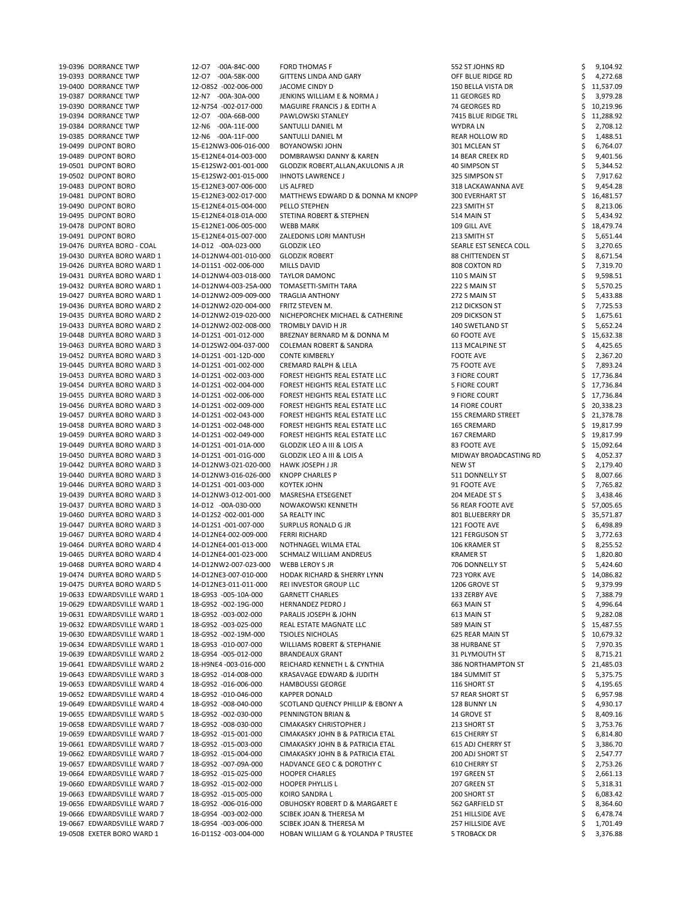| 19-0396 DORRANCE TWP                                      | 12-07 -00A-84C-000                            | <b>FORD THOMAS F</b>                                                      | 552 ST JOHNS RD                  |           | 9,104.92             |
|-----------------------------------------------------------|-----------------------------------------------|---------------------------------------------------------------------------|----------------------------------|-----------|----------------------|
| 19-0393 DORRANCE TWP                                      | 12-07 -00A-58K-000                            | GITTENS LINDA AND GARY                                                    | OFF BLUE RIDGE RD                |           | 4,272.68             |
|                                                           |                                               |                                                                           |                                  |           |                      |
| 19-0400 DORRANCE TWP                                      | 12-08S2 -002-006-000                          | JACOME CINDY D                                                            | 150 BELLA VISTA DR               | 11,537.09 |                      |
| 19-0387 DORRANCE TWP                                      | 12-N7 -00A-30A-000                            | JENKINS WILLIAM E & NORMA J                                               | 11 GEORGES RD                    |           | 3,979.28             |
| 19-0390 DORRANCE TWP                                      | 12-N7S4 -002-017-000                          | MAGUIRE FRANCIS J & EDITH A                                               | 74 GEORGES RD                    | 10,219.96 |                      |
| 19-0394 DORRANCE TWP                                      | 12-07 -00A-66B-000                            | PAWLOWSKI STANLEY                                                         | 7415 BLUE RIDGE TRL              | 11,288.92 |                      |
| 19-0384 DORRANCE TWP                                      | 12-N6 -00A-11E-000                            | SANTULLI DANIEL M                                                         | <b>WYDRALN</b>                   |           | 2,708.12             |
| 19-0385 DORRANCE TWP                                      | 12-N6 -00A-11F-000                            | SANTULLI DANIEL M                                                         | REAR HOLLOW RD                   |           | 1,488.51             |
|                                                           |                                               |                                                                           |                                  |           |                      |
| 19-0499 DUPONT BORO                                       | 15-E12NW3-006-016-000                         | <b>BOYANOWSKI JOHN</b>                                                    | 301 MCLEAN ST                    |           | 6,764.07             |
| 19-0489 DUPONT BORO                                       | 15-E12NE4-014-003-000                         | DOMBRAWSKI DANNY & KAREN                                                  | 14 BEAR CREEK RD                 |           | 9,401.56             |
| 19-0501 DUPONT BORO                                       | 15-E12SW2-001-001-000                         | GLODZIK ROBERT, ALLAN, AKULONIS A JR                                      | 40 SIMPSON ST                    |           | 5,344.52             |
| 19-0502 DUPONT BORO                                       | 15-E12SW2-001-015-000                         | <b>IHNOTS LAWRENCE J</b>                                                  | 325 SIMPSON ST                   |           | 7,917.62             |
| 19-0483 DUPONT BORO                                       | 15-E12NE3-007-006-000                         | LIS ALFRED                                                                | 318 LACKAWANNA AVE               |           | 9,454.28             |
|                                                           |                                               |                                                                           |                                  |           |                      |
| 19-0481 DUPONT BORO                                       | 15-E12NE3-002-017-000                         | MATTHEWS EDWARD D & DONNA M KNOPP                                         | <b>300 EVERHART ST</b>           | 16,481.57 |                      |
| 19-0490 DUPONT BORO                                       | 15-E12NE4-015-004-000                         | PELLO STEPHEN                                                             | 223 SMITH ST                     |           | 8,213.06             |
| 19-0495 DUPONT BORO                                       | 15-E12NE4-018-01A-000                         | STETINA ROBERT & STEPHEN                                                  | 514 MAIN ST                      |           | 5,434.92             |
| 19-0478 DUPONT BORO                                       | 15-E12NE1-006-005-000                         | <b>WEBB MARK</b>                                                          | 109 GILL AVE                     | 18,479.74 |                      |
| 19-0491 DUPONT BORO                                       | 15-E12NE4-015-007-000                         | ZALEDONIS LORI MANTUSH                                                    | 213 SMITH ST                     |           | 5,651.44             |
|                                                           |                                               |                                                                           |                                  |           |                      |
| 19-0476 DURYEA BORO - COAL                                | 14-D12 -00A-023-000                           | <b>GLODZIK LEO</b>                                                        | SEARLE EST SENECA COLL           |           | 3,270.65             |
| 19-0430 DURYEA BORO WARD 1                                | 14-D12NW4-001-010-000                         | <b>GLODZIK ROBERT</b>                                                     | <b>88 CHITTENDEN ST</b>          |           | 8,671.54             |
| 19-0426 DURYEA BORO WARD 1                                | 14-D11S1-002-006-000                          | <b>MILLS DAVID</b>                                                        | 808 COXTON RD                    |           | 7,319.70             |
| 19-0431 DURYEA BORO WARD 1                                | 14-D12NW4-003-018-000                         | <b>TAYLOR DAMONC</b>                                                      | 110 S MAIN ST                    |           | 9,598.51             |
| 19-0432 DURYEA BORO WARD 1                                | 14-D12NW4-003-25A-000                         | TOMASETTI-SMITH TARA                                                      | 222 S MAIN ST                    |           | 5,570.25             |
|                                                           |                                               |                                                                           |                                  |           |                      |
| 19-0427 DURYEA BORO WARD 1                                | 14-D12NW2-009-009-000                         | <b>TRAGLIA ANTHONY</b>                                                    | 272 S MAIN ST                    |           | 5,433.88             |
| 19-0436 DURYEA BORO WARD 2                                | 14-D12NW2-020-004-000                         | FRITZ STEVEN M.                                                           | 212 DICKSON ST                   |           | 7,725.53             |
| 19-0435 DURYEA BORO WARD 2                                | 14-D12NW2-019-020-000                         | NICHEPORCHEK MICHAEL & CATHERINE                                          | <b>209 DICKSON ST</b>            |           | 1,675.61             |
| 19-0433 DURYEA BORO WARD 2                                | 14-D12NW2-002-008-000                         | TROMBLY DAVID H JR                                                        | 140 SWETLAND ST                  |           | 5,652.24             |
| 19-0448 DURYEA BORO WARD 3                                | 14-D12S1-001-012-000                          | BREZNAY BERNARD M & DONNA M                                               | 60 FOOTE AVE                     | 15,632.38 |                      |
|                                                           | 14-D12SW2-004-037-000                         |                                                                           |                                  |           |                      |
| 19-0463 DURYEA BORO WARD 3                                |                                               | <b>COLEMAN ROBERT &amp; SANDRA</b>                                        | 113 MCALPINE ST                  |           | 4,425.65             |
| 19-0452 DURYEA BORO WARD 3                                | 14-D12S1-001-12D-000                          | <b>CONTE KIMBERLY</b>                                                     | <b>FOOTE AVE</b>                 |           | 2,367.20             |
| 19-0445 DURYEA BORO WARD 3                                | 14-D12S1-001-002-000                          | <b>CREMARD RALPH &amp; LELA</b>                                           | 75 FOOTE AVE                     |           | 7,893.24             |
| 19-0453 DURYEA BORO WARD 3                                | 14-D12S1-002-003-000                          | FOREST HEIGHTS REAL ESTATE LLC                                            | <b>3 FIORE COURT</b>             | 17,736.84 |                      |
| 19-0454 DURYEA BORO WARD 3                                | 14-D12S1-002-004-000                          | FOREST HEIGHTS REAL ESTATE LLC                                            | <b>5 FIORE COURT</b>             | 17,736.84 |                      |
| 19-0455 DURYEA BORO WARD 3                                | 14-D12S1-002-006-000                          | FOREST HEIGHTS REAL ESTATE LLC                                            | 9 FIORE COURT                    | 17,736.84 |                      |
|                                                           |                                               |                                                                           |                                  |           |                      |
| 19-0456 DURYEA BORO WARD 3                                | 14-D12S1-002-009-000                          | FOREST HEIGHTS REAL ESTATE LLC                                            | <b>14 FIORE COURT</b>            | 20,338.23 |                      |
| 19-0457 DURYEA BORO WARD 3                                | 14-D12S1-002-043-000                          | FOREST HEIGHTS REAL ESTATE LLC                                            | <b>155 CREMARD STREET</b>        | 21,378.78 |                      |
| 19-0458 DURYEA BORO WARD 3                                | 14-D12S1-002-048-000                          | FOREST HEIGHTS REAL ESTATE LLC                                            | 165 CREMARD                      | 19,817.99 |                      |
| 19-0459 DURYEA BORO WARD 3                                | 14-D12S1-002-049-000                          | FOREST HEIGHTS REAL ESTATE LLC                                            | 167 CREMARD                      | 19,817.99 |                      |
| 19-0449 DURYEA BORO WARD 3                                | 14-D12S1-001-01A-000                          | <b>GLODZIK LEO A III &amp; LOIS A</b>                                     | 83 FOOTE AVE                     | 15,092.64 |                      |
|                                                           |                                               |                                                                           |                                  |           |                      |
|                                                           |                                               |                                                                           |                                  |           |                      |
| 19-0450 DURYEA BORO WARD 3                                | 14-D12S1-001-01G-000                          | GLODZIK LEO A III & LOIS A                                                | MIDWAY BROADCASTING RD           |           | 4,052.37             |
| 19-0442 DURYEA BORO WARD 3                                | 14-D12NW3-021-020-000                         | HAWK JOSEPH J JR                                                          | NEW ST                           |           | 2,179.40             |
| 19-0440 DURYEA BORO WARD 3                                | 14-D12NW3-016-026-000                         | KNOPP CHARLES P                                                           | 511 DONNELLY ST                  |           | 8,007.66             |
|                                                           |                                               | KOYTEK JOHN                                                               | 91 FOOTE AVE                     |           |                      |
| 19-0446 DURYEA BORO WARD 3                                | 14-D12S1-001-003-000                          |                                                                           |                                  |           | 7,765.82             |
| 19-0439 DURYEA BORO WARD 3                                | 14-D12NW3-012-001-000                         | MASRESHA ETSEGENET                                                        | 204 MEADE ST S                   |           | 3,438.46             |
| 19-0437 DURYEA BORO WARD 3                                | 14-D12 -00A-030-000                           | NOWAKOWSKI KENNETH                                                        | 56 REAR FOOTE AVE                | 57,005.65 |                      |
| 19-0460 DURYEA BORO WARD 3                                | 14-D12S2 -002-001-000                         | SA REALTY INC                                                             | 801 BLUEBERRY DR                 | 35,571.87 |                      |
| 19-0447 DURYEA BORO WARD 3                                | 14-D12S1-001-007-000                          | SURPLUS RONALD G JR                                                       | 121 FOOTE AVE                    |           | 6,498.89             |
| 19-0467 DURYEA BORO WARD 4                                | 14-D12NE4-002-009-000                         | <b>FERRI RICHARD</b>                                                      | 121 FERGUSON ST                  |           |                      |
|                                                           |                                               |                                                                           |                                  |           | 3,772.63             |
| 19-0464 DURYEA BORO WARD 4                                | 14-D12NE4-001-013-000                         | NOTHNAGEL WILMA ETAL                                                      | 106 KRAMER ST                    |           | 8,255.52             |
| 19-0465 DURYEA BORO WARD 4                                | 14-D12NE4-001-023-000                         | SCHMALZ WILLIAM ANDREUS                                                   | <b>KRAMER ST</b>                 |           | 1,820.80             |
| 19-0468 DURYEA BORO WARD 4                                | 14-D12NW2-007-023-000                         | WEBB LEROY S JR                                                           | 706 DONNELLY ST                  |           | 5,424.60             |
| 19-0474 DURYEA BORO WARD 5                                | 14-D12NE3-007-010-000                         | HODAK RICHARD & SHERRY LYNN                                               | 723 YORK AVE                     | 14,086.82 |                      |
| 19-0475 DURYEA BORO WARD 5                                | 14-D12NE3-011-011-000                         | REI INVESTOR GROUP LLC                                                    | 1206 GROVE ST                    |           | 9,379.99             |
| 19-0633 EDWARDSVILLE WARD 1                               | 18-G9S3 -005-10A-000                          | <b>GARNETT CHARLES</b>                                                    | 133 ZERBY AVE                    |           |                      |
|                                                           |                                               |                                                                           |                                  |           | 7,388.79             |
| 19-0629 EDWARDSVILLE WARD 1                               | 18-G9S2 -002-19G-000                          | <b>HERNANDEZ PEDRO J</b>                                                  | 663 MAIN ST                      |           | 4,996.64             |
| 19-0631 EDWARDSVILLE WARD 1                               | 18-G9S2 -003-002-000                          | PARALIS JOSEPH & JOHN                                                     | 613 MAIN ST                      |           | 9,282.08             |
| 19-0632 EDWARDSVILLE WARD 1                               | 18-G9S2 -003-025-000                          | REAL ESTATE MAGNATE LLC                                                   | 589 MAIN ST                      | 15,487.55 |                      |
| 19-0630 EDWARDSVILLE WARD 1                               | 18-G9S2 -002-19M-000                          | <b>TSIOLES NICHOLAS</b>                                                   | 625 REAR MAIN ST                 | 10,679.32 |                      |
| 19-0634 EDWARDSVILLE WARD 1                               | 18-G9S3 -010-007-000                          | WILLIAMS ROBERT & STEPHANIE                                               | 38 HURBANE ST                    |           | 7,970.35             |
|                                                           |                                               |                                                                           |                                  |           |                      |
| 19-0639 EDWARDSVILLE WARD 2                               | 18-G9S4 -005-012-000                          | <b>BRANDEAUX GRANT</b>                                                    | 31 PLYMOUTH ST                   |           | 8,715.21             |
| 19-0641 EDWARDSVILLE WARD 2                               | 18-H9NE4 -003-016-000                         | REICHARD KENNETH L & CYNTHIA                                              | <b>386 NORTHAMPTON ST</b>        | 21,485.03 |                      |
| 19-0643 EDWARDSVILLE WARD 3                               | 18-G9S2 -014-008-000                          | KRASAVAGE EDWARD & JUDITH                                                 | 184 SUMMIT ST                    |           | 5,375.75             |
| 19-0653 EDWARDSVILLE WARD 4                               | 18-G9S2 -016-006-000                          | <b>HAMBOUSSI GEORGE</b>                                                   | 116 SHORT ST                     | 4,195.65  |                      |
| 19-0652 EDWARDSVILLE WARD 4                               | 18-G9S2 -010-046-000                          | <b>KAPPER DONALD</b>                                                      | 57 REAR SHORT ST                 |           | 6,957.98             |
|                                                           |                                               |                                                                           |                                  |           |                      |
| 19-0649 EDWARDSVILLE WARD 4                               | 18-G9S2 -008-040-000                          | SCOTLAND QUENCY PHILLIP & EBONY A                                         | 128 BUNNY LN                     |           | 4,930.17             |
| 19-0655 EDWARDSVILLE WARD 5                               | 18-G9S2 -002-030-000                          | PENNINGTON BRIAN &                                                        | 14 GROVE ST                      |           | 8,409.16             |
| 19-0658 EDWARDSVILLE WARD 7                               | 18-G9S2 -008-030-000                          | CIMAKASKY CHRISTOPHER J                                                   | 213 SHORT ST                     |           | 3,753.76             |
| 19-0659 EDWARDSVILLE WARD 7                               | 18-G9S2 -015-001-000                          | CIMAKASKY JOHN B & PATRICIA ETAL                                          | 615 CHERRY ST                    |           | 6,814.80             |
| 19-0661 EDWARDSVILLE WARD 7                               | 18-G9S2 -015-003-000                          | CIMAKASKY JOHN B & PATRICIA ETAL                                          | 615 ADJ CHERRY ST                |           | 3,386.70             |
| 19-0662 EDWARDSVILLE WARD 7                               | 18-G9S2 -015-004-000                          | CIMAKASKY JOHN B & PATRICIA ETAL                                          | <b>200 ADJ SHORT ST</b>          |           | 2,547.77             |
|                                                           |                                               |                                                                           |                                  |           |                      |
| 19-0657 EDWARDSVILLE WARD 7                               | 18-G9S2 -007-09A-000                          | HADVANCE GEO C & DOROTHY C                                                | 610 CHERRY ST                    |           | 2,753.26             |
| 19-0664 EDWARDSVILLE WARD 7                               | 18-G9S2 -015-025-000                          | <b>HOOPER CHARLES</b>                                                     | 197 GREEN ST                     |           | 2,661.13             |
| 19-0660 EDWARDSVILLE WARD 7                               | 18-G9S2 -015-002-000                          | <b>HOOPER PHYLLIS L</b>                                                   | 207 GREEN ST                     |           | 5,318.31             |
| 19-0663 EDWARDSVILLE WARD 7                               | 18-G9S2 -015-005-000                          | KOIRO SANDRA L                                                            | 200 SHORT ST                     |           | 6,083.42             |
| 19-0656 EDWARDSVILLE WARD 7                               | 18-G9S2 -006-016-000                          | OBUHOSKY ROBERT D & MARGARET E                                            | 562 GARFIELD ST                  |           | 8,364.60             |
|                                                           |                                               |                                                                           |                                  |           |                      |
| 19-0666 EDWARDSVILLE WARD 7                               | 18-G9S4 -003-002-000                          | SCIBEK JOAN & THERESA M                                                   | 251 HILLSIDE AVE                 |           | 6,478.74             |
| 19-0667 EDWARDSVILLE WARD 7<br>19-0508 EXETER BORO WARD 1 | 18-G9S4 -003-006-000<br>16-D11S2 -003-004-000 | <b>SCIBEK JOAN &amp; THERESA M</b><br>HOBAN WILLIAM G & YOLANDA P TRUSTEE | 257 HILLSIDE AVE<br>5 TROBACK DR |           | 1,701.49<br>3,376.88 |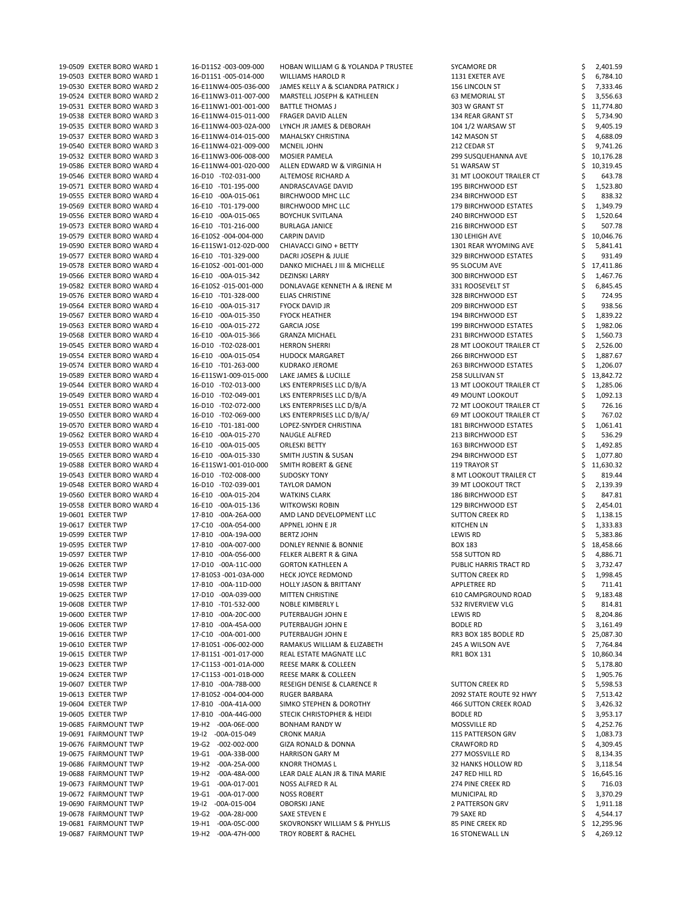19-0509 EXETER BORO WARD 1 16-D11S2 -003-009-000 HOBAN WILLIAM G & YOLANDA P TRUSTEE SYCAMORE DR \$ 2,401.59 19-0503 EXETER BORO WARD 1 16-D11S1 -005-014-000 WILLIAMS HAROLD R 1131 EXETER AVE \$ 6,784.10 19-0530 EXETER BORO WARD 2 16-E11NW4-005-036-000 JAMES KELLY A & SCIANDRA PATRICK J 156 LINCOLN ST \$ 7,333.46 19-0524 EXETER BORO WARD 2 16-E11NW3-011-007-000 MARSTELL JOSEPH & KATHLEEN 63 MEMORIAL ST \$ 3,556.63 19-0531 EXETER BORO WARD 3 16-E11NW1-001-001-000 BATTLE THOMAS J 303 W GRANT ST \$ 11,774.80 19-0538 EXETER BORO WARD 3 16-E11NW4-015-011-000 FRAGER DAVID ALLEN 134 REAR GRANT ST \$ 5,734.90 19-0535 EXETER BORO WARD 3 16-E11NW4-003-02A-000 LYNCH JR JAMES & DEBORAH 104 1/2 WARSAW ST \$ 9,405.19 19-0537 EXETER BORO WARD 3 16-E11NW4-014-015-000 MAHALSKY CHRISTINA 142 MASON ST \$ 4,688.09 19-0540 EXETER BORO WARD 3 16-E11NW4-021-009-000 MCNEIL JOHN 212 CEDAR ST \$ 9,741.26 19-0532 EXETER BORO WARD 3 16-E11NW3-006-008-000 MOSIER PAMELA 299 SUSQUEHANNA AVE \$ 10,176.28 19-0586 EXETER BORO WARD 4 16-E11NW4-001-020-000 ALLEN EDWARD W & VIRGINIA H 51 WARSAW ST \$ 10,319.45 19-0546 EXETER BORO WARD 4 16-D10 -T02-031-000 ALTEMOSE RICHARD A 31 MT LOOKOUT TRAILER CT \$ 643.78 19-0571 EXETER BORO WARD 4 16-E10 -T01-195-000 ANDRASCAVAGE DAVID 195 BIRCHWOOD EST \$ 1,523.80 19-0555 EXETER BORO WARD 4 16-E10 -00A-015-061 BIRCHWOOD MHC LLC 234 BIRCHWOOD EST \$ 838.32 19-0569 EXETER BORO WARD 4 16-E10 -T01-179-000 BIRCHWOOD MHC LLC 179 BIRCHWOOD ESTATES \$ 1,349.79 19-0556 EXETER BORO WARD 4 16-E10 -00A-015-065 BOYCHUK SVITLANA 2 240 BIRCHWOOD EST \$ 1,520.64 19-0573 EXETER BORO WARD 4 16-E10 -T01-216-000 BURLAGA JANICE 216 BIRCHWOOD EST \$ 507.78 19-0579 EXETER BORO WARD 4 16-E10S2 -004-004-000 CARPIN DAVID 130 LEHIGH AVE \$ 10,046.76 19-0590 EXETER BORO WARD 4 16-E11SW1-012-02D-000 CHIAVACCI GINO + BETTY 1301 REAR WYOMING AVE \$ 5,841.41 19-0577 EXETER BORO WARD 4 16-E10 -T01-329-000 DACRI JOSEPH & JULIE 329 BIRCHWOOD ESTATES \$ 931.49 19-0578 EXETER BORO WARD 4 16-E10S2 -001-001-000 DANKO MICHAEL JIII & MICHELLE 95 SLOCUM AVE \$ 17,411.86 19-0566 EXETER BORO WARD 4 16-E10 -00A-015-342 DEZINSKI LARRY 300 BIRCHWOOD EST \$ 1,467.76 19-0582 EXETER BORO WARD 4 16-E10S2 -015-001-000 DONLAVAGE KENNETH A & IRENE M 331 ROOSEVELT ST \$ 6,845.45 19-0576 EXETER BORO WARD 4 16-E10 -T01-328-000 ELIAS CHRISTINE 328 BIRCHWOOD EST \$ 724.95 19-0564 EXETER BORO WARD 4 16-E10 -00A-015-317 FYOCK DAVID JR 209 BIRCHWOOD EST \$ 938.56 19-0567 EXETER BORO WARD 4 16-E10 -00A-015-350 FYOCK HEATHER 194 BIRCHWOOD EST \$ 1,839.22 19-0563 EXETER BORO WARD 4 16-E10 -00A-015-272 GARCIA JOSE 199 11 199 BIRCHWOOD ESTATES \$ 1,982.06 19-0568 EXETER BORO WARD 4 16-E10 -00A-015-366 GRANZA MICHAEL 231 BIRCHWOOD ESTATES \$ 1,560.73 19-0545 EXETER BORO WARD 4 16-D10 -T02-028-001 HERRON SHERRI 28 MT LOOKOUT TRAILER CT \$ 2,526.00 19-0554 EXETER BORO WARD 4 16-E10 -00A-015-054 HUDOCK MARGARET 266 BIRCHWOOD EST \$ 1,887.67 19-0574 EXETER BORO WARD 4 16-E10 -T01-263-000 KUDRAKO JEROME 263 BIRCHWOOD ESTATES \$ 1,206.07 19-0589 EXETER BORO WARD 4 16-E11SW1-009-015-000 LAKE JAMES & LUCILLE 258 SULLIVAN ST \$ 13,842.72 19-0544 EXETER BORO WARD 4 16-D10 -T02-013-000 LKS ENTERPRISES LLC D/B/A 13 MT LOOKOUT TRAILER CT \$ 1,285.06 19-0549 EXETER BORO WARD 4 16-D10 -T02-049-001 LKS ENTERPRISES LLC D/B/A 49 MOUNT LOOKOUT \$ 1,092.13 19-0551 EXETER BORO WARD 4 16-D10 -T02-072-000 LKS ENTERPRISES LLC D/B/A 72 MT LOOKOUT TRAILER CT \$ 726.16 19-0550 EXETER BORO WARD 4 16-D10 -T02-069-000 LKS ENTERPRISES LLC D/B/A/ 69 MT LOOKOUT TRAILER CT \$767.02 19-0570 EXETER BORO WARD 4 16-E10 -T01-181-000 LOPEZ-SNYDER CHRISTINA 181 BIRCHWOOD ESTATES \$ 1,061.41 19-0562 EXETER BORO WARD 4 16-E10 -00A-015-270 NAUGLE ALFRED 213 BIRCHWOOD EST \$ 536.29 19-0553 EXETER BORO WARD 4 16-E10 -00A-015-005 ORLESKI BETTY 163 BIRCHWOOD EST \$ 1,492.85 19-0565 EXETER BORO WARD 4 16-E10 -00A-015-330 SMITH JUSTIN & SUSAN 294 BIRCHWOOD EST \$ 1,077.80 19-0588 EXETER BORO WARD 4 16-E11SW1-001-010-000 SMITH ROBERT & GENE 119 TRAYOR ST \$ 11,630.32 19-0543 EXETER BORO WARD 4 16-D10 -T02-008-000 SUDOSKY TONY 8 MT LOOKOUT TRAILER CT \$ 819.44 19-0548 EXETER BORO WARD 4 16-D10 -T02-039-001 TAYLOR DAMON 39 MT LOOKOUT TRCT \$ 2,139.39 19-0560 EXETER BORO WARD 4 16-E10 -00A-015-204 WATKINS CLARK 186 186 BIRCHWOOD EST 6 347.81 19-0558 EXETER BORO WARD 4 16-E10 -00A-015-136 WITKOWSKI ROBIN 129 BIRCHWOOD EST \$ 2,454.01 19-0601 EXETER TWP 17-B10 -00A-26A-000 AMD LAND DEVELOPMENT LLC SUTTON CREEK RD \$ 1,138.15 19-0617 EXETER TWP 17-C10 -00A-054-000 APPNEL JOHN E JR KITCHEN LN KITCHEN LN \$ 1,333.83 19-0599 EXETER TWP 17-B10 -00A-19A-000 BERTZ JOHN LEWIS RD \$ 5,383.86 19-0595 EXETER TWP 17-B10 -00A-007-000 DONLEY RENNIE & BONNIE BOX 183 BOX 183 \$ 18,458.66 19-0597 EXETER TWP 17-B10 -00A-056-000 FELKER ALBERT R & GINA 558 SUTTON RD \$ 4,886.71 19-0626 EXETER TWP 17-D10 -00A-11C-000 GORTON KATHLEEN A PUBLIC HARRIS TRACT RD \$ 3,732.47 19-0614 EXETER TWP 17-B10S3 -001-03A-000 HECK JOYCE REDMOND SUTTON CREEK RD \$ 1,998.45 19-0598 EXETER TWP 17-B10 -00A-11D-000 HOLLY JASON & BRITTANY APPLETREE RD \$ 711.41 19-0625 EXETER TWP 17-D10 -00A-039-000 MITTEN CHRISTINE 610 CAMPGROUND ROAD \$ 9,183.48 19-0608 EXETER TWP 17-B10 -T01-532-000 NOBLE KIMBERLY L 532 RIVERVIEW VLG \$ 814.81 19-0600 EXETER TWP 17-B10 -00A-20C-000 PUTERBAUGH JOHN E LEWIS RD LEWIS RD \$ 8,204.86

| 19-0606 EXETER TWP    | 17-B10 -00A-45A-000         | PUTERBAUGH JOHN E                      | <b>BODLE RD</b>          | 3,161.49  |
|-----------------------|-----------------------------|----------------------------------------|--------------------------|-----------|
| 19-0616 EXETER TWP    | 17-C10 -00A-001-000         | PUTERBAUGH JOHN E                      | RR3 BOX 185 BODLE RD     | 25,087.30 |
| 19-0610 EXETER TWP    | 17-B10S1-006-002-000        | RAMAKUS WILLIAM & ELIZABETH            | 245 A WILSON AVE         | 7,764.84  |
| 19-0615 EXETER TWP    | 17-B11S1-001-017-000        | REAL ESTATE MAGNATE LLC                | RR1 BOX 131              | 10,860.34 |
| 19-0623 EXETER TWP    | 17-C11S3 -001-01A-000       | <b>REESE MARK &amp; COLLEEN</b>        |                          | 5,178.80  |
| 19-0624 EXETER TWP    | 17-C11S3 -001-01B-000       | <b>REESE MARK &amp; COLLEEN</b>        |                          | 1,905.76  |
| 19-0607 EXETER TWP    | 17-B10 -00A-78B-000         | <b>RESEIGH DENISE &amp; CLARENCE R</b> | <b>SUTTON CREEK RD</b>   | 5,598.53  |
| 19-0613 EXETER TWP    | 17-B10S2 -004-004-000       | <b>RUGER BARBARA</b>                   | 2092 STATE ROUTE 92 HWY  | 7,513.42  |
| 19-0604 EXETER TWP    | 17-B10 -00A-41A-000         | SIMKO STEPHEN & DOROTHY                | 466 SUTTON CREEK ROAD    | 3,426.32  |
| 19-0605 EXETER TWP    | 17-B10 -00A-44G-000         | <b>STECIK CHRISTOPHER &amp; HEIDI</b>  | <b>BODLE RD</b>          | 3,953.17  |
| 19-0685 FAIRMOUNT TWP | 19-H2 -00A-06E-000          | <b>BONHAM RANDY W</b>                  | MOSSVILLE RD             | 4,252.76  |
| 19-0691 FAIRMOUNT TWP | $-00A-015-049$<br>19-12     | <b>CRONK MARJA</b>                     | <b>115 PATTERSON GRV</b> | 1,083.73  |
| 19-0676 FAIRMOUNT TWP | 19-G2<br>$-002 - 002 - 000$ | <b>GIZA RONALD &amp; DONNA</b>         | <b>CRAWFORD RD</b>       | 4,309.45  |
| 19-0675 FAIRMOUNT TWP | 19-G1<br>-00A-33B-000       | <b>HARRISON GARY M</b>                 | 277 MOSSVILLE RD         | 8,134.35  |
| 19-0686 FAIRMOUNT TWP | -00A-25A-000<br>19-H2       | <b>KNORR THOMAS L</b>                  | 32 HANKS HOLLOW RD       | 3,118.54  |
| 19-0688 FAIRMOUNT TWP | 19-H2<br>-00A-48A-000       | LEAR DALE ALAN JR & TINA MARIE         | 247 RED HILL RD          | 16,645.16 |
| 19-0673 FAIRMOUNT TWP | 19-G1<br>-00A-017-001       | NOSS ALFRED R AL                       | 274 PINE CREEK RD        | 716.03    |
| 19-0672 FAIRMOUNT TWP | 19-G1<br>$-00A-017-000$     | <b>NOSS ROBERT</b>                     | MUNICIPAL RD             | 3,370.29  |
| 19-0690 FAIRMOUNT TWP | $-00A-015-004$<br>19-12     | <b>OBORSKI JANE</b>                    | <b>2 PATTERSON GRV</b>   | 1,911.18  |
| 19-0678 FAIRMOUNT TWP | 19-G2<br>-00A-28J-000       | SAXE STEVEN E                          | 79 SAXE RD               | 4,544.17  |
| 19-0681 FAIRMOUNT TWP | $-00A-05C-000$<br>19-H1     | SKOVRONSKY WILLIAM S & PHYLLIS         | 85 PINE CREEK RD         | 12,295.96 |
| 19-0687 FAIRMOUNT TWP | 19-H2 -00A-47H-000          | <b>TROY ROBERT &amp; RACHEL</b>        | <b>16 STONEWALL LN</b>   | 4,269.12  |
|                       |                             |                                        |                          |           |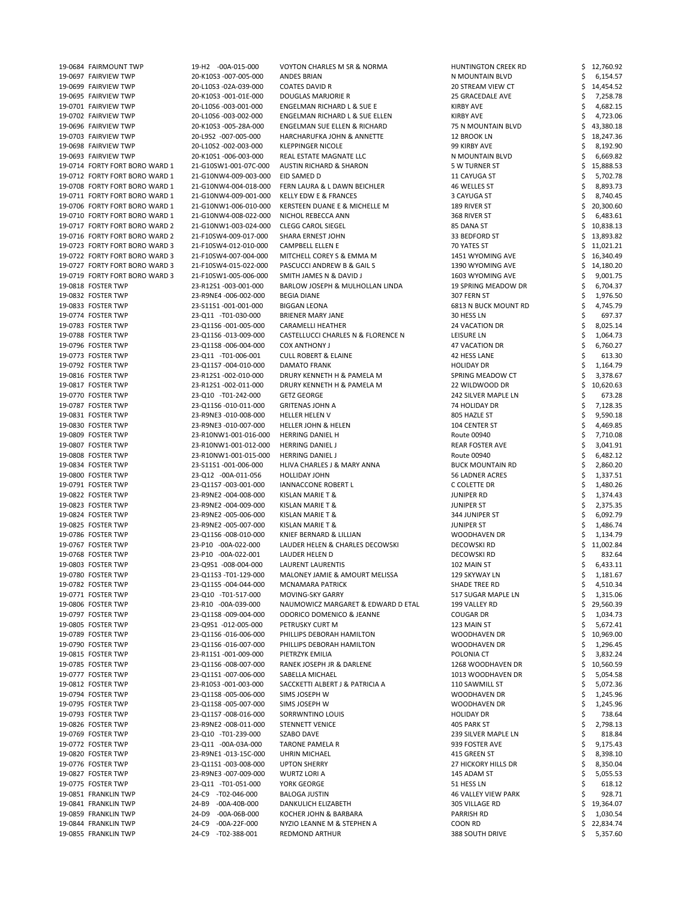| 19-0684 FAIRMOUNT TWP          | 19-H2 -00A-015-000      | <b>VOYTON CHARLES M SR &amp; NORMA</b>  | <b>HUNTINGTON CREEK RD</b> | 12,760.92 |
|--------------------------------|-------------------------|-----------------------------------------|----------------------------|-----------|
| 19-0697 FAIRVIEW TWP           | 20-K10S3 -007-005-000   | ANDES BRIAN                             | N MOUNTAIN BLVD            | 6,154.57  |
| 19-0699 FAIRVIEW TWP           | 20-L10S3 -02A-039-000   | <b>COATES DAVID R</b>                   | 20 STREAM VIEW CT          | 14,454.52 |
| 19-0695 FAIRVIEW TWP           | 20-K10S3 -001-01E-000   | DOUGLAS MARJORIE R                      | <b>25 GRACEDALE AVE</b>    | 7,258.78  |
| 19-0701 FAIRVIEW TWP           | 20-L10S6 -003-001-000   | ENGELMAN RICHARD L & SUE E              | KIRBY AVE                  | 4,682.15  |
| 19-0702 FAIRVIEW TWP           | 20-L10S6 -003-002-000   | ENGELMAN RICHARD L & SUE ELLEN          | <b>KIRBY AVE</b>           | 4,723.06  |
|                                |                         |                                         |                            |           |
| 19-0696 FAIRVIEW TWP           | 20-K10S3 -005-28A-000   | <b>ENGELMAN SUE ELLEN &amp; RICHARD</b> | 75 N MOUNTAIN BLVD         | 43,380.18 |
| 19-0703 FAIRVIEW TWP           | 20-L9S2 -007-005-000    | HARCHARUFKA JOHN & ANNETTE              | 12 BROOK LN                | 18,247.36 |
| 19-0698 FAIRVIEW TWP           | 20-L10S2 -002-003-000   | <b>KLEPPINGER NICOLE</b>                | 99 KIRBY AVE               | 8,192.90  |
| 19-0693 FAIRVIEW TWP           | 20-K10S1-006-003-000    | REAL ESTATE MAGNATE LLC                 | N MOUNTAIN BLVD            | 6,669.82  |
| 19-0714 FORTY FORT BORO WARD 1 | 21-G10SW1-001-07C-000   | <b>AUSTIN RICHARD &amp; SHARON</b>      | 5 W TURNER ST              | 15,888.53 |
| 19-0712 FORTY FORT BORO WARD 1 | 21-G10NW4-009-003-000   | EID SAMED D                             | 11 CAYUGA ST               | 5,702.78  |
| 19-0708 FORTY FORT BORO WARD 1 | 21-G10NW4-004-018-000   | FERN LAURA & L DAWN BEICHLER            | 46 WELLES ST               | 8,893.73  |
| 19-0711 FORTY FORT BORO WARD 1 | 21-G10NW4-009-001-000   | KELLY EDW E & FRANCES                   | 3 CAYUGA ST                | 8,740.45  |
| 19-0706 FORTY FORT BORO WARD 1 | 21-G10NW1-006-010-000   | KERSTEEN DUANE E & MICHELLE M           | 189 RIVER ST               | 20,300.60 |
| 19-0710 FORTY FORT BORO WARD 1 | 21-G10NW4-008-022-000   | NICHOL REBECCA ANN                      | 368 RIVER ST               | 6,483.61  |
| 19-0717 FORTY FORT BORO WARD 2 | 21-G10NW1-003-024-000   | <b>CLEGG CAROL SIEGEL</b>               | 85 DANA ST                 | 10,838.13 |
|                                |                         |                                         |                            |           |
| 19-0716 FORTY FORT BORO WARD 2 | 21-F10SW4-009-017-000   | SHARA ERNEST JOHN                       | 33 BEDFORD ST              | 13,893.82 |
| 19-0723 FORTY FORT BORO WARD 3 | 21-F10SW4-012-010-000   | <b>CAMPBELL ELLEN E</b>                 | 70 YATES ST                | 11,021.21 |
| 19-0722 FORTY FORT BORO WARD 3 | 21-F10SW4-007-004-000   | MITCHELL COREY S & EMMA M               | 1451 WYOMING AVE           | 16,340.49 |
| 19-0727 FORTY FORT BORO WARD 3 | 21-F10SW4-015-022-000   | PASCUCCI ANDREW B & GAIL S              | 1390 WYOMING AVE           | 14,180.20 |
| 19-0719 FORTY FORT BORO WARD 3 | 21-F10SW1-005-006-000   | SMITH JAMES N & DAVID J                 | 1603 WYOMING AVE           | 9,001.75  |
| 19-0818 FOSTER TWP             | 23-R12S1-003-001-000    | BARLOW JOSEPH & MULHOLLAN LINDA         | 19 SPRING MEADOW DR        | 6,704.37  |
| 19-0832 FOSTER TWP             | 23-R9NE4 -006-002-000   | <b>BEGIA DIANE</b>                      | 307 FERN ST                | 1,976.50  |
| 19-0833 FOSTER TWP             | 23-S11S1-001-001-000    | <b>BIGGAN LEONA</b>                     | 6813 N BUCK MOUNT RD       | 4,745.79  |
| 19-0774 FOSTER TWP             | 23-Q11 -T01-030-000     | <b>BRIENER MARY JANE</b>                | 30 HESS LN                 | 697.37    |
| 19-0783 FOSTER TWP             | 23-Q11S6 -001-005-000   | CARAMELLI HEATHER                       | 24 VACATION DR             | 8,025.14  |
|                                |                         |                                         |                            |           |
| 19-0788 FOSTER TWP             | 23-Q11S6 -013-009-000   | CASTELLUCCI CHARLES N & FLORENCE N      | <b>LEISURE LN</b>          | 1,064.73  |
| 19-0796 FOSTER TWP             | 23-Q11S8 -006-004-000   | <b>COX ANTHONY J</b>                    | 47 VACATION DR             | 6,760.27  |
| 19-0773 FOSTER TWP             | 23-Q11 -T01-006-001     | <b>CULL ROBERT &amp; ELAINE</b>         | 42 HESS LANE               | 613.30    |
| 19-0792 FOSTER TWP             | 23-Q11S7-004-010-000    | <b>DAMATO FRANK</b>                     | <b>HOLIDAY DR</b>          | 1,164.79  |
| 19-0816 FOSTER TWP             | 23-R12S1-002-010-000    | DRURY KENNETH H & PAMELA M              | SPRING MEADOW CT           | 3,378.67  |
| 19-0817 FOSTER TWP             | 23-R12S1-002-011-000    | DRURY KENNETH H & PAMELA M              | 22 WILDWOOD DR             | 10,620.63 |
| 19-0770 FOSTER TWP             | 23-Q10 -T01-242-000     | <b>GETZ GEORGE</b>                      | 242 SILVER MAPLE LN        | 673.28    |
| 19-0787 FOSTER TWP             | 23-Q11S6 -010-011-000   | <b>GRITENAS JOHN A</b>                  | 74 HOLIDAY DR              | 7,128.35  |
| 19-0831 FOSTER TWP             | 23-R9NE3 -010-008-000   | <b>HELLER HELEN V</b>                   | 805 HAZLE ST               | 9,590.18  |
| 19-0830 FOSTER TWP             | 23-R9NE3 -010-007-000   | <b>HELLER JOHN &amp; HELEN</b>          | 104 CENTER ST              | 4,469.85  |
| 19-0809 FOSTER TWP             | 23-R10NW1-001-016-000   | <b>HERRING DANIEL H</b>                 | Route 00940                |           |
|                                |                         |                                         |                            | 7,710.08  |
| 19-0807 FOSTER TWP             | 23-R10NW1-001-012-000   | <b>HERRING DANIEL J</b>                 | <b>REAR FOSTER AVE</b>     | 3,041.91  |
| 19-0808 FOSTER TWP             | 23-R10NW1-001-015-000   | <b>HERRING DANIEL J</b>                 | Route 00940                | 6,482.12  |
| 19-0834 FOSTER TWP             | 23-S11S1-001-006-000    | HLIVA CHARLES J & MARY ANNA             | <b>BUCK MOUNTAIN RD</b>    | 2,860.20  |
| 19-0800 FOSTER TWP             | 23-Q12 -00A-011-056     | <b>HOLLIDAY JOHN</b>                    | <b>56 LADNER ACRES</b>     | 1,337.51  |
| 19-0791 FOSTER TWP             | 23-Q11S7 -003-001-000   | <b>IANNACCONE ROBERT L</b>              | C COLETTE DR               | 1,480.26  |
| 19-0822 FOSTER TWP             | 23-R9NE2 -004-008-000   | <b>KISLAN MARIE T &amp;</b>             | <b>JUNIPER RD</b>          | 1,374.43  |
| 19-0823 FOSTER TWP             | 23-R9NE2 -004-009-000   | <b>KISLAN MARIE T &amp;</b>             | <b>JUNIPER ST</b>          | 2,375.35  |
| 19-0824 FOSTER TWP             | 23-R9NE2 -005-006-000   | KISLAN MARIE T &                        | 344 JUNIPER ST             | 6,092.79  |
| 19-0825 FOSTER TWP             | 23-R9NE2 -005-007-000   | KISLAN MARIE T &                        | <b>JUNIPER ST</b>          | 1,486.74  |
| 19-0786 FOSTER TWP             | 23-Q11S6 -008-010-000   | KNIEF BERNARD & LILLIAN                 | WOODHAVEN DR               | 1,134.79  |
|                                |                         |                                         |                            |           |
| 19-0767 FOSTER TWP             | 23-P10 -00A-022-000     | LAUDER HELEN & CHARLES DECOWSKI         | <b>DECOWSKI RD</b>         | 11,002.84 |
| 19-0768 FOSTER TWP             | 23-P10 -00A-022-001     | LAUDER HELEN D                          | DECOWSKI RD                | 832.64    |
| 19-0803 FOSTER TWP             | 23-Q9S1 -008-004-000    | LAURENT LAURENTIS                       | 102 MAIN ST                | 6,433.11  |
| 19-0780 FOSTER TWP             | 23-Q11S3 -T01-129-000   | MALONEY JAMIE & AMOURT MELISSA          | 129 SKYWAY LN              | 1,181.67  |
| 19-0782 FOSTER TWP             | 23-Q11S5 -004-044-000   | <b>MCNAMARA PATRICK</b>                 | <b>SHADE TREE RD</b>       | 4,510.34  |
| 19-0771 FOSTER TWP             | 23-Q10 -T01-517-000     | MOVING-SKY GARRY                        | 517 SUGAR MAPLE LN         | 1,315.06  |
| 19-0806 FOSTER TWP             | 23-R10 -00A-039-000     | NAUMOWICZ MARGARET & EDWARD D ETAL      | 199 VALLEY RD              | 29,560.39 |
| 19-0797 FOSTER TWP             | 23-Q11S8 -009-004-000   | ODORICO DOMENICO & JEANNE               | <b>COUGAR DR</b>           | 1,034.73  |
| 19-0805 FOSTER TWP             | 23-Q9S1 -012-005-000    | PETRUSKY CURT M                         | 123 MAIN ST                | 5,672.41  |
| 19-0789 FOSTER TWP             | 23-Q11S6-016-006-000    | PHILLIPS DEBORAH HAMILTON               | WOODHAVEN DR               | 10,969.00 |
| 19-0790 FOSTER TWP             | 23-Q11S6-016-007-000    | PHILLIPS DEBORAH HAMILTON               | <b>WOODHAVEN DR</b>        |           |
|                                |                         |                                         |                            | 1,296.45  |
| 19-0815 FOSTER TWP             | 23-R11S1-001-009-000    | PIETRZYK EMILIA                         | POLONIA CT                 | 3,832.24  |
| 19-0785 FOSTER TWP             | 23-Q11S6 -008-007-000   | RANEK JOSEPH JR & DARLENE               | 1268 WOODHAVEN DR          | 10,560.59 |
| 19-0777 FOSTER TWP             | 23-Q11S1-007-006-000    | SABELLA MICHAEL                         | 1013 WOODHAVEN DR          | 5,054.58  |
| 19-0812 FOSTER TWP             | 23-R10S3 -001-003-000   | SACCKETTI ALBERT J & PATRICIA A         | 110 SAWMILL ST             | 5,072.36  |
| 19-0794 FOSTER TWP             | 23-Q11S8 -005-006-000   | SIMS JOSEPH W                           | <b>WOODHAVEN DR</b>        | 1,245.96  |
| 19-0795 FOSTER TWP             | 23-Q11S8 -005-007-000   | SIMS JOSEPH W                           | WOODHAVEN DR               | 1,245.96  |
| 19-0793 FOSTER TWP             | 23-Q11S7 -008-016-000   | SORRWNTINO LOUIS                        | <b>HOLIDAY DR</b>          | 738.64    |
| 19-0826 FOSTER TWP             | 23-R9NE2 -008-011-000   | <b>STENNETT VENICE</b>                  | 405 PARK ST                | 2,798.13  |
| 19-0769 FOSTER TWP             | 23-Q10 -T01-239-000     | SZABO DAVE                              | 239 SILVER MAPLE LN        | 818.84    |
| 19-0772 FOSTER TWP             | 23-Q11 -00A-03A-000     | <b>TARONE PAMELA R</b>                  | 939 FOSTER AVE             | 9,175.43  |
|                                |                         |                                         |                            |           |
| 19-0820 FOSTER TWP             | 23-R9NE1-013-15C-000    | <b>UHRIN MICHAEL</b>                    | 415 GREEN ST               | 8,398.10  |
| 19-0776 FOSTER TWP             | 23-Q11S1-003-008-000    | <b>UPTON SHERRY</b>                     | 27 HICKORY HILLS DR        | 8,350.04  |
| 19-0827 FOSTER TWP             | 23-R9NE3 -007-009-000   | <b>WURTZ LORI A</b>                     | 145 ADAM ST                | 5,055.53  |
| 19-0775 FOSTER TWP             | 23-Q11 -T01-051-000     | YORK GEORGE                             | 51 HESS LN                 | 618.12    |
| 19-0851 FRANKLIN TWP           | 24-C9 -T02-046-000      | <b>BALOGA JUSTIN</b>                    | <b>46 VALLEY VIEW PARK</b> | 928.71    |
| 19-0841 FRANKLIN TWP           | 24-B9 -00A-40B-000      | DANKULICH ELIZABETH                     | 305 VILLAGE RD             | 19,364.07 |
| 19-0859 FRANKLIN TWP           | 24-D9<br>$-00A-06B-000$ | KOCHER JOHN & BARBARA                   | PARRISH RD                 | 1,030.54  |
| 19-0844 FRANKLIN TWP           | 24-C9 -00A-22F-000      | NYZIO LEANNE M & STEPHEN A              | COON RD                    | 22,834.74 |
| 19-0855 FRANKLIN TWP           | 24-C9 -T02-388-001      | <b>REDMOND ARTHUR</b>                   | 388 SOUTH DRIVE            | 5,357.60  |
|                                |                         |                                         |                            |           |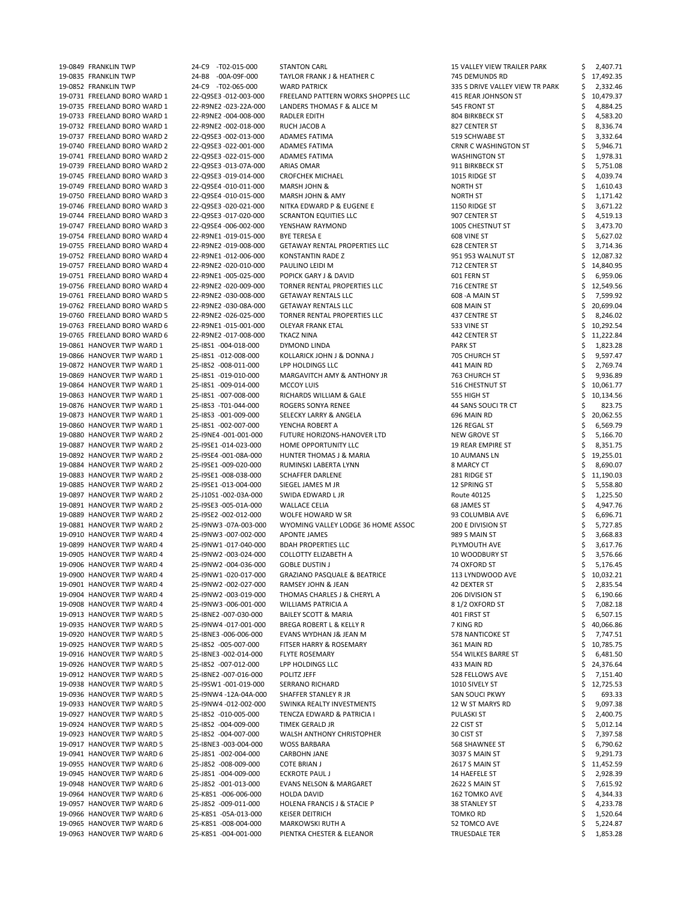| 19-0849 FRANKLIN TWP         | 24-C9 -T02-015-000    | <b>STANTON CARL</b>                     | <b>15 VALLEY VIEW TRAILER PARK</b> |   | 2,407.71  |
|------------------------------|-----------------------|-----------------------------------------|------------------------------------|---|-----------|
| 19-0835 FRANKLIN TWP         | 24-B8 -00A-09F-000    | TAYLOR FRANK J & HEATHER C              | 745 DEMUNDS RD                     |   | 17,492.35 |
| 19-0852 FRANKLIN TWP         | 24-C9 -T02-065-000    | <b>WARD PATRICK</b>                     | 335 S DRIVE VALLEY VIEW TR PARK    |   | 2,332.46  |
| 19-0731 FREELAND BORO WARD 1 | 22-Q9SE3 -012-003-000 | FREELAND PATTERN WORKS SHOPPES LLC      | 415 REAR JOHNSON ST                |   | 10,479.37 |
| 19-0735 FREELAND BORO WARD 1 | 22-R9NE2 -023-22A-000 | LANDERS THOMAS F & ALICE M              | 545 FRONT ST                       |   | 4,884.25  |
| 19-0733 FREELAND BORO WARD 1 | 22-R9NE2 -004-008-000 | RADLER EDITH                            | 804 BIRKBECK ST                    |   | 4,583.20  |
| 19-0732 FREELAND BORO WARD 1 | 22-R9NE2 -002-018-000 | RUCH JACOB A                            | 827 CENTER ST                      |   | 8,336.74  |
| 19-0737 FREELAND BORO WARD 2 | 22-Q9SE3 -002-013-000 | ADAMES FATIMA                           | 519 SCHWABE ST                     |   | 3,332.64  |
| 19-0740 FREELAND BORO WARD 2 | 22-Q9SE3 -022-001-000 | ADAMES FATIMA                           | <b>CRNR C WASHINGTON ST</b>        |   | 5,946.71  |
| 19-0741 FREELAND BORO WARD 2 | 22-Q9SE3 -022-015-000 | ADAMES FATIMA                           | <b>WASHINGTON ST</b>               |   | 1,978.31  |
| 19-0739 FREELAND BORO WARD 2 | 22-Q9SE3 -013-07A-000 | <b>ARIAS OMAR</b>                       | 911 BIRKBECK ST                    |   | 5,751.08  |
| 19-0745 FREELAND BORO WARD 3 | 22-Q9SE3 -019-014-000 | <b>CROFCHEK MICHAEL</b>                 | 1015 RIDGE ST                      |   | 4,039.74  |
| 19-0749 FREELAND BORO WARD 3 | 22-Q9SE4 -010-011-000 | <b>MARSH JOHN &amp;</b>                 | <b>NORTH ST</b>                    |   | 1,610.43  |
| 19-0750 FREELAND BORO WARD 3 | 22-Q9SE4 -010-015-000 | MARSH JOHN & AMY                        | NORTH ST                           |   | 1,171.42  |
| 19-0746 FREELAND BORO WARD 3 | 22-Q9SE3 -020-021-000 | NITKA EDWARD P & EUGENE E               | 1150 RIDGE ST                      |   | 3,671.22  |
| 19-0744 FREELAND BORO WARD 3 | 22-Q9SE3 -017-020-000 | <b>SCRANTON EQUITIES LLC</b>            | 907 CENTER ST                      |   | 4,519.13  |
| 19-0747 FREELAND BORO WARD 3 | 22-Q9SE4 -006-002-000 | YENSHAW RAYMOND                         | 1005 CHESTNUT ST                   |   | 3,473.70  |
| 19-0754 FREELAND BORO WARD 4 | 22-R9NE1-019-015-000  | <b>BYE TERESA E</b>                     | 608 VINE ST                        |   | 5,627.02  |
| 19-0755 FREELAND BORO WARD 4 | 22-R9NE2 -019-008-000 | <b>GETAWAY RENTAL PROPERTIES LLC</b>    | 628 CENTER ST                      |   | 3,714.36  |
| 19-0752 FREELAND BORO WARD 4 | 22-R9NE1-012-006-000  | KONSTANTIN RADE Z                       | 951 953 WALNUT ST                  |   | 12,087.32 |
| 19-0757 FREELAND BORO WARD 4 | 22-R9NE2 -020-010-000 | PAULINO LEIDI M                         | 712 CENTER ST                      |   | 14,840.95 |
| 19-0751 FREELAND BORO WARD 4 | 22-R9NE1-005-025-000  | POPICK GARY J & DAVID                   | 601 FERN ST                        |   | 6,959.06  |
| 19-0756 FREELAND BORO WARD 4 | 22-R9NE2 -020-009-000 | TORNER RENTAL PROPERTIES LLC            | 716 CENTRE ST                      |   | 12,549.56 |
| 19-0761 FREELAND BORO WARD 5 | 22-R9NE2 -030-008-000 | <b>GETAWAY RENTALS LLC</b>              | 608 - A MAIN ST                    |   | 7,599.92  |
| 19-0762 FREELAND BORO WARD 5 | 22-R9NE2 -030-08A-000 | <b>GETAWAY RENTALS LLC</b>              | 608 MAIN ST                        |   | 20,699.04 |
| 19-0760 FREELAND BORO WARD 5 | 22-R9NE2 -026-025-000 | TORNER RENTAL PROPERTIES LLC            | 437 CENTRE ST                      |   | 8,246.02  |
| 19-0763 FREELAND BORO WARD 6 | 22-R9NE1-015-001-000  | <b>OLEYAR FRANK ETAL</b>                | 533 VINE ST                        |   | 10,292.54 |
| 19-0765 FREELAND BORO WARD 6 | 22-R9NE2 -017-008-000 | <b>TKACZ NINA</b>                       | 442 CENTER ST                      |   | 11,222.84 |
| 19-0861 HANOVER TWP WARD 1   | 25-I8S1 -004-018-000  | DYMOND LINDA                            | PARK ST                            |   | 1,823.28  |
| 19-0866 HANOVER TWP WARD 1   | 25-I8S1 -012-008-000  | KOLLARICK JOHN J & DONNA J              | 705 CHURCH ST                      |   | 9,597.47  |
| 19-0872 HANOVER TWP WARD 1   | 25-I8S2 -008-011-000  | LPP HOLDINGS LLC                        | 441 MAIN RD                        |   | 2,769.74  |
| 19-0869 HANOVER TWP WARD 1   | 25-18S1 -019-010-000  | MARGAVITCH AMY & ANTHONY JR             | 763 CHURCH ST                      | ১ | 9,936.89  |
| 19-0864 HANOVER TWP WARD 1   | 25-I8S1 -009-014-000  | <b>MCCOY LUIS</b>                       | 516 CHESTNUT ST                    |   | 10,061.77 |
| 19-0863 HANOVER TWP WARD 1   | 25-I8S1 -007-008-000  | RICHARDS WILLIAM & GALE                 | 555 HIGH ST                        |   | 10,134.56 |
| 19-0876 HANOVER TWP WARD 1   | 25-I8S3 -T01-044-000  | <b>ROGERS SONYA RENEE</b>               | 44 SANS SOUCI TR CT                |   | 823.75    |
| 19-0873 HANOVER TWP WARD 1   | 25-I8S3 -001-009-000  | <b>SELECKY LARRY &amp; ANGELA</b>       | 696 MAIN RD                        |   | 20,062.55 |
| 19-0860 HANOVER TWP WARD 1   | 25-I8S1 -002-007-000  | YENCHA ROBERT A                         | 126 REGAL ST                       |   | 6,569.79  |
| 19-0880 HANOVER TWP WARD 2   | 25-I9NE4 -001-001-000 | FUTURE HORIZONS-HANOVER LTD             | <b>NEW GROVE ST</b>                |   | 5,166.70  |
| 19-0887 HANOVER TWP WARD 2   | 25-I9SE1 -014-023-000 | HOME OPPORTUNITY LLC                    | <b>19 REAR EMPIRE ST</b>           |   | 8,351.75  |
| 19-0892 HANOVER TWP WARD 2   | 25-I9SE4 -001-08A-000 | HUNTER THOMAS J & MARIA                 | 10 AUMANS LN                       |   | 19,255.01 |
| 19-0884 HANOVER TWP WARD 2   | 25-I9SE1 -009-020-000 | RUMINSKI LABERTA LYNN                   | 8 MARCY CT                         |   | 8,690.07  |
| 19-0883 HANOVER TWP WARD 2   | 25-I9SE1 -008-038-000 | <b>SCHAFFER DARLENE</b>                 | 281 RIDGE ST                       |   | 11,190.03 |
| 19-0885 HANOVER TWP WARD 2   | 25-I9SE1 -013-004-000 | SIEGEL JAMES M JR                       | 12 SPRING ST                       |   | 5,558.80  |
| 19-0897 HANOVER TWP WARD 2   | 25-J10S1-002-03A-000  | SWIDA EDWARD L JR                       | Route 40125                        |   | 1,225.50  |
| 19-0891 HANOVER TWP WARD 2   | 25-I9SE3 -005-01A-000 | <b>WALLACE CELIA</b>                    | 68 JAMES ST                        |   | 4,947.76  |
| 19-0889 HANOVER TWP WARD 2   | 25-I9SE2 -002-012-000 | WOLFE HOWARD W SR                       | 93 COLUMBIA AVE                    |   | 6,696.71  |
| 19-0881 HANOVER TWP WARD 2   | 25-I9NW3 -07A-003-000 | WYOMING VALLEY LODGE 36 HOME ASSOC      | 200 E DIVISION ST                  |   | 5,727.85  |
| 19-0910 HANOVER TWP WARD 4   | 25-I9NW3 -007-002-000 | APONTE JAMES                            | 989 S MAIN ST                      |   | 3,668.83  |
| 19-0899 HANOVER TWP WARD 4   | 25-I9NW1-017-040-000  | <b>BDAH PROPERTIES LLC</b>              | PLYMOUTH AVE                       |   | 3,617.76  |
| 19-0905 HANOVER TWP WARD 4   | 25-I9NW2 -003-024-000 | <b>COLLOTTY ELIZABETH A</b>             | <b>10 WOODBURY ST</b>              |   | 3,576.66  |
| 19-0906 HANOVER TWP WARD 4   | 25-I9NW2 -004-036-000 | <b>GOBLE DUSTIN J</b>                   | 74 OXFORD ST                       |   | 5,176.45  |
| 19-0900 HANOVER TWP WARD 4   | 25-I9NW1-020-017-000  | <b>GRAZIANO PASQUALE &amp; BEATRICE</b> | 113 LYNDWOOD AVE                   |   | 10,032.21 |
| 19-0901 HANOVER TWP WARD 4   | 25-I9NW2 -002-027-000 | RAMSEY JOHN & JEAN                      | 42 DEXTER ST                       |   | 2,835.54  |
| 19-0904 HANOVER TWP WARD 4   | 25-I9NW2 -003-019-000 | THOMAS CHARLES J & CHERYL A             | 206 DIVISION ST                    |   | 6,190.66  |
| 19-0908 HANOVER TWP WARD 4   | 25-I9NW3 -006-001-000 | <b>WILLIAMS PATRICIA A</b>              | 81/2 OXFORD ST                     |   | 7,082.18  |
| 19-0913 HANOVER TWP WARD 5   | 25-I8NE2 -007-030-000 | <b>BAILEY SCOTT &amp; MARIA</b>         | 401 FIRST ST                       |   | 6,507.15  |

19-0935 HANOVER TWP WARD 5 25-I9NW4 -017-001-000 BREGA ROBERT L & KELLY R 7 KING RD \$ 40,066.86

19-0920 HANOVER TWP WARD 5 25-I8NE3 -006-006-000 EVANS WYDHAN J& JEAN M 578 NANTICOKE ST \$ 7,747.51 19-0925 HANOVER TWP WARD 5 25-18S2 -005-007-000 FITSER HARRY & ROSEMARY 361 MAIN RD \$ 10,785.75 19-0916 HANOVER TWP WARD 5 25-I8NE3 -002-014-000 FLYTE ROSEMARY 554 WILKES BARRE ST \$ 6,481.50 19-0926 HANOVER TWP WARD 5 25-18S2 -007-012-000 LPP HOLDINGS LLC 433 MAIN RD \$ 24,376.64 19-0912 HANOVER TWP WARD 5 25-I8NE2 -007-016-000 POLITZ JEFF 528 FELLOWS AVE 528 FELLOWS AVE \$ 7,151.40 19-0938 HANOVER TWP WARD 5 25-19SW1 -001-019-000 SERRANO RICHARD 1010 SIVELY ST \$ 12,725.53 19-0936 HANOVER TWP WARD 5 25-I9NW4 -12A-04A-000 SHAFFER STANLEY R JR SAN SOUCI PKWY 5 693.33 19-0933 HANOVER TWP WARD 5 25-I9NW4 -012-002-000 SWINKA REALTY INVESTMENTS 12 W ST MARYS RD \$ 9,097.38 19-0927 HANOVER TWP WARD 5 25-1852 -010-005-000 TENCZA EDWARD & PATRICIA I PULASKI ST \$ 2,400.75 19-0924 HANOVER TWP WARD 5 25-18S2 -004-009-000 TIMEK GERALD JR 22 CIST ST 22 CIST ST \$ 5,012.14 19-0923 HANOVER TWP WARD 5 25-18S2 -004-007-000 WALSH ANTHONY CHRISTOPHER 30 CIST ST \$ 7,397.58 19-0917 HANOVER TWP WARD 5 25-I8NE3 -003-004-000 WOSS BARBARA 5 568 SHAWNEE ST \$ 6,790.62 19-0941 HANOVER TWP WARD 6 25-J8S1 -002-004-000 CARBOHN JANE 3037 S MAIN ST \$ 9,291.73 19-0955 HANOVER TWP WARD 6 25-J8S2 -008-009-000 COTE BRIAN J 2617 S MAIN ST \$ 11,452.59 19-0945 HANOVER TWP WARD 6 25-J8S1 -004-009-000 ECKROTE PAUL J 14 HAEFELE ST \$ 2,928.39 19-0948 HANOVER TWP WARD 6 25-J8S2 -001-013-000 EVANS NELSON & MARGARET 2622 S MAIN ST \$ 7,615.92 19-0964 HANOVER TWP WARD 6 25-K8S1 -006-006-000 HOLDA DAVID 162 TOMKO AVE \$ 4,344.33 19-0957 HANOVER TWP WARD 6 25-J8S2 -009-011-000 HOLENA FRANCIS J & STACIE P 38 STANLEY ST \$ 4,233.78 19-0966 HANOVER TWP WARD 6 25-K8S1 -05A-013-000 KEISER DEITRICH **19-0966 HANOVER TWP WARD 6** 1,520.64 19-0965 HANOVER TWP WARD 6 25-K8S1 -008-004-000 MARKOWSKI RUTH A 52 TOMCO AVE \$ 5,224.87 19-0963 HANOVER TWP WARD 6 25-K8S1 -004-001-000 PIENTKA CHESTER & ELEANOR TRUESDALE TER \$ 1,853.28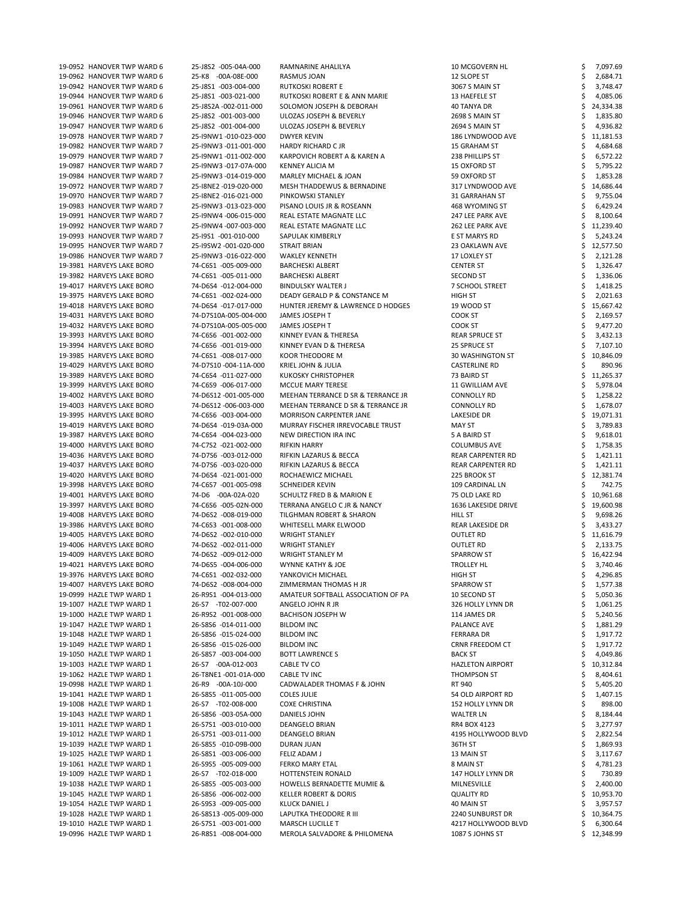| 19-0952 HANOVER TWP WARD 6 | 25-J8S2 -005-04A-000  | RAMNARINE AHALILYA                    | 10 MCGOVERN HL           | 7,097.69  |
|----------------------------|-----------------------|---------------------------------------|--------------------------|-----------|
| 19-0962 HANOVER TWP WARD 6 | 25-K8 -00A-08E-000    | RASMUS JOAN                           | 12 SLOPE ST              | 2,684.71  |
| 19-0942 HANOVER TWP WARD 6 | 25-J8S1 -003-004-000  | RUTKOSKI ROBERT E                     | 3067 S MAIN ST           | 3,748.47  |
| 19-0944 HANOVER TWP WARD 6 | 25-J8S1 -003-021-000  | RUTKOSKI ROBERT E & ANN MARIE         | 13 HAEFELE ST            | 4,085.06  |
| 19-0961 HANOVER TWP WARD 6 | 25-J8S2A -002-011-000 | SOLOMON JOSEPH & DEBORAH              | 40 TANYA DR              | 24,334.38 |
| 19-0946 HANOVER TWP WARD 6 | 25-J8S2 -001-003-000  | ULOZAS JOSEPH & BEVERLY               | 2698 S MAIN ST           | 1,835.80  |
| 19-0947 HANOVER TWP WARD 6 | 25-J8S2 -001-004-000  | ULOZAS JOSEPH & BEVERLY               | 2694 S MAIN ST           | 4,936.82  |
| 19-0978 HANOVER TWP WARD 7 | 25-I9NW1-010-023-000  | DWYER KEVIN                           | 186 LYNDWOOD AVE         | 11,181.53 |
| 19-0982 HANOVER TWP WARD 7 | 25-I9NW3 -011-001-000 | <b>HARDY RICHARD C JR</b>             | 15 GRAHAM ST             | 4,684.68  |
| 19-0979 HANOVER TWP WARD 7 | 25-I9NW1-011-002-000  | KARPOVICH ROBERT A & KAREN A          | 238 PHILLIPS ST          | 6,572.22  |
| 19-0987 HANOVER TWP WARD 7 | 25-I9NW3 -017-07A-000 | <b>KENNEY ALICIA M</b>                | 15 OXFORD ST             | 5,795.22  |
| 19-0984 HANOVER TWP WARD 7 | 25-I9NW3 -014-019-000 | MARLEY MICHAEL & JOAN                 | 59 OXFORD ST             | 1,853.28  |
| 19-0972 HANOVER TWP WARD 7 | 25-I8NE2 -019-020-000 | MESH THADDEWUS & BERNADINE            | 317 LYNDWOOD AVE         | 14,686.44 |
| 19-0970 HANOVER TWP WARD 7 | 25-I8NE2 -016-021-000 | PINKOWSKI STANLEY                     | 31 GARRAHAN ST           | 9,755.04  |
| 19-0983 HANOVER TWP WARD 7 | 25-I9NW3 -013-023-000 | PISANO LOUIS JR & ROSEANN             | 468 WYOMING ST           | 6,429.24  |
| 19-0991 HANOVER TWP WARD 7 | 25-I9NW4 -006-015-000 | REAL ESTATE MAGNATE LLC               | 247 LEE PARK AVE         | 8,100.64  |
| 19-0992 HANOVER TWP WARD 7 | 25-I9NW4 -007-003-000 | REAL ESTATE MAGNATE LLC               | 262 LEE PARK AVE         | 11,239.40 |
| 19-0993 HANOVER TWP WARD 7 | 25-I9S1 -001-010-000  | SAPULAK KIMBERLY                      | E ST MARYS RD            | 5,243.24  |
|                            |                       |                                       |                          |           |
| 19-0995 HANOVER TWP WARD 7 | 25-I9SW2 -001-020-000 | <b>STRAIT BRIAN</b>                   | 23 OAKLAWN AVE           | 12,577.50 |
| 19-0986 HANOVER TWP WARD 7 | 25-I9NW3 -016-022-000 | <b>WAKLEY KENNETH</b>                 | 17 LOXLEY ST             | 2,121.28  |
| 19-3981 HARVEYS LAKE BORO  | 74-C6S1 -005-009-000  | <b>BARCHESKI ALBERT</b>               | <b>CENTER ST</b>         | 1,326.47  |
| 19-3982 HARVEYS LAKE BORO  | 74-C6S1 -005-011-000  | <b>BARCHESKI ALBERT</b>               | SECOND ST                | 1,336.06  |
| 19-4017 HARVEYS LAKE BORO  | 74-D6S4 -012-004-000  | <b>BINDULSKY WALTER J</b>             | 7 SCHOOL STREET          | 1,418.25  |
| 19-3975 HARVEYS LAKE BORO  | 74-C6S1 -002-024-000  | DEADY GERALD P & CONSTANCE M          | <b>HIGH ST</b>           | 2,021.63  |
| 19-4018 HARVEYS LAKE BORO  | 74-D6S4 -017-017-000  | HUNTER JEREMY & LAWRENCE D HODGES     | 19 WOOD ST               | 15,667.42 |
| 19-4031 HARVEYS LAKE BORO  | 74-D7S10A-005-004-000 | JAMES JOSEPH T                        | COOK ST                  | 2,169.57  |
| 19-4032 HARVEYS LAKE BORO  | 74-D7S10A-005-005-000 | JAMES JOSEPH T                        | <b>COOK ST</b>           | 9,477.20  |
| 19-3993 HARVEYS LAKE BORO  | 74-C6S6 -001-002-000  | KINNEY EVAN & THERESA                 | <b>REAR SPRUCE ST</b>    | 3,432.13  |
| 19-3994 HARVEYS LAKE BORO  | 74-C6S6 -001-019-000  | KINNEY EVAN D & THERESA               | 25 SPRUCE ST             | 7,107.10  |
| 19-3985 HARVEYS LAKE BORO  | 74-C6S1 -008-017-000  | KOOR THEODORE M                       | 30 WASHINGTON ST         | 10,846.09 |
| 19-4029 HARVEYS LAKE BORO  | 74-D7S10 -004-11A-000 | KRIEL JOHN & JULIA                    | <b>CASTERLINE RD</b>     | 890.96    |
| 19-3989 HARVEYS LAKE BORO  | 74-C6S4 -011-027-000  | <b>KUKOSKY CHRISTOPHER</b>            | 73 BAIRD ST              | 11,265.37 |
| 19-3999 HARVEYS LAKE BORO  | 74-C6S9 -006-017-000  | MCCUE MARY TERESE                     | 11 GWILLIAM AVE          | 5,978.04  |
| 19-4002 HARVEYS LAKE BORO  | 74-D6S12 -001-005-000 | MEEHAN TERRANCE D SR & TERRANCE JR    | <b>CONNOLLY RD</b>       | 1,258.22  |
| 19-4003 HARVEYS LAKE BORO  | 74-D6S12 -006-003-000 | MEEHAN TERRANCE D SR & TERRANCE JR    | <b>CONNOLLY RD</b>       | 1,678.07  |
| 19-3995 HARVEYS LAKE BORO  | 74-C6S6 -003-004-000  | <b>MORRISON CARPENTER JANE</b>        | <b>LAKESIDE DR</b>       | 19,071.31 |
| 19-4019 HARVEYS LAKE BORO  | 74-D6S4 -019-03A-000  | MURRAY FISCHER IRREVOCABLE TRUST      | <b>MAY ST</b>            | 3,789.83  |
| 19-3987 HARVEYS LAKE BORO  | 74-C6S4 -004-023-000  | NEW DIRECTION IRA INC                 | 5 A BAIRD ST             | 9,618.01  |
| 19-4000 HARVEYS LAKE BORO  | 74-C7S2 -021-002-000  | <b>RIFKIN HARRY</b>                   | <b>COLUMBUS AVE</b>      | 1,758.35  |
| 19-4036 HARVEYS LAKE BORO  | 74-D7S6 -003-012-000  | RIFKIN LAZARUS & BECCA                | REAR CARPENTER RD        | 1,421.11  |
| 19-4037 HARVEYS LAKE BORO  | 74-D7S6 -003-020-000  | RIFKIN LAZARUS & BECCA                | <b>REAR CARPENTER RD</b> |           |
|                            |                       |                                       |                          | 1,421.11  |
| 19-4020 HARVEYS LAKE BORO  | 74-D6S4 -021-001-000  | ROCHAEWICZ MICHAEL                    | 225 BROOK ST             | 12,381.74 |
| 19-3998 HARVEYS LAKE BORO  | 74-C6S7 -001-005-098  | <b>SCHNEIDER KEVIN</b>                | 109 CARDINAL LN          | 742.75    |
| 19-4001 HARVEYS LAKE BORO  | 74-D6 -00A-02A-020    | <b>SCHULTZ FRED B &amp; MARION E</b>  | 75 OLD LAKE RD           | 10,961.68 |
| 19-3997 HARVEYS LAKE BORO  | 74-C6S6 -005-02N-000  | TERRANA ANGELO C JR & NANCY           | 1636 LAKESIDE DRIVE      | 19,600.98 |
| 19-4008 HARVEYS LAKE BORO  | 74-D6S2 -008-019-000  | TILGHMAN ROBERT & SHARON              | <b>HILL ST</b>           | 9,698.26  |
| 19-3986 HARVEYS LAKE BORO  | 74-C6S3 -001-008-000  | WHITESELL MARK ELWOOD                 | <b>REAR LAKESIDE DR</b>  | 3,433.27  |
| 19-4005 HARVEYS LAKE BORO  | 74-D6S2 -002-010-000  | <b>WRIGHT STANLEY</b>                 | <b>OUTLET RD</b>         | 11,616.79 |
| 19-4006 HARVEYS LAKE BORO  | 74-D6S2 -002-011-000  | <b>WRIGHT STANLEY</b>                 | <b>OUTLET RD</b>         | 2,133.75  |
| 19-4009 HARVEYS LAKE BORO  | 74-D6S2 -009-012-000  | <b>WRIGHT STANLEY M</b>               | SPARROW ST               | 16,422.94 |
| 19-4021 HARVEYS LAKE BORO  | 74-D6S5 -004-006-000  | <b>WYNNE KATHY &amp; JOE</b>          | TROLLEY HL               | 3,740.46  |
| 19-3976 HARVEYS LAKE BORO  | 74-C6S1 -002-032-000  | YANKOVICH MICHAEL                     | <b>HIGH ST</b>           | 4,296.85  |
| 19-4007 HARVEYS LAKE BORO  | 74-D6S2 -008-004-000  | ZIMMERMAN THOMAS H JR                 | <b>SPARROW ST</b>        | 1,577.38  |
| 19-0999 HAZLE TWP WARD 1   | 26-R9S1 -004-013-000  | AMATEUR SOFTBALL ASSOCIATION OF PA    | 10 SECOND ST             | 5,050.36  |
| 19-1007 HAZLE TWP WARD 1   | 26-S7 -T02-007-000    | ANGELO JOHN R JR                      | 326 HOLLY LYNN DR        | 1,061.25  |
| 19-1000 HAZLE TWP WARD 1   | 26-R9S2 -001-008-000  | <b>BACHISON JOSEPH W</b>              | 114 JAMES DR             | 5,240.56  |
| 19-1047 HAZLE TWP WARD 1   | 26-S8S6 -014-011-000  | <b>BILDOM INC</b>                     | <b>PALANCE AVE</b>       | 1,881.29  |
| 19-1048 HAZLE TWP WARD 1   | 26-S8S6 -015-024-000  | <b>BILDOM INC</b>                     | <b>FERRARA DR</b>        | 1,917.72  |
| 19-1049 HAZLE TWP WARD 1   | 26-S8S6 -015-026-000  | <b>BILDOM INC</b>                     | CRNR FREEDOM CT          | 1,917.72  |
| 19-1050 HAZLE TWP WARD 1   | 26-S8S7 -003-004-000  | <b>BOTT LAWRENCE S</b>                | <b>BACK ST</b>           | 4,049.86  |
| 19-1003 HAZLE TWP WARD 1   | 26-S7 -00A-012-003    | CABLE TV CO                           | HAZLETON AIRPORT         | 10,312.84 |
| 19-1062 HAZLE TWP WARD 1   | 26-T8NE1 -001-01A-000 | <b>CABLE TV INC</b>                   | THOMPSON ST              | 8,404.61  |
| 19-0998 HAZLE TWP WARD 1   | 26-R9 -00A-10J-000    | CADWALADER THOMAS F & JOHN            | RT 940                   | 5,405.20  |
| 19-1041 HAZLE TWP WARD 1   | 26-S8S5 -011-005-000  | <b>COLES JULIE</b>                    | 54 OLD AIRPORT RD        | 1,407.15  |
| 19-1008 HAZLE TWP WARD 1   | 26-S7 -T02-008-000    | <b>COXE CHRISTINA</b>                 | 152 HOLLY LYNN DR        | 898.00    |
| 19-1043 HAZLE TWP WARD 1   | 26-S8S6 -003-05A-000  | DANIELS JOHN                          | <b>WALTER LN</b>         | 8,184.44  |
| 19-1011 HAZLE TWP WARD 1   | 26-S7S1 -003-010-000  | DEANGELO BRIAN                        | RR4 BOX 4123             | 3,277.97  |
| 19-1012 HAZLE TWP WARD 1   | 26-S7S1 -003-011-000  | <b>DEANGELO BRIAN</b>                 | 4195 HOLLYWOOD BLVD      | 2,822.54  |
| 19-1039 HAZLE TWP WARD 1   | 26-S8S5 -010-09B-000  | DURAN JUAN                            | 36TH ST                  | 1,869.93  |
| 19-1025 HAZLE TWP WARD 1   | 26-S8S1 -003-006-000  | FELIZ ADAM J                          | 13 MAIN ST               | 3,117.67  |
| 19-1061 HAZLE TWP WARD 1   | 26-S9S5 -005-009-000  | <b>FERKO MARY ETAL</b>                | 8 MAIN ST                | 4,781.23  |
| 19-1009 HAZLE TWP WARD 1   | 26-S7 -T02-018-000    | HOTTENSTEIN RONALD                    | 147 HOLLY LYNN DR        | 730.89    |
| 19-1038 HAZLE TWP WARD 1   | 26-S8S5 -005-003-000  | <b>HOWELLS BERNADETTE MUMIE &amp;</b> | MILNESVILLE              | 2,400.00  |
|                            |                       |                                       |                          |           |
| 19-1045 HAZLE TWP WARD 1   | 26-S8S6 -006-002-000  | <b>KELLER ROBERT &amp; DORIS</b>      | <b>QUALITY RD</b>        | 10,953.70 |
| 19-1054 HAZLE TWP WARD 1   | 26-S9S3 -009-005-000  | <b>KLUCK DANIEL J</b>                 | 40 MAIN ST               | 3,957.57  |
| 19-1028 HAZLE TWP WARD 1   | 26-S8S13 -005-009-000 | LAPUTKA THEODORE R III                | 2240 SUNBURST DR         | 10,364.75 |
| 19-1010 HAZLE TWP WARD 1   | 26-S7S1 -003-001-000  | <b>MARSCH LUCILLE T</b>               | 4217 HOLLYWOOD BLVD      | 6,300.64  |
| 19-0996 HAZLE TWP WARD 1   | 26-R8S1 -008-004-000  | MEROLA SALVADORE & PHILOMENA          | 1087 S JOHNS ST          | 12,348.99 |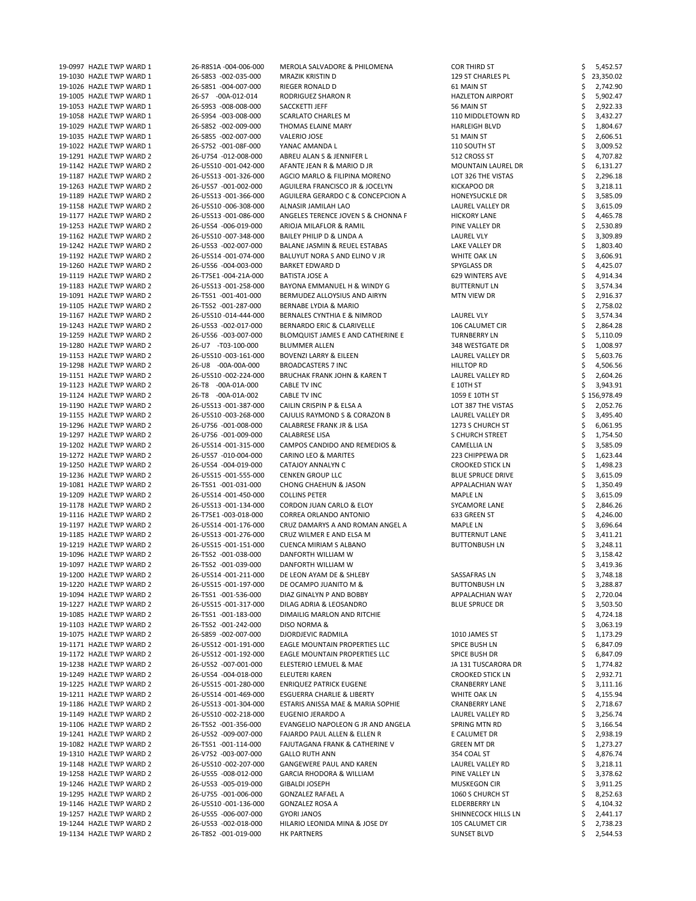| 19-0997 HAZLE TWP WARD 1 | 26-R8S1A -004-006-000 | MEROLA SALVADORE & PHILOMENA              | COR THIRD ST              | 5,452.57     |
|--------------------------|-----------------------|-------------------------------------------|---------------------------|--------------|
| 19-1030 HAZLE TWP WARD 1 | 26-S8S3 -002-035-000  | MRAZIK KRISTIN D                          | 129 ST CHARLES PL         | 23,350.02    |
| 19-1026 HAZLE TWP WARD 1 | 26-S8S1 -004-007-000  | RIEGER RONALD D                           | 61 MAIN ST                | 2,742.90     |
| 19-1005 HAZLE TWP WARD 1 | 26-S7 -00A-012-014    | RODRIGUEZ SHARON R                        | <b>HAZLETON AIRPORT</b>   | 5,902.47     |
| 19-1053 HAZLE TWP WARD 1 | 26-S9S3 -008-008-000  | SACCKETTI JEFF                            | 56 MAIN ST                | 2,922.33     |
|                          |                       |                                           |                           |              |
| 19-1058 HAZLE TWP WARD 1 | 26-S9S4 -003-008-000  | <b>SCARLATO CHARLES M</b>                 | 110 MIDDLETOWN RD         | 3,432.27     |
| 19-1029 HAZLE TWP WARD 1 | 26-S8S2 -002-009-000  | THOMAS ELAINE MARY                        | <b>HARLEIGH BLVD</b>      | 1,804.67     |
| 19-1035 HAZLE TWP WARD 1 | 26-S8S5 -002-007-000  | <b>VALERIO JOSE</b>                       | 51 MAIN ST                | 2,606.51     |
| 19-1022 HAZLE TWP WARD 1 | 26-S7S2 -001-08F-000  | YANAC AMANDA L                            | 110 SOUTH ST              | 3,009.52     |
| 19-1291 HAZLE TWP WARD 2 | 26-U7S4 -012-008-000  | ABREU ALAN S & JENNIFER L                 | 512 CROSS ST              | 4,707.82     |
| 19-1142 HAZLE TWP WARD 2 | 26-U5S10 -001-042-000 | AFANTE JEAN R & MARIO D JR                | <b>MOUNTAIN LAUREL DR</b> | 6,131.27     |
| 19-1187 HAZLE TWP WARD 2 | 26-U5S13 -001-326-000 | AGCIO MARLO & FILIPINA MORENO             | LOT 326 THE VISTAS        |              |
|                          |                       |                                           |                           | 2,296.18     |
| 19-1263 HAZLE TWP WARD 2 | 26-U5S7 -001-002-000  | AGUILERA FRANCISCO JR & JOCELYN           | <b>KICKAPOO DR</b>        | 3,218.11     |
| 19-1189 HAZLE TWP WARD 2 | 26-U5S13 -001-366-000 | AGUILERA GERARDO C & CONCEPCION A         | <b>HONEYSUCKLE DR</b>     | 3,585.09     |
| 19-1158 HAZLE TWP WARD 2 | 26-U5S10 -006-308-000 | ALNASIR JAMILAH LAO                       | LAUREL VALLEY DR          | 3,615.09     |
| 19-1177 HAZLE TWP WARD 2 | 26-U5S13 -001-086-000 | ANGELES TERENCE JOVEN S & CHONNA F        | <b>HICKORY LANE</b>       | 4,465.78     |
| 19-1253 HAZLE TWP WARD 2 | 26-U5S4 -006-019-000  | ARIOJA MILAFLOR & RAMIL                   | PINE VALLEY DR            | 2,530.89     |
| 19-1162 HAZLE TWP WARD 2 | 26-U5S10 -007-348-000 | BAILEY PHILIP D & LINDA A                 | LAUREL VLY                | 3,309.89     |
|                          |                       |                                           |                           |              |
| 19-1242 HAZLE TWP WARD 2 | 26-U5S3 -002-007-000  | BALANE JASMIN & REUEL ESTABAS             | LAKE VALLEY DR            | 1,803.40     |
| 19-1192 HAZLE TWP WARD 2 | 26-U5S14 -001-074-000 | BALUYUT NORA S AND ELINO V JR             | WHITE OAK LN              | 3,606.91     |
| 19-1260 HAZLE TWP WARD 2 | 26-U5S6 -004-003-000  | <b>BARKET EDWARD D</b>                    | <b>SPYGLASS DR</b>        | 4,425.07     |
| 19-1119 HAZLE TWP WARD 2 | 26-T7SE1-004-21A-000  | <b>BATISTA JOSE A</b>                     | 629 WINTERS AVE           | 4,914.34     |
| 19-1183 HAZLE TWP WARD 2 | 26-U5S13 -001-258-000 | BAYONA EMMANUEL H & WINDY G               | <b>BUTTERNUT LN</b>       | 3,574.34     |
| 19-1091 HAZLE TWP WARD 2 | 26-T5S1 -001-401-000  | BERMUDEZ ALLOYSIUS AND AIRYN              | MTN VIEW DR               | 2,916.37     |
| 19-1105 HAZLE TWP WARD 2 | 26-T5S2 -001-287-000  | BERNABE LYDIA & MARIO                     |                           | 2,758.02     |
|                          |                       |                                           |                           |              |
| 19-1167 HAZLE TWP WARD 2 | 26-U5S10 -014-444-000 | BERNALES CYNTHIA E & NIMROD               | <b>LAUREL VLY</b>         | 3,574.34     |
| 19-1243 HAZLE TWP WARD 2 | 26-U5S3 -002-017-000  | BERNARDO ERIC & CLARIVELLE                | 106 CALUMET CIR           | 2,864.28     |
| 19-1259 HAZLE TWP WARD 2 | 26-U5S6 -003-007-000  | BLOMQUIST JAMES E AND CATHERINE E         | <b>TURNBERRY LN</b>       | 5,110.09     |
| 19-1280 HAZLE TWP WARD 2 | 26-U7 -T03-100-000    | <b>BLUMMER ALLEN</b>                      | 348 WESTGATE DR           | 1,008.97     |
| 19-1153 HAZLE TWP WARD 2 | 26-U5S10 -003-161-000 | <b>BOVENZI LARRY &amp; EILEEN</b>         | LAUREL VALLEY DR          | 5,603.76     |
| 19-1298 HAZLE TWP WARD 2 | 26-U8 -00A-00A-000    | <b>BROADCASTERS 7 INC</b>                 | <b>HILLTOP RD</b>         | 4,506.56     |
| 19-1151 HAZLE TWP WARD 2 | 26-U5S10 -002-224-000 | <b>BRUCHAK FRANK JOHN &amp; KAREN T</b>   | LAUREL VALLEY RD          | 2,604.26     |
|                          |                       |                                           | E 10TH ST                 |              |
| 19-1123 HAZLE TWP WARD 2 | 26-T8 -00A-01A-000    | CABLE TV INC                              |                           | 3,943.91     |
| 19-1124 HAZLE TWP WARD 2 | 26-T8 -00A-01A-002    | CABLE TV INC                              | 1059 E 10TH ST            | \$156,978.49 |
| 19-1190 HAZLE TWP WARD 2 | 26-U5S13 -001-387-000 | CAILIN CRISPIN P & ELSA A                 | LOT 387 THE VISTAS        | 2,052.76     |
| 19-1155 HAZLE TWP WARD 2 | 26-U5S10 -003-268-000 | CAJULIS RAYMOND S & CORAZON B             | LAUREL VALLEY DR          | 3,495.40     |
| 19-1296 HAZLE TWP WARD 2 | 26-U7S6 -001-008-000  | CALABRESE FRANK JR & LISA                 | 1273 S CHURCH ST          | 6,061.95     |
| 19-1297 HAZLE TWP WARD 2 | 26-U7S6 -001-009-000  | <b>CALABRESE LISA</b>                     | <b>S CHURCH STREET</b>    | 1,754.50     |
| 19-1202 HAZLE TWP WARD 2 | 26-U5S14 -001-315-000 | CAMPOS CANDIDO AND REMEDIOS &             | <b>CAMELLIA LN</b>        | 3,585.09     |
| 19-1272 HAZLE TWP WARD 2 | 26-U5S7 -010-004-000  | <b>CARINO LEO &amp; MARITES</b>           | 223 CHIPPEWA DR           | 1,623.44     |
|                          |                       |                                           |                           |              |
| 19-1250 HAZLE TWP WARD 2 | 26-U5S4 -004-019-000  | CATAJOY ANNALYN C                         | <b>CROOKED STICK LN</b>   | 1,498.23     |
| 19-1236 HAZLE TWP WARD 2 | 26-U5S15 -001-555-000 | <b>CENKEN GROUP LLC</b>                   | <b>BLUE SPRUCE DRIVE</b>  | 3,615.09     |
| 19-1081 HAZLE TWP WARD 2 | 26-T5S1 -001-031-000  | <b>CHONG CHAEHUN &amp; JASON</b>          | APPALACHIAN WAY           | 1,350.49     |
| 19-1209 HAZLE TWP WARD 2 | 26-U5S14 -001-450-000 | <b>COLLINS PETER</b>                      | <b>MAPLE LN</b>           | 3,615.09     |
| 19-1178 HAZLE TWP WARD 2 | 26-U5S13 -001-134-000 | CORDON JUAN CARLO & ELOY                  | <b>SYCAMORE LANE</b>      | 2,846.26     |
| 19-1116 HAZLE TWP WARD 2 | 26-T7SE1-003-018-000  | CORREA ORLANDO ANTONIO                    | 633 GREEN ST              | 4,246.00     |
| 19-1197 HAZLE TWP WARD 2 | 26-U5S14 -001-176-000 | CRUZ DAMARYS A AND ROMAN ANGEL A          | <b>MAPLE LN</b>           | 3,696.64     |
| 19-1185 HAZLE TWP WARD 2 | 26-U5S13 -001-276-000 | CRUZ WILMER E AND ELSA M                  | <b>BUTTERNUT LANE</b>     |              |
|                          |                       |                                           |                           | 3,411.21     |
| 19-1219 HAZLE TWP WARD 2 | 26-U5S15 -001-151-000 | <b>CUENCA MIRIAM S ALBANO</b>             | <b>BUTTONBUSH LN</b>      | 3,248.11     |
| 19-1096 HAZLE TWP WARD 2 | 26-T5S2 -001-038-000  | DANFORTH WILLIAM W                        |                           | 3,158.42     |
| 19-1097 HAZLE TWP WARD 2 | 26-T5S2 -001-039-000  | DANFORTH WILLIAM W                        |                           | 3,419.36     |
| 19-1200 HAZLE TWP WARD 2 | 26-U5S14 -001-211-000 | DE LEON AYAM DE & SHLEBY                  | SASSAFRAS LN              | 3,748.18     |
| 19-1220 HAZLE TWP WARD 2 | 26-U5S15 -001-197-000 | DE OCAMPO JUANITO M &                     | <b>BUTTONBUSH LN</b>      | 3,288.87     |
| 19-1094 HAZLE TWP WARD 2 | 26-T5S1 -001-536-000  | DIAZ GINALYN P AND BOBBY                  | APPALACHIAN WAY           | 2,720.04     |
| 19-1227 HAZLE TWP WARD 2 | 26-U5S15 -001-317-000 | DILAG ADRIA & LEOSANDRO                   | <b>BLUE SPRUCE DR</b>     | 3,503.50     |
|                          |                       |                                           |                           |              |
| 19-1085 HAZLE TWP WARD 2 | 26-T5S1 -001-183-000  | DIMAILIG MARLON AND RITCHIE               |                           | 4,724.18     |
| 19-1103 HAZLE TWP WARD 2 | 26-T5S2 -001-242-000  | DISO NORMA &                              |                           | 3,063.19     |
| 19-1075 HAZLE TWP WARD 2 | 26-S8S9 -002-007-000  | <b>DJORDJEVIC RADMILA</b>                 | 1010 JAMES ST             | 1,173.29     |
| 19-1171 HAZLE TWP WARD 2 | 26-U5S12 -001-191-000 | EAGLE MOUNTAIN PROPERTIES LLC             | SPICE BUSH LN             | 6,847.09     |
| 19-1172 HAZLE TWP WARD 2 | 26-U5S12 -001-192-000 | EAGLE MOUNTAIN PROPERTIES LLC             | SPICE BUSH DR             | 6,847.09     |
| 19-1238 HAZLE TWP WARD 2 | 26-U5S2 -007-001-000  | ELESTERIO LEMUEL & MAE                    | JA 131 TUSCARORA DR       | 1,774.82     |
| 19-1249 HAZLE TWP WARD 2 | 26-U5S4 -004-018-000  | ELEUTERI KAREN                            | <b>CROOKED STICK LN</b>   | 2,932.71     |
| 19-1225 HAZLE TWP WARD 2 | 26-U5S15 -001-280-000 | <b>ENRIQUEZ PATRICK EUGENE</b>            | <b>CRANBERRY LANE</b>     | 3,111.16     |
|                          |                       |                                           |                           |              |
| 19-1211 HAZLE TWP WARD 2 | 26-U5S14 -001-469-000 | ESGUERRA CHARLIE & LIBERTY                | WHITE OAK LN              | 4,155.94     |
| 19-1186 HAZLE TWP WARD 2 | 26-U5S13 -001-304-000 | ESTARIS ANISSA MAE & MARIA SOPHIE         | <b>CRANBERRY LANE</b>     | 2,718.67     |
| 19-1149 HAZLE TWP WARD 2 | 26-U5S10 -002-218-000 | EUGENIO JERARDO A                         | LAUREL VALLEY RD          | 3,256.74     |
| 19-1106 HAZLE TWP WARD 2 | 26-T5S2 -001-356-000  | EVANGELIO NAPOLEON G JR AND ANGELA        | SPRING MTN RD             | 3,166.54     |
| 19-1241 HAZLE TWP WARD 2 | 26-U5S2 -009-007-000  | <b>FAJARDO PAUL ALLEN &amp; ELLEN R</b>   | E CALUMET DR              | 2,938.19     |
| 19-1082 HAZLE TWP WARD 2 | 26-T5S1 -001-114-000  | <b>FAJUTAGANA FRANK &amp; CATHERINE V</b> | <b>GREEN MT DR</b>        | 1,273.27     |
| 19-1310 HAZLE TWP WARD 2 | 26-V7S2 -003-007-000  | <b>GALLO RUTH ANN</b>                     | 354 COAL ST               | 4,876.74     |
|                          |                       |                                           |                           |              |
| 19-1148 HAZLE TWP WARD 2 | 26-U5S10 -002-207-000 | <b>GANGEWERE PAUL AND KAREN</b>           | LAUREL VALLEY RD          | 3,218.11     |
| 19-1258 HAZLE TWP WARD 2 | 26-U5S5 -008-012-000  | <b>GARCIA RHODORA &amp; WILLIAM</b>       | PINE VALLEY LN            | 3,378.62     |
| 19-1246 HAZLE TWP WARD 2 | 26-U5S3 -005-019-000  | <b>GIBALDI JOSEPH</b>                     | <b>MUSKEGON CIR</b>       | 3,911.25     |
| 19-1295 HAZLE TWP WARD 2 | 26-U7S5 -001-006-000  | <b>GONZALEZ RAFAEL A</b>                  | 1060 S CHURCH ST          | 8,252.63     |
| 19-1146 HAZLE TWP WARD 2 | 26-U5S10 -001-136-000 | <b>GONZALEZ ROSA A</b>                    | ELDERBERRY LN             | 4,104.32     |
| 19-1257 HAZLE TWP WARD 2 | 26-U5S5 -006-007-000  | <b>GYORI JANOS</b>                        | SHINNECOCK HILLS LN       | 2,441.17     |
| 19-1244 HAZLE TWP WARD 2 | 26-U5S3 -002-018-000  | HILARIO LEONIDA MINA & JOSE DY            | 105 CALUMET CIR           | 2,738.23     |
| 19-1134 HAZLE TWP WARD 2 | 26-T8S2 -001-019-000  | <b>HK PARTNERS</b>                        | <b>SUNSET BLVD</b>        | 2,544.53     |
|                          |                       |                                           |                           |              |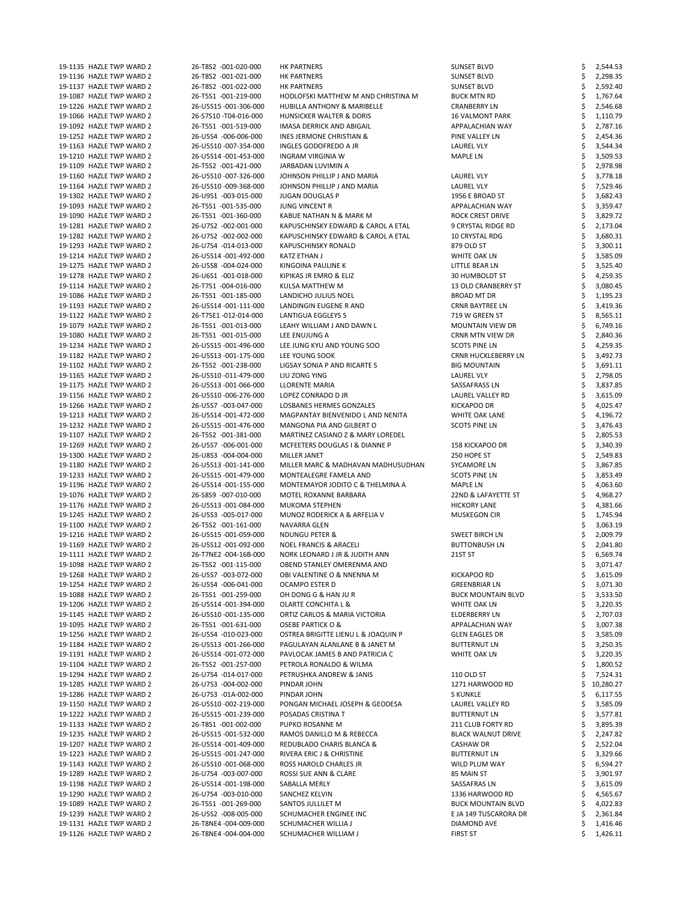| 19-1135 HAZLE TWP WARD 2<br>19-1136 HAZLE TWP WARD 2 |                                                |                                             |                                |                      |
|------------------------------------------------------|------------------------------------------------|---------------------------------------------|--------------------------------|----------------------|
|                                                      | 26-T8S2 -001-020-000                           | <b>HK PARTNERS</b>                          | <b>SUNSET BLVD</b>             | 2,544.53             |
|                                                      | 26-T8S2 -001-021-000                           | <b>HK PARTNERS</b>                          | <b>SUNSET BLVD</b>             | 2,298.35             |
| 19-1137 HAZLE TWP WARD 2                             | 26-T8S2 -001-022-000                           | <b>HK PARTNERS</b>                          | <b>SUNSET BLVD</b>             | 2,592.40             |
| 19-1087 HAZLE TWP WARD 2                             | 26-T5S1 -001-219-000                           | HODLOFSKI MATTHEW M AND CHRISTINA M         | <b>BUCK MTN RD</b>             | 1,767.64             |
| 19-1226 HAZLE TWP WARD 2                             | 26-U5S15 -001-306-000                          |                                             |                                |                      |
|                                                      |                                                | HUBILLA ANTHONY & MARIBELLE                 | <b>CRANBERRY LN</b>            | 2,546.68             |
| 19-1066 HAZLE TWP WARD 2                             | 26-S7S10 -T04-016-000                          | HUNSICKER WALTER & DORIS                    | <b>16 VALMONT PARK</b>         | 1,110.79             |
| 19-1092 HAZLE TWP WARD 2                             | 26-T5S1 -001-519-000                           | IMASA DERRICK AND ABIGAIL                   | APPALACHIAN WAY                | 2,787.16             |
| 19-1252 HAZLE TWP WARD 2                             | 26-U5S4 -006-006-000                           | <b>INES JERMONE CHRISTIAN &amp;</b>         | PINE VALLEY LN                 | 2,454.36             |
|                                                      |                                                |                                             |                                |                      |
| 19-1163 HAZLE TWP WARD 2                             | 26-U5S10 -007-354-000                          | INGLES GODOFREDO A JR                       | LAUREL VLY                     | 3,544.34             |
| 19-1210 HAZLE TWP WARD 2                             | 26-U5S14 -001-453-000                          | <b>INGRAM VIRGINIA W</b>                    | MAPLE LN                       | 3,509.53             |
| 19-1109 HAZLE TWP WARD 2                             | 26-T5S2 -001-421-000                           | JARBADAN LUVIMIN A                          |                                | 2,978.98             |
| 19-1160 HAZLE TWP WARD 2                             | 26-U5S10 -007-326-000                          | JOHNSON PHILLIP J AND MARIA                 |                                |                      |
|                                                      |                                                |                                             | <b>LAUREL VLY</b>              | 3,778.18             |
| 19-1164 HAZLE TWP WARD 2                             | 26-U5S10 -009-368-000                          | JOHNSON PHILLIP J AND MARIA                 | LAUREL VLY                     | 7,529.46             |
| 19-1302 HAZLE TWP WARD 2                             | 26-U9S1 -003-015-000                           | <b>JUGAN DOUGLAS P</b>                      | 1956 E BROAD ST                | 3,682.43             |
| 19-1093 HAZLE TWP WARD 2                             | 26-T5S1 -001-535-000                           | <b>JUNG VINCENT R</b>                       | APPALACHIAN WAY                | 3,359.47             |
|                                                      |                                                |                                             |                                |                      |
| 19-1090 HAZLE TWP WARD 2                             | 26-T5S1 -001-360-000                           | KABUE NATHAN N & MARK M                     | <b>ROCK CREST DRIVE</b>        | 3,829.72             |
| 19-1281 HAZLE TWP WARD 2                             | 26-U7S2 -002-001-000                           | KAPUSCHINSKY EDWARD & CAROL A ETAL          | 9 CRYSTAL RIDGE RD             | 2,173.04             |
| 19-1282 HAZLE TWP WARD 2                             | 26-U7S2 -002-002-000                           | KAPUSCHINSKY EDWARD & CAROL A ETAL          | 10 CRYSTAL RDG                 | 3,680.31             |
| 19-1293 HAZLE TWP WARD 2                             | 26-U7S4 -014-013-000                           | <b>KAPUSCHINSKY RONALD</b>                  | 879 OLD ST                     | 3,300.11             |
|                                                      |                                                |                                             |                                |                      |
| 19-1214 HAZLE TWP WARD 2                             | 26-U5S14 -001-492-000                          | KATZ ETHAN J                                | WHITE OAK LN                   | 3,585.09             |
| 19-1275 HAZLE TWP WARD 2                             | 26-U5S8 -004-024-000                           | KINGOINA PAULINE K                          | LITTLE BEAR LN                 | 3,525.40             |
| 19-1278 HAZLE TWP WARD 2                             | 26-U6S1 -001-018-000                           | KIPIKAS JR EMRO & ELIZ                      | 30 HUMBOLDT ST                 | 4,259.35             |
|                                                      |                                                |                                             |                                |                      |
| 19-1114 HAZLE TWP WARD 2                             | 26-T7S1 -004-016-000                           | KULSA MATTHEW M                             | <b>13 OLD CRANBERRY ST</b>     | 3,080.45             |
| 19-1086 HAZLE TWP WARD 2                             | 26-T5S1 -001-185-000                           | LANDICHO JULIUS NOEL                        | <b>BROAD MT DR</b>             | 1,195.23             |
| 19-1193 HAZLE TWP WARD 2                             | 26-U5S14 -001-111-000                          | LANDINGIN EUGENE R AND                      | <b>CRNR BAYTREE LN</b>         | 3,419.36             |
| 19-1122 HAZLE TWP WARD 2                             | 26-T7SE1-012-014-000                           | <b>LANTIGUA EGGLEYS S</b>                   | 719 W GREEN ST                 |                      |
|                                                      |                                                |                                             |                                | 8,565.11             |
| 19-1079 HAZLE TWP WARD 2                             | 26-T5S1 -001-013-000                           | LEAHY WILLIAM J AND DAWN L                  | <b>MOUNTAIN VIEW DR</b>        | 6,749.16             |
| 19-1080 HAZLE TWP WARD 2                             | 26-T5S1 -001-015-000                           | LEE ENUJUNG A                               | CRNR MTN VIEW DR               | 2,840.36             |
| 19-1234 HAZLE TWP WARD 2                             | 26-U5S15 -001-496-000                          | LEE JUNG KYU AND YOUNG SOO                  | <b>SCOTS PINE LN</b>           | 4,259.35             |
|                                                      |                                                |                                             |                                |                      |
| 19-1182 HAZLE TWP WARD 2                             | 26-U5S13 -001-175-000                          | LEE YOUNG SOOK                              | <b>CRNR HUCKLEBERRY LN</b>     | 3,492.73             |
| 19-1102 HAZLE TWP WARD 2                             | 26-T5S2 -001-238-000                           | LIGSAY SONIA P AND RICARTE S                | <b>BIG MOUNTAIN</b>            | 3,691.11             |
| 19-1165 HAZLE TWP WARD 2                             | 26-U5S10 -011-479-000                          | LIU ZONG YING                               | <b>LAUREL VLY</b>              | S<br>2,798.05        |
|                                                      |                                                |                                             |                                |                      |
| 19-1175 HAZLE TWP WARD 2                             | 26-U5S13 -001-066-000                          | <b>LLORENTE MARIA</b>                       | SASSAFRASS LN                  | \$<br>3,837.85       |
| 19-1156 HAZLE TWP WARD 2                             | 26-U5S10 -006-276-000                          | LOPEZ CONRADO D JR                          | LAUREL VALLEY RD               | 3,615.09             |
| 19-1266 HAZLE TWP WARD 2                             | 26-U5S7 -003-047-000                           | LOSBANES HERMES GONZALES                    | <b>KICKAPOO DR</b>             | 4,025.47             |
| 19-1213 HAZLE TWP WARD 2                             | 26-U5S14 -001-472-000                          | MAGPANTAY BIENVENIDO L AND NENITA           | WHITE OAK LANE                 | 4,196.72             |
|                                                      |                                                |                                             |                                |                      |
| 19-1232 HAZLE TWP WARD 2                             | 26-U5S15 -001-476-000                          | MANGONA PIA AND GILBERT O                   | <b>SCOTS PINE LN</b>           | 3,476.43             |
| 19-1107 HAZLE TWP WARD 2                             | 26-T5S2 -001-381-000                           | MARTINEZ CASIANO Z & MARY LOREDEL           |                                | 2,805.53             |
| 19-1269 HAZLE TWP WARD 2                             | 26-U5S7 -006-001-000                           | MCFEETERS DOUGLAS I & DIANNE P              | <b>158 KICKAPOO DR</b>         | 3,340.39             |
|                                                      | 26-U8S3 -004-004-000                           |                                             |                                |                      |
|                                                      |                                                | <b>MILLER JANET</b>                         | 250 HOPE ST                    | 2,549.83             |
| 19-1300 HAZLE TWP WARD 2                             |                                                |                                             |                                |                      |
| 19-1180 HAZLE TWP WARD 2                             | 26-U5S13 -001-141-000                          | MILLER MARC & MADHAVAN MADHUSUDHAN          | <b>SYCAMORE LN</b>             | 3,867.85             |
|                                                      |                                                |                                             |                                |                      |
| 19-1233 HAZLE TWP WARD 2                             | 26-U5S15 -001-479-000                          | MONTEALEGRE FAMELA AND                      | <b>SCOTS PINE LN</b>           | 3,853.49             |
| 19-1196 HAZLE TWP WARD 2                             | 26-U5S14 -001-155-000                          | MONTEMAYOR JODITO C & THELMINA A            | MAPLE LN                       | 4,063.60             |
| 19-1076 HAZLE TWP WARD 2                             | 26-S8S9 -007-010-000                           | MOTEL ROXANNE BARBARA                       | 22ND & LAFAYETTE ST            | 4,968.27             |
| 19-1176 HAZLE TWP WARD 2                             | 26-U5S13 -001-084-000                          | <b>MUKOMA STEPHEN</b>                       | <b>HICKORY LANE</b>            | 4,381.66             |
|                                                      |                                                |                                             |                                |                      |
| 19-1245 HAZLE TWP WARD 2                             | 26-U5S3 -005-017-000                           | MUNOZ RODERICK A & ARFELIA V                | <b>MUSKEGON CIR</b>            | 1,745.94             |
| 19-1100 HAZLE TWP WARD 2                             | 26-T5S2 -001-161-000                           | NAVARRA GLEN                                |                                | 3,063.19             |
| 19-1216 HAZLE TWP WARD 2                             | 26-U5S15 -001-059-000                          | <b>NDUNGU PETER &amp;</b>                   | SWEET BIRCH LN                 | 2,009.79             |
| 19-1169 HAZLE TWP WARD 2                             | 26-U5S12 -001-092-000                          | <b>NOEL FRANCIS &amp; ARACELI</b>           | <b>BUTTONBUSH LN</b>           | 2,041.80             |
|                                                      |                                                |                                             |                                |                      |
| 19-1111 HAZLE TWP WARD 2                             | 26-T7NE2 -004-16B-000                          | NORK LEONARD J JR & JUDITH ANN              | 21ST ST                        | 6,569.74             |
| 19-1098 HAZLE TWP WARD 2                             | 26-T5S2 -001-115-000                           | OBEND STANLEY OMERENMA AND                  |                                | 3,071.47             |
| 19-1268 HAZLE TWP WARD 2                             | 26-U5S7 -003-072-000                           | OBI VALENTINE O & NNENNA M                  | <b>KICKAPOO RD</b>             | 3,615.09             |
| 19-1254 HAZLE TWP WARD 2                             | 26-U5S4 -006-041-000                           | <b>OCAMPO ESTER D</b>                       | <b>GREENBRIAR LN</b>           | 3,071.30             |
|                                                      |                                                |                                             |                                |                      |
| 19-1088 HAZLE TWP WARD 2                             | 26-T5S1 -001-259-000                           | OH DONG G & HAN JU R                        | <b>BUCK MOUNTAIN BLVD</b>      | 3,533.50             |
| 19-1206 HAZLE TWP WARD 2                             | 26-U5S14 -001-394-000                          | <b>OLARTE CONCHITA L &amp;</b>              | <b>WHITE OAK LN</b>            | 3,220.35             |
| 19-1145 HAZLE TWP WARD 2                             | 26-U5S10 -001-135-000                          | ORTIZ CARLOS & MARIA VICTORIA               | ELDERBERRY LN                  | 2,707.03             |
| 19-1095 HAZLE TWP WARD 2                             | 26-T5S1 -001-631-000                           | <b>OSEBE PARTICK O &amp;</b>                | APPALACHIAN WAY                | 3,007.38             |
|                                                      |                                                |                                             |                                |                      |
| 19-1256 HAZLE TWP WARD 2                             | 26-U5S4 -010-023-000                           | OSTREA BRIGITTE LIENU L & JOAQUIN P         | <b>GLEN EAGLES DR</b>          | 3,585.09             |
| 19-1184 HAZLE TWP WARD 2                             | 26-U5S13 -001-266-000                          | PAGULAYAN ALANLANE B & JANET M              | <b>BUTTERNUT LN</b>            | 3,250.35             |
| 19-1191 HAZLE TWP WARD 2                             | 26-U5S14 -001-072-000                          | PAVLOCAK JAMES B AND PATRICIA C             | <b>WHITE OAK LN</b>            | 3,220.35             |
| 19-1104 HAZLE TWP WARD 2                             | 26-T5S2 -001-257-000                           | PETROLA RONALDO & WILMA                     |                                |                      |
|                                                      |                                                |                                             |                                | 1,800.52             |
| 19-1294 HAZLE TWP WARD 2                             | 26-U7S4 -014-017-000                           | PETRUSHKA ANDREW & JANIS                    | 110 OLD ST                     | 7,524.31             |
| 19-1285 HAZLE TWP WARD 2                             | 26-U7S3 -004-002-000                           | PINDAR JOHN                                 | 1271 HARWOOD RD                | 10,280.27            |
| 19-1286 HAZLE TWP WARD 2                             | 26-U7S3 -01A-002-000                           | PINDAR JOHN                                 | S KUNKLE                       | 6,117.55             |
|                                                      |                                                |                                             |                                |                      |
| 19-1150 HAZLE TWP WARD 2                             | 26-U5S10 -002-219-000                          | PONGAN MICHAEL JOSEPH & GEODESA             | LAUREL VALLEY RD               | 3,585.09             |
| 19-1222 HAZLE TWP WARD 2                             | 26-U5S15 -001-239-000                          | POSADAS CRISTINA T                          | <b>BUTTERNUT LN</b>            | 3,577.81             |
| 19-1133 HAZLE TWP WARD 2                             | 26-T8S1 -001-002-000                           | PUPKO ROSANNE M                             | 211 CLUB FORTY RD              | 3,895.39             |
| 19-1235 HAZLE TWP WARD 2                             | 26-U5S15 -001-532-000                          | RAMOS DANILLO M & REBECCA                   | <b>BLACK WALNUT DRIVE</b>      | 2,247.82             |
|                                                      |                                                |                                             |                                |                      |
| 19-1207 HAZLE TWP WARD 2                             | 26-U5S14 -001-409-000                          | REDUBLADO CHARIS BLANCA &                   | CASHAW DR                      | 2,522.04             |
| 19-1223 HAZLE TWP WARD 2                             | 26-U5S15 -001-247-000                          | RIVERA ERIC J & CHRISTINE                   | <b>BUTTERNUT LN</b>            | 3,329.66             |
| 19-1143 HAZLE TWP WARD 2                             | 26-U5S10 -001-068-000                          | ROSS HAROLD CHARLES JR                      | WILD PLUM WAY                  | 6,594.27             |
|                                                      |                                                |                                             |                                |                      |
| 19-1289 HAZLE TWP WARD 2                             | 26-U7S4 -003-007-000                           | ROSSI SUE ANN & CLARE                       | 85 MAIN ST                     | 3,901.97             |
| 19-1198 HAZLE TWP WARD 2                             | 26-U5S14 -001-198-000                          | SABALLA MERLY                               | SASSAFRAS LN                   | 3,615.09             |
| 19-1290 HAZLE TWP WARD 2                             | 26-U7S4 -003-010-000                           | SANCHEZ KELVIN                              | 1336 HARWOOD RD                | 4,565.67             |
| 19-1089 HAZLE TWP WARD 2                             | 26-T5S1 -001-269-000                           | SANTOS JULLILET M                           | <b>BUCK MOUNTAIN BLVD</b>      | 4,022.83             |
|                                                      |                                                |                                             |                                |                      |
| 19-1239 HAZLE TWP WARD 2                             | 26-U5S2 -008-005-000                           | SCHUMACHER ENGINEE INC                      | E JA 149 TUSCARORA DR          | 2,361.84             |
| 19-1131 HAZLE TWP WARD 2<br>19-1126 HAZLE TWP WARD 2 | 26-T8NE4 -004-009-000<br>26-T8NE4 -004-004-000 | SCHUMACHER WILLIA J<br>SCHUMACHER WILLIAM J | DIAMOND AVE<br><b>FIRST ST</b> | 1,416.46<br>1,426.11 |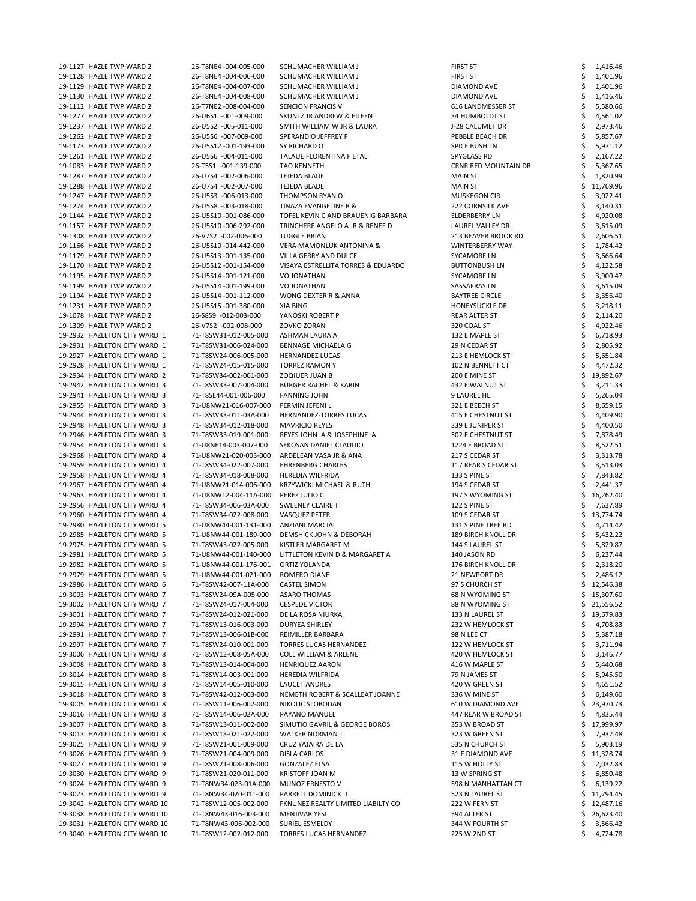19-1127 HAZLE TWP WARD 2 26-T8NE4 -004-005-000 SCHUMACHER WILLIAM J FIRST ST ST \$ 1,416.46 19-1128 HAZLE TWP WARD 2 26-T8NE4 -004-006-000 SCHUMACHER WILLIAM J FIRST ST FIRST ST \$ 1,401.96 19-1129 HAZLE TWP WARD 2 26-T8NE4 -004-007-000 SCHUMACHER WILLIAM J DIAMOND AVE S 1,401.96 19-1130 HAZLE TWP WARD 2 26-T8NE4 -004-008-000 SCHUMACHER WILLIAM J DIAMOND AVE DIAMOND AVE \$ 1,416.46 19-1112 HAZLE TWP WARD 2 26-T7NE2 -008-004-000 SENCION FRANCIS V 616 LANDMESSER ST \$ 5,580.66 19-1277 HAZLE TWP WARD 2 26-U6S1 -001-009-000 SKUNTZ JR ANDREW & EILEEN 34 HUMBOLDT ST \$ 4,561.02 19-1237 HAZLE TWP WARD 2 26-U5S2 -005-011-000 SMITH WILLIAM W JR & LAURA J-28 CALUMET DR \$ 2,973.46 19-1262 HAZLE TWP WARD 2 26-U5S6 -007-009-000 SPERANDIO JEFFREY F PEBBLE BEACH DR \$ 5,857.67 19-1173 HAZLE TWP WARD 2 26-U5S12 -001-193-000 SY RICHARD O SPICE BUSH LN \$ 5,971.12 19-1261 HAZLE TWP WARD 2 26-U5S6 -004-011-000 TALAUE FLORENTINA F ETAL SPYGLASS RD \$ 2,167.22 19-1083 HAZLE TWP WARD 2 26-T5S1 -001-139-000 TAO KENNETH CRNR RED MOUNTAIN DR \$ 5,367.65 19-1287 HAZLE TWP WARD 2 26-U7S4 -002-006-000 TEJEDA BLADE NAM ST MAIN ST \$ 1,820.99 19-1288 HAZLE TWP WARD 2 26-U7S4 -002-007-000 TEJEDA BLADE NAM MALLE MAIN ST \$ 11,769.96 19-1247 HAZLE TWP WARD 2 26-U5S3 -006-013-000 THOMPSON RYAN O MUSKEGON CIR \$ 3,022.41 19-1274 HAZLE TWP WARD 2 26-U5S8 -003-018-000 TINAZA EVANGELINE R & 222 CORNSILK AVE \$ 3,140.31 19-1144 HAZLE TWP WARD 2 26-U5S10 -001-086-000 TOFEL KEVIN C AND BRAUENIG BARBARA ELDERBERRY LN \$ 4,920.08 19-1157 HAZLE TWP WARD 2 26-U5S10 -006-292-000 TRINCHERE ANGELO A JR & RENEE D LAUREL VALLEY DR \$ 3,615.09 19-1308 HAZLE TWP WARD 2 26-V7S2 -002-006-000 TUGGLE BRIAN 213 BEAVER BROOK RD \$ 2,606.51 19-1166 HAZLE TWP WARD 2 26-U5S10 -014-442-000 VERA MAMONLUK ANTONINA & WINTERBERRY WAY \$ 1,784.42 19-1179 HAZLE TWP WARD 2 26-U5S13 -001-135-000 VILLA GERRY AND DULCE SYCAMORE LN \$ 3,666.64 19-1170 HAZLE TWP WARD 2 26-U5S12 -001-154-000 VISAYA ESTRELLITA TORRES & EDUARDO BUTTONBUSH LN \$ 4,122.58 19-1195 HAZLE TWP WARD 2 26-U5S14 -001-121-000 VO JONATHAN SYCAMORE LN \$ 3,900.47 19-1199 HAZLE TWP WARD 2 26-U5S14 -001-199-000 VO JONATHAN SASSAFRAS LN \$ 3,615.09 19-1194 HAZLE TWP WARD 2 26-U5S14 -001-112-000 WONG DEXTER R & ANNA BAYTREE CIRCLE \$ 3,356.40 19-1231 HAZLE TWP WARD 2 26-U5S15 -001-380-000 XIA BING HONEYSUCKLE DR \$ 3,218.11 19-1078 HAZLE TWP WARD 2 26-S8S9 -012-003-000 YANOSKI ROBERT P 2.110.20 19-1309 HAZLE TWP WARD 2 26-V7S2 -002-008-000 ZOVKO ZORAN 320 COAL ST 31 SAMPLE TWP WARD 2 4,922.46 19-2932 HAZLETON CITY WARD 1 71-T8SW31-012-005-000 ASHMAN LAURA A 132 E MAPLE ST \$ 6,718.93 19-2931 HAZLETON CITY WARD 1 71-T8SW31-006-024-000 BENNAGE MICHAELA G 29 N CEDAR ST \$ 2,805.92 19-2927 HAZLETON CITY WARD 1 71-T8SW24-006-005-000 HERNANDEZ LUCAS 213 E HEMLOCK ST \$ 5,651.84 19-2928 HAZLETON CITY WARD 1 71-T8SW24-015-015-000 TORREZ RAMON Y 102 N BENNETT CT \$ 4,472.32 19-2934 HAZLETON CITY WARD 2 71-T8SW34-002-001-000 ZOQIUER JUAN B 200 200 200 E MINE ST \$ 19,892.67 19-2942 HAZLETON CITY WARD 3 71-T8SW33-007-004-000 BURGER RACHEL & KARIN 432 E WALNUT ST \$ 3,211.33 19-2941 HAZLETON CITY WARD 3 71-T8SE44-001-006-000 FANNING JOHN 9 LAUREL HL \$ 5,265.04 19-2955 HAZLETON CITY WARD 3 71-U8NW21-016-007-000 FERMIN JEFENI L 321 E BEECH ST \$ 8,659.15 19-2944 HAZLETON CITY WARD 3 71-T8SW33-011-03A-000 HERNANDEZ-TORRES LUCAS 415 E CHESTNUT ST \$ 4,409.90 19-2948 HAZLETON CITY WARD 3 71-T8SW34-012-018-000 MAVRICIO REYES 339 E JUNIPER ST \$ 4,400.50 19-2946 HAZLETON CITY WARD 3 71-T8SW33-019-001-000 REYES JOHN A & JOSEPHINE A 502 E CHESTNUT ST \$ 7,878.49 19-2954 HAZLETON CITY WARD 3 71-U8NE14-003-007-000 SEKOSAN DANIEL CLAUDIO 1224 E BROAD ST \$ 8,522.51 19-2968 HAZLETON CITY WARD 4 71-U8NW21-020-003-000 ARDELEAN VASA JR & ANA 217 S CEDAR ST \$ 3,313.78 19-2959 HAZLETON CITY WARD 4 71-T8SW34-022-007-000 EHRENBERG CHARLES 117 REAR S CEDAR ST \$ 3,513.03 19-2958 HAZLETON CITY WARD 4 71-T8SW34-018-008-000 HEREDIA WILFRIDA 133 S PINE ST \$ 7,843.82 19-2967 HAZLETON CITY WARD 4 71-U8NW21-014-006-000 KRZYWICKI MICHAEL & RUTH 194 S CEDAR ST \$ 2,441.37 19-2963 HAZLETON CITY WARD 4 71-U8NW12-004-11A-000 PEREZ JULIO C 197 S WYOMING ST \$ 16,262.40 19-2956 HAZLETON CITY WARD 4 71-T8SW34-006-03A-000 SWEENEY CLAIRE T 122 S PINE ST \$ 7,637.89 19-2960 HAZLETON CITY WARD 4 71-T8SW34-022-008-000 VASQUEZ PETER 109 S CEDAR ST \$ 13,774.74 19-2980 HAZLETON CITY WARD 5 71-U8NW44-001-131-000 ANZIANI MARCIAL 131 S PINE TREE RD \$ 4,714.42 19-2985 HAZLETON CITY WARD 5 71-U8NW44-001-189-000 DEMSHICK JOHN & DEBORAH 189 BIRCH KNOLL DR \$ 5,432.22 19-2975 HAZLETON CITY WARD 5 71-T8SW43-022-005-000 KISTLER MARGARET M 144 S LAUREL ST \$ 5,829.87 19-2981 HAZLETON CITY WARD 5 71-U8NW44-001-140-000 LITTLETON KEVIN D & MARGARET A 140 JASON RD \$ 6,237.44 19-2982 HAZLETON CITY WARD 5 71-U8NW44-001-176-001 ORTIZ YOLANDA 176 BIRCH KNOLL DR \$ 2,318.20 19-2979 HAZLETON CITY WARD 5 71-U8NW44-001-021-000 ROMERO DIANE 21 NEWPORT DR \$ 2,486.12 19-2986 HAZLETON CITY WARD 6 71-T8SW42-007-11A-000 CASTEL SIMON 97 S CHURCH ST \$ 12,546.38 19-3003 HAZLETON CITY WARD 7 71-T8SW24-09A-005-000 ASARO THOMAS 68 N WYOMING ST \$ 15,307.60 19-3002 HAZLETON CITY WARD 7 71-T8SW24-017-004-000 CESPEDE VICTOR 88 N WYOMING ST \$ 21,556.52 19-3001 HAZLETON CITY WARD 7 71-T8SW24-012-021-000 DE LA ROSA NIURKA 133 N LAUREL ST \$ 19,679.83

| 19-2994 HAZLETON CITY WARD 7  | 71-T8SW13-016-003-000 | <b>DURYEA SHIRLEY</b>              | 232 W HEMLOCK ST    | 4,708.83  |
|-------------------------------|-----------------------|------------------------------------|---------------------|-----------|
| 19-2991 HAZLETON CITY WARD 7  | 71-T8SW13-006-01B-000 | REIMILLER BARBARA                  | 98 N LEE CT         | 5,387.18  |
| 19-2997 HAZLETON CITY WARD 7  | 71-T8SW24-010-001-000 | <b>TORRES LUCAS HERNANDEZ</b>      | 122 W HEMLOCK ST    | 3,711.94  |
| 19-3006 HAZLETON CITY WARD 8  | 71-T8SW12-008-05A-000 | <b>COLL WILLIAM &amp; ARLENE</b>   | 420 W HEMLOCK ST    | 3,146.77  |
| 19-3008 HAZLETON CITY WARD 8  | 71-T8SW13-014-004-000 | <b>HENRIQUEZ AARON</b>             | 416 W MAPLE ST      | 5,440.68  |
| 19-3014 HAZLETON CITY WARD 8  | 71-T8SW14-003-001-000 | <b>HEREDIA WILFRIDA</b>            | 79 N JAMES ST       | 5,945.50  |
| 19-3015 HAZLETON CITY WARD 8  | 71-T8SW14-005-010-000 | LAUCET ANDRES                      | 420 W GREEN ST      | 4,651.52  |
| 19-3018 HAZLETON CITY WARD 8  | 71-T8SW42-012-003-000 | NEMETH ROBERT & SCALLEAT JOANNE    | 336 W MINE ST       | 6,149.60  |
| 19-3005 HAZLETON CITY WARD 8  | 71-T8SW11-006-002-000 | NIKOLIC SLOBODAN                   | 610 W DIAMOND AVE   | 23,970.73 |
| 19-3016 HAZLETON CITY WARD 8  | 71-T8SW14-006-02A-000 | PAYANO MANUEL                      | 447 REAR W BROAD ST | 4,835.44  |
| 19-3007 HAZLETON CITY WARD 8  | 71-T8SW13-011-002-000 | SIMUTIO GAVRIL & GEORGE BOROS      | 353 W BROAD ST      | 17,999.97 |
| 19-3013 HAZLETON CITY WARD 8  | 71-T8SW13-021-022-000 | <b>WALKER NORMAN T</b>             | 323 W GREEN ST      | 7,937.48  |
| 19-3025 HAZLETON CITY WARD 9  | 71-T8SW21-001-009-000 | CRUZ YAJAIRA DE LA                 | 535 N CHURCH ST     | 5,903.19  |
| 19-3026 HAZLETON CITY WARD 9  | 71-T8SW21-004-009-000 | DISLA CARLOS                       | 31 E DIAMOND AVE    | 11,328.74 |
| 19-3027 HAZLETON CITY WARD 9  | 71-T8SW21-008-006-000 | <b>GONZALEZ ELSA</b>               | 115 W HOLLY ST      | 2,032.83  |
| 19-3030 HAZLETON CITY WARD 9  | 71-T8SW21-020-011-000 | <b>KRISTOFF JOAN M</b>             | 13 W SPRING ST      | 6,850.48  |
| 19-3024 HAZLETON CITY WARD 9  | 71-T8NW34-023-01A-000 | MUNOZ ERNESTO V                    | 598 N MANHATTAN CT  | 6,139.22  |
| 19-3023 HAZLETON CITY WARD 9  | 71-T8NW34-020-011-000 | PARRELL DOMINICK J                 | 523 N LAUREL ST     | 11,794.45 |
| 19-3042 HAZLETON CITY WARD 10 | 71-T8SW12-005-002-000 | FKNUNEZ REALTY LIMITED LIABILTY CO | 222 W FERN ST       | 12,487.16 |
| 19-3038 HAZLETON CITY WARD 10 | 71-T8NW43-016-003-000 | <b>MENJIVAR YESI</b>               | 594 ALTER ST        | 26,623.40 |
| 19-3031 HAZLETON CITY WARD 10 | 71-T8NW43-006-002-000 | SURIEL ESMELDY                     | 344 W FOURTH ST     | 3,566.42  |
| 19-3040 HAZLETON CITY WARD 10 | 71-T8SW12-002-012-000 | <b>TORRES LUCAS HERNANDEZ</b>      | 225 W 2ND ST        | 4,724.78  |
|                               |                       |                                    |                     |           |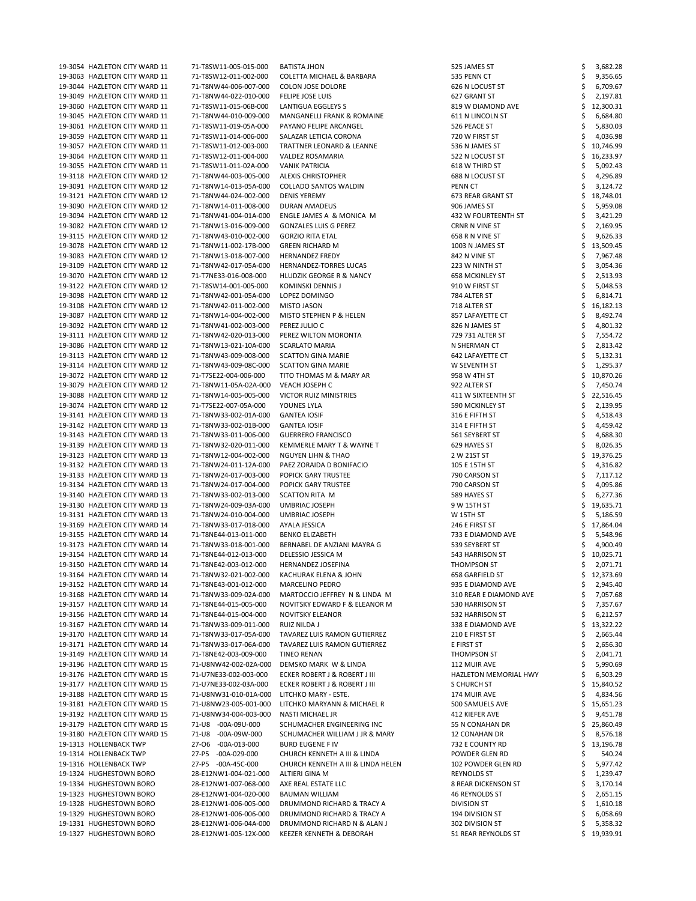| 19-3054 HAZLETON CITY WARD 11 | 71-T8SW11-005-015-000 | <b>BATISTA JHON</b>                 | 525 JAMES ST               | 3,682.28  |
|-------------------------------|-----------------------|-------------------------------------|----------------------------|-----------|
| 19-3063 HAZLETON CITY WARD 11 | 71-T8SW12-011-002-000 | COLETTA MICHAEL & BARBARA           | 535 PENN CT                | 9,356.65  |
|                               |                       |                                     |                            |           |
| 19-3044 HAZLETON CITY WARD 11 | 71-T8NW44-006-007-000 | <b>COLON JOSE DOLORE</b>            | 626 N LOCUST ST            | 6,709.67  |
| 19-3049 HAZLETON CITY WARD 11 | 71-T8NW44-022-010-000 | FELIPE JOSE LUIS                    | 627 GRANT ST               | 2,197.81  |
| 19-3060 HAZLETON CITY WARD 11 | 71-T8SW11-015-06B-000 | <b>LANTIGUA EGGLEYS S</b>           | 819 W DIAMOND AVE          | 12,300.31 |
| 19-3045 HAZLETON CITY WARD 11 | 71-T8NW44-010-009-000 | MANGANELLI FRANK & ROMAINE          | 611 N LINCOLN ST           | 6,684.80  |
| 19-3061 HAZLETON CITY WARD 11 | 71-T8SW11-019-05A-000 | PAYANO FELIPE ARCANGEL              | 526 PEACE ST               | 5,830.03  |
|                               |                       |                                     |                            |           |
| 19-3059 HAZLETON CITY WARD 11 | 71-T8SW11-014-006-000 | SALAZAR LETICIA CORONA              | 720 W FIRST ST             | 4,036.98  |
| 19-3057 HAZLETON CITY WARD 11 | 71-T8SW11-012-003-000 | TRATTNER LEONARD & LEANNE           | 536 N JAMES ST             | 10,746.99 |
| 19-3064 HAZLETON CITY WARD 11 | 71-T8SW12-011-004-000 | <b>VALDEZ ROSAMARIA</b>             | 522 N LOCUST ST            | 16,233.97 |
| 19-3055 HAZLETON CITY WARD 11 | 71-T8SW11-011-02A-000 | <b>VANIK PATRICIA</b>               | 618 W THIRD ST             | 5,092.43  |
| 19-3118 HAZLETON CITY WARD 12 | 71-T8NW44-003-005-000 | <b>ALEXIS CHRISTOPHER</b>           | 688 N LOCUST ST            | 4,296.89  |
|                               |                       |                                     |                            |           |
| 19-3091 HAZLETON CITY WARD 12 | 71-T8NW14-013-05A-000 | COLLADO SANTOS WALDIN               | PENN CT                    | 3,124.72  |
| 19-3121 HAZLETON CITY WARD 12 | 71-T8NW44-024-002-000 | <b>DENIS YEREMY</b>                 | 673 REAR GRANT ST          | 18,748.01 |
| 19-3090 HAZLETON CITY WARD 12 | 71-T8NW14-011-008-000 | DURAN AMADEUS                       | 906 JAMES ST               | 5,959.08  |
| 19-3094 HAZLETON CITY WARD 12 | 71-T8NW41-004-01A-000 | ENGLE JAMES A & MONICA M            | 432 W FOURTEENTH ST        |           |
|                               |                       |                                     |                            | 3,421.29  |
| 19-3082 HAZLETON CITY WARD 12 | 71-T8NW13-016-009-000 | <b>GONZALES LUIS G PEREZ</b>        | CRNR N VINE ST             | 2,169.95  |
| 19-3115 HAZLETON CITY WARD 12 | 71-T8NW43-010-002-000 | <b>GORZIO RITA ETAL</b>             | 658 R N VINE ST            | 9,626.33  |
| 19-3078 HAZLETON CITY WARD 12 | 71-T8NW11-002-17B-000 | <b>GREEN RICHARD M</b>              | 1003 N JAMES ST            | 13,509.45 |
| 19-3083 HAZLETON CITY WARD 12 | 71-T8NW13-018-007-000 | <b>HERNANDEZ FREDY</b>              | 842 N VINE ST              | 7,967.48  |
|                               |                       |                                     |                            |           |
| 19-3109 HAZLETON CITY WARD 12 | 71-T8NW42-017-05A-000 | HERNANDEZ-TORRES LUCAS              | 223 W NINTH ST             | 3,054.36  |
| 19-3070 HAZLETON CITY WARD 12 | 71-T7NE33-016-008-000 | <b>HLUDZIK GEORGE R &amp; NANCY</b> | <b>658 MCKINLEY ST</b>     | 2,513.93  |
| 19-3122 HAZLETON CITY WARD 12 | 71-T8SW14-001-005-000 | KOMINSKI DENNIS J                   | 910 W FIRST ST             | 5,048.53  |
| 19-3098 HAZLETON CITY WARD 12 | 71-T8NW42-001-05A-000 | LOPEZ DOMINGO                       | 784 ALTER ST               | 6,814.71  |
|                               |                       |                                     |                            |           |
| 19-3108 HAZLETON CITY WARD 12 | 71-T8NW42-011-002-000 | <b>MISTO JASON</b>                  | 718 ALTER ST               | 16,182.13 |
| 19-3087 HAZLETON CITY WARD 12 | 71-T8NW14-004-002-000 | MISTO STEPHEN P & HELEN             | 857 LAFAYETTE CT           | 8,492.74  |
| 19-3092 HAZLETON CITY WARD 12 | 71-T8NW41-002-003-000 | PEREZ JULIO C                       | 826 N JAMES ST             | 4,801.32  |
| 19-3111 HAZLETON CITY WARD 12 | 71-T8NW42-020-013-000 | PEREZ WILTON MORONTA                | 729 731 ALTER ST           | 7,554.72  |
|                               |                       |                                     |                            |           |
| 19-3086 HAZLETON CITY WARD 12 | 71-T8NW13-021-10A-000 | <b>SCARLATO MARIA</b>               | N SHERMAN CT               | 2,813.42  |
| 19-3113 HAZLETON CITY WARD 12 | 71-T8NW43-009-008-000 | <b>SCATTON GINA MARIE</b>           | 642 LAFAYETTE CT           | 5,132.31  |
| 19-3114 HAZLETON CITY WARD 12 | 71-T8NW43-009-08C-000 | <b>SCATTON GINA MARIE</b>           | W SEVENTH ST               | 1,295.37  |
| 19-3072 HAZLETON CITY WARD 12 | 71-T7SE22-004-006-000 | TITO THOMAS M & MARY AR             | 958 W 4TH ST               | 10,870.26 |
|                               |                       | <b>VEACH JOSEPH C</b>               | 922 ALTER ST               |           |
| 19-3079 HAZLETON CITY WARD 12 | 71-T8NW11-05A-02A-000 |                                     |                            | 7,450.74  |
| 19-3088 HAZLETON CITY WARD 12 | 71-T8NW14-005-005-000 | <b>VICTOR RUIZ MINISTRIES</b>       | 411 W SIXTEENTH ST         | 22,516.45 |
| 19-3074 HAZLETON CITY WARD 12 | 71-T7SE22-007-05A-000 | YOUNES LYLA                         | 590 MCKINLEY ST            | 2,139.95  |
| 19-3141 HAZLETON CITY WARD 13 | 71-T8NW33-002-01A-000 | <b>GANTEA IOSIF</b>                 | 316 E FIFTH ST             | 4,518.43  |
| 19-3142 HAZLETON CITY WARD 13 | 71-T8NW33-002-01B-000 | <b>GANTEA IOSIF</b>                 | 314 E FIFTH ST             | 4,459.42  |
|                               |                       |                                     |                            |           |
| 19-3143 HAZLETON CITY WARD 13 | 71-T8NW33-011-006-000 | <b>GUERRERO FRANCISCO</b>           | 561 SEYBERT ST             | 4,688.30  |
| 19-3139 HAZLETON CITY WARD 13 | 71-T8NW32-020-011-000 | KEMMERLE MARY T & WAYNE T           | 629 HAYES ST               | 8,026.35  |
| 19-3123 HAZLETON CITY WARD 13 | 71-T8NW12-004-002-000 | <b>NGUYEN LIHN &amp; THAO</b>       | 2 W 21ST ST                | 19,376.25 |
| 19-3132 HAZLETON CITY WARD 13 | 71-T8NW24-011-12A-000 | PAEZ ZORAIDA D BONIFACIO            | 105 E 15TH ST              | 4,316.82  |
|                               |                       |                                     |                            |           |
| 19-3133 HAZLETON CITY WARD 13 | 71-T8NW24-017-003-000 | POPICK GARY TRUSTEE                 | 790 CARSON ST              | 7,117.12  |
| 19-3134 HAZLETON CITY WARD 13 | 71-T8NW24-017-004-000 | <b>POPICK GARY TRUSTEE</b>          | 790 CARSON ST              | 4,095.86  |
| 19-3140 HAZLETON CITY WARD 13 | 71-T8NW33-002-013-000 | <b>SCATTON RITA M</b>               | 589 HAYES ST               | 6,277.36  |
| 19-3130 HAZLETON CITY WARD 13 | 71-T8NW24-009-03A-000 | <b>UMBRIAC JOSEPH</b>               | 9 W 15TH ST                | 19,635.71 |
| 19-3131 HAZLETON CITY WARD 13 |                       |                                     |                            |           |
|                               | 71-T8NW24-010-004-000 | <b>UMBRIAC JOSEPH</b>               | W 15TH ST                  | 5,186.59  |
| 19-3169 HAZLETON CITY WARD 14 | 71-T8NW33-017-018-000 | AYALA JESSICA                       | 246 E FIRST ST             | 17,864.04 |
| 19-3155 HAZLETON CITY WARD 14 | 71-T8NE44-013-011-000 | <b>BENKO ELIZABETH</b>              | 733 E DIAMOND AVE          | 5,548.96  |
| 19-3173 HAZLETON CITY WARD 14 | 71-T8NW33-018-001-000 | BERNABEL DE ANZIANI MAYRA G         | 539 SEYBERT ST             | 4,900.49  |
| 19-3154 HAZLETON CITY WARD 14 | 71-T8NE44-012-013-000 | DELESSIO JESSICA M                  | 543 HARRISON ST            | 10,025.71 |
|                               |                       |                                     |                            |           |
| 19-3150 HAZLETON CITY WARD 14 | 71-T8NE42-003-012-000 | HERNANDEZ JOSEFINA                  | THOMPSON ST                | 2,071.71  |
| 19-3164 HAZLETON CITY WARD 14 | 71-T8NW32-021-002-000 | KACHURAK ELENA & JOHN               | 658 GARFIELD ST            | 12,373.69 |
| 19-3152 HAZLETON CITY WARD 14 | 71-T8NE43-001-012-000 | <b>MARCELINO PEDRO</b>              | 935 E DIAMOND AVE          | 2,945.40  |
| 19-3168 HAZLETON CITY WARD 14 | 71-T8NW33-009-02A-000 | MARTOCCIO JEFFREY N & LINDA M       | 310 REAR E DIAMOND AVE     | 7,057.68  |
| 19-3157 HAZLETON CITY WARD 14 | 71-T8NE44-015-005-000 | NOVITSKY EDWARD F & ELEANOR M       | 530 HARRISON ST            | 7,357.67  |
|                               |                       |                                     |                            |           |
| 19-3156 HAZLETON CITY WARD 14 | 71-T8NE44-015-004-000 | <b>NOVITSKY ELEANOR</b>             | 532 HARRISON ST            | 6,212.57  |
| 19-3167 HAZLETON CITY WARD 14 | 71-T8NW33-009-011-000 | <b>RUIZ NILDA J</b>                 | 338 E DIAMOND AVE          | 13,322.22 |
| 19-3170 HAZLETON CITY WARD 14 | 71-T8NW33-017-05A-000 | TAVAREZ LUIS RAMON GUTIERREZ        | 210 E FIRST ST             | 2,665.44  |
| 19-3171 HAZLETON CITY WARD 14 | 71-T8NW33-017-06A-000 | TAVAREZ LUIS RAMON GUTIERREZ        | E FIRST ST                 | 2,656.30  |
| 19-3149 HAZLETON CITY WARD 14 | 71-T8NE42-003-009-000 | TINEO RENAN                         | THOMPSON ST                | 2,041.71  |
|                               |                       |                                     |                            |           |
| 19-3196 HAZLETON CITY WARD 15 | 71-U8NW42-002-02A-000 | DEMSKO MARK W & LINDA               | 112 MUIR AVE               | 5,990.69  |
| 19-3176 HAZLETON CITY WARD 15 | 71-U7NE33-002-003-000 | ECKER ROBERT J & ROBERT J III       | HAZLETON MEMORIAL HWY      | 6,503.29  |
| 19-3177 HAZLETON CITY WARD 15 | 71-U7NE33-002-03A-000 | ECKER ROBERT J & ROBERT J III       | S CHURCH ST                | 15,840.52 |
| 19-3188 HAZLETON CITY WARD 15 | 71-U8NW31-010-01A-000 | LITCHKO MARY - ESTE.                | 174 MUIR AVE               | 4,834.56  |
|                               |                       |                                     |                            |           |
| 19-3181 HAZLETON CITY WARD 15 | 71-U8NW23-005-001-000 | LITCHKO MARYANN & MICHAEL R         | 500 SAMUELS AVE            | 15,651.23 |
| 19-3192 HAZLETON CITY WARD 15 | 71-U8NW34-004-003-000 | NASTI MICHAEL JR                    | 412 KIEFER AVE             | 9,451.78  |
| 19-3179 HAZLETON CITY WARD 15 | 71-U8 -00A-09U-000    | SCHUMACHER ENGINEERING INC          | 55 N CONAHAN DR            | 25,860.49 |
| 19-3180 HAZLETON CITY WARD 15 | 71-U8 -00A-09W-000    | SCHUMACHER WILLIAM J JR & MARY      | <b>12 CONAHAN DR</b>       | 8,576.18  |
| 19-1313 HOLLENBACK TWP        | 27-06 -00A-013-000    | <b>BURD EUGENE F IV</b>             | 732 E COUNTY RD            | 13,196.78 |
|                               |                       |                                     |                            |           |
| 19-1314 HOLLENBACK TWP        | 27-P5 -00A-029-000    | CHURCH KENNETH A III & LINDA        | POWDER GLEN RD             | 540.24    |
| 19-1316 HOLLENBACK TWP        | 27-P5 -00A-45C-000    | CHURCH KENNETH A III & LINDA HELEN  | 102 POWDER GLEN RD         | 5,977.42  |
| 19-1324 HUGHESTOWN BORO       | 28-E12NW1-004-021-000 | ALTIERI GINA M                      | <b>REYNOLDS ST</b>         | 1,239.47  |
| 19-1334 HUGHESTOWN BORO       | 28-E12NW1-007-068-000 | AXE REAL ESTATE LLC                 | <b>8 REAR DICKENSON ST</b> | 3,170.14  |
|                               |                       |                                     |                            |           |
| 19-1323 HUGHESTOWN BORO       | 28-E12NW1-004-020-000 | <b>BAUMAN WILLIAM</b>               | 46 REYNOLDS ST             | 2,651.15  |
| 19-1328 HUGHESTOWN BORO       | 28-E12NW1-006-005-000 | DRUMMOND RICHARD & TRACY A          | <b>DIVISION ST</b>         | 1,610.18  |
| 19-1329 HUGHESTOWN BORO       | 28-E12NW1-006-006-000 | DRUMMOND RICHARD & TRACY A          | 194 DIVISION ST            | 6,058.69  |
| 19-1331 HUGHESTOWN BORO       | 28-E12NW1-006-04A-000 | DRUMMOND RICHARD N & ALAN J         | 302 DIVISION ST            | 5,358.32  |
|                               |                       |                                     |                            |           |
| 19-1327 HUGHESTOWN BORO       | 28-E12NW1-005-12X-000 | KEEZER KENNETH & DEBORAH            | 51 REAR REYNOLDS ST        | 19,939.91 |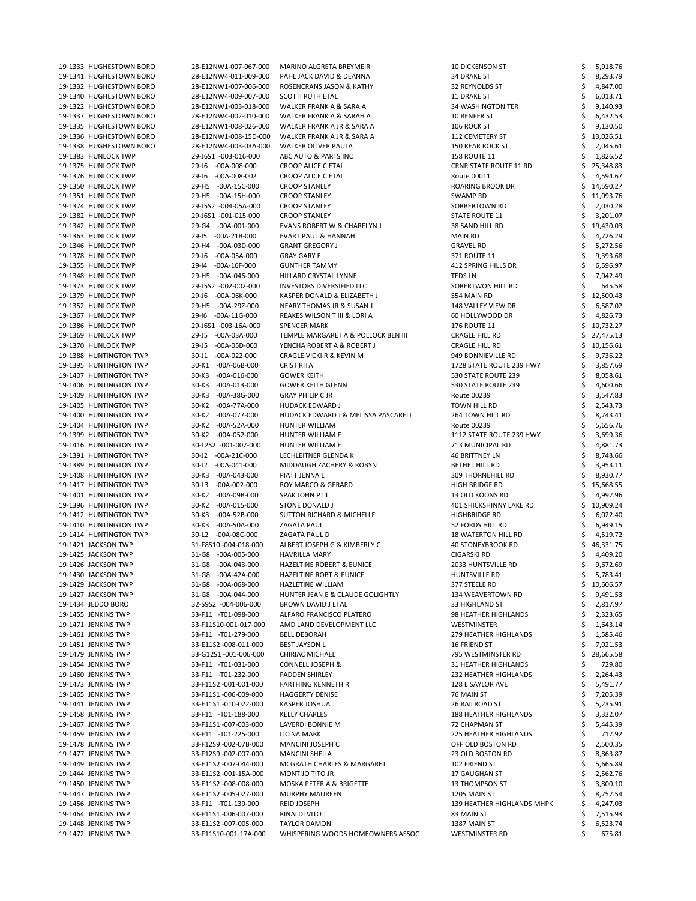| 19-1333 HUGHESTOWN BORO                    | 28-E12NW1-007-067-000                          | MARINO ALGRETA BREYMEIR                                  | <b>10 DICKENSON ST</b>                | 5,918.76           |
|--------------------------------------------|------------------------------------------------|----------------------------------------------------------|---------------------------------------|--------------------|
| 19-1341 HUGHESTOWN BORO                    | 28-E12NW4-011-009-000                          | PAHL JACK DAVID & DEANNA                                 | 34 DRAKE ST                           | 8,293.79           |
| 19-1332 HUGHESTOWN BORO                    | 28-E12NW1-007-006-000                          | ROSENCRANS JASON & KATHY                                 | 32 REYNOLDS ST                        | 4,847.00           |
| 19-1340 HUGHESTOWN BORO                    | 28-E12NW4-009-007-000                          | <b>SCOTTI RUTH ETAL</b>                                  | 11 DRAKE ST                           | 6,013.71           |
| 19-1322 HUGHESTOWN BORO                    | 28-E12NW1-003-018-000                          | WALKER FRANK A & SARA A                                  | 34 WASHINGTON TER                     | 9,140.93           |
| 19-1337 HUGHESTOWN BORO                    | 28-E12NW4-002-010-000                          | WALKER FRANK A & SARAH A                                 | 10 RENFER ST                          | 6,432.53           |
| 19-1335 HUGHESTOWN BORO                    | 28-E12NW1-008-026-000                          | WALKER FRANK A JR & SARA A                               | 106 ROCK ST                           | 9,130.50           |
| 19-1336 HUGHESTOWN BORO                    | 28-E12NW1-008-15D-000                          | WALKER FRANK A JR & SARA A                               | 112 CEMETERY ST                       | 13,026.51          |
| 19-1338 HUGHESTOWN BORO                    | 28-E12NW4-003-03A-000                          | <b>WALKER OLIVER PAULA</b>                               | <b>150 REAR ROCK ST</b>               | 2,045.61           |
| 19-1383 HUNLOCK TWP                        | 29-J6S1 -003-016-000                           | ABC AUTO & PARTS INC                                     | <b>158 ROUTE 11</b>                   | 1,826.52           |
|                                            |                                                |                                                          |                                       |                    |
| 19-1375 HUNLOCK TWP                        | 29-J6 -00A-008-000                             | <b>CROOP ALICE C ETAL</b>                                | <b>CRNR STATE ROUTE 11 RD</b>         | 25,348.83          |
| 19-1376 HUNLOCK TWP                        | 29-J6 -00A-008-002                             | <b>CROOP ALICE C ETAL</b>                                | Route 00011                           | 4,594.67           |
| 19-1350 HUNLOCK TWP                        | 29-H5 -00A-15C-000                             | <b>CROOP STANLEY</b>                                     | ROARING BROOK DR                      | 14,590.27          |
| 19-1351 HUNLOCK TWP                        | 29-H5 -00A-15H-000                             | <b>CROOP STANLEY</b>                                     | SWAMP RD                              | 11,093.76          |
| 19-1374 HUNLOCK TWP                        | 29-J5S2 -004-05A-000                           | <b>CROOP STANLEY</b>                                     | SORBERTOWN RD                         | 2,030.28           |
| 19-1382 HUNLOCK TWP                        | 29-J6S1 -001-015-000                           | <b>CROOP STANLEY</b>                                     | STATE ROUTE 11                        | 3,201.07           |
| 19-1342 HUNLOCK TWP                        | 29-G4 -00A-001-000                             | EVANS ROBERT W & CHARELYN J                              | 38 SAND HILL RD                       | 19,430.03          |
| 19-1363 HUNLOCK TWP                        | 29-15 -00A-21B-000                             | <b>EVART PAUL &amp; HANNAH</b>                           | MAIN RD                               | 4,726.29           |
| 19-1346 HUNLOCK TWP                        | 29-H4 -00A-03D-000                             | <b>GRANT GREGORY J</b>                                   | <b>GRAVEL RD</b>                      | 5,272.56           |
| 19-1378 HUNLOCK TWP                        | 29-J6 -00A-05A-000                             | <b>GRAY GARY E</b>                                       | 371 ROUTE 11                          | 9,393.68           |
| 19-1355 HUNLOCK TWP                        | 29-14 -00A-16F-000                             | <b>GUNTHER TAMMY</b>                                     | 412 SPRING HILLS DR                   | 6,596.97           |
| 19-1348 HUNLOCK TWP                        | 29-H5 -00A-046-000                             | HILLARD CRYSTAL LYNNE                                    | <b>TEDS LN</b>                        | 7,042.49           |
| 19-1373 HUNLOCK TWP                        | 29-J5S2 -002-002-000                           | <b>INVESTORS DIVERSIFIED LLC</b>                         | SORERTWON HILL RD                     | 645.58             |
| 19-1379 HUNLOCK TWP                        | 29-J6 -00A-06K-000                             | KASPER DONALD & ELIZABETH J                              | 554 MAIN RD                           | 12,500.43          |
| 19-1352 HUNLOCK TWP                        | 29-H5 -00A-29Z-000                             | <b>NEARY THOMAS JR &amp; SUSAN J</b>                     | 148 VALLEY VIEW DR                    | 6,587.02           |
| 19-1367 HUNLOCK TWP                        | 29-16 -00A-11G-000                             | REAKES WILSON T III & LORI A                             | 60 HOLLYWOOD DR                       | 4,826.73           |
| 19-1386 HUNLOCK TWP                        | 29-J6S1 -003-16A-000                           | <b>SPENCER MARK</b>                                      | <b>176 ROUTE 11</b>                   | 10,732.27          |
| 19-1369 HUNLOCK TWP                        | 29-J5 -00A-03A-000                             | TEMPLE MARGARET A & POLLOCK BEN III                      | <b>CRAGLE HILL RD</b>                 | 27,475.13          |
| 19-1370 HUNLOCK TWP                        | 29-J5 -00A-05D-000                             | YENCHA ROBERT A & ROBERT J                               | <b>CRAGLE HILL RD</b>                 | 10,156.61          |
| 19-1388 HUNTINGTON TWP                     | 30-J1 -00A-022-000                             | <b>CRAGLE VICKI R &amp; KEVIN M</b>                      | 949 BONNIEVILLE RD                    | 9,736.22           |
| 19-1395 HUNTINGTON TWP                     | 30-K1 -00A-06B-000                             | <b>CRIST RITA</b>                                        | 1728 STATE ROUTE 239 HWY              | 3,857.69           |
| 19-1407 HUNTINGTON TWP                     | 30-K3<br>$-00A-016-000$                        | <b>GOWER KEITH</b>                                       | 530 STATE ROUTE 239                   |                    |
|                                            |                                                |                                                          |                                       | 8,058.61           |
| 19-1406 HUNTINGTON TWP                     | 30-K3 -00A-013-000                             | <b>GOWER KEITH GLENN</b>                                 | 530 STATE ROUTE 239                   | 4,600.66           |
| 19-1409 HUNTINGTON TWP                     | 30-K3 -00A-38G-000                             | <b>GRAY PHILIP C JR</b>                                  | Route 00239                           | 3,547.83           |
| 19-1405 HUNTINGTON TWP                     | 30-K2 -00A-77A-000                             | <b>HUDACK EDWARD J</b>                                   | TOWN HILL RD                          | 2,543.73           |
| 19-1400 HUNTINGTON TWP                     | 30-K2 -00A-077-000                             | HUDACK EDWARD J & MELISSA PASCARELL                      | 264 TOWN HILL RD                      | 8,743.41           |
| 19-1404 HUNTINGTON TWP                     | 30-K2 -00A-52A-000                             | HUNTER WILLIAM                                           | Route 00239                           | 5,656.76           |
| 19-1399 HUNTINGTON TWP                     | 30-K2 -00A-052-000                             | HUNTER WILLIAM E                                         | 1112 STATE ROUTE 239 HWY              | 3,699.36           |
| 19-1416 HUNTINGTON TWP                     | 30-L2S2 -001-007-000                           | HUNTER WILLIAM E                                         | 713 MUNICIPAL RD                      | 4,881.73           |
| 19-1391 HUNTINGTON TWP                     | 30-J2 -00A-21C-000                             | LECHLEITNER GLENDA K                                     | <b>46 BRITTNEY LN</b>                 | 8,743.66           |
| 19-1389 HUNTINGTON TWP                     | 30-J2 -00A-041-000                             | MIDDAUGH ZACHERY & ROBYN                                 | BETHEL HILL RD                        | 3,953.11           |
| 19-1408 HUNTINGTON TWP                     | 30-K3<br>$-00A-043-000$                        | PIATT JENNA L                                            | <b>309 THORNEHILL RD</b>              | 8,930.77           |
| 19-1417 HUNTINGTON TWP                     | $30-L3$<br>-00A-002-000                        | ROY MARCO & GERARD                                       | <b>HIGH BRIDGE RD</b>                 | 15,668.55          |
| 19-1401 HUNTINGTON TWP                     | 30-K2 -00A-09B-000                             | <b>SPAK JOHN P III</b>                                   | 13 OLD KOONS RD                       | 4,997.96           |
| 19-1396 HUNTINGTON TWP                     | 30-K2 -00A-015-000                             | <b>STONE DONALD J</b>                                    | <b>401 SHICKSHINNY LAKE RD</b>        | 10,909.24          |
| 19-1412 HUNTINGTON TWP                     | $30-K3$<br>-00A-52B-000                        | <b>SUTTON RICHARD &amp; MICHELLE</b>                     | <b>HIGHBRIDGE RD</b>                  | 6,022.40           |
| 19-1410 HUNTINGTON TWP                     | $30-K3$<br>$-00A-50A-000$                      | <b>ZAGATA PAUL</b>                                       | 52 FORDS HILL RD                      | 6,949.15           |
| 19-1414 HUNTINGTON TWP                     | 30-L2 -00A-08C-000                             | ZAGATA PAUL D                                            | <b>18 WATERTON HILL RD</b>            | 4,519.72           |
| 19-1421 JACKSON TWP                        | 31-F8S10-004-018-000                           | ALBERT JOSEPH G & KIMBERLY C                             | <b>40 STONEYBROOK RD</b>              | 46,331.75          |
| 19-1425 JACKSON TWP                        | 31-G8 -00A-005-000                             | <b>HAVRILLA MARY</b>                                     | <b>CIGARSKI RD</b>                    | 4,409.20           |
| 19-1426 JACKSON TWP                        | 31-G8 -00A-043-000                             | <b>HAZELTINE ROBERT &amp; EUNICE</b>                     | 2033 HUNTSVILLE RD                    | 9,672.69           |
| 19-1430 JACKSON TWP                        | 31-G8 -00A-42A-000                             | <b>HAZELTINE ROBT &amp; EUNICE</b>                       | HUNTSVILLE RD                         | 5,783.41           |
| 19-1429 JACKSON TWP                        | 31-G8 -00A-068-000                             | <b>HAZLETINE WILLIAM</b>                                 | 377 STEELE RD                         | 10,606.57          |
| 19-1427 JACKSON TWP                        | 31-G8 -00A-044-000                             | HUNTER JEAN E & CLAUDE GOLIGHTLY                         | 134 WEAVERTOWN RD                     | 9,491.53           |
|                                            | 32-S9S2 -004-006-000                           | BROWN DAVID J ETAL                                       |                                       |                    |
| 19-1434 JEDDO BORO<br>19-1455 JENKINS TWP  |                                                |                                                          |                                       |                    |
|                                            |                                                |                                                          | 33 HIGHLAND ST                        | 2,817.97           |
|                                            | 33-F11 -T01-098-000                            | ALFARO FRANCISCO PLATERO                                 | 98 HEATHER HIGHLANDS                  | 2,323.65           |
| 19-1471 JENKINS TWP                        | 33-F11S10-001-017-000                          | AMD LAND DEVELOPMENT LLC                                 | <b>WESTMINSTER</b>                    | 1,643.14           |
| 19-1461 JENKINS TWP                        | 33-F11 -T01-279-000                            | <b>BELL DEBORAH</b>                                      | <b>279 HEATHER HIGHLANDS</b>          | 1,585.46           |
| 19-1451 JENKINS TWP                        | 33-E11S2 -008-011-000                          | <b>BEST JAYSON L</b>                                     | 16 FRIEND ST                          | 7,021.53           |
| 19-1479 JENKINS TWP                        | 33-G12S1-001-006-000                           | CHIRIAC MICHAEL                                          | 795 WESTMINSTER RD                    | 28,665.58          |
| 19-1454 JENKINS TWP                        | 33-F11 -T01-031-000                            | <b>CONNELL JOSEPH &amp;</b>                              | 31 HEATHER HIGHLANDS                  | 729.80             |
| 19-1460 JENKINS TWP                        | 33-F11 -T01-232-000                            | <b>FADDEN SHIRLEY</b>                                    | 232 HEATHER HIGHLANDS                 | 2,264.43           |
| 19-1473 JENKINS TWP                        | 33-F11S2 -001-001-000                          | <b>FARTHING KENNETH R</b>                                | 128 E SAYLOR AVE                      | 5,491.77           |
| 19-1465 JENKINS TWP                        | 33-F11S1-006-009-000                           | <b>HAGGERTY DENISE</b>                                   | 76 MAIN ST                            | 7,205.39           |
| 19-1441 JENKINS TWP                        | 33-E11S1-010-022-000                           | KASPER JOSHUA                                            | <b>26 RAILROAD ST</b>                 | 5,235.91           |
| 19-1458 JENKINS TWP                        | 33-F11 -T01-188-000                            | <b>KELLY CHARLES</b>                                     | <b>188 HEATHER HIGHLANDS</b>          | 3,332.07           |
| 19-1467 JENKINS TWP                        | 33-F11S1-007-003-000                           | LAVERDI BONNIE M                                         | <b>72 CHAPMAN ST</b>                  | 5,445.39           |
| 19-1459 JENKINS TWP                        | 33-F11 -T01-225-000                            | LICINA MARK                                              | <b>225 HEATHER HIGHLANDS</b>          | 717.92             |
| 19-1478 JENKINS TWP                        | 33-F12S9 -002-07B-000                          | <b>MANCINI JOSEPH C</b>                                  | OFF OLD BOSTON RD                     | 2,500.35           |
| 19-1477 JENKINS TWP                        | 33-F12S9 -002-007-000                          | <b>MANCINI SHEILA</b>                                    | 23 OLD BOSTON RD                      | 8,863.87           |
| 19-1449 JENKINS TWP                        | 33-E11S2 -007-044-000                          | MCGRATH CHARLES & MARGARET                               | 102 FRIEND ST                         | 5,665.89           |
| 19-1444 JENKINS TWP                        | 33-E11S2 -001-15A-000                          | MONTIJO TITO JR                                          | 17 GAUGHAN ST                         |                    |
| 19-1450 JENKINS TWP                        |                                                | MOSKA PETER A & BRIGETTE                                 |                                       | 2,562.76           |
|                                            | 33-E11S2 -008-008-000                          |                                                          | <b>13 THOMPSON ST</b>                 | 3,800.10           |
| 19-1447 JENKINS TWP                        | 33-E11S2 -005-027-000                          | <b>MURPHY MAUREEN</b>                                    | 1205 MAIN ST                          | 8,757.54           |
| 19-1456 JENKINS TWP                        | 33-F11 -T01-139-000                            | <b>REID JOSEPH</b>                                       | 139 HEATHER HIGHLANDS MHPK            | 4,247.03           |
| 19-1464 JENKINS TWP                        | 33-F11S1-006-007-000                           | RINALDI VITO J                                           | 83 MAIN ST                            | 7,515.93           |
| 19-1448 JENKINS TWP<br>19-1472 JENKINS TWP | 33-E11S2 -007-005-000<br>33-F11S10-001-17A-000 | <b>TAYLOR DAMON</b><br>WHISPERING WOODS HOMEOWNERS ASSOC | 1387 MAIN ST<br><b>WESTMINSTER RD</b> | 6,523.74<br>675.81 |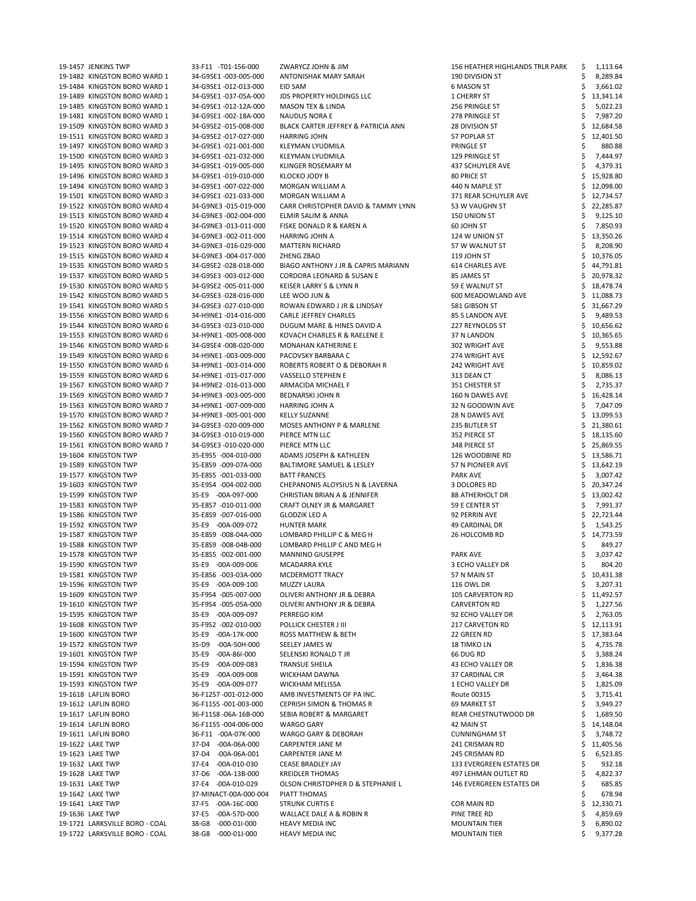| 19-1457 JENKINS TWP            | 33-F11 -T01-156-000       | ZWARYCZ JOHN & JIM                      | <b>156 HEATHER HIGHLANDS TRLR PARK</b> | 1,113.64  |
|--------------------------------|---------------------------|-----------------------------------------|----------------------------------------|-----------|
| 19-1482 KINGSTON BORO WARD 1   | 34-G9SE1 -003-005-000     | ANTONISHAK MARY SARAH                   | 190 DIVISION ST                        | 8,289.84  |
| 19-1484 KINGSTON BORO WARD 1   | 34-G9SE1 -012-013-000     | EID SAM                                 | 6 MASON ST                             | 3,661.02  |
| 19-1489 KINGSTON BORO WARD 1   | 34-G9SE1 -037-05A-000     | <b>JDS PROPERTY HOLDINGS LLC</b>        | 1 CHERRY ST                            | 13,341.14 |
| 19-1485 KINGSTON BORO WARD 1   | 34-G9SE1-012-12A-000      | <b>MASON TEX &amp; LINDA</b>            | 256 PRINGLE ST                         | 5,022.23  |
| 19-1481 KINGSTON BORO WARD 1   | 34-G9SE1 -002-18A-000     | <b>NAUDUS NORA E</b>                    | 278 PRINGLE ST                         | 7,987.20  |
| 19-1509 KINGSTON BORO WARD 3   | 34-G9SE2 -015-008-000     | BLACK CARTER JEFFREY & PATRICIA ANN     | 28 DIVISION ST                         | 12,684.58 |
| 19-1511 KINGSTON BORO WARD 3   | 34-G9SE2 -017-027-000     | <b>HARRING JOHN</b>                     | 57 POPLAR ST                           | 12,401.50 |
| 19-1497 KINGSTON BORO WARD 3   | 34-G9SE1 -021-001-000     | KLEYMAN LYUDMILA                        | PRINGLE ST                             | 880.88    |
| 19-1500 KINGSTON BORO WARD 3   | 34-G9SE1 -021-032-000     | KLEYMAN LYUDMILA                        | 129 PRINGLE ST                         | 7,444.97  |
| 19-1495 KINGSTON BORO WARD 3   | 34-G9SE1-019-005-000      | <b>KLINGER ROSEMARY M</b>               | 437 SCHUYLER AVE                       | 4,379.31  |
| 19-1496 KINGSTON BORO WARD 3   | 34-G9SE1 -019-010-000     | KLOCKO JODY B                           | 80 PRICE ST                            | 15,928.80 |
| 19-1494 KINGSTON BORO WARD 3   | 34-G9SE1 -007-022-000     | MORGAN WILLIAM A                        | 440 N MAPLE ST                         | 12,098.00 |
| 19-1501 KINGSTON BORO WARD 3   | 34-G9SE1 -021-033-000     | MORGAN WILLIAM A                        | 371 REAR SCHUYLER AVE                  | 12,734.57 |
| 19-1522 KINGSTON BORO WARD 4   | 34-G9NE3 -015-019-000     | CARR CHRISTOPHER DAVID & TAMMY LYNN     | 53 W VAUGHN ST                         | 22,285.87 |
| 19-1513 KINGSTON BORO WARD 4   | 34-G9NE3 -002-004-000     | ELMIR SALIM & ANNA                      | 150 UNION ST                           | 9,125.10  |
| 19-1520 KINGSTON BORO WARD 4   | 34-G9NE3 -013-011-000     | FISKE DONALD R & KAREN A                | 60 JOHN ST                             | 7,850.93  |
| 19-1514 KINGSTON BORO WARD 4   | 34-G9NE3 -002-011-000     | HARRING JOHN A                          | 124 W UNION ST                         | 13,350.26 |
|                                |                           |                                         |                                        |           |
| 19-1523 KINGSTON BORO WARD 4   | 34-G9NE3 -016-029-000     | <b>MATTERN RICHARD</b>                  | 57 W WALNUT ST                         | 8,208.90  |
| 19-1515 KINGSTON BORO WARD 4   | 34-G9NE3 -004-017-000     | ZHENG ZBAO                              | 119 JOHN ST                            | 10,376.05 |
| 19-1535 KINGSTON BORO WARD 5   | 34-G9SE2 -028-018-000     | BIAGO ANTHONY J JR & CAPRIS MARIANN     | 614 CHARLES AVE                        | 44,791.81 |
| 19-1537 KINGSTON BORO WARD 5   | 34-G9SE3 -003-012-000     | <b>CORDORA LEONARD &amp; SUSAN E</b>    | 85 JAMES ST                            | 20,978.32 |
| 19-1530 KINGSTON BORO WARD 5   | 34-G9SE2 -005-011-000     | KEISER LARRY S & LYNN R                 | 59 E WALNUT ST                         | 18,478.74 |
| 19-1542 KINGSTON BORO WARD 5   | 34-G9SE3 -028-016-000     | LEE WOO JUN &                           | 600 MEADOWLAND AVE                     | 11,088.73 |
| 19-1541 KINGSTON BORO WARD 5   | 34-G9SE3 -027-010-000     | ROWAN EDWARD J JR & LINDSAY             | 581 GIBSON ST                          | 31,667.29 |
| 19-1556 KINGSTON BORO WARD 6   | 34-H9NE1-014-016-000      | <b>CARLE JEFFREY CHARLES</b>            | 85 S LANDON AVE                        | 9,489.53  |
| 19-1544 KINGSTON BORO WARD 6   | 34-G9SE3 -023-010-000     | DUGUM MARE & HINES DAVID A              | 227 REYNOLDS ST                        | 10,656.62 |
| 19-1553 KINGSTON BORO WARD 6   | 34-H9NE1-005-008-000      | KOVACH CHARLES R & RAELENE E            | 37 N LANDON                            | 10,365.65 |
| 19-1546 KINGSTON BORO WARD 6   | 34-G9SE4 -008-020-000     | MONAHAN KATHERINE E                     | 302 WRIGHT AVE                         | 9,553.88  |
| 19-1549 KINGSTON BORO WARD 6   | 34-H9NE1-003-009-000      | PACOVSKY BARBARA C                      | 274 WRIGHT AVE                         | 12,592.67 |
| 19-1550 KINGSTON BORO WARD 6   | 34-H9NE1-003-014-000      | ROBERTS ROBERT O & DEBORAH R            | 242 WRIGHT AVE                         | 10,859.02 |
| 19-1559 KINGSTON BORO WARD 6   | 34-H9NE1-015-017-000      | VASSELLO STEPHEN E                      | 313 DEAN CT                            | 8,086.13  |
| 19-1567 KINGSTON BORO WARD 7   | 34-H9NE2 -016-013-000     | ARMACIDA MICHAEL F                      | 351 CHESTER ST                         | 2,735.37  |
| 19-1569 KINGSTON BORO WARD 7   | 34-H9NE3 -003-005-000     | <b>BEDNARSKI JOHN R</b>                 | 160 N DAWES AVE                        | 16,428.14 |
| 19-1563 KINGSTON BORO WARD 7   | 34-H9NE1-007-009-000      | <b>HARRING JOHN A</b>                   | 32 N GOODWIN AVE                       | 7,047.09  |
| 19-1570 KINGSTON BORO WARD 7   | 34-H9NE3 -005-001-000     | <b>KELLY SUZANNE</b>                    | 28 N DAWES AVE                         | 13,099.53 |
| 19-1562 KINGSTON BORO WARD 7   | 34-G9SE3 -020-009-000     | <b>MOSES ANTHONY P &amp; MARLENE</b>    | 235 BUTLER ST                          | 21,380.61 |
| 19-1560 KINGSTON BORO WARD 7   | 34-G9SE3 -010-019-000     | PIERCE MTN LLC                          | 352 PIERCE ST                          | 18,135.60 |
| 19-1561 KINGSTON BORO WARD 7   | 34-G9SE3 -010-020-000     | PIERCE MTN LLC                          | 348 PIERCE ST                          | 25,869.55 |
| 19-1604 KINGSTON TWP           | 35-E9S5 -004-010-000      | ADAMS JOSEPH & KATHLEEN                 | 126 WOODBINE RD                        | 13,586.71 |
| 19-1589 KINGSTON TWP           | 35-E8S9 -009-07A-000      | <b>BALTIMORE SAMUEL &amp; LESLEY</b>    | 57 N PIONEER AVE                       | 13,642.19 |
| 19-1577 KINGSTON TWP           | 35-E8S5 -001-033-000      | <b>BATT FRANCES</b>                     |                                        |           |
|                                |                           |                                         | <b>PARK AVE</b>                        | 3,007.42  |
| 19-1603 KINGSTON TWP           | 35-E9S4 -004-002-000      | CHEPANONIS ALOYSIUS N & LAVERNA         | 3 DOLORES RD                           | 20,347.24 |
| 19-1599 KINGSTON TWP           | 35-E9 -00A-097-000        | <b>CHRISTIAN BRIAN A &amp; JENNIFER</b> | <b>88 ATHERHOLT DR</b>                 | 13,002.42 |
| 19-1583 KINGSTON TWP           | 35-E8S7 -010-011-000      | CRAFT OLNEY JR & MARGARET               | 59 E CENTER ST                         | 7,991.37  |
| 19-1586 KINGSTON TWP           | 35-E8S9 -007-016-000      | <b>GLODZIK LEO A</b>                    | 92 PERRIN AVE                          | 22,723.44 |
| 19-1592 KINGSTON TWP           | 35-E9 -00A-009-072        | <b>HUNTER MARK</b>                      | 49 CARDINAL DR                         | 1,543.25  |
| 19-1587 KINGSTON TWP           | 35-E8S9 -008-04A-000      | LOMBARD PHILLIP C & MEG H               | 26 HOLCOMB RD                          | 14,773.59 |
| 19-1588 KINGSTON TWP           | 35-E8S9 -008-04B-000      | LOMBARD PHILLIP C AND MEG H             |                                        | 849.27    |
| 19-1578 KINGSTON TWP           | 35-E8S5 -002-001-000      | <b>MANNINO GIUSEPPE</b>                 | PARK AVE                               | 3,037.42  |
| 19-1590 KINGSTON TWP           | 35-E9 -00A-009-006        | MCADARRA KYLE                           | 3 ECHO VALLEY DR                       | 804.20    |
| 19-1581 KINGSTON TWP           | 35-E8S6 -003-03A-000      | MCDERMOTT TRACY                         | 57 N MAIN ST                           | 10,431.38 |
| 19-1596 KINGSTON TWP           | 35-E9 -00A-009-100        | <b>MUZZY LAURA</b>                      | 116 OWL DR                             | 3,207.31  |
| 19-1609 KINGSTON TWP           | 35-F9S4 -005-007-000      | OLIVERI ANTHONY JR & DEBRA              | <b>105 CARVERTON RD</b>                | 11,492.57 |
| 19-1610 KINGSTON TWP           | 35-F9S4 -005-05A-000      | OLIVERI ANTHONY JR & DEBRA              | <b>CARVERTON RD</b>                    | 1,227.56  |
| 19-1595 KINGSTON TWP           | 35-E9 -00A-009-097        | PERREGO KIM                             | 92 ECHO VALLEY DR                      | 2,763.05  |
| 19-1608 KINGSTON TWP           | 35-F9S2 -002-010-000      | POLLICK CHESTER J III                   | <b>217 CARVETON RD</b>                 | 12,113.91 |
| 19-1600 KINGSTON TWP           | 35-E9 -00A-17K-000        | <b>ROSS MATTHEW &amp; BETH</b>          | 22 GREEN RD                            | 17,383.64 |
| 19-1572 KINGSTON TWP           | 35-D9<br>-00A-50H-000     | SEELEY JAMES W                          | <b>18 TIMKO LN</b>                     | 4,735.78  |
| 19-1601 KINGSTON TWP           | $35-E9$<br>$-00A-86I-000$ | SELENSKI RONALD T JR                    | 66 DUG RD                              | 3,388.24  |
| 19-1594 KINGSTON TWP           | $35-E9$<br>-00A-009-083   | <b>TRANSUE SHEILA</b>                   | <b>43 ECHO VALLEY DR</b>               | 1,836.38  |
| 19-1591 KINGSTON TWP           | $35-E9$<br>$-00A-009-008$ | <b>WICKHAM DAWNA</b>                    | <b>37 CARDINAL CIR</b>                 | 3,464.38  |
| 19-1593 KINGSTON TWP           | 35-E9 -00A-009-077        | <b>WICKHAM MELISSA</b>                  | 1 ECHO VALLEY DR                       | 1,825.09  |
| 19-1618 LAFLIN BORO            | 36-F12S7-001-012-000      | AMB INVESTMENTS OF PA INC.              | Route 00315                            | 3,715.41  |
| 19-1612 LAFLIN BORO            | 36-F11S5-001-003-000      | <b>CEPRISH SIMON &amp; THOMAS R</b>     | 69 MARKET ST                           | 3,949.27  |
| 19-1617 LAFLIN BORO            | 36-F11S8 -06A-16B-000     | SEBIA ROBERT & MARGARET                 | REAR CHESTNUTWOOD DR                   | 1,689.50  |
| 19-1614 LAFLIN BORO            | 36-F11S5-004-006-000      | <b>WARGO GARY</b>                       | 42 MAIN ST                             | 14,148.04 |
| 19-1611 LAFLIN BORO            | 36-F11 -00A-07K-000       | <b>WARGO GARY &amp; DEBORAH</b>         | <b>CUNNINGHAM ST</b>                   | 3,748.72  |
| 19-1622 LAKE TWP               | 37-D4 -00A-06A-000        | <b>CARPENTER JANE M</b>                 | 241 CRISMAN RD                         | 11,405.56 |
| 19-1623 LAKE TWP               | 37-D4 -00A-06A-001        | <b>CARPENTER JANE M</b>                 | 245 CRISMAN RD                         | 6,523.85  |
| 19-1632 LAKE TWP               | 37-E4 -00A-010-030        | <b>CEASE BRADLEY JAY</b>                | 133 EVERGREEN ESTATES DR               | 932.18    |
| 19-1628 LAKE TWP               | 37-D6 -00A-13B-000        | <b>KREIDLER THOMAS</b>                  | 497 LEHMAN OUTLET RD                   | 4,822.37  |
|                                | 37-E4 -00A-010-029        | OLSON CHRISTOPHER D & STEPHANIE L       |                                        |           |
| 19-1631 LAKE TWP               |                           |                                         | 146 EVERGREEN ESTATES DR               | 685.85    |
| 19-1642 LAKE TWP               | 37-MINACT-00A-000-004     | PIATT THOMAS                            |                                        | 678.94    |
| 19-1641 LAKE TWP               | 37-F5 -00A-16C-000        | <b>STRUNK CURTIS E</b>                  | <b>COR MAIN RD</b>                     | 12,330.71 |
| 19-1636 LAKE TWP               | 37-E5 -00A-57D-000        | <b>WALLACE DALE A &amp; ROBIN R</b>     | PINE TREE RD                           | 4,859.69  |
| 19-1721 LARKSVILLE BORO - COAL | 38-G8 -000-01I-000        | <b>HEAVY MEDIA INC</b>                  | <b>MOUNTAIN TIER</b>                   | 6,890.02  |
| 19-1722 LARKSVILLE BORO - COAL | 38-G8 -000-01J-000        | <b>HEAVY MEDIA INC</b>                  | <b>MOUNTAIN TIER</b>                   | 9,377.28  |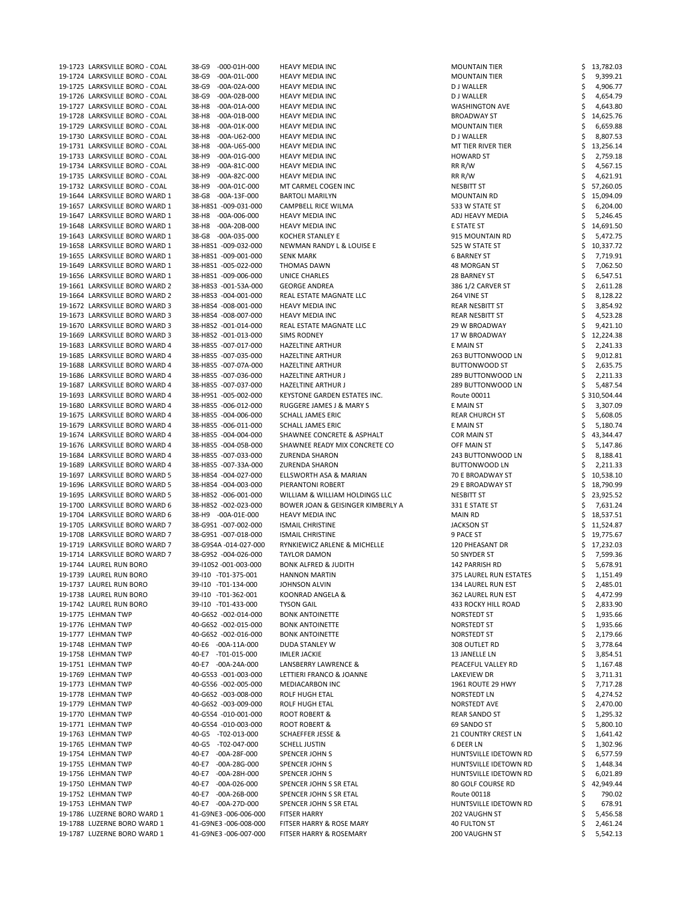| 19-1723 LARKSVILLE BORO - COAL                             | 38-G9 -000-01H-000                             | <b>HEAVY MEDIA INC</b>                              | <b>MOUNTAIN TIER</b>                 | 13,782.03            |
|------------------------------------------------------------|------------------------------------------------|-----------------------------------------------------|--------------------------------------|----------------------|
| 19-1724 LARKSVILLE BORO - COAL                             | 38-G9 -00A-01L-000                             | <b>HEAVY MEDIA INC</b>                              | <b>MOUNTAIN TIER</b>                 | 9,399.21             |
| 19-1725 LARKSVILLE BORO - COAL                             | 38-G9 -00A-02A-000                             | <b>HEAVY MEDIA INC</b>                              | D J WALLER                           | 4,906.77             |
| 19-1726 LARKSVILLE BORO - COAL                             | 38-G9<br>$-00A-02B-000$                        | <b>HEAVY MEDIA INC</b>                              | <b>DJ WALLER</b>                     | 4,654.79             |
| 19-1727 LARKSVILLE BORO - COAL                             | 38-H8 -00A-01A-000                             | <b>HEAVY MEDIA INC</b>                              | <b>WASHINGTON AVE</b>                | 4,643.80             |
| 19-1728 LARKSVILLE BORO - COAL                             | 38-H8 -00A-01B-000                             | <b>HEAVY MEDIA INC</b>                              | <b>BROADWAY ST</b>                   | 14,625.76            |
| 19-1729 LARKSVILLE BORO - COAL                             | 38-H8 -00A-01K-000                             | <b>HEAVY MEDIA INC</b>                              | <b>MOUNTAIN TIER</b>                 | 6,659.88             |
| 19-1730 LARKSVILLE BORO - COAL                             | 38-H8 -00A-U62-000                             | <b>HEAVY MEDIA INC</b>                              | D J WALLER                           | 8,807.53             |
| 19-1731 LARKSVILLE BORO - COAL                             | 38-H8 -00A-U65-000                             | <b>HEAVY MEDIA INC</b>                              | MT TIER RIVER TIER                   | 13,256.14            |
| 19-1733 LARKSVILLE BORO - COAL                             | 38-H9 -00A-01G-000                             | <b>HEAVY MEDIA INC</b>                              | <b>HOWARD ST</b>                     | 2,759.18             |
| 19-1734 LARKSVILLE BORO - COAL                             | 38-H9 -00A-81C-000                             | <b>HEAVY MEDIA INC</b>                              | RR R/W                               | 4,567.15             |
| 19-1735 LARKSVILLE BORO - COAL                             | 38-H9 -00A-82C-000                             | <b>HEAVY MEDIA INC</b>                              | RR R/W                               | 4,621.91             |
| 19-1732 LARKSVILLE BORO - COAL                             | 38-H9 -00A-01C-000                             | MT CARMEL COGEN INC                                 | NESBITT ST                           | 57,260.05            |
| 19-1644 LARKSVILLE BORO WARD 1                             | 38-G8 -00A-13F-000                             | <b>BARTOLI MARILYN</b>                              | <b>MOUNTAIN RD</b>                   | 15,094.09            |
| 19-1657 LARKSVILLE BORO WARD 1                             | 38-H8S1 -009-031-000                           | CAMPBELL RICE WILMA                                 | 533 W STATE ST                       | 6,204.00             |
| 19-1647 LARKSVILLE BORO WARD 1                             | 38-H8 -00A-006-000                             | <b>HEAVY MEDIA INC</b>                              | ADJ HEAVY MEDIA                      | 5,246.45             |
| 19-1648 LARKSVILLE BORO WARD 1                             | 38-H8 -00A-20B-000                             | <b>HEAVY MEDIA INC</b>                              | E STATE ST                           | 14,691.50            |
| 19-1643 LARKSVILLE BORO WARD 1                             | 38-G8 -00A-035-000                             | KOCHER STANLEY E                                    | 915 MOUNTAIN RD                      | 5,472.75             |
| 19-1658 LARKSVILLE BORO WARD 1                             | 38-H8S1 -009-032-000                           | NEWMAN RANDY L & LOUISE E                           | 525 W STATE ST                       | 10,337.72            |
| 19-1655 LARKSVILLE BORO WARD 1                             | 38-H8S1 -009-001-000                           | <b>SENK MARK</b>                                    | <b>6 BARNEY ST</b>                   | 7,719.91             |
| 19-1649 LARKSVILLE BORO WARD 1                             | 38-H8S1 -005-022-000                           | THOMAS DAWN                                         | 48 MORGAN ST                         | 7,062.50             |
| 19-1656 LARKSVILLE BORO WARD 1                             | 38-H8S1 -009-006-000                           | UNICE CHARLES                                       | 28 BARNEY ST                         | 6,547.51             |
| 19-1661 LARKSVILLE BORO WARD 2                             | 38-H8S3 -001-53A-000                           | <b>GEORGE ANDREA</b>                                | 386 1/2 CARVER ST                    | 2,611.28             |
| 19-1664 LARKSVILLE BORO WARD 2                             | 38-H8S3 -004-001-000                           | REAL ESTATE MAGNATE LLC                             | 264 VINE ST                          | 8,128.22             |
| 19-1672 LARKSVILLE BORO WARD 3                             | 38-H8S4 -008-001-000                           | <b>HEAVY MEDIA INC</b>                              | <b>REAR NESBITT ST</b>               | 3,854.92             |
| 19-1673 LARKSVILLE BORO WARD 3                             | 38-H8S4 -008-007-000                           | <b>HEAVY MEDIA INC</b>                              | REAR NESBITT ST                      | 4,523.28             |
| 19-1670 LARKSVILLE BORO WARD 3                             | 38-H8S2 -001-014-000                           | REAL ESTATE MAGNATE LLC                             |                                      |                      |
|                                                            |                                                |                                                     | 29 W BROADWAY                        | 9,421.10             |
| 19-1669 LARKSVILLE BORO WARD 3                             | 38-H8S2 -001-013-000                           | <b>SIMS RODNEY</b>                                  | 17 W BROADWAY                        | 12,224.38            |
| 19-1683 LARKSVILLE BORO WARD 4                             | 38-H8S5 -007-017-000                           | <b>HAZELTINE ARTHUR</b>                             | E MAIN ST                            | 2,241.33             |
| 19-1685 LARKSVILLE BORO WARD 4                             | 38-H8S5 -007-035-000                           | <b>HAZELTINE ARTHUR</b>                             | 263 BUTTONWOOD LN                    | 9,012.81             |
| 19-1688 LARKSVILLE BORO WARD 4                             | 38-H8S5 -007-07A-000                           | <b>HAZELTINE ARTHUR</b>                             | <b>BUTTONWOOD ST</b>                 | 2,635.75             |
| 19-1686 LARKSVILLE BORO WARD 4                             | 38-H8S5 -007-036-000                           | <b>HAZELTINE ARTHUR J</b>                           | 289 BUTTONWOOD LN                    | 2,211.33             |
| 19-1687 LARKSVILLE BORO WARD 4                             | 38-H8S5 -007-037-000                           | <b>HAZELTINE ARTHUR J</b>                           | 289 BUTTONWOOD LN                    | 5,487.54             |
| 19-1693 LARKSVILLE BORO WARD 4                             | 38-H9S1 -005-002-000                           | KEYSTONE GARDEN ESTATES INC.                        | Route 00011                          | \$310,504.44         |
| 19-1680 LARKSVILLE BORO WARD 4                             | 38-H8S5 -006-012-000                           | RUGGERE JAMES J & MARY S                            | E MAIN ST                            | 3,307.09             |
| 19-1675 LARKSVILLE BORO WARD 4                             | 38-H8S5 -004-006-000                           | <b>SCHALL JAMES ERIC</b>                            | <b>REAR CHURCH ST</b>                | 5,608.05             |
| 19-1679 LARKSVILLE BORO WARD 4                             | 38-H8S5 -006-011-000                           | SCHALL JAMES ERIC                                   | E MAIN ST                            | 5,180.74             |
| 19-1674 LARKSVILLE BORO WARD 4                             | 38-H8S5 -004-004-000                           | SHAWNEE CONCRETE & ASPHALT                          | <b>COR MAIN ST</b>                   | 43,344.47            |
| 19-1676 LARKSVILLE BORO WARD 4                             | 38-H8S5 -004-05B-000                           | SHAWNEE READY MIX CONCRETE CO                       | OFF MAIN ST                          | 5,147.86             |
| 19-1684 LARKSVILLE BORO WARD 4                             | 38-H8S5 -007-033-000                           | <b>ZURENDA SHARON</b>                               | 243 BUTTONWOOD LN                    | 8,188.41             |
| 19-1689 LARKSVILLE BORO WARD 4                             | 38-H8S5 -007-33A-000                           | <b>ZURENDA SHARON</b>                               | <b>BUTTONWOOD LN</b>                 | 2,211.33             |
| 19-1697 LARKSVILLE BORO WARD 5                             | 38-H8S4 -004-027-000                           | ELLSWORTH ASA & MARIAN                              | 70 E BROADWAY ST                     | 10,538.10            |
| 19-1696 LARKSVILLE BORO WARD 5                             | 38-H8S4 -004-003-000                           | PIERANTONI ROBERT                                   | 29 E BROADWAY ST                     | 18,790.99            |
| 19-1695 LARKSVILLE BORO WARD 5                             | 38-H8S2 -006-001-000                           | WILLIAM & WILLIAM HOLDINGS LLC                      | <b>NESBITT ST</b>                    | 23,925.52            |
|                                                            |                                                | BOWER JOAN & GEISINGER KIMBERLY A                   | 331 E STATE ST                       |                      |
| 19-1700 LARKSVILLE BORO WARD 6                             | 38-H8S2 -002-023-000                           |                                                     |                                      | 7,631.24             |
| 19-1704 LARKSVILLE BORO WARD 6                             | 38-H9 -00A-01E-000                             | <b>HEAVY MEDIA INC</b>                              | <b>MAIN RD</b>                       | 18,537.51            |
| 19-1705 LARKSVILLE BORO WARD 7                             | 38-G9S1 -007-002-000                           | <b>ISMAIL CHRISTINE</b>                             | <b>JACKSON ST</b>                    | 11,524.87            |
| 19-1708 LARKSVILLE BORO WARD 7                             | 38-G9S1 -007-018-000                           | <b>ISMAIL CHRISTINE</b>                             | 9 PACE ST                            | 19,775.67            |
| 19-1719 LARKSVILLE BORO WARD 7                             | 38-G9S4A -014-027-000                          | RYNKIEWICZ ARLENE & MICHELLE                        | 120 PHEASANT DR                      | 17,232.03            |
| 19-1714 LARKSVILLE BORO WARD 7                             | 38-G9S2 -004-026-000                           | <b>TAYLOR DAMON</b>                                 | 50 SNYDER ST                         | 7,599.36             |
| 19-1744 LAUREL RUN BORO                                    | 39-I10S2 -001-003-000                          | <b>BONK ALFRED &amp; JUDITH</b>                     | 142 PARRISH RD                       | 5,678.91             |
| 19-1739 LAUREL RUN BORO                                    | 39-I10 -T01-375-001                            | <b>HANNON MARTIN</b>                                | 375 LAUREL RUN ESTATES               | 1,151.49             |
| 19-1737 LAUREL RUN BORO                                    | 39-110 -T01-134-000                            | <b>JOHNSON ALVIN</b>                                | 134 LAUREL RUN EST                   | 2,485.01             |
| 19-1738 LAUREL RUN BORO                                    | 39-I10 -T01-362-001                            | KOONRAD ANGELA &                                    | <b>362 LAUREL RUN EST</b>            | 4,472.99             |
| 19-1742 LAUREL RUN BORO                                    | 39-I10 -T01-433-000                            | <b>TYSON GAIL</b>                                   | 433 ROCKY HILL ROAD                  | 2,833.90             |
| 19-1775 LEHMAN TWP                                         | 40-G6S2 -002-014-000                           | <b>BONK ANTOINETTE</b>                              | NORSTEDT ST                          | 1,935.66             |
| 19-1776 LEHMAN TWP                                         | 40-G6S2 -002-015-000                           | <b>BONK ANTOINETTE</b>                              | NORSTEDT ST                          | 1,935.66             |
| 19-1777 LEHMAN TWP                                         | 40-G6S2 -002-016-000                           | <b>BONK ANTOINETTE</b>                              | NORSTEDT ST                          | 2,179.66             |
|                                                            |                                                |                                                     |                                      |                      |
| 19-1748 LEHMAN TWP                                         | 40-E6 -00A-11A-000                             | DUDA STANLEY W                                      | 308 OUTLET RD                        | 3,778.64             |
| 19-1758 LEHMAN TWP                                         | 40-E7 -T01-015-000                             | <b>IMLER JACKIE</b>                                 | 13 JANELLE LN                        | 3,854.51             |
| 19-1751 LEHMAN TWP                                         | 40-E7 -00A-24A-000                             | LANSBERRY LAWRENCE &                                | PEACEFUL VALLEY RD                   | 1,167.48             |
| 19-1769 LEHMAN TWP                                         | 40-G5S3 -001-003-000                           | LETTIERI FRANCO & JOANNE                            | <b>LAKEVIEW DR</b>                   | 3,711.31             |
| 19-1773 LEHMAN TWP                                         | 40-G5S6 -002-005-000                           | MEDIACARBON INC                                     | 1961 ROUTE 29 HWY                    | 7,717.28             |
| 19-1778 LEHMAN TWP                                         | 40-G6S2 -003-008-000                           | ROLF HUGH ETAL                                      | NORSTEDT LN                          | 4,274.52             |
| 19-1779 LEHMAN TWP<br>19-1770 LEHMAN TWP                   | 40-G6S2 -003-009-000                           | ROLF HUGH ETAL                                      | NORSTEDT AVE                         | 2,470.00             |
|                                                            | 40-G5S4 -010-001-000                           | ROOT ROBERT &                                       | <b>REAR SANDO ST</b>                 | 1,295.32             |
| 19-1771 LEHMAN TWP                                         | 40-G5S4 -010-003-000                           | <b>ROOT ROBERT &amp;</b>                            | 69 SANDO ST                          | 5,800.10             |
| 19-1763 LEHMAN TWP                                         | 40-G5 -T02-013-000                             | <b>SCHAEFFER JESSE &amp;</b>                        | <b>21 COUNTRY CREST LN</b>           | 1,641.42             |
| 19-1765 LEHMAN TWP                                         | 40-G5 -T02-047-000                             | <b>SCHELL JUSTIN</b>                                | 6 DEER LN                            | 1,302.96             |
| 19-1754 LEHMAN TWP                                         | 40-E7<br>-00A-28F-000                          | <b>SPENCER JOHN S</b>                               | HUNTSVILLE IDETOWN RD                | 6,577.59             |
| 19-1755 LEHMAN TWP                                         | 40-E7 -00A-28G-000                             | <b>SPENCER JOHN S</b>                               | <b>HUNTSVILLE IDETOWN RD</b>         | 1,448.34             |
| 19-1756 LEHMAN TWP                                         | 40-E7 -00A-28H-000                             | <b>SPENCER JOHN S</b>                               | HUNTSVILLE IDETOWN RD                | 6,021.89             |
| 19-1750 LEHMAN TWP                                         | 40-E7<br>-00A-026-000                          | SPENCER JOHN S SR ETAL                              | 80 GOLF COURSE RD                    | 42,949.44            |
| 19-1752 LEHMAN TWP                                         | 40-E7 -00A-26B-000                             | SPENCER JOHN S SR ETAL                              | Route 00118                          | 790.02               |
| 19-1753 LEHMAN TWP                                         | 40-E7 -00A-27D-000                             | SPENCER JOHN S SR ETAL                              | HUNTSVILLE IDETOWN RD                | 678.91               |
| 19-1786 LUZERNE BORO WARD 1                                | 41-G9NE3 -006-006-000                          | <b>FITSER HARRY</b>                                 | 202 VAUGHN ST                        | 5,456.58             |
| 19-1788 LUZERNE BORO WARD 1<br>19-1787 LUZERNE BORO WARD 1 | 41-G9NE3 -006-008-000<br>41-G9NE3 -006-007-000 | FITSER HARRY & ROSE MARY<br>FITSER HARRY & ROSEMARY | <b>40 FULTON ST</b><br>200 VAUGHN ST | 2,461.24<br>5,542.13 |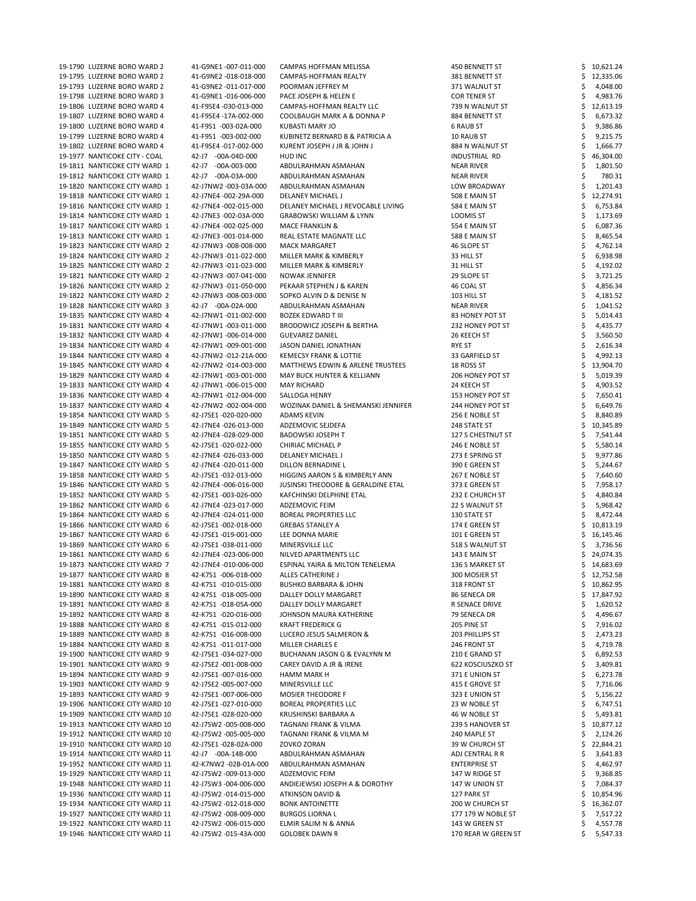| 19-1790 LUZERNE BORO WARD 2    | 41-G9NE1-007-011-000  | CAMPAS HOFFMAN MELISSA                        | 450 BENNETT ST       | 10,621.24     |
|--------------------------------|-----------------------|-----------------------------------------------|----------------------|---------------|
| 19-1795 LUZERNE BORO WARD 2    | 41-G9NE2 -018-018-000 | CAMPAS-HOFFMAN REALTY                         | 381 BENNETT ST       | 12,335.06     |
| 19-1793 LUZERNE BORO WARD 2    | 41-G9NE2 -011-017-000 | POORMAN JEFFREY M                             | 371 WALNUT ST        | 4,048.00      |
| 19-1798 LUZERNE BORO WARD 3    | 41-G9NE1-016-006-000  | PACE JOSEPH & HELEN E                         | <b>COR TENER ST</b>  | 4,983.76      |
| 19-1806 LUZERNE BORO WARD 4    | 41-F9SE4 -030-013-000 | CAMPAS-HOFFMAN REALTY LLC                     | 739 N WALNUT ST      | 12,613.19     |
| 19-1807 LUZERNE BORO WARD 4    | 41-F9SE4 -17A-002-000 | COOLBAUGH MARK A & DONNA P                    | 884 BENNETT ST       | 6,673.32      |
|                                |                       |                                               |                      |               |
| 19-1800 LUZERNE BORO WARD 4    | 41-F9S1 -003-02A-000  | KUBASTI MARY JO                               | <b>6 RAUB ST</b>     | 9,386.86      |
| 19-1799 LUZERNE BORO WARD 4    | 41-F9S1 -003-002-000  | KUBINETZ BERNARD B & PATRICIA A               | 10 RAUB ST           | 9,215.75      |
| 19-1802 LUZERNE BORO WARD 4    | 41-F9SE4 -017-002-000 | KURENT JOSEPH J JR & JOHN J                   | 884 N WALNUT ST      | 1,666.77      |
| 19-1977 NANTICOKE CITY - COAL  | 42-J7 -00A-04D-000    | HUD INC                                       | INDUSTRIAL RD        | 46,304.00     |
| 19-1811 NANTICOKE CITY WARD 1  | 42-J7 -00A-003-000    | ABDULRAHMAN ASMAHAN                           | <b>NEAR RIVER</b>    | 1,801.50      |
| 19-1812 NANTICOKE CITY WARD 1  | 42-J7 -00A-03A-000    | ABDULRAHMAN ASMAHAN                           | <b>NEAR RIVER</b>    | 780.31        |
| 19-1820 NANTICOKE CITY WARD 1  | 42-J7NW2 -003-03A-000 | ABDULRAHMAN ASMAHAN                           | LOW BROADWAY         | 1,201.43      |
| 19-1818 NANTICOKE CITY WARD 1  | 42-J7NE4 -002-29A-000 | <b>DELANEY MICHAEL J</b>                      | 508 E MAIN ST        | 12,274.91     |
| 19-1816 NANTICOKE CITY WARD 1  | 42-J7NE4 -002-015-000 | DELANEY MICHAEL J REVOCABLE LIVING            | 584 E MAIN ST        |               |
|                                |                       |                                               |                      | 6,753.84      |
| 19-1814 NANTICOKE CITY WARD 1  | 42-J7NE3 -002-03A-000 | <b>GRABOWSKI WILLIAM &amp; LYNN</b>           | LOOMIS ST            | 1,173.69      |
| 19-1817 NANTICOKE CITY WARD 1  | 42-J7NE4 -002-025-000 | <b>MACE FRANKLIN &amp;</b>                    | 554 E MAIN ST        | 6,087.36      |
| 19-1813 NANTICOKE CITY WARD 1  | 42-J7NE3 -001-014-000 | REAL ESTATE MAGNATE LLC                       | 588 E MAIN ST        | 8,465.54      |
| 19-1823 NANTICOKE CITY WARD 2  | 42-J7NW3 -008-008-000 | <b>MACK MARGARET</b>                          | 46 SLOPE ST          | 4,762.14      |
| 19-1824 NANTICOKE CITY WARD 2  | 42-J7NW3 -011-022-000 | MILLER MARK & KIMBERLY                        | 33 HILL ST           | 6,938.98      |
| 19-1825 NANTICOKE CITY WARD 2  | 42-J7NW3 -011-023-000 | MILLER MARK & KIMBERLY                        | 31 HILL ST           | 4,192.02      |
| 19-1821 NANTICOKE CITY WARD 2  | 42-J7NW3 -007-041-000 | <b>NOWAK JENNIFER</b>                         | 29 SLOPE ST          | 3,721.25      |
| 19-1826 NANTICOKE CITY WARD 2  | 42-J7NW3 -011-050-000 | PEKAAR STEPHEN J & KAREN                      | 46 COAL ST           |               |
|                                |                       |                                               |                      | 4,856.34      |
| 19-1822 NANTICOKE CITY WARD 2  | 42-J7NW3 -008-003-000 | SOPKO ALVIN D & DENISE N                      | 103 HILL ST          | 4,181.52      |
| 19-1828 NANTICOKE CITY WARD 3  | 42-J7 -00A-02A-000    | ABDULRAHMAN ASMAHAN                           | <b>NEAR RIVER</b>    | 1,041.52      |
| 19-1835 NANTICOKE CITY WARD 4  | 42-J7NW1-011-002-000  | <b>BOZEK EDWARD T III</b>                     | 83 HONEY POT ST      | 5,014.43      |
| 19-1831 NANTICOKE CITY WARD 4  | 42-J7NW1-003-011-000  | <b>BRODOWICZ JOSEPH &amp; BERTHA</b>          | 232 HONEY POT ST     | 4,435.77      |
| 19-1832 NANTICOKE CITY WARD 4  | 42-J7NW1-006-014-000  | <b>GUEVAREZ DANIEL</b>                        | 26 KEECH ST          | 3,560.50      |
| 19-1834 NANTICOKE CITY WARD 4  | 42-J7NW1-009-001-000  | JASON DANIEL JONATHAN                         | <b>RYE ST</b>        | 2,616.34      |
| 19-1844 NANTICOKE CITY WARD 4  | 42-J7NW2 -012-21A-000 | <b>KEMECSY FRANK &amp; LOTTIE</b>             | 33 GARFIELD ST       | 4,992.13      |
| 19-1845 NANTICOKE CITY WARD 4  | 42-J7NW2 -014-003-000 | <b>MATTHEWS EDWIN &amp; ARLENE TRUSTEES</b>   | 18 ROSS ST           |               |
|                                |                       |                                               |                      | 13,904.70     |
| 19-1829 NANTICOKE CITY WARD 4  | 42-J7NW1-003-001-000  | MAY BUCK HUNTER & KELLIANN                    | 206 HONEY POT ST     | 5,019.39<br>⇒ |
| 19-1833 NANTICOKE CITY WARD 4  | 42-J7NW1-006-015-000  | <b>MAY RICHARD</b>                            | 24 KEECH ST          | 4,903.52      |
| 19-1836 NANTICOKE CITY WARD 4  | 42-J7NW1-012-004-000  | SALLOGA HENRY                                 | 153 HONEY POT ST     | 7,650.41      |
| 19-1837 NANTICOKE CITY WARD 4  | 42-J7NW2 -002-004-000 | WOZINAK DANIEL & SHEMANSKI JENNIFER           | 244 HONEY POT ST     | 6,649.76      |
| 19-1854 NANTICOKE CITY WARD 5  | 42-J7SE1 -020-020-000 | ADAMS KEVIN                                   | 256 E NOBLE ST       | 8,840.89      |
| 19-1849 NANTICOKE CITY WARD 5  | 42-J7NE4 -026-013-000 | ADZEMOVIC SEJDEFA                             | 248 STATE ST         | 10,345.89     |
| 19-1851 NANTICOKE CITY WARD 5  | 42-J7NE4 -028-029-000 | <b>BADOWSKI JOSEPH T</b>                      | 127 S CHESTNUT ST    | 7,541.44      |
| 19-1855 NANTICOKE CITY WARD 5  | 42-J7SE1 -020-022-000 |                                               |                      | 5,580.14      |
|                                |                       | CHIRIAC MICHAEL P                             | 246 E NOBLE ST       |               |
| 19-1850 NANTICOKE CITY WARD 5  | 42-J7NE4 -026-033-000 | DELANEY MICHAEL J                             | 273 E SPRING ST      | 9,977.86      |
| 19-1847 NANTICOKE CITY WARD 5  | 42-J7NE4 -020-011-000 | DILLON BERNADINE L                            | 390 E GREEN ST       | 5,244.67      |
| 19-1858 NANTICOKE CITY WARD 5  | 42-J7SE1 -032-013-000 | HIGGINS AARON S & KIMBERLY ANN                | 267 E NOBLE ST       | 7,640.60      |
| 19-1846 NANTICOKE CITY WARD 5  | 42-J7NE4 -006-016-000 | <b>JUSINSKI THEODORE &amp; GERALDINE ETAL</b> | 373 E GREEN ST       | 7,958.17      |
| 19-1852 NANTICOKE CITY WARD 5  | 42-J7SE1 -003-026-000 | KAFCHINSKI DELPHINE ETAL                      | 232 E CHURCH ST      | 4,840.84      |
| 19-1862 NANTICOKE CITY WARD 6  | 42-J7NE4 -023-017-000 | ADZEMOVIC FEIM                                | 22 S WALNUT ST       | 5,968.42      |
| 19-1864 NANTICOKE CITY WARD 6  | 42-J7NE4 -024-011-000 | <b>BOREAL PROPERTIES LLC</b>                  | 130 STATE ST         | 8,472.44      |
| 19-1866 NANTICOKE CITY WARD 6  | 42-J7SE1 -002-018-000 | <b>GREBAS STANLEY A</b>                       | 174 E GREEN ST       | 10,813.19     |
|                                |                       |                                               |                      |               |
| 19-1867 NANTICOKE CITY WARD 6  | 42-J7SE1 -019-001-000 | LEE DONNA MARIE                               | 101 E GREEN ST       | 16,145.46     |
| 19-1869 NANTICOKE CITY WARD 6  | 42-J7SE1 -038-011-000 | MINERSVILLE LLC                               | 518 S WALNUT ST      | 3,736.56      |
| 19-1861 NANTICOKE CITY WARD 6  | 42-J7NE4 -023-006-000 | NILVED APARTMENTS LLC                         | 143 E MAIN ST        | 24,074.35     |
| 19-1873 NANTICOKE CITY WARD 7  | 42-J7NE4 -010-006-000 | ESPINAL YAIRA & MILTON TENELEMA               | 136 S MARKET ST      | 14,683.69     |
| 19-1877 NANTICOKE CITY WARD 8  | 42-K7S1 -006-01B-000  | ALLES CATHERINE J                             | 300 MOSIER ST        | 12,752.58     |
| 19-1881 NANTICOKE CITY WARD 8  | 42-K7S1 -010-015-000  | <b>BUSHKO BARBARA &amp; JOHN</b>              | 318 FRONT ST         | 10,862.95     |
| 19-1890 NANTICOKE CITY WARD 8  | 42-K7S1 -018-005-000  | DALLEY DOLLY MARGARET                         | 86 SENECA DR         | 17,847.92     |
| 19-1891 NANTICOKE CITY WARD 8  | 42-K7S1 -018-05A-000  | DALLEY DOLLY MARGARET                         | R SENACE DRIVE       | 1,620.52      |
| 19-1892 NANTICOKE CITY WARD 8  | 42-K7S1 -020-016-000  | JOHNSON MAURA KATHERINE                       | 79 SENECA DR         | 4,496.67      |
| 19-1888 NANTICOKE CITY WARD 8  | 42-K7S1 -015-012-000  | <b>KRAFT FREDERICK G</b>                      | 205 PINE ST          |               |
|                                |                       |                                               |                      | 7,916.02      |
| 19-1889 NANTICOKE CITY WARD 8  | 42-K7S1 -016-008-000  | LUCERO JESUS SALMERON &                       | 203 PHILLIPS ST      | 2,473.23      |
| 19-1884 NANTICOKE CITY WARD 8  | 42-K7S1 -011-017-000  | <b>MILLER CHARLES E</b>                       | 246 FRONT ST         | 4,719.78      |
| 19-1900 NANTICOKE CITY WARD 9  | 42-J7SE1 -034-027-000 | BUCHANAN JASON G & EVALYNN M                  | 210 E GRAND ST       | 6,892.53      |
| 19-1901 NANTICOKE CITY WARD 9  | 42-J7SE2 -001-008-000 | CAREY DAVID A JR & IRENE                      | 622 KOSCIUSZKO ST    | 3,409.81      |
| 19-1894 NANTICOKE CITY WARD 9  | 42-J7SE1 -007-016-000 | <b>HAMM MARK H</b>                            | 371 E UNION ST       | 6,273.78      |
| 19-1903 NANTICOKE CITY WARD 9  | 42-J7SE2 -005-007-000 | MINERSVILLE LLC                               | 415 E GROVE ST       | 7,716.06      |
| 19-1893 NANTICOKE CITY WARD 9  | 42-J7SE1 -007-006-000 | <b>MOSIER THEODORE F</b>                      | 323 E UNION ST       | 5,156.22      |
|                                |                       |                                               |                      |               |
| 19-1906 NANTICOKE CITY WARD 10 | 42-J7SE1 -027-010-000 | <b>BOREAL PROPERTIES LLC</b>                  | 23 W NOBLE ST        | 6,747.51      |
| 19-1909 NANTICOKE CITY WARD 10 | 42-J7SE1 -028-020-000 | KRUSHINSKI BARBARA A                          | 46 W NOBLE ST        | 5,493.81      |
| 19-1913 NANTICOKE CITY WARD 10 | 42-J7SW2 -005-008-000 | TAGNANI FRANK & VILMA                         | 239 S HANOVER ST     | 10,877.12     |
| 19-1912 NANTICOKE CITY WARD 10 | 42-J7SW2 -005-005-000 | TAGNANI FRANK & VILMA M                       | 240 MAPLE ST         | 2,124.26      |
| 19-1910 NANTICOKE CITY WARD 10 | 42-J7SE1 -028-02A-000 | ZOVKO ZORAN                                   | 39 W CHURCH ST       | 22,844.21     |
| 19-1914 NANTICOKE CITY WARD 11 | 42-J7 -00A-14B-000    | ABDULRAHMAN ASMAHAN                           | ADJ CENTRAL R R      | 3,641.83      |
| 19-1952 NANTICOKE CITY WARD 11 | 42-K7NW2-02B-01A-000  | ABDULRAHMAN ASMAHAN                           | <b>ENTERPRISE ST</b> | 4,462.97      |
| 19-1929 NANTICOKE CITY WARD 11 | 42-J7SW2 -009-013-000 | ADZEMOVIC FEIM                                | 147 W RIDGE ST       | 9,368.85      |
| 19-1948 NANTICOKE CITY WARD 11 | 42-J7SW3 -004-006-000 | ANDIEJEWSKI JOSEPH A & DOROTHY                | 147 W UNION ST       | 7,084.37      |
|                                |                       |                                               |                      |               |
| 19-1936 NANTICOKE CITY WARD 11 | 42-J7SW2 -014-015-000 | ATKINSON DAVID &                              | 127 PARK ST          | 10,854.96     |
| 19-1934 NANTICOKE CITY WARD 11 | 42-J7SW2 -012-018-000 | <b>BONK ANTOINETTE</b>                        | 200 W CHURCH ST      | 16,362.07     |
| 19-1927 NANTICOKE CITY WARD 11 | 42-J7SW2 -008-009-000 | <b>BURGOS LIORNA L</b>                        | 177 179 W NOBLE ST   | 7,517.22      |
| 19-1922 NANTICOKE CITY WARD 11 | 42-J7SW2 -006-015-000 | ELMIR SALIM N & ANNA                          | 143 W GREEN ST       | 4,557.78      |
| 19-1946 NANTICOKE CITY WARD 11 | 42-J7SW2 -015-43A-000 | <b>GOLOBEK DAWN R</b>                         | 170 REAR W GREEN ST  | 5,547.33      |
|                                |                       |                                               |                      |               |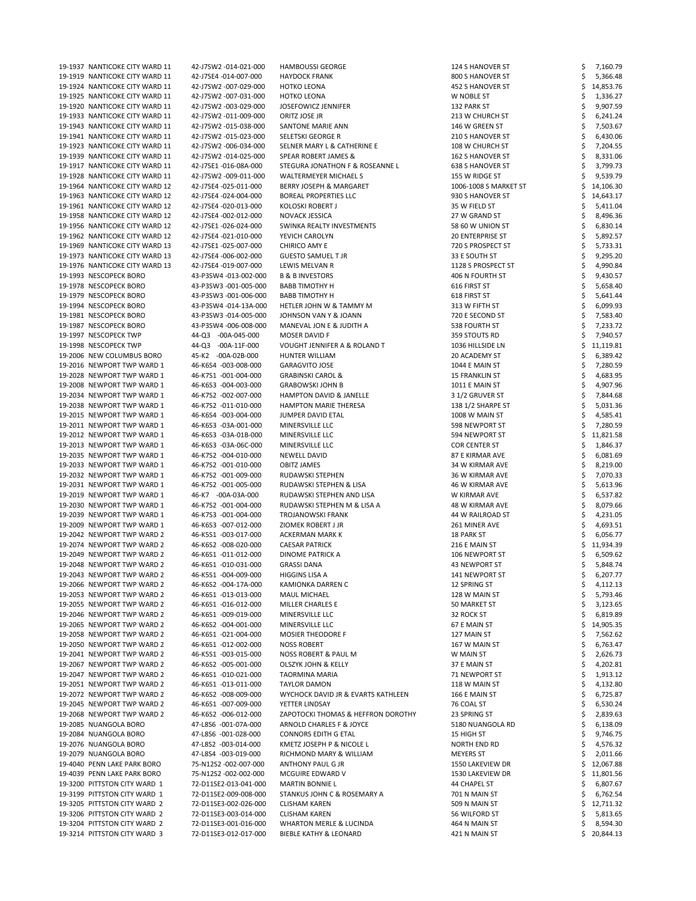| 19-1937 NANTICOKE CITY WARD 11 | 42-J7SW2 -014-021-000 | <b>HAMBOUSSI GEORGE</b>                 | 124 S HANOVER ST        | 7,160.79  |
|--------------------------------|-----------------------|-----------------------------------------|-------------------------|-----------|
| 19-1919 NANTICOKE CITY WARD 11 | 42-J7SE4 -014-007-000 | <b>HAYDOCK FRANK</b>                    | 800 S HANOVER ST        | 5,366.48  |
| 19-1924 NANTICOKE CITY WARD 11 | 42-J7SW2 -007-029-000 | <b>HOTKO LEONA</b>                      | 452 S HANOVER ST        | 14,853.76 |
| 19-1925 NANTICOKE CITY WARD 11 | 42-J7SW2 -007-031-000 | <b>HOTKO LEONA</b>                      | W NOBLE ST              | 1,336.27  |
| 19-1920 NANTICOKE CITY WARD 11 | 42-J7SW2 -003-029-000 | <b>JOSEFOWICZ JENNIFER</b>              | 132 PARK ST             | 9,907.59  |
| 19-1933 NANTICOKE CITY WARD 11 | 42-J7SW2 -011-009-000 | ORITZ JOSE JR                           | 213 W CHURCH ST         | 6,241.24  |
| 19-1943 NANTICOKE CITY WARD 11 | 42-J7SW2 -015-038-000 | SANTONE MARIE ANN                       | 146 W GREEN ST          | 7,503.67  |
| 19-1941 NANTICOKE CITY WARD 11 | 42-J7SW2 -015-023-000 | SELETSKI GEORGE R                       | 210 S HANOVER ST        | 6,430.06  |
| 19-1923 NANTICOKE CITY WARD 11 | 42-J7SW2 -006-034-000 | SELNER MARY L & CATHERINE E             | 108 W CHURCH ST         | 7,204.55  |
| 19-1939 NANTICOKE CITY WARD 11 | 42-J7SW2 -014-025-000 | <b>SPEAR ROBERT JAMES &amp;</b>         | 162 S HANOVER ST        | 8,331.06  |
| 19-1917 NANTICOKE CITY WARD 11 | 42-J7SE1 -016-08A-000 | STEGURA JONATHON F & ROSEANNE L         | <b>638 S HANOVER ST</b> | 3,799.73  |
| 19-1928 NANTICOKE CITY WARD 11 | 42-J7SW2 -009-011-000 | <b>WALTERMEYER MICHAEL S</b>            | 155 W RIDGE ST          | 9,539.79  |
| 19-1964 NANTICOKE CITY WARD 12 | 42-J7SE4 -025-011-000 | BERRY JOSEPH & MARGARET                 | 1006-1008 S MARKET ST   | 14,106.30 |
| 19-1963 NANTICOKE CITY WARD 12 | 42-J7SE4 -024-004-000 | BOREAL PROPERTIES LLC                   | 930 S HANOVER ST        | 14,643.17 |
| 19-1961 NANTICOKE CITY WARD 12 | 42-J7SE4 -020-013-000 | KOLOSKI ROBERT J                        | 35 W FIELD ST           | 5,411.04  |
| 19-1958 NANTICOKE CITY WARD 12 | 42-J7SE4 -002-012-000 | NOVACK JESSICA                          | 27 W GRAND ST           | 8,496.36  |
| 19-1956 NANTICOKE CITY WARD 12 | 42-J7SE1 -026-024-000 | SWINKA REALTY INVESTMENTS               | 58 60 W UNION ST        | 6,830.14  |
| 19-1962 NANTICOKE CITY WARD 12 | 42-J7SE4 -021-010-000 | YEVICH CAROLYN                          | <b>20 ENTERPRISE ST</b> | 5,892.57  |
| 19-1969 NANTICOKE CITY WARD 13 | 42-J7SE1 -025-007-000 | <b>CHIRICO AMY E</b>                    | 720 S PROSPECT ST       | 5,733.31  |
| 19-1973 NANTICOKE CITY WARD 13 | 42-J7SE4 -006-002-000 | <b>GUESTO SAMUEL T JR</b>               | 33 E SOUTH ST           | 9,295.20  |
| 19-1976 NANTICOKE CITY WARD 13 | 42-J7SE4 -019-007-000 | LEWIS MELVAN R                          | 1128 S PROSPECT ST      | 4,990.84  |
| 19-1993 NESCOPECK BORO         | 43-P3SW4-013-002-000  | <b>B &amp; B INVESTORS</b>              | 406 N FOURTH ST         | 9,430.57  |
| 19-1978 NESCOPECK BORO         | 43-P3SW3 -001-005-000 | <b>BABB TIMOTHY H</b>                   | 616 FIRST ST            | 5,658.40  |
| 19-1979 NESCOPECK BORO         | 43-P3SW3 -001-006-000 | <b>BABB TIMOTHY H</b>                   | 618 FIRST ST            | 5,641.44  |
| 19-1994 NESCOPECK BORO         | 43-P3SW4-014-13A-000  | HETLER JOHN W & TAMMY M                 | 313 W FIFTH ST          | 6,099.93  |
| 19-1981 NESCOPECK BORO         | 43-P3SW3 -014-005-000 | JOHNSON VAN Y & JOANN                   | 720 E SECOND ST         | 7,583.40  |
| 19-1987 NESCOPECK BORO         | 43-P3SW4-006-008-000  | MANEVAL JON E & JUDITH A                | 538 FOURTH ST           | 7,233.72  |
| 19-1997 NESCOPECK TWP          | 44-Q3 -00A-045-000    | MOSER DAVID F                           | 359 STOUTS RD           | 7,940.57  |
| 19-1998 NESCOPECK TWP          | 44-Q3 -00A-11F-000    | <b>VOUGHT JENNIFER A &amp; ROLAND T</b> | 1036 HILLSIDE LN        | 11,119.81 |
| 19-2006 NEW COLUMBUS BORO      | 45-K2 -00A-02B-000    | HUNTER WILLIAM                          | 20 ACADEMY ST           | 6,389.42  |
| 19-2016 NEWPORT TWP WARD 1     | 46-K6S4 -003-008-000  | <b>GARAGVITO JOSE</b>                   | 1044 E MAIN ST          | 7,280.59  |
| 19-2028 NEWPORT TWP WARD 1     | 46-K7S1 -001-004-000  | <b>GRABINSKI CAROL &amp;</b>            | <b>15 FRANKLIN ST</b>   | 4,683.95  |
| 19-2008 NEWPORT TWP WARD 1     | 46-K6S3 -004-003-000  | <b>GRABOWSKI JOHN B</b>                 | <b>1011 E MAIN ST</b>   | 4,907.96  |
| 19-2034 NEWPORT TWP WARD 1     | 46-K7S2 -002-007-000  | <b>HAMPTON DAVID &amp; JANELLE</b>      | 31/2 GRUVER ST          | 7,844.68  |
| 19-2038 NEWPORT TWP WARD 1     | 46-K7S2 -011-010-000  | <b>HAMPTON MARIE THERESA</b>            | 138 1/2 SHARPE ST       | 5,031.36  |
| 19-2015 NEWPORT TWP WARD 1     | 46-K6S4 -003-004-000  | JUMPER DAVID ETAL                       | 1008 W MAIN ST          | 4,585.41  |
| 19-2011 NEWPORT TWP WARD 1     | 46-K6S3 -03A-001-000  | MINERSVILLE LLC                         | 598 NEWPORT ST          | 7,280.59  |
| 19-2012 NEWPORT TWP WARD 1     | 46-K6S3 -03A-01B-000  | MINERSVILLE LLC                         | 594 NEWPORT ST          | 11,821.58 |
| 19-2013 NEWPORT TWP WARD 1     | 46-K6S3 -03A-06C-000  | MINERSVILLE LLC                         | <b>COR CENTER ST</b>    | 1,846.37  |
| 19-2035 NEWPORT TWP WARD 1     | 46-K7S2 -004-010-000  | NEWELL DAVID                            | 87 E KIRMAR AVE         | 6,081.69  |
| 19-2033 NEWPORT TWP WARD 1     | 46-K7S2 -001-010-000  | <b>OBITZ JAMES</b>                      | 34 W KIRMAR AVE         | 8,219.00  |
| 19-2032 NEWPORT TWP WARD 1     | 46-K7S2 -001-009-000  | RUDAWSKI STEPHEN                        | 36 W KIRMAR AVE         | 7,070.33  |
| 19-2031 NEWPORT TWP WARD 1     | 46-K7S2 -001-005-000  | RUDAWSKI STEPHEN & LISA                 | 46 W KIRMAR AVE         | 5,613.96  |
| 19-2019 NEWPORT TWP WARD 1     | 46-K7 -00A-03A-000    | RUDAWSKI STEPHEN AND LISA               | W KIRMAR AVE            | 6,537.82  |
| 19-2030 NEWPORT TWP WARD 1     | 46-K7S2 -001-004-000  | RUDAWSKI STEPHEN M & LISA A             | 48 W KIRMAR AVE         | 8,079.66  |
| 19-2039 NEWPORT TWP WARD 1     | 46-K7S3 -001-004-000  | <b>TROJANOWSKI FRANK</b>                | 44 W RAILROAD ST        | 4,231.05  |
| 19-2009 NEWPORT TWP WARD 1     | 46-K6S3 -007-012-000  | ZIOMEK ROBERT J JR                      | 261 MINER AVE           | 4,693.51  |
| 19-2042 NEWPORT TWP WARD 2     | 46-K5S1 -003-017-000  | ACKERMAN MARK K                         | 18 PARK ST              | 6,056.77  |
| 19-2074 NEWPORT TWP WARD 2     | 46-K6S2 -008-020-000  | <b>CAESAR PATRICK</b>                   | 216 E MAIN ST           | 11,934.39 |
| 19-2049 NEWPORT TWP WARD 2     | 46-K6S1 -011-012-000  | DINOME PATRICK A                        | 106 NEWPORT ST          | 6,509.62  |
| 19-2048 NEWPORT TWP WARD 2     | 46-K6S1 -010-031-000  | <b>GRASSI DANA</b>                      | 43 NEWPORT ST           | 5,848.74  |
| 19-2043 NEWPORT TWP WARD 2     | 46-K5S1 -004-009-000  | <b>HIGGINS LISA A</b>                   | 141 NEWPORT ST          | 6,207.77  |
| 19-2066 NEWPORT TWP WARD 2     | 46-K6S2 -004-17A-000  | KAMIONKA DARREN C                       | 12 SPRING ST            | 4,112.13  |
| 19-2053 NEWPORT TWP WARD 2     | 46-K6S1 -013-013-000  | <b>MAUL MICHAEL</b>                     | 128 W MAIN ST           | 5,793.46  |
| 19-2055 NEWPORT TWP WARD 2     | 46-K6S1 -016-012-000  | MILLER CHARLES E                        | 50 MARKET ST            | 3,123.65  |
| 19-2046 NEWPORT TWP WARD 2     | 46-K6S1 -009-019-000  | MINERSVILLE LLC                         | 32 ROCK ST              | 6,819.89  |
| 19-2065 NEWPORT TWP WARD 2     | 46-K6S2 -004-001-000  | MINERSVILLE LLC                         | 67 E MAIN ST            | 14,905.35 |
| 19-2058 NEWPORT TWP WARD 2     | 46-K6S1 -021-004-000  | <b>MOSIER THEODORE F</b>                | 127 MAIN ST             | 7,562.62  |
| 19-2050 NEWPORT TWP WARD 2     | 46-K6S1 -012-002-000  | <b>NOSS ROBERT</b>                      | 167 W MAIN ST           | 6,763.47  |
| 19-2041 NEWPORT TWP WARD 2     | 46-K5S1 -003-015-000  | NOSS ROBERT & PAUL M                    | W MAIN ST               | 2,626.73  |
| 19-2067 NEWPORT TWP WARD 2     | 46-K6S2 -005-001-000  | <b>OLSZYK JOHN &amp; KELLY</b>          | 37 E MAIN ST            | 4,202.81  |
| 19-2047 NEWPORT TWP WARD 2     | 46-K6S1 -010-021-000  | <b>TAORMINA MARIA</b>                   | 71 NEWPORT ST           | 1,913.12  |
| 19-2051 NEWPORT TWP WARD 2     | 46-K6S1 -013-011-000  | TAYLOR DAMON                            | 118 W MAIN ST           | 4,132.80  |
| 19-2072 NEWPORT TWP WARD 2     | 46-K6S2 -008-009-000  | WYCHOCK DAVID JR & EVARTS KATHLEEN      | 166 E MAIN ST           | 6,725.87  |
| 19-2045 NEWPORT TWP WARD 2     | 46-K6S1 -007-009-000  | YETTER LINDSAY                          | 76 COAL ST              | 6,530.24  |
| 19-2068 NEWPORT TWP WARD 2     | 46-K6S2 -006-012-000  | ZAPOTOCKI THOMAS & HEFFRON DOROTHY      | 23 SPRING ST            | 2,839.63  |
| 19-2085 NUANGOLA BORO          | 47-L8S6 -001-07A-000  | ARNOLD CHARLES F & JOYCE                | 5180 NUANGOLA RD        | 6,138.09  |
| 19-2084 NUANGOLA BORO          | 47-L8S6 -001-028-000  | <b>CONNORS EDITH G ETAL</b>             | 15 HIGH ST              | 9,746.75  |
| 19-2076 NUANGOLA BORO          | 47-L8S2 -003-014-000  | KMETZ JOSEPH P & NICOLE L               | NORTH END RD            | 4,576.32  |
| 19-2079 NUANGOLA BORO          | 47-L8S4 -003-019-000  | RICHMOND MARY & WILLIAM                 | <b>MEYERS ST</b>        | 2,011.66  |
| 19-4040 PENN LAKE PARK BORO    | 75-N12S2 -002-007-000 | ANTHONY PAUL G JR                       | 1550 LAKEVIEW DR        | 12,067.88 |
| 19-4039 PENN LAKE PARK BORO    | 75-N12S2 -002-002-000 | MCGUIRE EDWARD V                        | 1530 LAKEVIEW DR        | 11,801.56 |
| 19-3200 PITTSTON CITY WARD 1   | 72-D11SE2-013-041-000 | <b>MARTIN BONNIE L</b>                  | 44 CHAPEL ST            | 6,807.67  |
| 19-3199 PITTSTON CITY WARD 1   | 72-D11SE2-009-008-000 | STANKUS JOHN C & ROSEMARY A             | 701 N MAIN ST           | 6,762.54  |
| 19-3205 PITTSTON CITY WARD 2   | 72-D11SE3-002-026-000 | <b>CLISHAM KAREN</b>                    | 509 N MAIN ST           | 12,711.32 |
| 19-3206 PITTSTON CITY WARD 2   | 72-D11SE3-003-014-000 | <b>CLISHAM KAREN</b>                    | 56 WILFORD ST           | 5,813.65  |
| 19-3204 PITTSTON CITY WARD 2   | 72-D11SE3-001-016-000 | <b>WHARTON MERLE &amp; LUCINDA</b>      | 464 N MAIN ST           | 8,594.30  |
| 19-3214 PITTSTON CITY WARD 3   | 72-D11SE3-012-017-000 | <b>BIEBLE KATHY &amp; LEONARD</b>       | 421 N MAIN ST           | 20,844.13 |
|                                |                       |                                         |                         |           |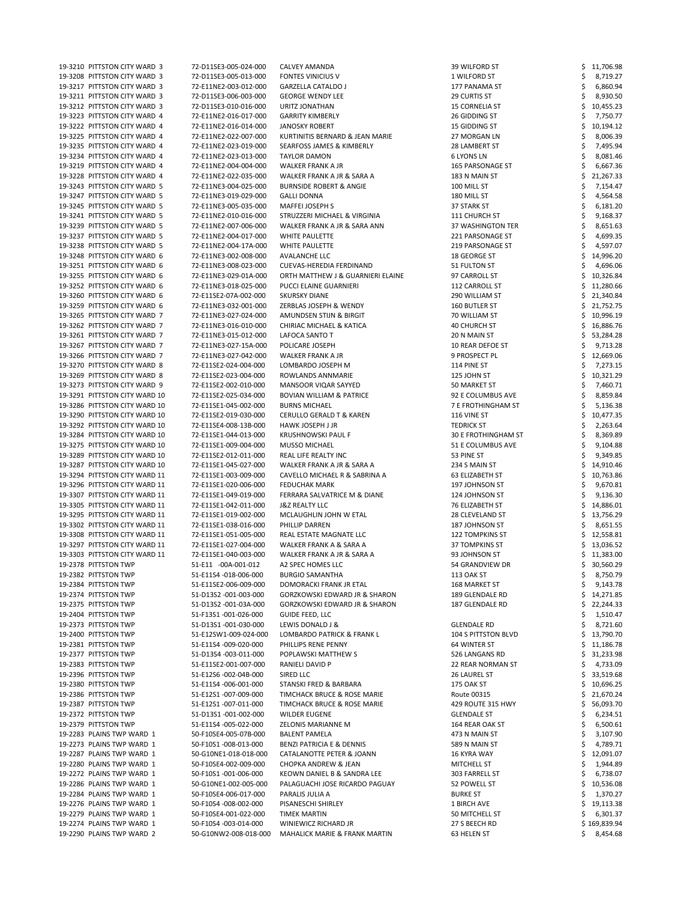| 19-3210 PITTSTON CITY WARD 3  | 72-D11SE3-005-024-000 | CALVEY AMANDA                            | 39 WILFORD ST              | 11,706.98    |
|-------------------------------|-----------------------|------------------------------------------|----------------------------|--------------|
| 19-3208 PITTSTON CITY WARD 3  | 72-D11SE3-005-013-000 | <b>FONTES VINICIUS V</b>                 | 1 WILFORD ST               | 8,719.27     |
| 19-3217 PITTSTON CITY WARD 3  | 72-E11NE2-003-012-000 | <b>GARZELLA CATALDO J</b>                | 177 PANAMA ST              |              |
|                               |                       |                                          |                            | 6,860.94     |
| 19-3211 PITTSTON CITY WARD 3  | 72-D11SE3-006-003-000 | <b>GEORGE WENDY LEE</b>                  | <b>29 CURTIS ST</b>        | 8,930.50     |
| 19-3212 PITTSTON CITY WARD 3  | 72-D11SE3-010-016-000 | URITZ JONATHAN                           | <b>15 CORNELIA ST</b>      | 10,455.23    |
| 19-3223 PITTSTON CITY WARD 4  | 72-E11NE2-016-017-000 | <b>GARRITY KIMBERLY</b>                  | 26 GIDDING ST              | 7,750.77     |
| 19-3222 PITTSTON CITY WARD 4  | 72-E11NE2-016-014-000 | <b>JANOSKY ROBERT</b>                    | 15 GIDDING ST              | 10,194.12    |
| 19-3225 PITTSTON CITY WARD 4  | 72-E11NE2-022-007-000 | KURTINITIS BERNARD & JEAN MARIE          | 27 MORGAN LN               |              |
|                               |                       |                                          |                            | 8,006.39     |
| 19-3235 PITTSTON CITY WARD 4  | 72-E11NE2-023-019-000 | <b>SEARFOSS JAMES &amp; KIMBERLY</b>     | 28 LAMBERT ST              | 7,495.94     |
| 19-3234 PITTSTON CITY WARD 4  | 72-E11NE2-023-013-000 | <b>TAYLOR DAMON</b>                      | <b>6 LYONS LN</b>          | 8,081.46     |
| 19-3219 PITTSTON CITY WARD 4  | 72-E11NE2-004-004-000 | WALKER FRANK A JR                        | <b>165 PARSONAGE ST</b>    | 6,667.36     |
| 19-3228 PITTSTON CITY WARD 4  | 72-E11NE2-022-035-000 | WALKER FRANK A JR & SARA A               | 183 N MAIN ST              | 21,267.33    |
|                               |                       |                                          |                            |              |
| 19-3243 PITTSTON CITY WARD 5  | 72-E11NE3-004-025-000 | <b>BURNSIDE ROBERT &amp; ANGIE</b>       | 100 MILL ST                | 7,154.47     |
| 19-3247 PITTSTON CITY WARD 5  | 72-E11NE3-019-029-000 | <b>GALLI DONNA</b>                       | 180 MILL ST                | 4,564.58     |
| 19-3245 PITTSTON CITY WARD 5  | 72-E11NE3-005-035-000 | MAFFEI JOSEPH S                          | 37 STARK ST                | 6,181.20     |
| 19-3241 PITTSTON CITY WARD 5  | 72-E11NE2-010-016-000 | STRUZZERI MICHAEL & VIRGINIA             | 111 CHURCH ST              | 9,168.37     |
|                               |                       |                                          |                            |              |
| 19-3239 PITTSTON CITY WARD 5  | 72-E11NE2-007-006-000 | WALKER FRANK A JR & SARA ANN             | 37 WASHINGTON TER          | 8,651.63     |
| 19-3237 PITTSTON CITY WARD 5  | 72-E11NE2-004-017-000 | WHITE PAULETTE                           | 221 PARSONAGE ST           | 4,699.35     |
| 19-3238 PITTSTON CITY WARD 5  | 72-E11NE2-004-17A-000 | WHITE PAULETTE                           | 219 PARSONAGE ST           | 4,597.07     |
| 19-3248 PITTSTON CITY WARD 6  | 72-E11NE3-002-008-000 | <b>AVALANCHE LLC</b>                     | 18 GEORGE ST               | 14,996.20    |
| 19-3251 PITTSTON CITY WARD 6  | 72-E11NE3-008-023-000 | CUEVAS-HEREDIA FERDINAND                 |                            |              |
|                               |                       |                                          | 51 FULTON ST               | 4,696.06     |
| 19-3255 PITTSTON CITY WARD 6  | 72-E11NE3-029-01A-000 | ORTH MATTHEW J & GUARNIERI ELAINE        | 97 CARROLL ST              | 10,326.84    |
| 19-3252 PITTSTON CITY WARD 6  | 72-E11NE3-018-025-000 | PUCCI ELAINE GUARNIERI                   | 112 CARROLL ST             | 11,280.66    |
| 19-3260 PITTSTON CITY WARD 6  | 72-E11SE2-07A-002-000 | <b>SKURSKY DIANE</b>                     | 290 WILLIAM ST             | 21,340.84    |
| 19-3259 PITTSTON CITY WARD 6  | 72-E11NE3-032-001-000 | ZERBLAS JOSEPH & WENDY                   | 160 BUTLER ST              | 21,752.75    |
|                               |                       |                                          |                            |              |
| 19-3265 PITTSTON CITY WARD 7  | 72-E11NE3-027-024-000 | AMUNDSEN STIJN & BIRGIT                  | 70 WILLIAM ST              | 10,996.19    |
| 19-3262 PITTSTON CITY WARD 7  | 72-E11NE3-016-010-000 | <b>CHIRIAC MICHAEL &amp; KATICA</b>      | <b>40 CHURCH ST</b>        | 16,886.76    |
| 19-3261 PITTSTON CITY WARD 7  | 72-E11NE3-015-012-000 | LAFOCA SANTO T                           | 20 N MAIN ST               | 53,284.28    |
| 19-3267 PITTSTON CITY WARD 7  | 72-E11NE3-027-15A-000 | POLICARE JOSEPH                          | 10 REAR DEFOE ST           | 9,713.28     |
|                               |                       |                                          |                            |              |
| 19-3266 PITTSTON CITY WARD 7  | 72-E11NE3-027-042-000 | WALKER FRANK A JR                        | 9 PROSPECT PL              | 12,669.06    |
| 19-3270 PITTSTON CITY WARD 8  | 72-E11SE2-024-004-000 | LOMBARDO JOSEPH M                        | 114 PINE ST                | 7,273.15     |
| 19-3269 PITTSTON CITY WARD 8  | 72-E11SE2-023-004-000 | ROWLANDS ANNMARIE                        | 125 JOHN ST                | 10,321.29    |
| 19-3273 PITTSTON CITY WARD 9  | 72-E11SE2-002-010-000 | MANSOOR VIQAR SAYYED                     | 50 MARKET ST               | 7,460.71     |
|                               |                       |                                          |                            |              |
| 19-3291 PITTSTON CITY WARD 10 | 72-E11SE2-025-034-000 | <b>BOVIAN WILLIAM &amp; PATRICE</b>      | 92 E COLUMBUS AVE          | 8,859.84     |
| 19-3286 PITTSTON CITY WARD 10 | 72-E11SE1-045-002-000 | <b>BURNS MICHAEL</b>                     | 7 E FROTHINGHAM ST         | 5,136.38     |
| 19-3290 PITTSTON CITY WARD 10 | 72-E11SE2-019-030-000 | <b>CERULLO GERALD T &amp; KAREN</b>      | 116 VINE ST                | 10,477.35    |
| 19-3292 PITTSTON CITY WARD 10 | 72-E11SE4-008-13B-000 | HAWK JOSEPH J JR                         | <b>TEDRICK ST</b>          | 2,263.64     |
| 19-3284 PITTSTON CITY WARD 10 | 72-E11SE1-044-013-000 | <b>KRUSHNOWSKI PAUL F</b>                | 30 E FROTHINGHAM ST        | 8,369.89     |
|                               |                       |                                          |                            |              |
| 19-3275 PITTSTON CITY WARD 10 | 72-E11SE1-009-004-000 | <b>MUSSO MICHAEL</b>                     | 51 E COLUMBUS AVE          | 9,104.88     |
| 19-3289 PITTSTON CITY WARD 10 | 72-E11SE2-012-011-000 | REAL LIFE REALTY INC                     | 53 PINE ST                 | 9,349.85     |
| 19-3287 PITTSTON CITY WARD 10 | 72-E11SE1-045-027-000 | WALKER FRANK A JR & SARA A               | 234 S MAIN ST              | 14,910.46    |
| 19-3294 PITTSTON CITY WARD 11 | 72-E11SE1-003-009-000 | CAVELLO MICHAEL R & SABRINA A            | 63 ELIZABETH ST            | 10,763.86    |
|                               |                       |                                          |                            |              |
| 19-3296 PITTSTON CITY WARD 11 | 72-E11SE1-020-006-000 | <b>FEDUCHAK MARK</b>                     | 197 JOHNSON ST             | 9,670.81     |
| 19-3307 PITTSTON CITY WARD 11 | 72-E11SE1-049-019-000 | FERRARA SALVATRICE M & DIANE             | 124 JOHNSON ST             | 9,136.30     |
| 19-3305 PITTSTON CITY WARD 11 | 72-E11SE1-042-011-000 | <b>J&amp;Z REALTY LLC</b>                | 76 ELIZABETH ST            | 14,886.01    |
| 19-3295 PITTSTON CITY WARD 11 | 72-E11SE1-019-002-000 | MCLAUGHLIN JOHN W ETAL                   | 28 CLEVELAND ST            | 13,756.29    |
|                               |                       | PHILLIP DARREN                           | 187 JOHNSON ST             |              |
|                               |                       |                                          |                            |              |
| 19-3302 PITTSTON CITY WARD 11 | 72-E11SE1-038-016-000 |                                          |                            | 8,651.55     |
| 19-3308 PITTSTON CITY WARD 11 | 72-E11SE1-051-005-000 | REAL ESTATE MAGNATE LLC                  | <b>122 TOMPKINS ST</b>     | 12,558.81    |
| 19-3297 PITTSTON CITY WARD 11 | 72-E11SE1-027-004-000 | WALKER FRANK A & SARA A                  | <b>37 TOMPKINS ST</b>      | 13,036.52    |
| 19-3303 PITTSTON CITY WARD 11 | 72-E11SE1-040-003-000 | WALKER FRANK A JR & SARA A               | 93 JOHNSON ST              | 11,383.00    |
|                               |                       |                                          |                            |              |
| 19-2378 PITTSTON TWP          | 51-E11 -00A-001-012   | A2 SPEC HOMES LLC                        | 54 GRANDVIEW DR            | 30,560.29    |
| 19-2382 PITTSTON TWP          | 51-E11S4 -018-006-000 | <b>BURGIO SAMANTHA</b>                   | <b>113 OAK ST</b>          | 8,750.79     |
| 19-2384 PITTSTON TWP          | 51-E11SE2-006-009-000 | DOMORACKI FRANK JR ETAL                  | 168 MARKET ST              | 9,143.78     |
| 19-2374 PITTSTON TWP          | 51-D13S2 -001-003-000 | <b>GORZKOWSKI EDWARD JR &amp; SHARON</b> | 189 GLENDALE RD            | 14,271.85    |
| 19-2375 PITTSTON TWP          | 51-D13S2 -001-03A-000 | <b>GORZKOWSKI EDWARD JR &amp; SHARON</b> | 187 GLENDALE RD            | 22,244.33    |
|                               |                       |                                          |                            |              |
| 19-2404 PITTSTON TWP          | 51-F13S1-001-026-000  | <b>GUIDE FEED, LLC</b>                   |                            | 1,510.47     |
| 19-2373 PITTSTON TWP          | 51-D13S1-001-030-000  | LEWIS DONALD J &                         | <b>GLENDALE RD</b>         | 8,721.60     |
| 19-2400 PITTSTON TWP          | 51-E12SW1-009-024-000 | LOMBARDO PATRICK & FRANK L               | <b>104 S PITTSTON BLVD</b> | 13,790.70    |
| 19-2381 PITTSTON TWP          | 51-E11S4 -009-020-000 | PHILLIPS RENE PENNY                      | 64 WINTER ST               | 11,186.78    |
|                               |                       |                                          |                            |              |
| 19-2377 PITTSTON TWP          | 51-D13S4 -003-011-000 | POPLAWSKI MATTHEW S                      | 526 LANGANS RD             | 31,233.98    |
| 19-2383 PITTSTON TWP          | 51-E11SE2-001-007-000 | RANIELI DAVID P                          | 22 REAR NORMAN ST          | 4,733.09     |
| 19-2396 PITTSTON TWP          | 51-E12S6 -002-04B-000 | SIRED LLC                                | 26 LAUREL ST               | 33,519.68    |
| 19-2380 PITTSTON TWP          | 51-E11S4 -006-001-000 | STANSKI FRED & BARBARA                   | 175 OAK ST                 | \$10,696.25  |
| 19-2386 PITTSTON TWP          | 51-E12S1-007-009-000  | TIMCHACK BRUCE & ROSE MARIE              | Route 00315                | 21,670.24    |
|                               | 51-E12S1-007-011-000  | TIMCHACK BRUCE & ROSE MARIE              | 429 ROUTE 315 HWY          |              |
| 19-2387 PITTSTON TWP          |                       |                                          |                            | 56,093.70    |
| 19-2372 PITTSTON TWP          | 51-D13S1-001-002-000  | <b>WILDER EUGENE</b>                     | <b>GLENDALE ST</b>         | 6,234.51     |
| 19-2379 PITTSTON TWP          | 51-E11S4 -005-022-000 | ZELONIS MARIANNE M                       | 164 REAR OAK ST            | 6,500.61     |
| 19-2283 PLAINS TWP WARD 1     | 50-F10SE4-005-07B-000 | <b>BALENT PAMELA</b>                     | 473 N MAIN ST              | 3,107.90     |
| 19-2273 PLAINS TWP WARD 1     | 50-F10S1-008-013-000  | <b>BENZI PATRICIA E &amp; DENNIS</b>     | 589 N MAIN ST              | 4,789.71     |
|                               |                       |                                          |                            |              |
| 19-2287 PLAINS TWP WARD 1     | 50-G10NE1-018-018-000 | CATALANOTTE PETER & JOANN                | 16 KYRA WAY                | 12,091.07    |
| 19-2280 PLAINS TWP WARD 1     | 50-F10SE4-002-009-000 | <b>CHOPKA ANDREW &amp; JEAN</b>          | MITCHELL ST                | 1,944.89     |
| 19-2272 PLAINS TWP WARD 1     | 50-F10S1-001-006-000  | KEOWN DANIEL B & SANDRA LEE              | 303 FARRELL ST             | 6,738.07     |
| 19-2286 PLAINS TWP WARD 1     | 50-G10NE1-002-005-000 | PALAGUACHI JOSE RICARDO PAGUAY           | 52 POWELL ST               | 10,536.08    |
| 19-2284 PLAINS TWP WARD 1     | 50-F10SE4-006-017-000 | PARALIS JULIA A                          | <b>BURKE ST</b>            |              |
|                               |                       |                                          |                            | 1,370.27     |
| 19-2276 PLAINS TWP WARD 1     | 50-F10S4 -008-002-000 | PISANESCHI SHIRLEY                       | 1 BIRCH AVE                | 19,113.38    |
| 19-2279 PLAINS TWP WARD 1     | 50-F10SE4-001-022-000 | <b>TIMEK MARTIN</b>                      | 50 MITCHELL ST             | 6,301.37     |
| 19-2274 PLAINS TWP WARD 1     | 50-F10S4 -003-014-000 | WINIEWICZ RICHARD JR                     | 27 S BEECH RD              | \$169,839.94 |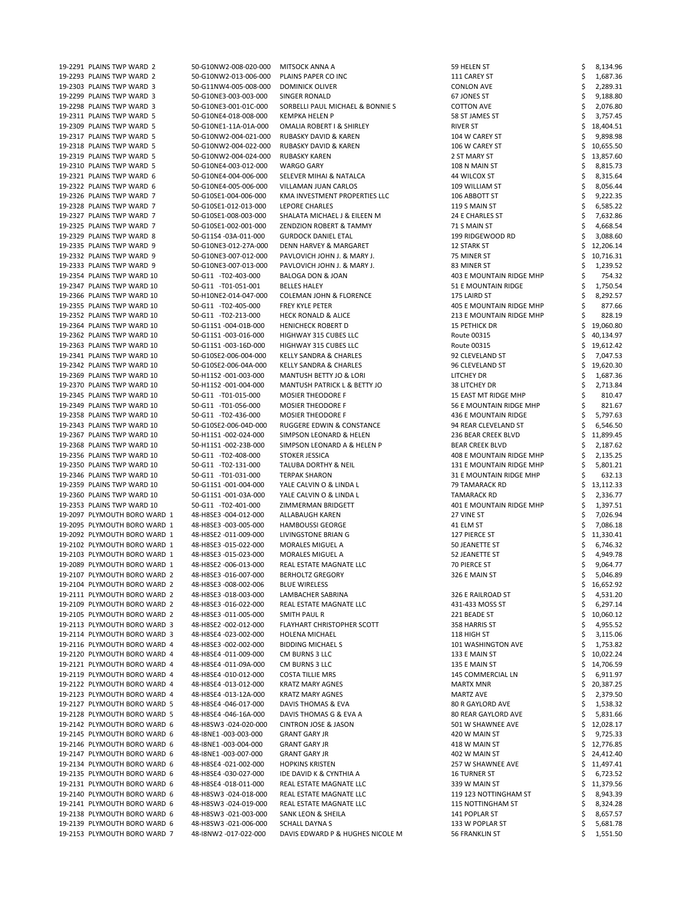| 19-2291 PLAINS TWP WARD 2                                    | 50-G10NW2-008-020-000                          | <b>MITSOCK ANNA A</b>                                     | 59 HELEN ST                       |   | 8,134.96             |
|--------------------------------------------------------------|------------------------------------------------|-----------------------------------------------------------|-----------------------------------|---|----------------------|
| 19-2293 PLAINS TWP WARD 2                                    | 50-G10NW2-013-006-000                          | PLAINS PAPER CO INC                                       | 111 CAREY ST                      |   | 1,687.36             |
| 19-2303 PLAINS TWP WARD 3                                    | 50-G11NW4-005-008-000                          | <b>DOMINICK OLIVER</b>                                    | <b>CONLON AVE</b>                 |   | 2,289.31             |
| 19-2299 PLAINS TWP WARD 3                                    | 50-G10NE3-003-003-000                          | SINGER RONALD                                             | 67 JONES ST                       |   | 9,188.80             |
| 19-2298 PLAINS TWP WARD 3                                    | 50-G10NE3-001-01C-000                          | SORBELLI PAUL MICHAEL & BONNIE S                          | <b>COTTON AVE</b>                 |   | 2,076.80             |
| 19-2311 PLAINS TWP WARD 5                                    | 50-G10NE4-018-008-000                          | <b>KEMPKA HELEN P</b>                                     | 58 ST JAMES ST                    |   | 3,757.45             |
| 19-2309 PLAINS TWP WARD 5                                    | 50-G10NE1-11A-01A-000                          | OMALIA ROBERT I & SHIRLEY                                 | RIVER ST                          |   | 18,404.51            |
|                                                              |                                                |                                                           |                                   |   |                      |
| 19-2317 PLAINS TWP WARD 5                                    | 50-G10NW2-004-021-000                          | RUBASKY DAVID & KAREN                                     | 104 W CAREY ST                    |   | 9,898.98             |
| 19-2318 PLAINS TWP WARD 5                                    | 50-G10NW2-004-022-000                          | RUBASKY DAVID & KAREN                                     | 106 W CAREY ST                    |   | 10,655.50            |
| 19-2319 PLAINS TWP WARD 5                                    | 50-G10NW2-004-024-000                          | <b>RUBASKY KAREN</b>                                      | 2 ST MARY ST                      |   | 13,857.60            |
| 19-2310 PLAINS TWP WARD 5                                    | 50-G10NE4-003-012-000                          | <b>WARGO GARY</b>                                         | 108 N MAIN ST                     |   | 8,815.73             |
| 19-2321 PLAINS TWP WARD 6                                    | 50-G10NE4-004-006-000                          | SELEVER MIHAI & NATALCA                                   | 44 WILCOX ST                      |   | 8,315.64             |
| 19-2322 PLAINS TWP WARD 6                                    | 50-G10NE4-005-006-000                          | VILLAMAN JUAN CARLOS                                      | 109 WILLIAM ST                    |   | 8,056.44             |
| 19-2326 PLAINS TWP WARD 7                                    |                                                | KMA INVESTMENT PROPERTIES LLC                             |                                   |   |                      |
|                                                              | 50-G10SE1-004-006-000                          |                                                           | 106 ABBOTT ST                     |   | 9,222.35             |
| 19-2328 PLAINS TWP WARD 7                                    | 50-G10SE1-012-013-000                          | <b>LEPORE CHARLES</b>                                     | 119 S MAIN ST                     |   | 6,585.22             |
| 19-2327 PLAINS TWP WARD 7                                    | 50-G10SE1-008-003-000                          | SHALATA MICHAEL J & EILEEN M                              | 24 E CHARLES ST                   |   | 7,632.86             |
| 19-2325 PLAINS TWP WARD 7                                    | 50-G10SE1-002-001-000                          | ZENDZION ROBERT & TAMMY                                   | 71 S MAIN ST                      |   | 4,668.54             |
| 19-2329 PLAINS TWP WARD 8                                    | 50-G11S4 -03A-011-000                          | <b>GURDOCK DANIEL ETAL</b>                                | 199 RIDGEWOOD RD                  |   | 3,088.60             |
| 19-2335 PLAINS TWP WARD 9                                    | 50-G10NE3-012-27A-000                          | <b>DENN HARVEY &amp; MARGARET</b>                         | <b>12 STARK ST</b>                |   | 12,206.14            |
| 19-2332 PLAINS TWP WARD 9                                    | 50-G10NE3-007-012-000                          | PAVLOVICH JOHN J. & MARY J.                               | 75 MINER ST                       |   | 10,716.31            |
| 19-2333 PLAINS TWP WARD 9                                    | 50-G10NE3-007-013-000                          | PAVLOVICH JOHN J. & MARY J.                               | 83 MINER ST                       |   | 1,239.52             |
|                                                              |                                                |                                                           |                                   |   |                      |
| 19-2354 PLAINS TWP WARD 10                                   | 50-G11 -T02-403-000                            | BALOGA DON & JOAN                                         | 403 E MOUNTAIN RIDGE MHP          |   | 754.32               |
| 19-2347 PLAINS TWP WARD 10                                   | 50-G11 -T01-051-001                            | <b>BELLES HALEY</b>                                       | 51 E MOUNTAIN RIDGE               |   | 1,750.54             |
| 19-2366 PLAINS TWP WARD 10                                   | 50-H10NE2-014-047-000                          | <b>COLEMAN JOHN &amp; FLORENCE</b>                        | 175 LAIRD ST                      |   | 8,292.57             |
| 19-2355 PLAINS TWP WARD 10                                   | 50-G11 -T02-405-000                            | FREY KYLE PETER                                           | 405 E MOUNTAIN RIDGE MHP          |   | 877.66               |
| 19-2352 PLAINS TWP WARD 10                                   | 50-G11 -T02-213-000                            | <b>HECK RONALD &amp; ALICE</b>                            | 213 E MOUNTAIN RIDGE MHP          |   | 828.19               |
| 19-2364 PLAINS TWP WARD 10                                   | 50-G11S1-004-01B-000                           | <b>HENICHECK ROBERT D</b>                                 | <b>15 PETHICK DR</b>              |   | 19,060.80            |
| 19-2362 PLAINS TWP WARD 10                                   | 50-G11S1-003-016-000                           | HIGHWAY 315 CUBES LLC                                     | Route 00315                       |   | 40,134.97            |
| 19-2363 PLAINS TWP WARD 10                                   | 50-G11S1-003-16D-000                           |                                                           |                                   |   |                      |
|                                                              |                                                | HIGHWAY 315 CUBES LLC                                     | Route 00315                       |   | 19,612.42            |
| 19-2341 PLAINS TWP WARD 10                                   | 50-G10SE2-006-004-000                          | <b>KELLY SANDRA &amp; CHARLES</b>                         | 92 CLEVELAND ST                   |   | 7,047.53             |
| 19-2342 PLAINS TWP WARD 10                                   | 50-G10SE2-006-04A-000                          | <b>KELLY SANDRA &amp; CHARLES</b>                         | 96 CLEVELAND ST                   |   | 19,620.30            |
| 19-2369 PLAINS TWP WARD 10                                   | 50-H11S2 -001-003-000                          | MANTUSH BETTY JO & LORI                                   | LITCHEY DR                        |   | 1,687.36             |
| 19-2370 PLAINS TWP WARD 10                                   | 50-H11S2 -001-004-000                          | MANTUSH PATRICK L & BETTY JO                              | 38 LITCHEY DR                     |   | 2,713.84             |
| 19-2345 PLAINS TWP WARD 10                                   | 50-G11 -T01-015-000                            | <b>MOSIER THEODORE F</b>                                  | 15 EAST MT RIDGE MHP              |   | 810.47               |
| 19-2349 PLAINS TWP WARD 10                                   | 50-G11 -T01-056-000                            | <b>MOSIER THEODORE F</b>                                  | 56 E MOUNTAIN RIDGE MHP           |   | 821.67               |
| 19-2358 PLAINS TWP WARD 10                                   | 50-G11 -T02-436-000                            | <b>MOSIER THEODORE F</b>                                  | 436 E MOUNTAIN RIDGE              |   | 5,797.63             |
|                                                              |                                                |                                                           |                                   |   |                      |
| 19-2343 PLAINS TWP WARD 10                                   | 50-G10SE2-006-04D-000                          | <b>RUGGERE EDWIN &amp; CONSTANCE</b>                      | 94 REAR CLEVELAND ST              |   | 6,546.50             |
| 19-2367 PLAINS TWP WARD 10                                   | 50-H11S1-002-024-000                           | <b>SIMPSON LEONARD &amp; HELEN</b>                        | 236 BEAR CREEK BLVD               |   | 11,899.45            |
| 19-2368 PLAINS TWP WARD 10                                   | 50-H11S1-002-23B-000                           | SIMPSON LEONARD A & HELEN P                               | <b>BEAR CREEK BLVD</b>            |   | 2,187.62             |
|                                                              |                                                |                                                           |                                   |   |                      |
| 19-2356 PLAINS TWP WARD 10                                   | 50-G11 -T02-408-000                            | STOKER JESSICA                                            | 408 E MOUNTAIN RIDGE MHP          |   | 2,135.25             |
| 19-2350 PLAINS TWP WARD 10                                   | 50-G11 -T02-131-000                            | TALUBA DORTHY & NEIL                                      |                                   |   |                      |
|                                                              |                                                |                                                           | 131 E MOUNTAIN RIDGE MHP          |   | 5,801.21             |
| 19-2346 PLAINS TWP WARD 10                                   | 50-G11 -T01-031-000                            | <b>TERPAK SHARON</b>                                      | 31 E MOUNTAIN RIDGE MHP           |   | 632.13               |
| 19-2359 PLAINS TWP WARD 10                                   | 50-G11S1-001-004-000                           | YALE CALVIN O & LINDA L                                   | 79 TAMARACK RD                    |   | 13,112.33            |
| 19-2360 PLAINS TWP WARD 10                                   | 50-G11S1-001-03A-000                           | YALE CALVIN O & LINDA L                                   | TAMARACK RD                       |   | 2,336.77             |
| 19-2353 PLAINS TWP WARD 10                                   | 50-G11 -T02-401-000                            | ZIMMERMAN BRIDGETT                                        | 401 E MOUNTAIN RIDGE MHP          |   | 1,397.51             |
| 19-2097 PLYMOUTH BORO WARD 1                                 | 48-H8SE3 -004-012-000                          | ALLABAUGH KAREN                                           | 27 VINE ST                        |   | 7,026.94             |
| 19-2095 PLYMOUTH BORO WARD 1                                 | 48-H8SE3 -003-005-000                          | <b>HAMBOUSSI GEORGE</b>                                   | 41 ELM ST                         |   | 7,086.18             |
| 19-2092 PLYMOUTH BORO WARD 1                                 | 48-H8SE2 -011-009-000                          | LIVINGSTONE BRIAN G                                       | 127 PIERCE ST                     |   | 11,330.41            |
| 19-2102 PLYMOUTH BORO WARD 1                                 | 48-H8SE3 -015-022-000                          | <b>MORALES MIGUEL A</b>                                   | 50 JEANETTE ST                    |   |                      |
|                                                              |                                                |                                                           |                                   |   | 6,746.32             |
| 19-2103 PLYMOUTH BORO WARD 1                                 | 48-H8SE3 -015-023-000                          | <b>MORALES MIGUEL A</b>                                   | 52 JEANETTE ST                    |   | 4,949.78             |
| 19-2089 PLYMOUTH BORO WARD 1                                 | 48-H8SE2 -006-013-000                          | REAL ESTATE MAGNATE LLC                                   | 70 PIERCE ST                      |   | 9,064.77             |
| 19-2107 PLYMOUTH BORO WARD 2                                 | 48-H8SE3 -016-007-000                          | <b>BERHOLTZ GREGORY</b>                                   | 326 E MAIN ST                     |   | 5,046.89             |
| 19-2104 PLYMOUTH BORO WARD 2                                 | 48-H8SE3 -008-002-006                          | <b>BLUE WIRELESS</b>                                      |                                   |   | 16,652.92            |
| 19-2111 PLYMOUTH BORO WARD 2                                 | 48-H8SE3 -018-003-000                          | LAMBACHER SABRINA                                         | 326 E RAILROAD ST                 |   | 4,531.20             |
| 19-2109 PLYMOUTH BORO WARD 2                                 | 48-H8SE3 -016-022-000                          | REAL ESTATE MAGNATE LLC                                   | 431-433 MOSS ST                   |   | 6,297.14             |
| 19-2105 PLYMOUTH BORO WARD 2                                 | 48-H8SE3 -011-005-000                          | SMITH PAUL R                                              | 221 BEADE ST                      |   | 10,060.12            |
| 19-2113 PLYMOUTH BORO WARD 3                                 | 48-H8SE2 -002-012-000                          | FLAYHART CHRISTOPHER SCOTT                                | 358 HARRIS ST                     |   | 4,955.52             |
| 19-2114 PLYMOUTH BORO WARD 3                                 | 48-H8SE4 -023-002-000                          | <b>HOLENA MICHAEL</b>                                     | 118 HIGH ST                       |   | 3,115.06             |
|                                                              |                                                |                                                           |                                   |   |                      |
| 19-2116 PLYMOUTH BORO WARD 4                                 | 48-H8SE3 -002-002-000                          | <b>BIDDING MICHAEL S</b>                                  | 101 WASHINGTON AVE                |   | 1,753.82             |
| 19-2120 PLYMOUTH BORO WARD 4                                 | 48-H8SE4 -011-009-000                          | CM BURNS 3 LLC                                            | 133 E MAIN ST                     |   | 10,022.24            |
| 19-2121 PLYMOUTH BORO WARD 4                                 | 48-H8SE4 -011-09A-000                          | CM BURNS 3 LLC                                            | 135 E MAIN ST                     |   | 14,706.59            |
| 19-2119 PLYMOUTH BORO WARD 4                                 | 48-H8SE4 -010-012-000                          | <b>COSTA TILLIE MRS</b>                                   | 145 COMMERCIAL LN                 |   | 6,911.97             |
| 19-2122 PLYMOUTH BORO WARD 4                                 | 48-H8SE4 -013-012-000                          | <b>KRATZ MARY AGNES</b>                                   | <b>MARTX MNR</b>                  |   | 20,387.25            |
| 19-2123 PLYMOUTH BORO WARD 4                                 | 48-H8SE4 -013-12A-000                          | <b>KRATZ MARY AGNES</b>                                   | <b>MARTZ AVE</b>                  | Ş | 2,379.50             |
| 19-2127 PLYMOUTH BORO WARD 5                                 | 48-H8SE4 -046-017-000                          | DAVIS THOMAS & EVA                                        | <b>80 R GAYLORD AVE</b>           |   | 1,538.32             |
| 19-2128 PLYMOUTH BORO WARD 5                                 | 48-H8SE4 -046-16A-000                          | DAVIS THOMAS G & EVA A                                    | <b>80 REAR GAYLORD AVE</b>        |   |                      |
|                                                              |                                                |                                                           |                                   |   | 5,831.66             |
| 19-2142 PLYMOUTH BORO WARD 6                                 | 48-H8SW3 -024-020-000                          | <b>CINTRON JOSE &amp; JASON</b>                           | 501 W SHAWNEE AVE                 |   | 12,028.17            |
| 19-2145 PLYMOUTH BORO WARD 6                                 | 48-I8NE1-003-003-000                           | <b>GRANT GARY JR</b>                                      | 420 W MAIN ST                     |   | 9,725.33             |
| 19-2146 PLYMOUTH BORO WARD 6                                 | 48-I8NE1-003-004-000                           | <b>GRANT GARY JR</b>                                      | 418 W MAIN ST                     |   | 12,776.85            |
| 19-2147 PLYMOUTH BORO WARD 6                                 | 48-I8NE1-003-007-000                           | <b>GRANT GARY JR</b>                                      | 402 W MAIN ST                     |   | 24,412.40            |
| 19-2134 PLYMOUTH BORO WARD 6                                 | 48-H8SE4 -021-002-000                          | <b>HOPKINS KRISTEN</b>                                    | 257 W SHAWNEE AVE                 |   | 11,497.41            |
| 19-2135 PLYMOUTH BORO WARD 6                                 | 48-H8SE4 -030-027-000                          | IDE DAVID K & CYNTHIA A                                   | <b>16 TURNER ST</b>               |   | 6,723.52             |
| 19-2131 PLYMOUTH BORO WARD 6                                 | 48-H8SE4 -018-011-000                          | REAL ESTATE MAGNATE LLC                                   | 339 W MAIN ST                     |   | 11,379.56            |
| 19-2140 PLYMOUTH BORO WARD 6                                 | 48-H8SW3 -024-018-000                          | REAL ESTATE MAGNATE LLC                                   | 119 123 NOTTINGHAM ST             |   | 8,943.39             |
|                                                              |                                                |                                                           |                                   |   |                      |
| 19-2141 PLYMOUTH BORO WARD 6                                 | 48-H8SW3-024-019-000                           | REAL ESTATE MAGNATE LLC                                   | 115 NOTTINGHAM ST                 |   | 8,324.28             |
| 19-2138 PLYMOUTH BORO WARD 6                                 | 48-H8SW3 -021-003-000                          | SANK LEON & SHEILA                                        | 141 POPLAR ST                     |   | 8,657.57             |
| 19-2139 PLYMOUTH BORO WARD 6<br>19-2153 PLYMOUTH BORO WARD 7 | 48-H8SW3 -021-006-000<br>48-I8NW2 -017-022-000 | <b>SCHALL DAYNA S</b><br>DAVIS EDWARD P & HUGHES NICOLE M | 133 W POPLAR ST<br>56 FRANKLIN ST |   | 5,681.78<br>1,551.50 |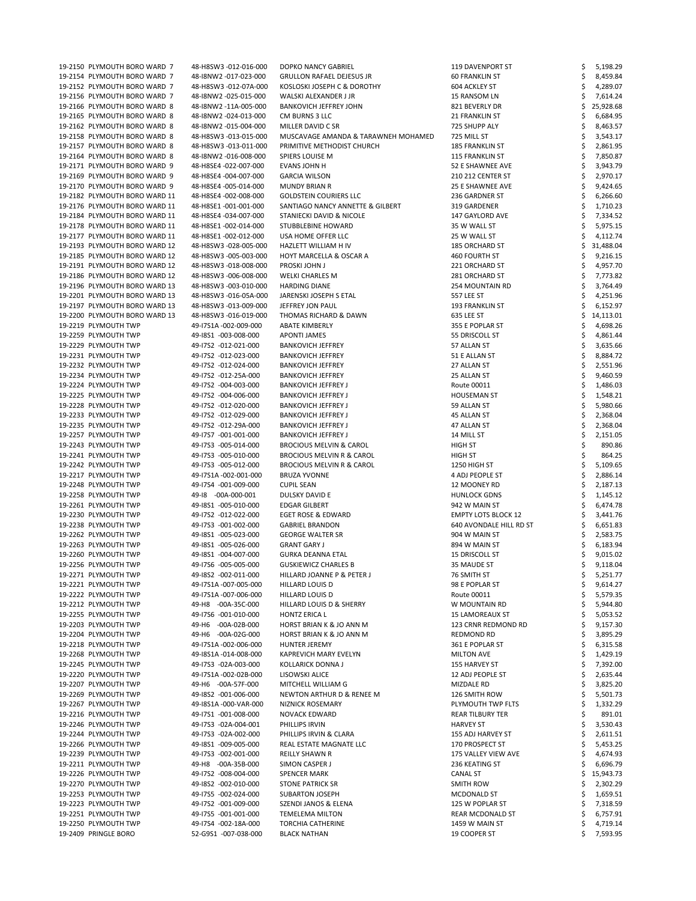| 19-2150 PLYMOUTH BORO WARD 7  | 48-H8SW3 -012-016-000 | DOPKO NANCY GABRIEL                  | 119 DAVENPORT ST           | 5,198.29  |
|-------------------------------|-----------------------|--------------------------------------|----------------------------|-----------|
| 19-2154 PLYMOUTH BORO WARD 7  | 48-I8NW2 -017-023-000 | <b>GRULLON RAFAEL DEJESUS JR</b>     | <b>60 FRANKLIN ST</b>      | 8,459.84  |
| 19-2152 PLYMOUTH BORO WARD 7  | 48-H8SW3 -012-07A-000 | KOSLOSKI JOSEPH C & DOROTHY          | 604 ACKLEY ST              | 4,289.07  |
| 19-2156 PLYMOUTH BORO WARD 7  | 48-I8NW2 -025-015-000 | WALSKI ALEXANDER J JR                | 15 RANSOM LN               | 7,614.24  |
| 19-2166 PLYMOUTH BORO WARD 8  | 48-I8NW2 -11A-005-000 | <b>BANKOVICH JEFFREY JOHN</b>        | 821 BEVERLY DR             | 25,928.68 |
| 19-2165 PLYMOUTH BORO WARD 8  | 48-I8NW2 -024-013-000 | CM BURNS 3 LLC                       | 21 FRANKLIN ST             | 6,684.95  |
|                               |                       |                                      |                            |           |
| 19-2162 PLYMOUTH BORO WARD 8  | 48-I8NW2 -015-004-000 | MILLER DAVID C SR                    | 725 SHUPP ALY              | 8,463.57  |
| 19-2158 PLYMOUTH BORO WARD 8  | 48-H8SW3 -013-015-000 | MUSCAVAGE AMANDA & TARAWNEH MOHAMED  | 725 MILL ST                | 3,543.17  |
| 19-2157 PLYMOUTH BORO WARD 8  | 48-H8SW3 -013-011-000 | PRIMITIVE METHODIST CHURCH           | 185 FRANKLIN ST            | 2,861.95  |
| 19-2164 PLYMOUTH BORO WARD 8  | 48-I8NW2 -016-008-000 | SPIERS LOUISE M                      | 115 FRANKLIN ST            | 7,850.87  |
| 19-2171 PLYMOUTH BORO WARD 9  | 48-H8SE4 -022-007-000 | EVANS JOHN H                         | 52 E SHAWNEE AVE           | 3,943.79  |
| 19-2169 PLYMOUTH BORO WARD 9  | 48-H8SE4 -004-007-000 | <b>GARCIA WILSON</b>                 | 210 212 CENTER ST          | 2,970.17  |
| 19-2170 PLYMOUTH BORO WARD 9  | 48-H8SE4 -005-014-000 | <b>MUNDY BRIAN R</b>                 | 25 E SHAWNEE AVE           | 9,424.65  |
| 19-2182 PLYMOUTH BORO WARD 11 | 48-H8SE4 -002-008-000 | <b>GOLDSTEIN COURIERS LLC</b>        | 236 GARDNER ST             | 6,266.60  |
| 19-2176 PLYMOUTH BORO WARD 11 | 48-H8SE1 -001-001-000 | SANTIAGO NANCY ANNETTE & GILBERT     | 319 GARDENER               | 1,710.23  |
| 19-2184 PLYMOUTH BORO WARD 11 | 48-H8SE4 -034-007-000 | STANIECKI DAVID & NICOLE             | 147 GAYLORD AVE            | 7,334.52  |
| 19-2178 PLYMOUTH BORO WARD 11 | 48-H8SE1-002-014-000  | STUBBLEBINE HOWARD                   | 35 W WALL ST               | 5,975.15  |
|                               |                       | USA HOME OFFER LLC                   |                            |           |
| 19-2177 PLYMOUTH BORO WARD 11 | 48-H8SE1 -002-012-000 |                                      | 25 W WALL ST               | 4,112.74  |
| 19-2193 PLYMOUTH BORO WARD 12 | 48-H8SW3 -028-005-000 | HAZLETT WILLIAM H IV                 | <b>185 ORCHARD ST</b>      | 31,488.04 |
| 19-2185 PLYMOUTH BORO WARD 12 | 48-H8SW3 -005-003-000 | <b>HOYT MARCELLA &amp; OSCAR A</b>   | 460 FOURTH ST              | 9,216.15  |
| 19-2191 PLYMOUTH BORO WARD 12 | 48-H8SW3 -018-008-000 | PROSKI JOHN J                        | 221 ORCHARD ST             | 4,957.70  |
| 19-2186 PLYMOUTH BORO WARD 12 | 48-H8SW3 -006-008-000 | <b>WELKI CHARLES M</b>               | 281 ORCHARD ST             | 7,773.82  |
| 19-2196 PLYMOUTH BORO WARD 13 | 48-H8SW3 -003-010-000 | <b>HARDING DIANE</b>                 | 254 MOUNTAIN RD            | 3,764.49  |
| 19-2201 PLYMOUTH BORO WARD 13 | 48-H8SW3 -016-05A-000 | JARENSKI JOSEPH S ETAL               | 557 LEE ST                 | 4,251.96  |
| 19-2197 PLYMOUTH BORO WARD 13 | 48-H8SW3 -013-009-000 | JEFFREY JON PAUL                     | 193 FRANKLIN ST            | 6,152.97  |
| 19-2200 PLYMOUTH BORO WARD 13 | 48-H8SW3 -016-019-000 | THOMAS RICHARD & DAWN                | 635 LEE ST                 | 14,113.01 |
| 19-2219 PLYMOUTH TWP          | 49-17S1A -002-009-000 | <b>ABATE KIMBERLY</b>                | 355 E POPLAR ST            | 4,698.26  |
| 19-2259 PLYMOUTH TWP          | 49-18S1 -003-008-000  | <b>APONTI JAMES</b>                  | 55 DRISCOLL ST             | 4,861.44  |
|                               |                       |                                      |                            |           |
| 19-2229 PLYMOUTH TWP          | 49-17S2 -012-021-000  | <b>BANKOVICH JEFFREY</b>             | 57 ALLAN ST                | 3,635.66  |
| 19-2231 PLYMOUTH TWP          | 49-17S2 -012-023-000  | <b>BANKOVICH JEFFREY</b>             | 51 E ALLAN ST              | 8,884.72  |
| 19-2232 PLYMOUTH TWP          | 49-17S2 -012-024-000  | <b>BANKOVICH JEFFREY</b>             | 27 ALLAN ST                | 2,551.96  |
| 19-2234 PLYMOUTH TWP          | 49-17S2 -012-25A-000  | <b>BANKOVICH JEFFREY</b>             | 25 ALLAN ST                | 9,460.59  |
| 19-2224 PLYMOUTH TWP          | 49-17S2 -004-003-000  | <b>BANKOVICH JEFFREY J</b>           | Route 00011                | 1,486.03  |
| 19-2225 PLYMOUTH TWP          | 49-17S2 -004-006-000  | <b>BANKOVICH JEFFREY J</b>           | <b>HOUSEMAN ST</b>         | 1,548.21  |
| 19-2228 PLYMOUTH TWP          | 49-17S2 -012-020-000  | <b>BANKOVICH JEFFREY J</b>           | 59 ALLAN ST                | 5,980.66  |
| 19-2233 PLYMOUTH TWP          | 49-17S2 -012-029-000  | <b>BANKOVICH JEFFREY J</b>           | 45 ALLAN ST                | 2,368.04  |
| 19-2235 PLYMOUTH TWP          | 49-17S2 -012-29A-000  | <b>BANKOVICH JEFFREY J</b>           | 47 ALLAN ST                | 2,368.04  |
| 19-2257 PLYMOUTH TWP          | 49-17S7 -001-001-000  | <b>BANKOVICH JEFFREY J</b>           | 14 MILL ST                 | 2,151.05  |
| 19-2243 PLYMOUTH TWP          | 49-17S3 -005-014-000  | <b>BROCIOUS MELVIN &amp; CAROL</b>   | <b>HIGH ST</b>             | 890.86    |
|                               |                       |                                      |                            |           |
| 19-2241 PLYMOUTH TWP          | 49-17S3 -005-010-000  | <b>BROCIOUS MELVIN R &amp; CAROL</b> | <b>HIGH ST</b>             | 864.25    |
| 19-2242 PLYMOUTH TWP          | 49-17S3 -005-012-000  | <b>BROCIOUS MELVIN R &amp; CAROL</b> | 1250 HIGH ST               | 5,109.65  |
| 19-2217 PLYMOUTH TWP          | 49-17S1A -002-001-000 | <b>BRUZA YVONNE</b>                  | 4 ADJ PEOPLE ST            | 2,886.14  |
| 19-2248 PLYMOUTH TWP          | 49-17S4 -001-009-000  | <b>CUPIL SEAN</b>                    | 12 MOONEY RD               | 2,187.13  |
| 19-2258 PLYMOUTH TWP          | 49-18 -00A-000-001    | DULSKY DAVID E                       | <b>HUNLOCK GDNS</b>        | 1,145.12  |
| 19-2261 PLYMOUTH TWP          | 49-18S1 -005-010-000  | <b>EDGAR GILBERT</b>                 | 942 W MAIN ST              | 6,474.78  |
| 19-2230 PLYMOUTH TWP          | 49-17S2 -012-022-000  | <b>EGET ROSE &amp; EDWARD</b>        | <b>EMPTY LOTS BLOCK 12</b> | 3,441.76  |
| 19-2238 PLYMOUTH TWP          | 49-17S3 -001-002-000  | <b>GABRIEL BRANDON</b>               | 640 AVONDALE HILL RD ST    | 6,651.83  |
| 19-2262 PLYMOUTH TWP          | 49-18S1 -005-023-000  | <b>GEORGE WALTER SR</b>              | 904 W MAIN ST              | 2,583.75  |
| 19-2263 PLYMOUTH TWP          | 49-18S1 -005-026-000  | <b>GRANT GARY J</b>                  | 894 W MAIN ST              | 6,183.94  |
| 19-2260 PLYMOUTH TWP          | 49-18S1 -004-007-000  | <b>GURKA DEANNA ETAL</b>             | <b>15 DRISCOLL ST</b>      | 9,015.02  |
|                               |                       |                                      |                            |           |
| 19-2256 PLYMOUTH TWP          | 49-17S6 -005-005-000  | <b>GUSKIEWICZ CHARLES B</b>          | 35 MAUDE ST                | 9,118.04  |
| 19-2271 PLYMOUTH TWP          | 49-18S2 -002-011-000  | HILLARD JOANNE P & PETER J           | 76 SMITH ST                | 5,251.77  |
| 19-2221 PLYMOUTH TWP          | 49-I7S1A -007-005-000 | HILLARD LOUIS D                      | 98 E POPLAR ST             | 9,614.27  |
| 19-2222 PLYMOUTH TWP          | 49-17S1A -007-006-000 | <b>HILLARD LOUIS D</b>               | Route 00011                | 5,579.35  |
| 19-2212 PLYMOUTH TWP          | 49-H8 -00A-35C-000    | HILLARD LOUIS D & SHERRY             | W MOUNTAIN RD              | 5,944.80  |
| 19-2255 PLYMOUTH TWP          | 49-17S6 -001-010-000  | <b>HONTZ ERICA L</b>                 | <b>15 LAMOREAUX ST</b>     | 5,053.52  |
| 19-2203 PLYMOUTH TWP          | 49-H6 -00A-02B-000    | HORST BRIAN K & JO ANN M             | 123 CRNR REDMOND RD        | 9,157.30  |
| 19-2204 PLYMOUTH TWP          | 49-H6 -00A-02G-000    | HORST BRIAN K & JO ANN M             | <b>REDMOND RD</b>          | 3,895.29  |
| 19-2218 PLYMOUTH TWP          | 49-17S1A -002-006-000 | <b>HUNTER JEREMY</b>                 | 361 E POPLAR ST            | 6,315.58  |
| 19-2268 PLYMOUTH TWP          | 49-18S1A -014-008-000 | KAPREVICH MARY EVELYN                | <b>MILTON AVE</b>          | 1,429.19  |
| 19-2245 PLYMOUTH TWP          | 49-17S3 -02A-003-000  | <b>KOLLARICK DONNA J</b>             | 155 HARVEY ST              | 7,392.00  |
| 19-2220 PLYMOUTH TWP          | 49-17S1A -002-02B-000 | LISOWSKI ALICE                       | 12 ADJ PEOPLE ST           | 2,635.44  |
|                               |                       |                                      |                            |           |
| 19-2207 PLYMOUTH TWP          | 49-H6 -00A-57F-000    | MITCHELL WILLIAM G                   | MIZDALE RD                 | 3,825.20  |
| 19-2269 PLYMOUTH TWP          | 49-18S2 -001-006-000  | NEWTON ARTHUR D & RENEE M            | 126 SMITH ROW              | 5,501.73  |
| 19-2267 PLYMOUTH TWP          | 49-18S1A -000-VAR-000 | NIZNICK ROSEMARY                     | PLYMOUTH TWP FLTS          | 1,332.29  |
| 19-2216 PLYMOUTH TWP          | 49-17S1 -001-008-000  | <b>NOVACK EDWARD</b>                 | <b>REAR TILBURY TER</b>    | 891.01    |
| 19-2246 PLYMOUTH TWP          | 49-17S3 -02A-004-001  | PHILLIPS IRVIN                       | <b>HARVEY ST</b>           | 3,530.43  |
| 19-2244 PLYMOUTH TWP          | 49-17S3 -02A-002-000  | PHILLIPS IRVIN & CLARA               | 155 ADJ HARVEY ST          | 2,611.51  |
| 19-2266 PLYMOUTH TWP          | 49-18S1 -009-005-000  | REAL ESTATE MAGNATE LLC              | 170 PROSPECT ST            | 5,453.25  |
| 19-2239 PLYMOUTH TWP          | 49-17S3 -002-001-000  | <b>REILLY SHAWN R</b>                | 175 VALLEY VIEW AVE        | 4,674.93  |
| 19-2211 PLYMOUTH TWP          | 49-H8 -00A-35B-000    | SIMON CASPER J                       | 236 KEATING ST             | 6,696.79  |
| 19-2226 PLYMOUTH TWP          | 49-17S2 -008-004-000  | <b>SPENCER MARK</b>                  | CANAL ST                   | 15,943.73 |
| 19-2270 PLYMOUTH TWP          | 49-18S2 -002-010-000  |                                      |                            |           |
|                               |                       | <b>STONE PATRICK SR</b>              | SMITH ROW                  | 2,302.29  |
| 19-2253 PLYMOUTH TWP          | 49-17S5 -002-024-000  | <b>SUBARTON JOSEPH</b>               | MCDONALD ST                | 1,659.51  |
| 19-2223 PLYMOUTH TWP          | 49-17S2 -001-009-000  | SZENDI JANOS & ELENA                 | 125 W POPLAR ST            | 7,318.59  |
| 19-2251 PLYMOUTH TWP          | 49-17S5 -001-001-000  | <b>TEMELEMA MILTON</b>               | <b>REAR MCDONALD ST</b>    | 6,757.91  |
| 19-2250 PLYMOUTH TWP          | 49-17S4 -002-18A-000  | <b>TORCHIA CATHERINE</b>             | 1459 W MAIN ST             | 4,719.14  |
| 19-2409 PRINGLE BORO          | 52-G9S1 -007-038-000  | <b>BLACK NATHAN</b>                  | 19 COOPER ST               | 7,593.95  |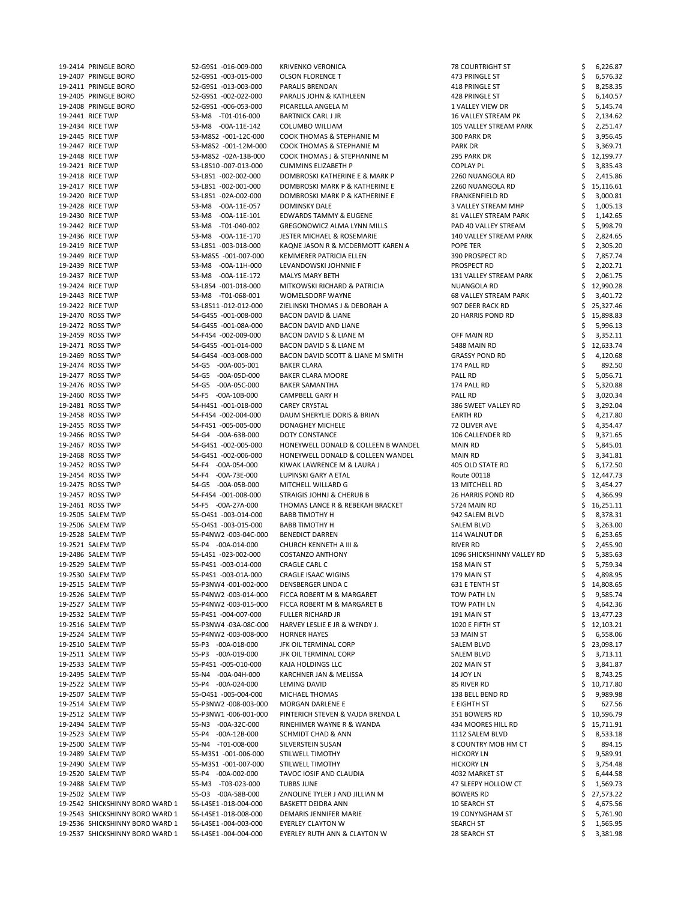| 19-2414 PRINGLE BORO                                               | 52-G9S1 -016-009-000                           | <b>KRIVENKO VERONICA</b>                                            | <b>78 COURTRIGHT ST</b>          | 6,226.87             |
|--------------------------------------------------------------------|------------------------------------------------|---------------------------------------------------------------------|----------------------------------|----------------------|
| 19-2407 PRINGLE BORO                                               | 52-G9S1 -003-015-000                           | <b>OLSON FLORENCE T</b>                                             | 473 PRINGLE ST                   | 6,576.32             |
| 19-2411 PRINGLE BORO                                               | 52-G9S1 -013-003-000                           | PARALIS BRENDAN                                                     | 418 PRINGLE ST                   | 8,258.35             |
| 19-2405 PRINGLE BORO                                               | 52-G9S1 -002-022-000                           | PARALIS JOHN & KATHLEEN                                             | 428 PRINGLE ST                   | 6,140.57             |
| 19-2408 PRINGLE BORO                                               | 52-G9S1 -006-053-000                           | PICARELLA ANGELA M                                                  | 1 VALLEY VIEW DR                 | 5,145.74             |
| 19-2441 RICE TWP                                                   | 53-M8 -T01-016-000                             | <b>BARTNICK CARL J JR</b>                                           | <b>16 VALLEY STREAM PK</b>       | 2,134.62             |
|                                                                    |                                                |                                                                     |                                  |                      |
| 19-2434 RICE TWP                                                   | 53-M8 -00A-11E-142                             | COLUMBO WILLIAM                                                     | 105 VALLEY STREAM PARK           | 2,251.47             |
| 19-2445 RICE TWP                                                   | 53-M8S2 -001-12C-000                           | COOK THOMAS & STEPHANIE M                                           | 300 PARK DR                      | 3,956.45             |
| 19-2447 RICE TWP                                                   | 53-M8S2 -001-12M-000                           | COOK THOMAS & STEPHANIE M                                           | <b>PARK DR</b>                   | 3,369.71             |
| 19-2448 RICE TWP                                                   | 53-M8S2 -02A-13B-000                           | COOK THOMAS J & STEPHANINE M                                        | 295 PARK DR                      | 12,199.77            |
| 19-2421 RICE TWP                                                   | 53-L8S10 -007-013-000                          | <b>CUMMINS ELIZABETH P</b>                                          | <b>COPLAY PL</b>                 | 3,835.43             |
| 19-2418 RICE TWP                                                   | 53-L8S1 -002-002-000                           | DOMBROSKI KATHERINE E & MARK P                                      | 2260 NUANGOLA RD                 | 2,415.86             |
| 19-2417 RICE TWP                                                   | 53-L8S1 -002-001-000                           | DOMBROSKI MARK P & KATHERINE E                                      | 2260 NUANGOLA RD                 | 15,116.61            |
| 19-2420 RICE TWP                                                   | 53-L8S1 -02A-002-000                           | DOMBROSKI MARK P & KATHERINE E                                      | <b>FRANKENFIELD RD</b>           | 3,000.81             |
| 19-2428 RICE TWP                                                   | 53-M8 -00A-11E-057                             | DOMINSKY DALE                                                       | 3 VALLEY STREAM MHP              | 1,005.13             |
| 19-2430 RICE TWP                                                   | 53-M8 -00A-11E-101                             | EDWARDS TAMMY & EUGENE                                              | 81 VALLEY STREAM PARK            | 1,142.65             |
| 19-2442 RICE TWP                                                   | 53-M8 -T01-040-002                             | <b>GREGONOWICZ ALMA LYNN MILLS</b>                                  | PAD 40 VALLEY STREAM             | 5,998.79             |
|                                                                    |                                                |                                                                     |                                  |                      |
| 19-2436 RICE TWP                                                   | 53-M8 -00A-11E-170                             | <b>JESTER MICHAEL &amp; ROSEMARIE</b>                               | 140 VALLEY STREAM PARK           | 2,824.65             |
| 19-2419 RICE TWP                                                   | 53-L8S1 -003-018-000                           | KAQNE JASON R & MCDERMOTT KAREN A                                   | POPE TER                         | 2,305.20             |
| 19-2449 RICE TWP                                                   | 53-M8S5 -001-007-000                           | KEMMERER PATRICIA ELLEN                                             | 390 PROSPECT RD                  | 7,857.74             |
| 19-2439 RICE TWP                                                   | 53-M8 -00A-11H-000                             | LEVANDOWSKI JOHNNIE F                                               | PROSPECT RD                      | 2,202.71             |
| 19-2437 RICE TWP                                                   | 53-M8 -00A-11E-172                             | <b>MALYS MARY BETH</b>                                              | 131 VALLEY STREAM PARK           | 2,061.75             |
| 19-2424 RICE TWP                                                   | 53-L8S4 -001-018-000                           | MITKOWSKI RICHARD & PATRICIA                                        | NUANGOLA RD                      | 12,990.28            |
| 19-2443 RICE TWP                                                   | 53-M8 -T01-068-001                             | WOMELSDORF WAYNE                                                    | <b>68 VALLEY STREAM PARK</b>     | 3,401.72             |
| 19-2422 RICE TWP                                                   | 53-L8S11-012-012-000                           | ZIELINSKI THOMAS J & DEBORAH A                                      | 907 DEER RACK RD                 | 25,327.46            |
| 19-2470 ROSS TWP                                                   | 54-G4S5 -001-008-000                           | <b>BACON DAVID &amp; LIANE</b>                                      | 20 HARRIS POND RD                | 15,898.83            |
| 19-2472 ROSS TWP                                                   | 54-G4S5 -001-08A-000                           | BACON DAVID AND LIANE                                               |                                  | 5,996.13             |
| 19-2459 ROSS TWP                                                   | 54-F4S4 -002-009-000                           | BACON DAVID S & LIANE M                                             | OFF MAIN RD                      | 3,352.11             |
| 19-2471 ROSS TWP                                                   | 54-G4S5 -001-014-000                           | BACON DAVID S & LIANE M                                             |                                  |                      |
|                                                                    |                                                |                                                                     | 5488 MAIN RD                     | 12,633.74            |
| 19-2469 ROSS TWP                                                   | 54-G4S4 -003-008-000                           | BACON DAVID SCOTT & LIANE M SMITH                                   | <b>GRASSY POND RD</b>            | 4,120.68             |
| 19-2474 ROSS TWP                                                   | 54-G5 -00A-005-001                             | <b>BAKER CLARA</b>                                                  | 174 PALL RD                      | 892.50<br>S          |
| 19-2477 ROSS TWP                                                   | 54-G5 -00A-05D-000                             | <b>BAKER CLARA MOORE</b>                                            | PALL RD                          | 5,056.71             |
| 19-2476 ROSS TWP                                                   | 54-G5 -00A-05C-000                             | <b>BAKER SAMANTHA</b>                                               | 174 PALL RD                      | 5,320.88             |
| 19-2460 ROSS TWP                                                   | 54-F5 -00A-10B-000                             | <b>CAMPBELL GARY H</b>                                              | PALL RD                          | 3,020.34             |
| 19-2481 ROSS TWP                                                   | 54-H4S1 -001-018-000                           | <b>CAREY CRYSTAL</b>                                                | 386 SWEET VALLEY RD              | 3,292.04             |
| 19-2458 ROSS TWP                                                   | 54-F4S4 -002-004-000                           | DAUM SHERYLIE DORIS & BRIAN                                         | EARTH RD                         | 4,217.80             |
| 19-2455 ROSS TWP                                                   | 54-F4S1 -005-005-000                           | DONAGHEY MICHELE                                                    | 72 OLIVER AVE                    | 4,354.47             |
| 19-2466 ROSS TWP                                                   | 54-G4 -00A-63B-000                             | <b>DOTY CONSTANCE</b>                                               | 106 CALLENDER RD                 | 9,371.65             |
| 19-2467 ROSS TWP                                                   | 54-G4S1 -002-005-000                           | HONEYWELL DONALD & COLLEEN B WANDEL                                 | <b>MAIN RD</b>                   | 5,845.01             |
| 19-2468 ROSS TWP                                                   | 54-G4S1 -002-006-000                           | HONEYWELL DONALD & COLLEEN WANDEL                                   | <b>MAIN RD</b>                   | 3,341.81             |
|                                                                    |                                                |                                                                     |                                  |                      |
| 19-2452 ROSS TWP                                                   | 54-F4 -00A-054-000                             | KIWAK LAWRENCE M & LAURA J                                          | 405 OLD STATE RD                 | 6,172.50             |
| 19-2454 ROSS TWP                                                   | -00A-73E-000<br>54-F4                          | LUPINSKI GARY A ETAL                                                | Route 00118                      | 12,447.73            |
| 19-2475 ROSS TWP                                                   | 54-G5 -00A-05B-000                             | MITCHELL WILLARD G                                                  | <b>13 MITCHELL RD</b>            | 3,454.27             |
| 19-2457 ROSS TWP                                                   | 54-F4S4 -001-008-000                           | STRAIGIS JOHNJ & CHERUB B                                           | 26 HARRIS POND RD                | 4,366.99             |
| 19-2461 ROSS TWP                                                   | 54-F5 -00A-27A-000                             | THOMAS LANCE R & REBEKAH BRACKET                                    | 5724 MAIN RD                     | 16,251.11            |
| 19-2505 SALEM TWP                                                  | 55-O4S1 -003-014-000                           | <b>BABB TIMOTHY H</b>                                               | 942 SALEM BLVD                   | 8,378.31             |
| 19-2506 SALEM TWP                                                  | 55-04S1 -003-015-000                           | <b>BABB TIMOTHY H</b>                                               | SALEM BLVD                       | 3,263.00             |
| 19-2528 SALEM TWP                                                  | 55-P4NW2 -003-04C-000                          | <b>BENEDICT DARREN</b>                                              | 114 WALNUT DR                    | 6,253.65             |
| 19-2521 SALEM TWP                                                  | 55-P4 -00A-014-000                             | <b>CHURCH KENNETH A III &amp;</b>                                   | <b>RIVER RD</b>                  | 2,455.90             |
| 19-2486 SALEM TWP                                                  | 55-L4S1 -023-002-000                           | <b>COSTANZO ANTHONY</b>                                             | 1096 SHICKSHINNY VALLEY RD       | 5,385.63             |
| 19-2529 SALEM TWP                                                  | 55-P4S1 -003-014-000                           | CRAGLE CARL C                                                       | 158 MAIN ST                      | 5,759.34             |
|                                                                    |                                                |                                                                     |                                  |                      |
| 19-2530 SALEM TWP                                                  | 55-P4S1 -003-01A-000                           | <b>CRAGLE ISAAC WIGINS</b>                                          | 179 MAIN ST                      | 4,898.95             |
| 19-2515 SALEM TWP                                                  | 55-P3NW4 -001-002-000                          | DENSBERGER LINDA C                                                  | 631 E TENTH ST                   | 14,808.65            |
| 19-2526 SALEM TWP                                                  | 55-P4NW2 -003-014-000                          | FICCA ROBERT M & MARGARET                                           | TOW PATH LN                      | 9,585.74             |
| 19-2527 SALEM TWP                                                  | 55-P4NW2 -003-015-000                          | FICCA ROBERT M & MARGARET B                                         | <b>TOW PATH LN</b>               | 4,642.36             |
| 19-2532 SALEM TWP                                                  | 55-P4S1 -004-007-000                           | <b>FULLER RICHARD JR</b>                                            | 191 MAIN ST                      | 13,477.23            |
| 19-2516 SALEM TWP                                                  | 55-P3NW4-03A-08C-000                           | HARVEY LESLIE E JR & WENDY J.                                       | 1020 E FIFTH ST                  | 12,103.21            |
| 19-2524 SALEM TWP                                                  | 55-P4NW2 -003-008-000                          | <b>HORNER HAYES</b>                                                 | 53 MAIN ST                       | 6,558.06             |
| 19-2510 SALEM TWP                                                  | 55-P3 -00A-018-000                             | JFK OIL TERMINAL CORP                                               | SALEM BLVD                       | 23,098.17            |
| 19-2511 SALEM TWP                                                  | $-00A-019-000$<br>55-P3                        | JFK OIL TERMINAL CORP                                               | <b>SALEM BLVD</b>                | 3,713.11             |
| 19-2533 SALEM TWP                                                  | 55-P4S1 -005-010-000                           | KAJA HOLDINGS LLC                                                   | 202 MAIN ST                      | 3,841.87             |
| 19-2495 SALEM TWP                                                  | 55-N4 -00A-04H-000                             | KARCHNER JAN & MELISSA                                              | <b>14 JOY LN</b>                 | 8,743.25             |
| 19-2522 SALEM TWP                                                  | 55-P4 -00A-024-000                             | LEMING DAVID                                                        | 85 RIVER RD                      | \$10,717.80          |
|                                                                    |                                                |                                                                     |                                  | 9,989.98             |
| 19-2507 SALEM TWP                                                  |                                                |                                                                     | 138 BELL BEND RD                 |                      |
| 19-2514 SALEM TWP                                                  | 55-04S1 -005-004-000                           | MICHAEL THOMAS                                                      |                                  |                      |
| 19-2512 SALEM TWP                                                  | 55-P3NW2 -008-003-000                          | <b>MORGAN DARLENE E</b>                                             | E EIGHTH ST                      | 627.56               |
|                                                                    | 55-P3NW1-006-001-000                           | PINTERICH STEVEN & VAJDA BRENDA L                                   | 351 BOWERS RD                    | 10,596.79            |
| 19-2494 SALEM TWP                                                  | 55-N3 -00A-32C-000                             | RINEHIMER WAYNE R & WANDA                                           | 434 MOORES HILL RD               | 15,711.91            |
| 19-2523 SALEM TWP                                                  | 55-P4 -00A-12B-000                             | <b>SCHMIDT CHAD &amp; ANN</b>                                       | 1112 SALEM BLVD                  | 8,533.18             |
| 19-2500 SALEM TWP                                                  | 55-N4 -T01-008-000                             | SILVERSTEIN SUSAN                                                   | 8 COUNTRY MOB HM CT              | 894.15               |
| 19-2489 SALEM TWP                                                  | 55-M3S1 -001-006-000                           | STILWELL TIMOTHY                                                    | <b>HICKORY LN</b>                | 9,589.91             |
| 19-2490 SALEM TWP                                                  | 55-M3S1 -001-007-000                           | STILWELL TIMOTHY                                                    | <b>HICKORY LN</b>                | 3,754.48             |
| 19-2520 SALEM TWP                                                  | 55-P4 -00A-002-000                             | <b>TAVOC IOSIF AND CLAUDIA</b>                                      | 4032 MARKET ST                   |                      |
|                                                                    |                                                |                                                                     |                                  | 6,444.58             |
| 19-2488 SALEM TWP                                                  | 55-M3 -T03-023-000                             | <b>TUBBS JUNE</b>                                                   | 47 SLEEPY HOLLOW CT              | 1,569.73             |
| 19-2502 SALEM TWP                                                  | 55-03 -00A-58B-000                             | ZANOLINE TYLER J AND JILLIAN M                                      | <b>BOWERS RD</b>                 | 27,573.22            |
| 19-2542 SHICKSHINNY BORO WARD 1                                    | 56-L4SE1 -018-004-000                          | <b>BASKETT DEIDRA ANN</b>                                           | 10 SEARCH ST                     | 4,675.56             |
| 19-2543 SHICKSHINNY BORO WARD 1                                    | 56-L4SE1 -018-008-000                          | DEMARIS JENNIFER MARIE                                              | <b>19 CONYNGHAM ST</b>           | 5,761.90             |
| 19-2536 SHICKSHINNY BORO WARD 1<br>19-2537 SHICKSHINNY BORO WARD 1 | 56-L4SE1 -004-003-000<br>56-L4SE1 -004-004-000 | <b>EYERLEY CLAYTON W</b><br><b>EYERLEY RUTH ANN &amp; CLAYTON W</b> | <b>SEARCH ST</b><br>28 SEARCH ST | 1,565.95<br>3,381.98 |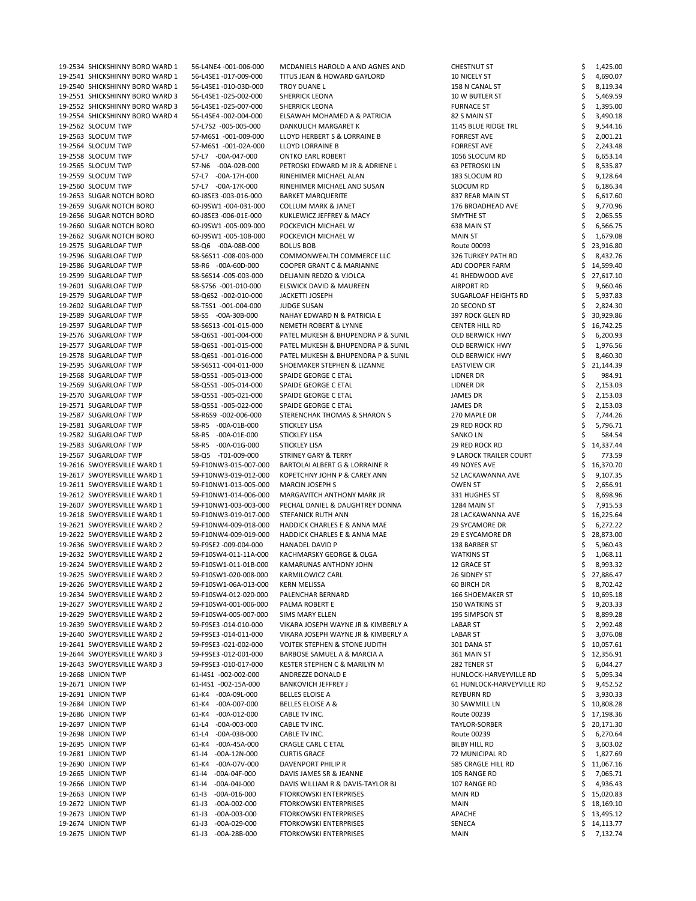19-2534 SHICKSHINNY BORO WARD 1 56-L4NE4 -001-006-000 MCDANIELS HAROLD A AND AGNES AND CHESTNUT ST \$ 1,425.00 19-2541 SHICKSHINNY BORO WARD 1 56-L4SE1 -017-009-000 TITUS JEAN & HOWARD GAYLORD 10 NICELY ST \$ 4,690.07 19-2540 SHICKSHINNY BORO WARD 1 56-L4SE1 -010-03D-000 TROY DUANE L 158 N CANAL ST \$ 8,119.34 19-2551 SHICKSHINNY BORO WARD 3 56-L4SE1 -025-002-000 SHERRICK LEONA 10 W BUTLER ST \$ 5,469.59 19-2552 SHICKSHINNY BORO WARD 3 56-L4SE1 -025-007-000 SHERRICK LEONA **FURNACE ST** FURNACE ST \$ 1,395.00 19-2554 SHICKSHINNY BORO WARD 4 56-L4SE4 -002-004-000 ELSAWAH MOHAMED A & PATRICIA 82 S MAIN ST \$ 3,490.18 19-2562 SLOCUM TWP 57-L7S2 -005-005-000 DANKULICH MARGARET K 1145 BLUE RIDGE TRL \$ 9,544.16 19-2563 SLOCUM TWP 57-M6S1 -001-009-000 LLOYD HERBERT S & LORRAINE B FORREST AVE \$ 2,001.21 19-2564 SLOCUM TWP 57-M6S1 -001-02A-000 LLOYD LORRAINE B FORREST AVE FORREST AVE \$ 2,243.48 19-2558 SLOCUM TWP 57-L7 -00A-047-000 ONTKO EARL ROBERT 1056 SLOCUM RD \$ 6,653.14 19-2565 SLOCUM TWP 57-N6 -00A-02B-000 PETROSKI EDWARD M JR & ADRIENE L 63 PETROSKI LN \$ 8,535.87 19-2559 SLOCUM TWP 57-L7 -00A-17H-000 RINEHIMER MICHAEL ALAN 183 SLOCUM RD \$ 9,128.64 19-2560 SLOCUM TWP 57-L7 -00A-17K-000 RINEHIMER MICHAEL AND SUSAN SLOCUM RD \$6,186.34 19-2653 SUGAR NOTCH BORO 60-J8SE3 -003-016-000 BARKET MARQUERITE 837 REAR MAIN ST \$ 6,617.60 19-2659 SUGAR NOTCH BORO 60-J9SW1 -004-031-000 COLLUM MARK & JANET 176 BROADHEAD AVE \$ 9,770.96 19-2656 SUGAR NOTCH BORO 60-J8SE3 -006-01E-000 KUKLEWICZ JEFFREY & MACY SMYTHE ST \$ 2,065.55 19-2660 SUGAR NOTCH BORO 60-J9SW1 -005-009-000 POCKEVICH MICHAEL W 638 MAIN ST \$ 6,566.75 19-2662 SUGAR NOTCH BORO 60-J9SW1 -005-10B-000 POCKEVICH MICHAEL W MAIN ST \$ 1,679.08 19-2575 SUGARLOAF TWP 58-Q6 -00A-08B-000 BOLUS BOB Route 00093 \$ 23,916.80 19-2596 SUGARLOAF TWP 58-S6S11 -008-003-000 COMMONWEALTH COMMERCE LLC 326 TURKEY PATH RD \$ 8,432.76 19-2586 SUGARLOAF TWP 58-R6 -00A-60D-000 COOPER GRANT C & MARIANNE ADJ COOPER FARM \$ 14,599.40 19-2599 SUGARLOAF TWP 58-S6S14 -005-003-000 DELJANIN REDZO & VJOLCA 41 RHEDWOOD AVE \$ 27,617.10 19-2601 SUGARLOAF TWP 58-S7S6 -001-010-000 ELSWICK DAVID & MAUREEN AIRPORT RD \$ 9,660.46 19-2579 SUGARLOAF TWP 58-Q6S2 -002-010-000 JACKETTI JOSEPH SUGARLOAF HEIGHTS RD \$ 5,937.83 19-2602 SUGARLOAF TWP 58-T5S1 -001-004-000 JUDGE SUSAN 20 SECOND ST \$ 2,824.30 19-2589 SUGARLOAF TWP 58-S5 -00A-30B-000 NAHAY EDWARD N & PATRICIA E 397 ROCK GLEN RD \$ 30,929.86 19-2597 SUGARLOAF TWP 58-S6S13 -001-015-000 NEMETH ROBERT & LYNNE CENTER HILL RD \$ 16,742.25 19-2576 SUGARLOAF TWP 58-Q6S1 -001-004-000 PATEL MUKESH & BHUPENDRA P & SUNIL OLD BERWICK HWY \$ 6,200.93 19-2577 SUGARLOAF TWP 58-Q6S1 -001-015-000 PATEL MUKESH & BHUPENDRA P & SUNIL OLD BERWICK HWY \$ 1,976.56 19-2578 SUGARLOAF TWP 58-Q6S1 -001-016-000 PATEL MUKESH & BHUPENDRA P & SUNIL OLD BERWICK HWY \$ 8,460.30 19-2595 SUGARLOAF TWP 58-S6S11 -004-011-000 SHOEMAKER STEPHEN & LIZANNE EASTVIEW CIR \$ 21,144.39 19-2568 SUGARLOAF TWP 58-Q5S1 -005-013-000 SPAIDE GEORGE C ETAL LIDNER DR SUGARLOAF TWP \$ 984.91 19-2569 SUGARLOAF TWP 58-Q5S1 -005-014-000 SPAIDE GEORGE C ETAL LIDNER DR \$ 2,153.03 19-2570 SUGARLOAF TWP 58-Q5S1 -005-021-000 SPAIDE GEORGE C ETAL JAMES DR \$ 2,153.03 19-2571 SUGARLOAF TWP 58-Q5S1 -005-022-000 SPAIDE GEORGE C ETAL JAMES DR \$ 2,153.03 19-2587 SUGARLOAF TWP 58-R6S9 -002-006-000 STERENCHAK THOMAS & SHARON S 270 MAPLE DR \$ 7,744.26 19-2581 SUGARLOAF TWP 58-R5 -00A-01B-000 STICKLEY LISA 29 RED ROCK RD \$ 5,796.71 19-2582 SUGARLOAF TWP 58-R5 -00A-01E-000 STICKLEY LISA SANKO LN SANKO LN \$ 584.54 19-2583 SUGARLOAF TWP 58-R5 -00A-01G-000 STICKLEY LISA 29 RED ROCK RD \$ 14,337.44 19-2567 SUGARLOAF TWP 58-Q5 -T01-009-000 STRINEY GARY & TERRY 9 LAROCK TRAILER COURT \$ 773.59 19-2616 SWOYERSVILLE WARD 1 59-F10NW3-015-007-000 BARTOLAI ALBERT G & LORRAINE R 49 NOYES AVE \$ 16,370.70 19-2617 SWOYERSVILLE WARD 1 59-F10NW3-019-012-000 KOPETCHNY JOHN P & CAREY ANN 52 LACKAWANNA AVE \$ 9,107.35 19-2611 SWOYERSVILLE WARD 1 59-F10NW1-013-005-000 MARCIN JOSEPH S CONENT THE OWEN ST S 2,656.91 19-2612 SWOYERSVILLE WARD 1 59-F10NW1-014-006-000 MARGAVITCH ANTHONY MARK JR 331 HUGHES ST \$ 8,698.96 19-2607 SWOYERSVILLE WARD 1 59-F10NW1-003-003-000 PECHAL DANIEL & DAUGHTREY DONNA 1284 MAIN ST \$ 7,915.53 19-2618 SWOYERSVILLE WARD 1 59-F10NW3-019-017-000 STEFANICK RUTH ANN 28 LACKAWANNA AVE \$ 16,225.64 19-2621 SWOYERSVILLE WARD 2 59-F10NW4-009-018-000 HADDICK CHARLES E & ANNA MAE 29 SYCAMORE DR \$ 6,272.22 19-2622 SWOYERSVILLE WARD 2 59-F10NW4-009-019-000 HADDICK CHARLES E & ANNA MAE 29 E SYCAMORE DR \$ 28,873.00 19-2636 SWOYERSVILLE WARD 2 59-F9SE2 -009-004-000 HANADEL DAVID P 138 BARBER ST \$ 5,960.43 19-2632 SWOYERSVILLE WARD 2 59-F10SW4-011-11A-000 KACHMARSKY GEORGE & OLGA WATKINS ST \$ 1,068.11 19-2624 SWOYERSVILLE WARD 2 59-F10SW1-011-01B-000 KAMARUNAS ANTHONY JOHN 12 GRACE ST \$ 8,993.32 19-2625 SWOYERSVILLE WARD 2 59-F10SW1-020-008-000 KARMILOWICZ CARL 26 SIDNEY ST \$ 27,886.47 19-2626 SWOYERSVILLE WARD 2 59-F10SW1-06A-013-000 KERN MELISSA 60 BIRCH DR \$ 8,702.42 19-2634 SWOYERSVILLE WARD 2 59-F10SW4-012-020-000 PALENCHAR BERNARD 166 SHOEMAKER ST \$ 10,695.18 19-2627 SWOYERSVILLE WARD 2 59-F10SW4-001-006-000 PALMA ROBERT E 150 WATKINS ST \$ 9,203.33 19-2629 SWOYERSVILLE WARD 2 59-F10SW4-005-007-000 SIMS MARY ELLEN 195 SIMPSON ST \$ 8,899.28

| 19-2639 SWOYERSVILLE WARD 2 | 59-F9SE3 -014-010-000           | VIKARA JOSEPH WAYNE JR & KIMBERLY A      | <b>LABAR ST</b>           | 2,992.48  |
|-----------------------------|---------------------------------|------------------------------------------|---------------------------|-----------|
| 19-2640 SWOYERSVILLE WARD 2 | 59-F9SE3 -014-011-000           | VIKARA JOSEPH WAYNE JR & KIMBERLY A      | <b>LABAR ST</b>           | 3,076.08  |
| 19-2641 SWOYERSVILLE WARD 2 | 59-F9SE3 -021-002-000           | <b>VOJTEK STEPHEN &amp; STONE JUDITH</b> | 301 DANA ST               | 10,057.61 |
| 19-2644 SWOYERSVILLE WARD 3 | 59-F9SE3 -012-001-000           | BARBOSE SAMUEL A & MARCIA A              | 361 MAIN ST               | 12,356.91 |
| 19-2643 SWOYERSVILLE WARD 3 | 59-F9SE3 -010-017-000           | KESTER STEPHEN C & MARILYN M             | 282 TENER ST              | 6,044.27  |
| 19-2668 UNION TWP           | 61-I4S1 -002-002-000            | ANDREZZE DONALD E                        | HUNLOCK-HARVEYVILLE RD    | 5,095.34  |
| 19-2671 UNION TWP           | 61-I4S1 -002-15A-000            | <b>BANKOVICH JEFFREY J</b>               | 61 HUNLOCK-HARVEYVILLE RD | 9,452.52  |
| 19-2691 UNION TWP           | 61-K4 -00A-09L-000              | <b>BELLES ELOISE A</b>                   | REYBURN RD                | 3,930.33  |
| 19-2684 UNION TWP           | 61-K4<br>-00A-007-000           | <b>BELLES ELOISE A &amp;</b>             | 30 SAWMILL LN             | 10,808.28 |
| 19-2686 UNION TWP           | 61-K4<br>$-00A-012-000$         | CABLE TV INC.                            | Route 00239               | 17,198.36 |
| 19-2697 UNION TWP           | $-00A-003-000$<br>61-L4         | CABLE TV INC.                            | TAYLOR-SORBER             | 20,171.30 |
| 19-2698 UNION TWP           | $-00A-03B-000$<br>61-L4         | CABLE TV INC.                            | Route 00239               | 6,270.64  |
| 19-2695 UNION TWP           | 61-K4<br>-00A-45A-000           | CRAGLE CARL C ETAL                       | BILBY HILL RD             | 3,603.02  |
| 19-2681 UNION TWP           | $-00A-12N-000$<br>$61 - J4$     | <b>CURTIS GRACE</b>                      | 72 MUNICIPAL RD           | 1,827.69  |
| 19-2690 UNION TWP           | 61-K4 -00A-07V-000              | DAVENPORT PHILIP R                       | 585 CRAGLE HILL RD        | 11,067.16 |
| 19-2665 UNION TWP           | $-00A-04F-000$<br>$61 - 14$     | DAVIS JAMES SR & JEANNE                  | 105 RANGE RD              | 7,065.71  |
| 19-2666 UNION TWP           | $-00A-04J-000$<br>$61 - 14$     | DAVIS WILLIAM R & DAVIS-TAYLOR BJ        | 107 RANGE RD              | 4,936.43  |
| 19-2663 UNION TWP           | $61 - 13$<br>$-00A - 016 - 000$ | <b>FTORKOWSKI ENTERPRISES</b>            | MAIN RD                   | 15,020.83 |
| 19-2672 UNION TWP           | $-00A-002-000$<br>$61 - J3$     | <b>FTORKOWSKI ENTERPRISES</b>            | <b>MAIN</b>               | 18,169.10 |
| 19-2673 UNION TWP           | $-00A-003-000$<br>$61 - J3$     | <b>FTORKOWSKI ENTERPRISES</b>            | APACHE                    | 13,495.12 |
| 19-2674 UNION TWP           | $61 - J3$<br>$-00A-029-000$     | <b>FTORKOWSKI ENTERPRISES</b>            | <b>SENECA</b>             | 14,113.77 |
| 19-2675 UNION TWP           | -00A-28B-000<br>61-J3           | <b>FTORKOWSKI ENTERPRISES</b>            | <b>MAIN</b>               | 7,132.74  |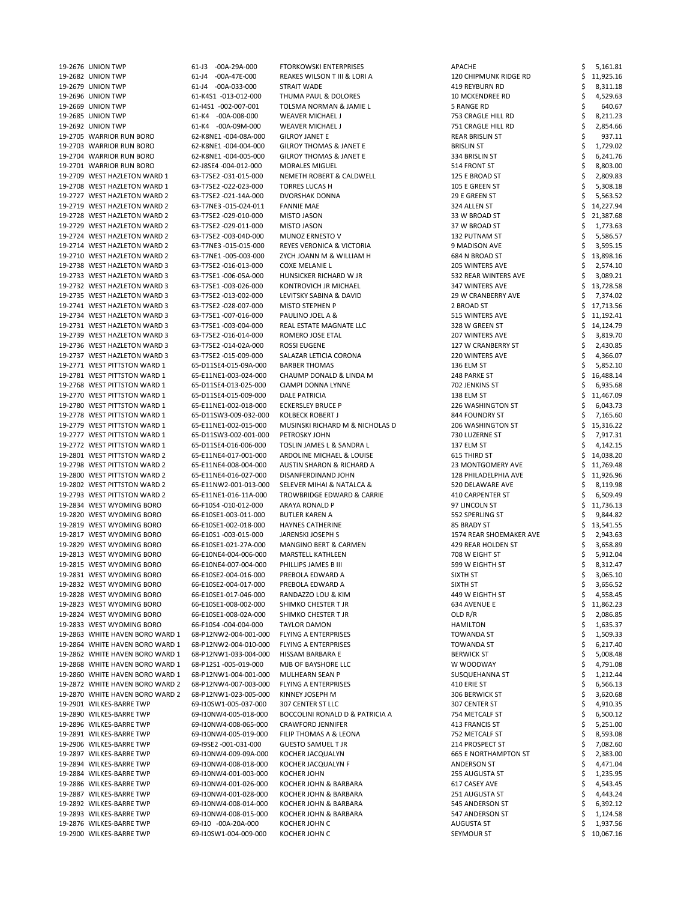| 19-2676 UNION TWP               | 61-J3 -00A-29A-000    | <b>FTORKOWSKI ENTERPRISES</b>              | APACHE                       | 5,161.81    |
|---------------------------------|-----------------------|--------------------------------------------|------------------------------|-------------|
| 19-2682 UNION TWP               | 61-J4 -00A-47E-000    | REAKES WILSON T III & LORI A               | <b>120 CHIPMUNK RIDGE RD</b> | 11,925.16   |
| 19-2679 UNION TWP               | 61-J4 -00A-033-000    | STRAIT WADE                                | 419 REYBURN RD               | 8,311.18    |
| 19-2696 UNION TWP               | 61-K4S1 -013-012-000  | THUMA PAUL & DOLORES                       | <b>10 MCKENDREE RD</b>       | 4,529.63    |
| 19-2669 UNION TWP               | 61-I4S1 -002-007-001  | TOLSMA NORMAN & JAMIE L                    | <b>5 RANGE RD</b>            | 640.67      |
| 19-2685 UNION TWP               | 61-K4 -00A-008-000    | WEAVER MICHAEL J                           | 753 CRAGLE HILL RD           | 8,211.23    |
|                                 |                       |                                            |                              |             |
| 19-2692 UNION TWP               | 61-K4 -00A-09M-000    | <b>WEAVER MICHAEL J</b>                    | 751 CRAGLE HILL RD           | 2,854.66    |
| 19-2705 WARRIOR RUN BORO        | 62-K8NE1-004-08A-000  | <b>GILROY JANET E</b>                      | <b>REAR BRISLIN ST</b>       | 937.11      |
| 19-2703 WARRIOR RUN BORO        | 62-K8NE1-004-004-000  | <b>GILROY THOMAS &amp; JANET E</b>         | <b>BRISLIN ST</b>            | 1,729.02    |
| 19-2704 WARRIOR RUN BORO        | 62-K8NE1-004-005-000  | <b>GILROY THOMAS &amp; JANET E</b>         | 334 BRISLIN ST               | 6,241.76    |
| 19-2701 WARRIOR RUN BORO        | 62-J8SE4 -004-012-000 | <b>MORALES MIGUEL</b>                      | 514 FRONT ST                 | 8,803.00    |
| 19-2709 WEST HAZLETON WARD 1    | 63-T7SE2 -031-015-000 | NEMETH ROBERT & CALDWELL                   | 125 E BROAD ST               | 2,809.83    |
| 19-2708 WEST HAZLETON WARD 1    | 63-T7SE2 -022-023-000 | <b>TORRES LUCAS H</b>                      | 105 E GREEN ST               | 5,308.18    |
| 19-2727 WEST HAZLETON WARD 2    | 63-T7SE2 -021-14A-000 | DVORSHAK DONNA                             | 29 E GREEN ST                | 5,563.52    |
| 19-2719 WEST HAZLETON WARD 2    | 63-T7NE3 -015-024-011 | <b>FANNIE MAE</b>                          | 324 ALLEN ST                 | 14,227.94   |
| 19-2728 WEST HAZLETON WARD 2    | 63-T7SE2 -029-010-000 | MISTO JASON                                | 33 W BROAD ST                | 21,387.68   |
| 19-2729 WEST HAZLETON WARD 2    | 63-T7SE2 -029-011-000 | MISTO JASON                                | 37 W BROAD ST                | 1,773.63    |
|                                 |                       |                                            |                              |             |
| 19-2724 WEST HAZLETON WARD 2    | 63-T7SE2 -003-04D-000 | MUNOZ ERNESTO V                            | 132 PUTNAM ST                | 5,586.57    |
| 19-2714 WEST HAZLETON WARD 2    | 63-T7NE3 -015-015-000 | REYES VERONICA & VICTORIA                  | 9 MADISON AVE                | 3,595.15    |
| 19-2710 WEST HAZLETON WARD 2    | 63-T7NE1 -005-003-000 | ZYCH JOANN M & WILLIAM H                   | 684 N BROAD ST               | 13,898.16   |
| 19-2738 WEST HAZLETON WARD 3    | 63-T7SE2 -016-013-000 | <b>COXE MELANIE L</b>                      | 205 WINTERS AVE              | 2,574.10    |
| 19-2733 WEST HAZLETON WARD 3    | 63-T7SE1-006-05A-000  | HUNSICKER RICHARD W JR                     | 532 REAR WINTERS AVE         | 3,089.21    |
| 19-2732 WEST HAZLETON WARD 3    | 63-T7SE1-003-026-000  | KONTROVICH JR MICHAEL                      | 347 WINTERS AVE              | 13,728.58   |
| 19-2735 WEST HAZLETON WARD 3    | 63-T7SE2 -013-002-000 | LEVITSKY SABINA & DAVID                    | <b>29 W CRANBERRY AVE</b>    | 7,374.02    |
| 19-2741 WEST HAZLETON WARD 3    | 63-T7SE2 -028-007-000 | <b>MISTO STEPHEN P</b>                     | 2 BROAD ST                   | 17,713.56   |
| 19-2734 WEST HAZLETON WARD 3    | 63-T7SE1-007-016-000  | PAULINO JOEL A &                           | 515 WINTERS AVE              | 11,192.41   |
| 19-2731 WEST HAZLETON WARD 3    | 63-T7SE1 -003-004-000 | REAL ESTATE MAGNATE LLC                    | 328 W GREEN ST               | 14,124.79   |
|                                 |                       |                                            |                              |             |
| 19-2739 WEST HAZLETON WARD 3    | 63-T7SE2 -016-014-000 | ROMERO JOSE ETAL                           | 207 WINTERS AVE              | 3,819.70    |
| 19-2736 WEST HAZLETON WARD 3    | 63-T7SE2 -014-02A-000 | <b>ROSSI EUGENE</b>                        | 127 W CRANBERRY ST           | 2,430.85    |
| 19-2737 WEST HAZLETON WARD 3    | 63-T7SE2 -015-009-000 | SALAZAR LETICIA CORONA                     | 220 WINTERS AVE              | 4,366.07    |
| 19-2771 WEST PITTSTON WARD 1    | 65-D11SE4-015-09A-000 | <b>BARBER THOMAS</b>                       | 136 ELM ST                   | 5,852.10    |
| 19-2781 WEST PITTSTON WARD 1    | 65-E11NE1-003-024-000 | CHAUMP DONALD & LINDA M                    | 248 PARKE ST                 | 16,488.14   |
| 19-2768 WEST PITTSTON WARD 1    | 65-D11SE4-013-025-000 | CIAMPI DONNA LYNNE                         | 702 JENKINS ST               | 6,935.68    |
| 19-2770 WEST PITTSTON WARD 1    | 65-D11SE4-015-009-000 | <b>DALE PATRICIA</b>                       | 138 ELM ST                   | 11,467.09   |
| 19-2780 WEST PITTSTON WARD 1    | 65-E11NE1-002-018-000 | <b>ECKERSLEY BRUCE P</b>                   | 226 WASHINGTON ST            | 6,043.73    |
| 19-2778 WEST PITTSTON WARD 1    | 65-D11SW3-009-032-000 | <b>KOLBECK ROBERT J</b>                    | 844 FOUNDRY ST               | 7,165.60    |
| 19-2779 WEST PITTSTON WARD 1    | 65-E11NE1-002-015-000 | MUSINSKI RICHARD M & NICHOLAS D            | 206 WASHINGTON ST            | 15,316.22   |
| 19-2777 WEST PITTSTON WARD 1    | 65-D11SW3-002-001-000 | PETROSKY JOHN                              | 730 LUZERNE ST               |             |
|                                 |                       |                                            |                              | 7,917.31    |
| 19-2772 WEST PITTSTON WARD 1    | 65-D11SE4-016-006-000 | TOSLIN JAMES L & SANDRA L                  | 137 ELM ST                   | 4,142.15    |
| 19-2801 WEST PITTSTON WARD 2    | 65-E11NE4-017-001-000 | ARDOLINE MICHAEL & LOUISE                  | 615 THIRD ST                 | 14,038.20   |
| 19-2798 WEST PITTSTON WARD 2    | 65-E11NE4-008-004-000 | <b>AUSTIN SHARON &amp; RICHARD A</b>       | 23 MONTGOMERY AVE            | 11,769.48   |
| 19-2800 WEST PITTSTON WARD 2    | 65-E11NE4-016-027-000 | DISANFERDINAND JOHN                        | 128 PHILADELPHIA AVE         | 11,926.96   |
| 19-2802 WEST PITTSTON WARD 2    | 65-E11NW2-001-013-000 | SELEVER MIHAI & NATALCA &                  | 520 DELAWARE AVE             | 8,119.98    |
| 19-2793 WEST PITTSTON WARD 2    | 65-E11NE1-016-11A-000 | TROWBRIDGE EDWARD & CARRIE                 | 410 CARPENTER ST             | 6,509.49    |
| 19-2834 WEST WYOMING BORO       | 66-F10S4 -010-012-000 | ARAYA RONALD P                             | 97 LINCOLN ST                | 11,736.13   |
| 19-2820 WEST WYOMING BORO       | 66-E10SE1-003-011-000 | <b>BUTLER KAREN A</b>                      | 552 SPERLING ST              | 9,844.82    |
| 19-2819 WEST WYOMING BORO       | 66-E10SE1-002-018-000 | <b>HAYNES CATHERINE</b>                    | 85 BRADY ST                  | 13,541.55   |
| 19-2817 WEST WYOMING BORO       | 66-E10S1-003-015-000  | JARENSKI JOSEPH S                          | 1574 REAR SHOEMAKER AVE      | 2,943.63    |
| 19-2829 WEST WYOMING BORO       |                       |                                            |                              |             |
|                                 | 66-E10SE1-021-27A-000 | <b>MANGINO BERT &amp; CARMEN</b>           | 429 REAR HOLDEN ST           | 3,658.89    |
| 19-2813 WEST WYOMING BORO       | 66-E10NE4-004-006-000 | <b>MARSTELL KATHLEEN</b>                   | 708 W EIGHT ST               | 5,912.04    |
| 19-2815 WEST WYOMING BORO       | 66-E10NE4-007-004-000 | PHILLIPS JAMES B III                       | 599 W EIGHTH ST              | 8,312.47    |
| 19-2831 WEST WYOMING BORO       | 66-E10SE2-004-016-000 | PREBOLA EDWARD A                           | SIXTH ST                     | 3,065.10    |
| 19-2832 WEST WYOMING BORO       | 66-E10SE2-004-017-000 | PREBOLA EDWARD A                           | SIXTH ST                     | 3,656.52    |
| 19-2828 WEST WYOMING BORO       | 66-E10SE1-017-046-000 | RANDAZZO LOU & KIM                         | 449 W EIGHTH ST              | 4,558.45    |
| 19-2823 WEST WYOMING BORO       | 66-E10SE1-008-002-000 | SHIMKO CHESTER T JR                        | 634 AVENUE E                 | 11,862.23   |
| 19-2824 WEST WYOMING BORO       | 66-E10SE1-008-02A-000 | SHIMKO CHESTER T JR                        | OLD $R/R$                    | 2,086.85    |
| 19-2833 WEST WYOMING BORO       | 66-F10S4 -004-004-000 | <b>TAYLOR DAMON</b>                        | <b>HAMILTON</b>              | 1,635.37    |
| 19-2863 WHITE HAVEN BORO WARD 1 | 68-P12NW2-004-001-000 | <b>FLYING A ENTERPRISES</b>                | <b>TOWANDA ST</b>            | 1,509.33    |
| 19-2864 WHITE HAVEN BORO WARD 1 | 68-P12NW2-004-010-000 | <b>FLYING A ENTERPRISES</b>                | <b>TOWANDA ST</b>            | 6,217.40    |
|                                 | 68-P12NW1-033-004-000 |                                            |                              |             |
| 19-2862 WHITE HAVEN BORO WARD 1 |                       | HISSAM BARBARA E                           | <b>BERWICK ST</b>            | 5,008.48    |
| 19-2868 WHITE HAVEN BORO WARD 1 | 68-P12S1-005-019-000  | MJB OF BAYSHORE LLC                        | W WOODWAY                    | 4,791.08    |
| 19-2860 WHITE HAVEN BORO WARD 1 | 68-P12NW1-004-001-000 | MULHEARN SEAN P                            | SUSQUEHANNA ST               | 1,212.44    |
| 19-2872 WHITE HAVEN BORO WARD 2 | 68-P12NW4-007-003-000 | <b>FLYING A ENTERPRISES</b>                | 410 ERIE ST                  | 6,566.13    |
| 19-2870 WHITE HAVEN BORO WARD 2 | 68-P12NW1-023-005-000 | KINNEY JOSEPH M                            | 306 BERWICK ST               | 3,620.68    |
| 19-2901 WILKES-BARRE TWP        | 69-I10SW1-005-037-000 | 307 CENTER ST LLC                          | 307 CENTER ST                | 4,910.35    |
| 19-2890 WILKES-BARRE TWP        | 69-I10NW4-005-018-000 | <b>BOCCOLINI RONALD D &amp; PATRICIA A</b> | 754 METCALF ST               | 6,500.12    |
| 19-2896 WILKES-BARRE TWP        | 69-I10NW4-008-065-000 | <b>CRAWFORD JENNIFER</b>                   | 413 FRANCIS ST               | 5,251.00    |
| 19-2891 WILKES-BARRE TWP        | 69-I10NW4-005-019-000 | FILIP THOMAS A & LEONA                     | 752 METCALF ST               | 8,593.08    |
| 19-2906 WILKES-BARRE TWP        | 69-I9SE2 -001-031-000 | <b>GUESTO SAMUEL T JR</b>                  | 214 PROSPECT ST              | 7,082.60    |
| 19-2897 WILKES-BARRE TWP        | 69-I10NW4-009-09A-000 | KOCHER JACQUALYN                           | <b>665 E NORTHAMPTON ST</b>  | 2,383.00    |
|                                 |                       |                                            |                              |             |
| 19-2894 WILKES-BARRE TWP        | 69-I10NW4-008-018-000 | KOCHER JACQUALYN F                         | ANDERSON ST                  | 4,471.04    |
| 19-2884 WILKES-BARRE TWP        | 69-I10NW4-001-003-000 | KOCHER JOHN                                | 255 AUGUSTA ST               | 1,235.95    |
| 19-2886 WILKES-BARRE TWP        | 69-I10NW4-001-026-000 | KOCHER JOHN & BARBARA                      | 617 CASEY AVE                | 4,543.45    |
| 19-2887 WILKES-BARRE TWP        | 69-I10NW4-001-028-000 | KOCHER JOHN & BARBARA                      | 251 AUGUSTA ST               | 4,443.24    |
| 19-2892 WILKES-BARRE TWP        | 69-I10NW4-008-014-000 | KOCHER JOHN & BARBARA                      | 545 ANDERSON ST              | 6,392.12    |
| 19-2893 WILKES-BARRE TWP        | 69-I10NW4-008-015-000 | KOCHER JOHN & BARBARA                      | 547 ANDERSON ST              | 1,124.58    |
| 19-2876 WILKES-BARRE TWP        | 69-I10 -00A-20A-000   | KOCHER JOHN C                              | <b>AUGUSTA ST</b>            | 1,937.56    |
| 19-2900 WILKES-BARRE TWP        | 69-I10SW1-004-009-000 | KOCHER JOHN C                              | <b>SEYMOUR ST</b>            | \$10,067.16 |
|                                 |                       |                                            |                              |             |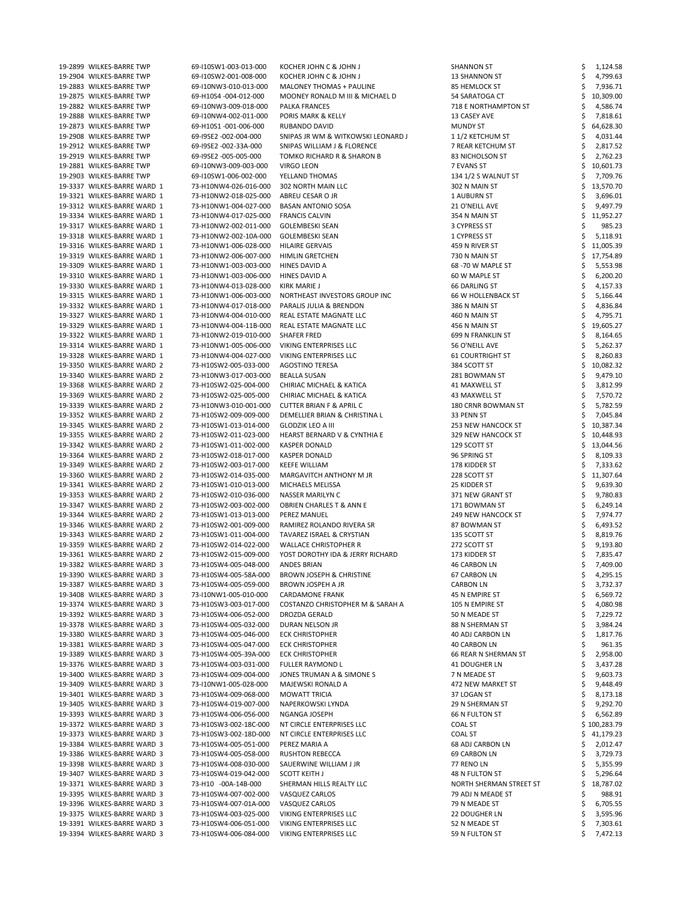| 19-2899 WILKES-BARRE TWP    | 69-I10SW1-003-013-000 | KOCHER JOHN C & JOHN J               | <b>SHANNON ST</b>         | 1,124.58     |
|-----------------------------|-----------------------|--------------------------------------|---------------------------|--------------|
| 19-2904 WILKES-BARRE TWP    | 69-I10SW2-001-008-000 | KOCHER JOHN C & JOHN J               | <b>13 SHANNON ST</b>      | 4,799.63     |
| 19-2883 WILKES-BARRE TWP    | 69-I10NW3-010-013-000 | <b>MALONEY THOMAS + PAULINE</b>      | 85 HEMLOCK ST             | 7,936.71     |
| 19-2875 WILKES-BARRE TWP    | 69-H10S4 -004-012-000 | MOONEY RONALD M III & MICHAEL D      | 54 SARATOGA CT            | 10,309.00    |
| 19-2882 WILKES-BARRE TWP    | 69-I10NW3-009-018-000 | <b>PALKA FRANCES</b>                 | 718 E NORTHAMPTON ST      | 4,586.74     |
| 19-2888 WILKES-BARRE TWP    | 69-I10NW4-002-011-000 | PORIS MARK & KELLY                   | 13 CASEY AVE              | 7,818.61     |
| 19-2873 WILKES-BARRE TWP    | 69-H10S1-001-006-000  | RUBANDO DAVID                        | <b>MUNDY ST</b>           | 64,628.30    |
| 19-2908 WILKES-BARRE TWP    | 69-I9SE2 -002-004-000 | SNIPAS JR WM & WITKOWSKI LEONARD J   | 1 1/2 KETCHUM ST          | 4,031.44     |
| 19-2912 WILKES-BARRE TWP    | 69-I9SE2 -002-33A-000 | SNIPAS WILLIAM J & FLORENCE          | 7 REAR KETCHUM ST         | 2,817.52     |
| 19-2919 WILKES-BARRE TWP    | 69-I9SE2 -005-005-000 | TOMKO RICHARD R & SHARON B           | 83 NICHOLSON ST           | 2,762.23     |
| 19-2881 WILKES-BARRE TWP    | 69-I10NW3-009-003-000 | VIRGO LEON                           | 7 EVANS ST                | 10,601.73    |
| 19-2903 WILKES-BARRE TWP    | 69-I10SW1-006-002-000 | YELLAND THOMAS                       | 134 1/2 S WALNUT ST       | 7,709.76     |
| 19-3337 WILKES-BARRE WARD 1 | 73-H10NW4-026-016-000 | 302 NORTH MAIN LLC                   | 302 N MAIN ST             | 13,570.70    |
| 19-3321 WILKES-BARRE WARD 1 | 73-H10NW2-018-025-000 | ABREU CESAR O JR                     | 1 AUBURN ST               | 3,696.01     |
| 19-3312 WILKES-BARRE WARD 1 | 73-H10NW1-004-027-000 | <b>BASAN ANTONIO SOSA</b>            | 21 O'NEILL AVE            | 9,497.79     |
| 19-3334 WILKES-BARRE WARD 1 | 73-H10NW4-017-025-000 | <b>FRANCIS CALVIN</b>                | 354 N MAIN ST             | 11,952.27    |
| 19-3317 WILKES-BARRE WARD 1 | 73-H10NW2-002-011-000 | <b>GOLEMBESKI SEAN</b>               | 3 CYPRESS ST              | 985.23       |
| 19-3318 WILKES-BARRE WARD 1 | 73-H10NW2-002-10A-000 | <b>GOLEMBESKI SEAN</b>               | 1 CYPRESS ST              | 5,118.91     |
| 19-3316 WILKES-BARRE WARD 1 | 73-H10NW1-006-028-000 | <b>HILAIRE GERVAIS</b>               | 459 N RIVER ST            | 11,005.39    |
| 19-3319 WILKES-BARRE WARD 1 | 73-H10NW2-006-007-000 | <b>HIMLIN GRETCHEN</b>               | 730 N MAIN ST             | 17,754.89    |
| 19-3309 WILKES-BARRE WARD 1 | 73-H10NW1-003-003-000 | HINES DAVID A                        | 68 -70 W MAPLE ST         | 5,553.98     |
| 19-3310 WILKES-BARRE WARD 1 | 73-H10NW1-003-006-000 | HINES DAVID A                        | 60 W MAPLE ST             | 6,200.20     |
| 19-3330 WILKES-BARRE WARD 1 | 73-H10NW4-013-028-000 | <b>KIRK MARIE J</b>                  | <b>66 DARLING ST</b>      | 4,157.33     |
| 19-3315 WILKES-BARRE WARD 1 | 73-H10NW1-006-003-000 | NORTHEAST INVESTORS GROUP INC        | <b>66 W HOLLENBACK ST</b> | 5,166.44     |
| 19-3332 WILKES-BARRE WARD 1 | 73-H10NW4-017-018-000 | PARALIS JULIA & BRENDON              | 386 N MAIN ST             | 4,836.84     |
| 19-3327 WILKES-BARRE WARD 1 | 73-H10NW4-004-010-000 | REAL ESTATE MAGNATE LLC              | 460 N MAIN ST             | 4,795.71     |
| 19-3329 WILKES-BARRE WARD 1 | 73-H10NW4-004-11B-000 | REAL ESTATE MAGNATE LLC              | 456 N MAIN ST             | 19,605.27    |
| 19-3322 WILKES-BARRE WARD 1 | 73-H10NW2-019-010-000 | <b>SHAFER FRED</b>                   | 699 N FRANKLIN ST         | 8,164.65     |
| 19-3314 WILKES-BARRE WARD 1 | 73-H10NW1-005-006-000 | <b>VIKING ENTERPRISES LLC</b>        | 56 O'NEILL AVE            | 5,262.37     |
| 19-3328 WILKES-BARRE WARD 1 | 73-H10NW4-004-027-000 | VIKING ENTERPRISES LLC               | <b>61 COURTRIGHT ST</b>   | 8,260.83     |
| 19-3350 WILKES-BARRE WARD 2 | 73-H10SW2-005-033-000 | <b>AGOSTINO TERESA</b>               | 384 SCOTT ST              | 10,082.32    |
| 19-3340 WILKES-BARRE WARD 2 | 73-H10NW3-017-003-000 | <b>BEALLA SUSAN</b>                  | 281 BOWMAN ST             | 9,479.10     |
| 19-3368 WILKES-BARRE WARD 2 | 73-H10SW2-025-004-000 | <b>CHIRIAC MICHAEL &amp; KATICA</b>  | 41 MAXWELL ST             | 3,812.99     |
| 19-3369 WILKES-BARRE WARD 2 | 73-H10SW2-025-005-000 | <b>CHIRIAC MICHAEL &amp; KATICA</b>  | 43 MAXWELL ST             | 7,570.72     |
| 19-3339 WILKES-BARRE WARD 2 | 73-H10NW3-010-001-000 | <b>CUTTER BRIAN F &amp; APRIL C</b>  | 180 CRNR BOWMAN ST        | 5,782.59     |
| 19-3352 WILKES-BARRE WARD 2 | 73-H10SW2-009-009-000 | DEMELLIER BRIAN & CHRISTINA L        | 33 PENN ST                | 7,045.84     |
| 19-3345 WILKES-BARRE WARD 2 | 73-H10SW1-013-014-000 | <b>GLODZIK LEO A III</b>             | 253 NEW HANCOCK ST        | 10,387.34    |
| 19-3355 WILKES-BARRE WARD 2 | 73-H10SW2-011-023-000 | HEARST BERNARD V & CYNTHIA E         | 329 NEW HANCOCK ST        | 10,448.93    |
| 19-3342 WILKES-BARRE WARD 2 | 73-H10SW1-011-002-000 | <b>KASPER DONALD</b>                 | 129 SCOTT ST              | 13,044.56    |
| 19-3364 WILKES-BARRE WARD 2 | 73-H10SW2-018-017-000 | <b>KASPER DONALD</b>                 | 96 SPRING ST              | 8,109.33     |
| 19-3349 WILKES-BARRE WARD 2 | 73-H10SW2-003-017-000 | <b>KEEFE WILLIAM</b>                 | 178 KIDDER ST             | 7,333.62     |
| 19-3360 WILKES-BARRE WARD 2 | 73-H10SW2-014-035-000 | MARGAVITCH ANTHONY M JR              | 228 SCOTT ST              | 11,307.64    |
| 19-3341 WILKES-BARRE WARD 2 | 73-H10SW1-010-013-000 | <b>MICHAELS MELISSA</b>              | 25 KIDDER ST              | 9,639.30     |
| 19-3353 WILKES-BARRE WARD 2 | 73-H10SW2-010-036-000 | NASSER MARILYN C                     | 371 NEW GRANT ST          | 9,780.83     |
| 19-3347 WILKES-BARRE WARD 2 | 73-H10SW2-003-002-000 | <b>OBRIEN CHARLES T &amp; ANN E</b>  | 171 BOWMAN ST             | 6,249.14     |
| 19-3344 WILKES-BARRE WARD 2 | 73-H10SW1-013-013-000 | PEREZ MANUEL                         | 249 NEW HANCOCK ST        | 7,974.77     |
| 19-3346 WILKES-BARRE WARD 2 | 73-H10SW2-001-009-000 | RAMIREZ ROLANDO RIVERA SR            | 87 BOWMAN ST              | 6,493.52     |
| 19-3343 WILKES-BARRE WARD 2 | 73-H10SW1-011-004-000 | <b>TAVAREZ ISRAEL &amp; CRYSTIAN</b> | 135 SCOTT ST              | 8,819.76     |
| 19-3359 WILKES-BARRE WARD 2 | 73-H10SW2-014-022-000 | <b>WALLACE CHRISTOPHER R</b>         | 272 SCOTT ST              | 9,193.80     |
| 19-3361 WILKES-BARRE WARD 2 | 73-H10SW2-015-009-000 | YOST DOROTHY IDA & JERRY RICHARD     | 173 KIDDER ST             | 7,835.47     |
| 19-3382 WILKES-BARRE WARD 3 | 73-H10SW4-005-048-000 | ANDES BRIAN                          | <b>46 CARBON LN</b>       | 7,409.00     |
| 19-3390 WILKES-BARRE WARD 3 | 73-H10SW4-005-58A-000 | <b>BROWN JOSEPH &amp; CHRISTINE</b>  | 67 CARBON LN              | 4,295.15     |
| 19-3387 WILKES-BARRE WARD 3 | 73-H10SW4-005-059-000 | BROWN JOSPEH A JR                    | <b>CARBON LN</b>          | 3,732.37     |
| 19-3408 WILKES-BARRE WARD 3 | 73-I10NW1-005-010-000 | <b>CARDAMONE FRANK</b>               | 45 N EMPIRE ST            | 6,569.72     |
| 19-3374 WILKES-BARRE WARD 3 | 73-H10SW3-003-017-000 | COSTANZO CHRISTOPHER M & SARAH A     | 105 N EMPIRE ST           | 4,080.98     |
| 19-3392 WILKES-BARRE WARD 3 | 73-H10SW4-006-052-000 | DROZDA GERALD                        | 50 N MEADE ST             | 7,229.72     |
| 19-3378 WILKES-BARRE WARD 3 | 73-H10SW4-005-032-000 | DURAN NELSON JR                      | 88 N SHERMAN ST           | 3,984.24     |
| 19-3380 WILKES-BARRE WARD 3 | 73-H10SW4-005-046-000 | <b>ECK CHRISTOPHER</b>               | 40 ADJ CARBON LN          | 1,817.76     |
| 19-3381 WILKES-BARRE WARD 3 | 73-H10SW4-005-047-000 | <b>ECK CHRISTOPHER</b>               | 40 CARBON LN              | 961.35       |
| 19-3389 WILKES-BARRE WARD 3 | 73-H10SW4-005-39A-000 | <b>ECK CHRISTOPHER</b>               | 66 REAR N SHERMAN ST      | 2,958.00     |
| 19-3376 WILKES-BARRE WARD 3 | 73-H10SW4-003-031-000 | <b>FULLER RAYMOND L</b>              | 41 DOUGHER LN             | 3,437.28     |
| 19-3400 WILKES-BARRE WARD 3 | 73-H10SW4-009-004-000 | JONES TRUMAN A & SIMONE S            | 7 N MEADE ST              | 9,603.73     |
| 19-3409 WILKES-BARRE WARD 3 | 73-I10NW1-005-028-000 | MAJEWSKI RONALD A                    | 472 NEW MARKET ST         | 9,448.49     |
| 19-3401 WILKES-BARRE WARD 3 | 73-H10SW4-009-068-000 | <b>MOWATT TRICIA</b>                 | 37 LOGAN ST               | 8,173.18     |
| 19-3405 WILKES-BARRE WARD 3 | 73-H10SW4-019-007-000 | NAPERKOWSKI LYNDA                    | 29 N SHERMAN ST           | 9,292.70     |
| 19-3393 WILKES-BARRE WARD 3 | 73-H10SW4-006-056-000 | NGANGA JOSEPH                        | 66 N FULTON ST            | 6,562.89     |
| 19-3372 WILKES-BARRE WARD 3 | 73-H10SW3-002-18C-000 | NT CIRCLE ENTERPRISES LLC            | <b>COAL ST</b>            | \$100,283.79 |
| 19-3373 WILKES-BARRE WARD 3 | 73-H10SW3-002-18D-000 | NT CIRCLE ENTERPRISES LLC            | <b>COAL ST</b>            | 41,179.23    |
| 19-3384 WILKES-BARRE WARD 3 | 73-H10SW4-005-051-000 | PEREZ MARIA A                        | <b>68 ADJ CARBON LN</b>   | 2,012.47     |
| 19-3386 WILKES-BARRE WARD 3 | 73-H10SW4-005-058-000 | <b>RUSHTON REBECCA</b>               | 69 CARBON LN              | 3,729.73     |
| 19-3398 WILKES-BARRE WARD 3 | 73-H10SW4-008-030-000 | SAUERWINE WILLIAM J JR               | 77 RENO LN                | 5,355.99     |
| 19-3407 WILKES-BARRE WARD 3 | 73-H10SW4-019-042-000 | <b>SCOTT KEITH J</b>                 | 48 N FULTON ST            | 5,296.64     |
| 19-3371 WILKES-BARRE WARD 3 | 73-H10 -00A-14B-000   | SHERMAN HILLS REALTY LLC             | NORTH SHERMAN STREET ST   | 18,787.02    |
| 19-3395 WILKES-BARRE WARD 3 | 73-H10SW4-007-002-000 | <b>VASQUEZ CARLOS</b>                | 79 ADJ N MEADE ST         | 988.91       |
| 19-3396 WILKES-BARRE WARD 3 | 73-H10SW4-007-01A-000 | VASQUEZ CARLOS                       | 79 N MEADE ST             | 6,705.55     |
| 19-3375 WILKES-BARRE WARD 3 | 73-H10SW4-003-025-000 | VIKING ENTERPRISES LLC               | 22 DOUGHER LN             | 3,595.96     |
| 19-3391 WILKES-BARRE WARD 3 | 73-H10SW4-006-051-000 | VIKING ENTERPRISES LLC               | 52 N MEADE ST             | 7,303.61     |
| 19-3394 WILKES-BARRE WARD 3 | 73-H10SW4-006-084-000 | VIKING ENTERPRISES LLC               | 59 N FULTON ST            | 7,472.13     |
|                             |                       |                                      |                           |              |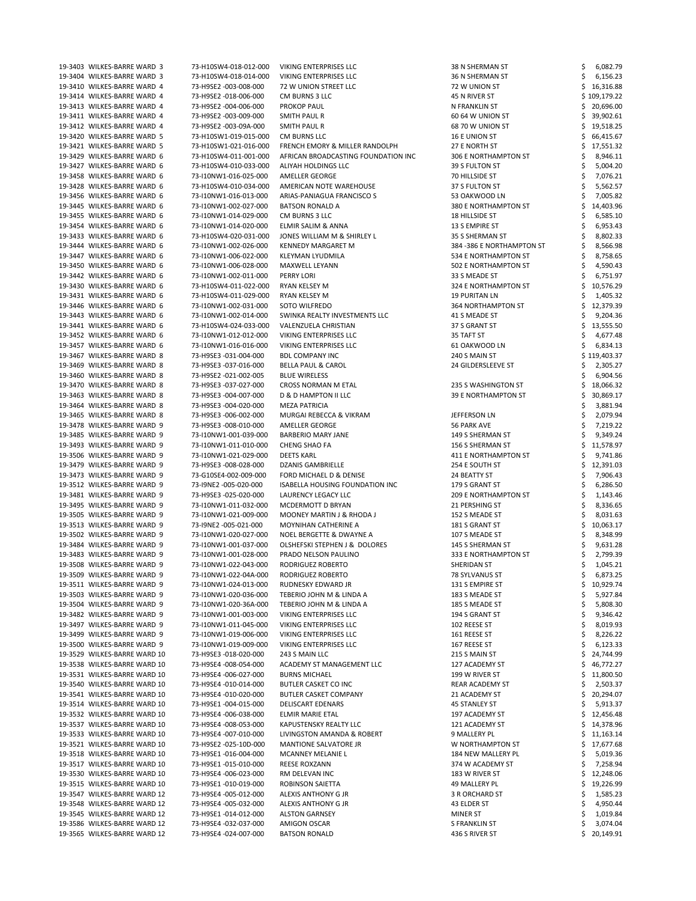| 19-3403 WILKES-BARRE WARD 3  | 73-H10SW4-018-012-000 | <b>VIKING ENTERPRISES LLC</b>          | 38 N SHERMAN ST             |   | 6,082.79     |
|------------------------------|-----------------------|----------------------------------------|-----------------------------|---|--------------|
| 19-3404 WILKES-BARRE WARD 3  | 73-H10SW4-018-014-000 | <b>VIKING ENTERPRISES LLC</b>          | 36 N SHERMAN ST             |   | 6,156.23     |
| 19-3410 WILKES-BARRE WARD 4  | 73-H9SE2 -003-008-000 | 72 W UNION STREET LLC                  | 72 W UNION ST               |   | 16,316.88    |
| 19-3414 WILKES-BARRE WARD 4  | 73-H9SE2 -018-006-000 | CM BURNS 3 LLC                         | 45 N RIVER ST               |   | \$109,179.22 |
| 19-3413 WILKES-BARRE WARD 4  | 73-H9SE2 -004-006-000 | <b>PROKOP PAUL</b>                     | N FRANKLIN ST               |   | 20,696.00    |
|                              |                       |                                        |                             |   |              |
| 19-3411 WILKES-BARRE WARD 4  | 73-H9SE2 -003-009-000 | <b>SMITH PAUL R</b>                    | 60 64 W UNION ST            |   | 39,902.61    |
| 19-3412 WILKES-BARRE WARD 4  | 73-H9SE2 -003-09A-000 | <b>SMITH PAUL R</b>                    | 68 70 W UNION ST            |   | 19,518.25    |
| 19-3420 WILKES-BARRE WARD 5  | 73-H10SW1-019-015-000 | CM BURNS LLC                           | 16 E UNION ST               |   | 66,415.67    |
| 19-3421 WILKES-BARRE WARD 5  | 73-H10SW1-021-016-000 | FRENCH EMORY & MILLER RANDOLPH         | 27 E NORTH ST               |   | 17,551.32    |
| 19-3429 WILKES-BARRE WARD 6  | 73-H10SW4-011-001-000 | AFRICAN BROADCASTING FOUNDATION INC    | 306 E NORTHAMPTON ST        |   | 8,946.11     |
| 19-3427 WILKES-BARRE WARD 6  | 73-H10SW4-010-033-000 | ALIYAH HOLDINGS LLC                    | 39 S FULTON ST              |   | 5,004.20     |
| 19-3458 WILKES-BARRE WARD 6  | 73-I10NW1-016-025-000 | AMELLER GEORGE                         | 70 HILLSIDE ST              |   | 7,076.21     |
| 19-3428 WILKES-BARRE WARD 6  | 73-H10SW4-010-034-000 | AMERICAN NOTE WAREHOUSE                | 37 S FULTON ST              |   | 5,562.57     |
| 19-3456 WILKES-BARRE WARD 6  | 73-I10NW1-016-013-000 | ARIAS-PANIAGUA FRANCISCO S             | 53 OAKWOOD LN               |   | 7,005.82     |
| 19-3445 WILKES-BARRE WARD 6  | 73-I10NW1-002-027-000 | <b>BATSON RONALD A</b>                 | 380 E NORTHAMPTON ST        |   | 14,403.96    |
| 19-3455 WILKES-BARRE WARD 6  | 73-I10NW1-014-029-000 | CM BURNS 3 LLC                         | 18 HILLSIDE ST              |   | 6,585.10     |
|                              |                       |                                        | 13 S EMPIRE ST              |   |              |
| 19-3454 WILKES-BARRE WARD 6  | 73-I10NW1-014-020-000 | ELMIR SALIM & ANNA                     |                             |   | 6,953.43     |
| 19-3433 WILKES-BARRE WARD 6  | 73-H10SW4-020-031-000 | JONES WILLIAM M & SHIRLEY L            | 35 S SHERMAN ST             |   | 8,802.33     |
| 19-3444 WILKES-BARRE WARD 6  | 73-I10NW1-002-026-000 | <b>KENNEDY MARGARET M</b>              | 384 - 386 E NORTHAMPTON ST  |   | 8,566.98     |
| 19-3447 WILKES-BARRE WARD 6  | 73-I10NW1-006-022-000 | KLEYMAN LYUDMILA                       | 534 E NORTHAMPTON ST        |   | 8,758.65     |
| 19-3450 WILKES-BARRE WARD 6  | 73-I10NW1-006-028-000 | MAXWELL LEYANN                         | 502 E NORTHAMPTON ST        |   | 4,590.43     |
| 19-3442 WILKES-BARRE WARD 6  | 73-I10NW1-002-011-000 | PERRY LORI                             | 33 S MEADE ST               |   | 6,751.97     |
| 19-3430 WILKES-BARRE WARD 6  | 73-H10SW4-011-022-000 | RYAN KELSEY M                          | 324 E NORTHAMPTON ST        |   | 10,576.29    |
| 19-3431 WILKES-BARRE WARD 6  | 73-H10SW4-011-029-000 | <b>RYAN KELSEY M</b>                   | <b>19 PURITAN LN</b>        |   | 1,405.32     |
| 19-3446 WILKES-BARRE WARD 6  | 73-I10NW1-002-031-000 | SOTO WILFREDO                          | <b>364 NORTHAMPTON ST</b>   |   | 12,379.39    |
| 19-3443 WILKES-BARRE WARD 6  | 73-I10NW1-002-014-000 | SWINKA REALTY INVESTMENTS LLC          | 41 S MEADE ST               |   | 9,204.36     |
| 19-3441 WILKES-BARRE WARD 6  |                       |                                        |                             |   |              |
|                              | 73-H10SW4-024-033-000 | VALENZUELA CHRISTIAN                   | 37 S GRANT ST               |   | 13,555.50    |
| 19-3452 WILKES-BARRE WARD 6  | 73-I10NW1-012-012-000 | VIKING ENTERPRISES LLC                 | 35 TAFT ST                  |   | 4,677.48     |
| 19-3457 WILKES-BARRE WARD 6  | 73-I10NW1-016-016-000 | <b>VIKING ENTERPRISES LLC</b>          | 61 OAKWOOD LN               |   | 6,834.13     |
| 19-3467 WILKES-BARRE WARD 8  | 73-H9SE3 -031-004-000 | <b>BDL COMPANY INC</b>                 | 240 S MAIN ST               |   | \$119,403.37 |
| 19-3469 WILKES-BARRE WARD 8  | 73-H9SE3 -037-016-000 | <b>BELLA PAUL &amp; CAROL</b>          | 24 GILDERSLEEVE ST          |   | 2,305.27     |
| 19-3460 WILKES-BARRE WARD 8  | 73-H9SE2 -021-002-005 | <b>BLUE WIRELESS</b>                   |                             | S | 6,904.56     |
| 19-3470 WILKES-BARRE WARD 8  | 73-H9SE3 -037-027-000 | CROSS NORMAN M ETAL                    | 235 S WASHINGTON ST         |   | 18,066.32    |
| 19-3463 WILKES-BARRE WARD 8  | 73-H9SE3 -004-007-000 | D & D HAMPTON II LLC                   | <b>39 E NORTHAMPTON ST</b>  |   | 30,869.17    |
| 19-3464 WILKES-BARRE WARD 8  | 73-H9SE3 -004-020-000 | <b>MEZA PATRICIA</b>                   |                             |   | 3,881.94     |
| 19-3465 WILKES-BARRE WARD 8  | 73-H9SE3 -006-002-000 | MURGAI REBECCA & VIKRAM                | JEFFERSON LN                |   | 2,079.94     |
| 19-3478 WILKES-BARRE WARD 9  | 73-H9SE3 -008-010-000 | AMELLER GEORGE                         | 56 PARK AVE                 |   | 7,219.22     |
|                              |                       |                                        |                             |   |              |
| 19-3485 WILKES-BARRE WARD 9  | 73-I10NW1-001-039-000 | <b>BARBERIO MARY JANE</b>              | 149 S SHERMAN ST            |   | 9,349.24     |
| 19-3493 WILKES-BARRE WARD 9  | 73-I10NW1-011-010-000 | <b>CHENG SHAO FA</b>                   | 156 S SHERMAN ST            |   | 11,578.97    |
| 19-3506 WILKES-BARRE WARD 9  | 73-I10NW1-021-029-000 | <b>DEETS KARL</b>                      | 411 E NORTHAMPTON ST        |   | 9,741.86     |
| 19-3479 WILKES-BARRE WARD 9  | 73-H9SE3 -008-028-000 | DZANIS GAMBRIELLE                      | 254 E SOUTH ST              |   | 12,391.03    |
| 19-3473 WILKES-BARRE WARD 9  | 73-G10SE4-002-009-000 | FORD MICHAEL D & DENISE                | 24 BEATTY ST                |   | 7,906.43     |
| 19-3512 WILKES-BARRE WARD 9  | 73-I9NE2 -005-020-000 | <b>ISABELLA HOUSING FOUNDATION INC</b> | 179 S GRANT ST              |   | 6,286.50     |
| 19-3481 WILKES-BARRE WARD 9  | 73-H9SE3 -025-020-000 | LAURENCY LEGACY LLC                    | <b>209 E NORTHAMPTON ST</b> |   | 1,143.46     |
| 19-3495 WILKES-BARRE WARD 9  | 73-I10NW1-011-032-000 | MCDERMOTT D BRYAN                      | 21 PERSHING ST              |   | 8,336.65     |
| 19-3505 WILKES-BARRE WARD 9  | 73-I10NW1-021-009-000 | MOONEY MARTIN J & RHODA J              | 152 S MEADE ST              |   | 8,031.63     |
| 19-3513 WILKES-BARRE WARD 9  | 73-I9NE2 -005-021-000 | MOYNIHAN CATHERINE A                   | 181 S GRANT ST              |   | 10,063.17    |
| 19-3502 WILKES-BARRE WARD 9  | 73-I10NW1-020-027-000 | NOEL BERGETTE & DWAYNE A               | 107 S MEADE ST              |   | 8,348.99     |
|                              |                       |                                        |                             |   |              |
| 19-3484 WILKES-BARRE WARD 9  | 73-I10NW1-001-037-000 | OLSHEFSKI STEPHEN J & DOLORES          | 145 S SHERMAN ST            |   | 9,631.28     |
| 19-3483 WILKES-BARRE WARD 9  | 73-I10NW1-001-028-000 | PRADO NELSON PAULINO                   | 333 E NORTHAMPTON ST        |   | 2,799.39     |
| 19-3508 WILKES-BARRE WARD 9  | 73-I10NW1-022-043-000 | RODRIGUEZ ROBERTO                      | SHERIDAN ST                 |   | 1,045.21     |
| 19-3509 WILKES-BARRE WARD 9  | 73-I10NW1-022-04A-000 | RODRIGUEZ ROBERTO                      | 78 SYLVANUS ST              |   | 6,873.25     |
| 19-3511 WILKES-BARRE WARD 9  | 73-I10NW1-024-013-000 | RUDNESKY EDWARD JR                     | 131 S EMPIRE ST             |   | 10,929.74    |
| 19-3503 WILKES-BARRE WARD 9  | 73-I10NW1-020-036-000 | TEBERIO JOHN M & LINDA A               | 183 S MEADE ST              |   | 5,927.84     |
| 19-3504 WILKES-BARRE WARD 9  | 73-I10NW1-020-36A-000 | TEBERIO JOHN M & LINDA A               | 185 S MEADE ST              |   | 5,808.30     |
| 19-3482 WILKES-BARRE WARD 9  | 73-I10NW1-001-003-000 | VIKING ENTERPRISES LLC                 | 194 S GRANT ST              |   | 9,346.42     |
| 19-3497 WILKES-BARRE WARD 9  | 73-I10NW1-011-045-000 | <b>VIKING ENTERPRISES LLC</b>          | 102 REESE ST                |   | 8,019.93     |
| 19-3499 WILKES-BARRE WARD 9  | 73-I10NW1-019-006-000 | <b>VIKING ENTERPRISES LLC</b>          | 161 REESE ST                |   | 8,226.22     |
| 19-3500 WILKES-BARRE WARD 9  | 73-I10NW1-019-009-000 | <b>VIKING ENTERPRISES LLC</b>          | 167 REESE ST                |   | 6,123.33     |
|                              |                       |                                        |                             |   |              |
| 19-3529 WILKES-BARRE WARD 10 | 73-H9SE3 -018-020-000 | 243 S MAIN LLC                         | 215 S MAIN ST               |   | 24,744.99    |
| 19-3538 WILKES-BARRE WARD 10 | 73-H9SE4 -008-054-000 | ACADEMY ST MANAGEMENT LLC              | 127 ACADEMY ST              |   | 46,772.27    |
| 19-3531 WILKES-BARRE WARD 10 | 73-H9SE4 -006-027-000 | <b>BURNS MICHAEL</b>                   | 199 W RIVER ST              |   | 11,800.50    |
| 19-3540 WILKES-BARRE WARD 10 | 73-H9SE4 -010-014-000 | <b>BUTLER CASKET CO INC</b>            | REAR ACADEMY ST             |   | 2,503.37     |
| 19-3541 WILKES-BARRE WARD 10 | 73-H9SE4 -010-020-000 | <b>BUTLER CASKET COMPANY</b>           | 21 ACADEMY ST               |   | 20,294.07    |
|                              |                       |                                        |                             |   |              |
| 19-3514 WILKES-BARRE WARD 10 | 73-H9SE1 -004-015-000 | <b>DELISCART EDENARS</b>               | <b>45 STANLEY ST</b>        |   | 5,913.37     |
| 19-3532 WILKES-BARRE WARD 10 | 73-H9SE4 -006-038-000 | ELMIR MARIE ETAL                       | 197 ACADEMY ST              |   | 12,456.48    |
| 19-3537 WILKES-BARRE WARD 10 | 73-H9SE4 -008-053-000 | KAPUSTENSKY REALTY LLC                 | 121 ACADEMY ST              |   | 14,378.96    |
| 19-3533 WILKES-BARRE WARD 10 | 73-H9SE4 -007-010-000 | LIVINGSTON AMANDA & ROBERT             |                             |   |              |
|                              |                       |                                        | 9 MALLERY PL                |   | 11,163.14    |
| 19-3521 WILKES-BARRE WARD 10 | 73-H9SE2 -025-10D-000 | <b>MANTIONE SALVATORE JR</b>           | W NORTHAMPTON ST            |   | 17,677.68    |
| 19-3518 WILKES-BARRE WARD 10 | 73-H9SE1-016-004-000  | <b>MCANNEY MELANIE L</b>               | 184 NEW MALLERY PL          |   | 5,019.36     |
| 19-3517 WILKES-BARRE WARD 10 | 73-H9SE1-015-010-000  | <b>REESE ROXZANN</b>                   | 374 W ACADEMY ST            |   | 7,258.94     |
| 19-3530 WILKES-BARRE WARD 10 | 73-H9SE4 -006-023-000 | RM DELEVAN INC                         | 183 W RIVER ST              |   | 12,248.06    |
| 19-3515 WILKES-BARRE WARD 10 | 73-H9SE1-010-019-000  | ROBINSON SAIETTA                       | 49 MALLERY PL               |   | 19,226.99    |
| 19-3547 WILKES-BARRE WARD 12 | 73-H9SE4 -005-012-000 | ALEXIS ANTHONY G JR                    | 3 R ORCHARD ST              |   | 1,585.23     |
| 19-3548 WILKES-BARRE WARD 12 | 73-H9SE4 -005-032-000 | ALEXIS ANTHONY G JR                    | 43 ELDER ST                 |   | 4,950.44     |
| 19-3545 WILKES-BARRE WARD 12 | 73-H9SE1 -014-012-000 | <b>ALSTON GARNSEY</b>                  | <b>MINER ST</b>             |   | 1,019.84     |
| 19-3586 WILKES-BARRE WARD 12 | 73-H9SE4 -032-037-000 | AMIGON OSCAR                           | <b>S FRANKLIN ST</b>        |   | 3,074.04     |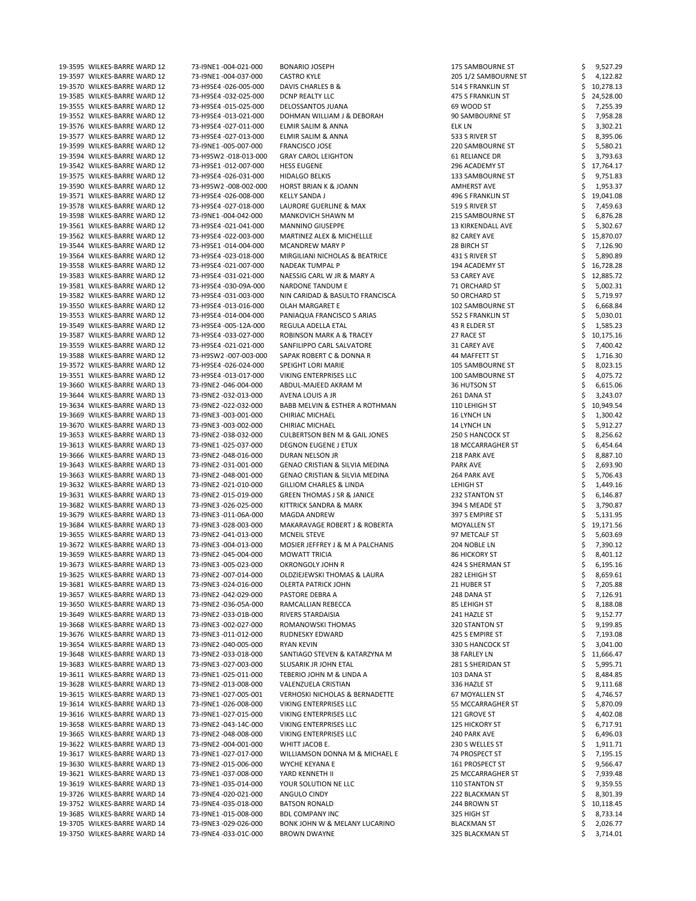| 19-3595 WILKES-BARRE WARD 12 | 73-I9NE1-004-021-000  | <b>BONARIO JOSEPH</b>                     | <b>175 SAMBOURNE ST</b>  | 9,527.29       |
|------------------------------|-----------------------|-------------------------------------------|--------------------------|----------------|
| 19-3597 WILKES-BARRE WARD 12 | 73-I9NE1-004-037-000  | <b>CASTRO KYLE</b>                        | 205 1/2 SAMBOURNE ST     | 4,122.82       |
| 19-3570 WILKES-BARRE WARD 12 | 73-H9SE4 -026-005-000 | DAVIS CHARLES B &                         | 514 S FRANKLIN ST        | 10,278.13      |
| 19-3585 WILKES-BARRE WARD 12 | 73-H9SE4 -032-025-000 | <b>DCNP REALTY LLC</b>                    | 475 S FRANKLIN ST        | 24,528.00      |
| 19-3555 WILKES-BARRE WARD 12 | 73-H9SE4 -015-025-000 | DELOSSANTOS JUANA                         | 69 WOOD ST               | 7,255.39       |
|                              |                       |                                           |                          |                |
| 19-3552 WILKES-BARRE WARD 12 | 73-H9SE4 -013-021-000 | DOHMAN WILLIAM J & DEBORAH                | 90 SAMBOURNE ST          | 7,958.28       |
| 19-3576 WILKES-BARRE WARD 12 | 73-H9SE4 -027-011-000 | ELMIR SALIM & ANNA                        | <b>ELK LN</b>            | 3,302.21       |
| 19-3577 WILKES-BARRE WARD 12 | 73-H9SE4 -027-013-000 | ELMIR SALIM & ANNA                        | 533 S RIVER ST           | 8,395.06       |
| 19-3599 WILKES-BARRE WARD 12 | 73-I9NE1-005-007-000  | <b>FRANCISCO JOSE</b>                     | 220 SAMBOURNE ST         | 5,580.21       |
| 19-3594 WILKES-BARRE WARD 12 | 73-H9SW2 -018-013-000 | <b>GRAY CAROL LEIGHTON</b>                | 61 RELIANCE DR           | 3,793.63       |
| 19-3542 WILKES-BARRE WARD 12 | 73-H9SE1-012-007-000  | <b>HESS EUGENE</b>                        | 296 ACADEMY ST           | 17,764.17      |
| 19-3575 WILKES-BARRE WARD 12 | 73-H9SE4 -026-031-000 | <b>HIDALGO BELKIS</b>                     | 133 SAMBOURNE ST         | 9,751.83       |
| 19-3590 WILKES-BARRE WARD 12 | 73-H9SW2 -008-002-000 | <b>HORST BRIAN K &amp; JOANN</b>          | <b>AMHERST AVE</b>       | 1,953.37       |
| 19-3571 WILKES-BARRE WARD 12 | 73-H9SE4 -026-008-000 | <b>KELLY SANDA J</b>                      | 496 S FRANKLIN ST        | 19,041.08      |
|                              |                       |                                           |                          |                |
| 19-3578 WILKES-BARRE WARD 12 | 73-H9SE4 -027-018-000 | LAURORE GUERLINE & MAX                    | 519 S RIVER ST           | 7,459.63       |
| 19-3598 WILKES-BARRE WARD 12 | 73-I9NE1-004-042-000  | <b>MANKOVICH SHAWN M</b>                  | 215 SAMBOURNE ST         | 6,876.28       |
| 19-3561 WILKES-BARRE WARD 12 | 73-H9SE4 -021-041-000 | <b>MANNINO GIUSEPPE</b>                   | 13 KIRKENDALL AVE        | 5,302.67       |
| 19-3562 WILKES-BARRE WARD 12 | 73-H9SE4 -022-003-000 | MARTINEZ ALEX & MICHELLLE                 | 82 CAREY AVE             | 15,870.07      |
| 19-3544 WILKES-BARRE WARD 12 | 73-H9SE1 -014-004-000 | <b>MCANDREW MARY P</b>                    | 28 BIRCH ST              | 7,126.90       |
| 19-3564 WILKES-BARRE WARD 12 | 73-H9SE4 -023-018-000 | MIRGILIANI NICHOLAS & BEATRICE            | 431 S RIVER ST           | 5,890.89       |
| 19-3558 WILKES-BARRE WARD 12 | 73-H9SE4 -021-007-000 | <b>NADEAK TUMPAL P</b>                    | 194 ACADEMY ST           | 16,728.28      |
| 19-3583 WILKES-BARRE WARD 12 | 73-H9SE4 -031-021-000 | NAESSIG CARL W JR & MARY A                | 53 CAREY AVE             | 12,885.72      |
|                              |                       |                                           |                          |                |
| 19-3581 WILKES-BARRE WARD 12 | 73-H9SE4 -030-09A-000 | NARDONE TANDUM E                          | 71 ORCHARD ST            | 5,002.31       |
| 19-3582 WILKES-BARRE WARD 12 | 73-H9SE4 -031-003-000 | NIN CARIDAD & BASULTO FRANCISCA           | 50 ORCHARD ST            | 5,719.97       |
| 19-3550 WILKES-BARRE WARD 12 | 73-H9SE4 -013-016-000 | OLAH MARGARET E                           | 102 SAMBOURNE ST         | 6,668.84       |
| 19-3553 WILKES-BARRE WARD 12 | 73-H9SE4 -014-004-000 | PANIAQUA FRANCISCO S ARIAS                | 552 S FRANKLIN ST        | 5,030.01       |
| 19-3549 WILKES-BARRE WARD 12 | 73-H9SE4 -005-12A-000 | REGULA ADELLA ETAL                        | 43 R ELDER ST            | 1,585.23       |
| 19-3587 WILKES-BARRE WARD 12 | 73-H9SE4 -033-027-000 | ROBINSON MARK A & TRACEY                  | 27 RACE ST               | 10,175.16      |
| 19-3559 WILKES-BARRE WARD 12 | 73-H9SE4 -021-021-000 | SANFILIPPO CARL SALVATORE                 | 31 CAREY AVE             | 7,400.42       |
|                              |                       |                                           |                          |                |
| 19-3588 WILKES-BARRE WARD 12 | 73-H9SW2 -007-003-000 | SAPAK ROBERT C & DONNA R                  | 44 MAFFETT ST            | 1,716.30       |
| 19-3572 WILKES-BARRE WARD 12 | 73-H9SE4 -026-024-000 | SPEIGHT LORI MARIE                        | 105 SAMBOURNE ST         | 8,023.15       |
| 19-3551 WILKES-BARRE WARD 12 | 73-H9SE4 -013-017-000 | <b>VIKING ENTERPRISES LLC</b>             | 100 SAMBOURNE ST         | \$<br>4,075.72 |
| 19-3660 WILKES-BARRE WARD 13 | 73-I9NE2 -046-004-000 | ABDUL-MAJEED AKRAM M                      | 36 HUTSON ST             | 6,615.06       |
| 19-3644 WILKES-BARRE WARD 13 | 73-I9NE2 -032-013-000 | AVENA LOUIS A JR                          | 261 DANA ST              | 3,243.07       |
| 19-3634 WILKES-BARRE WARD 13 | 73-I9NE2 -022-032-000 | BABB MELVIN & ESTHER A ROTHMAN            | 110 LEHIGH ST            | 10,949.54      |
| 19-3669 WILKES-BARRE WARD 13 | 73-I9NE3 -003-001-000 | <b>CHIRIAC MICHAEL</b>                    | 16 LYNCH LN              | 1,300.42       |
| 19-3670 WILKES-BARRE WARD 13 | 73-I9NE3 -003-002-000 | <b>CHIRIAC MICHAEL</b>                    | 14 LYNCH LN              | 5,912.27       |
|                              |                       |                                           |                          |                |
| 19-3653 WILKES-BARRE WARD 13 | 73-I9NE2 -038-032-000 | <b>CULBERTSON BEN M &amp; GAIL JONES</b>  | 250 S HANCOCK ST         | 8,256.62       |
| 19-3613 WILKES-BARRE WARD 13 | 73-I9NE1-025-037-000  | <b>DEGNON EUGENE J ETUX</b>               | <b>18 MCCARRAGHER ST</b> | 6,454.64       |
| 19-3666 WILKES-BARRE WARD 13 | 73-I9NE2 -048-016-000 | DURAN NELSON JR                           | 218 PARK AVE             | 8,887.10       |
| 19-3643 WILKES-BARRE WARD 13 | 73-I9NE2 -031-001-000 | <b>GENAO CRISTIAN &amp; SILVIA MEDINA</b> | <b>PARK AVE</b>          | 2,693.90       |
| 19-3663 WILKES-BARRE WARD 13 | 73-I9NE2 -048-001-000 | <b>GENAO CRISTIAN &amp; SILVIA MEDINA</b> | 264 PARK AVE             | 5,706.43       |
| 19-3632 WILKES-BARRE WARD 13 | 73-I9NE2 -021-010-000 | <b>GILLIOM CHARLES &amp; LINDA</b>        | LEHIGH ST                | 1,449.16       |
| 19-3631 WILKES-BARRE WARD 13 | 73-I9NE2 -015-019-000 | <b>GREEN THOMAS J SR &amp; JANICE</b>     | 232 STANTON ST           | 6,146.87       |
| 19-3682 WILKES-BARRE WARD 13 | 73-I9NE3 -026-025-000 | KITTRICK SANDRA & MARK                    | 394 S MEADE ST           | 3,790.87       |
| 19-3679 WILKES-BARRE WARD 13 | 73-I9NE3 -011-06A-000 |                                           |                          |                |
|                              |                       | <b>MAGDA ANDREW</b>                       | 397 S EMPIRE ST          | 5,131.95       |
| 19-3684 WILKES-BARRE WARD 13 | 73-I9NE3 -028-003-000 | MAKARAVAGE ROBERT J & ROBERTA             | <b>MOYALLEN ST</b>       | 19,171.56      |
| 19-3655 WILKES-BARRE WARD 13 | 73-I9NE2 -041-013-000 | <b>MCNEIL STEVE</b>                       | 97 METCALF ST            | 5,603.69       |
| 19-3672 WILKES-BARRE WARD 13 | 73-I9NE3 -004-013-000 | MOSIER JEFFREY J & M A PALCHANIS          | 204 NOBLE LN             | 7,390.12       |
| 19-3659 WILKES-BARRE WARD 13 | 73-I9NE2 -045-004-000 | <b>MOWATT TRICIA</b>                      | <b>86 HICKORY ST</b>     | 8,401.12       |
| 19-3673 WILKES-BARRE WARD 13 | 73-I9NE3 -005-023-000 | OKRONGOLY JOHN R                          | 424 S SHERMAN ST         | 6,195.16       |
| 19-3625 WILKES-BARRE WARD 13 | 73-I9NE2 -007-014-000 | OLDZIEJEWSKI THOMAS & LAURA               | 282 LEHIGH ST            | 8,659.61       |
| 19-3681 WILKES-BARRE WARD 13 | 73-I9NE3 -024-016-000 | <b>OLERTA PATRICK JOHN</b>                | 21 HUBER ST              | 7,205.88       |
| 19-3657 WILKES-BARRE WARD 13 | 73-I9NE2 -042-029-000 | PASTORE DEBRA A                           | 248 DANA ST              | 7,126.91       |
| 19-3650 WILKES-BARRE WARD 13 | 73-I9NE2 -036-05A-000 | RAMCALLIAN REBECCA                        | 85 LEHIGH ST             | 8,188.08       |
| 19-3649 WILKES-BARRE WARD 13 |                       |                                           |                          |                |
|                              | 73-I9NE2 -033-01B-000 | RIVERS STARDAISIA                         | 241 HAZLE ST             | 9,152.77       |
| 19-3668 WILKES-BARRE WARD 13 | 73-I9NE3 -002-027-000 | ROMANOWSKI THOMAS                         | 320 STANTON ST           | 9,199.85       |
| 19-3676 WILKES-BARRE WARD 13 | 73-I9NE3 -011-012-000 | RUDNESKY EDWARD                           | 425 S EMPIRE ST          | 7,193.08       |
| 19-3654 WILKES-BARRE WARD 13 | 73-I9NE2 -040-005-000 | RYAN KEVIN                                | 330 S HANCOCK ST         | 3,041.00       |
| 19-3648 WILKES-BARRE WARD 13 | 73-I9NE2 -033-018-000 | SANTIAGO STEVEN & KATARZYNA M             | 38 FARLEY LN             | 11,666.47      |
| 19-3683 WILKES-BARRE WARD 13 | 73-I9NE3 -027-003-000 | SLUSARIK JR JOHN ETAL                     | 281 S SHERIDAN ST        | 5,995.71       |
| 19-3611 WILKES-BARRE WARD 13 | 73-I9NE1-025-011-000  | TEBERIO JOHN M & LINDA A                  | 103 DANA ST              | 8,484.85       |
| 19-3628 WILKES-BARRE WARD 13 | 73-I9NE2 -013-008-000 | VALENZUELA CRISTIAN                       | 336 HAZLE ST             | 9,111.68       |
| 19-3615 WILKES-BARRE WARD 13 | 73-I9NE1-027-005-001  | <b>VERHOSKI NICHOLAS &amp; BERNADETTE</b> | 67 MOYALLEN ST           | 4,746.57       |
|                              |                       |                                           |                          |                |
| 19-3614 WILKES-BARRE WARD 13 | 73-I9NE1-026-008-000  | VIKING ENTERPRISES LLC                    | 55 MCCARRAGHER ST        | 5,870.09       |
| 19-3616 WILKES-BARRE WARD 13 | 73-I9NE1-027-015-000  | VIKING ENTERPRISES LLC                    | 121 GROVE ST             | 4,402.08       |
| 19-3658 WILKES-BARRE WARD 13 | 73-I9NE2 -043-14C-000 | VIKING ENTERPRISES LLC                    | <b>125 HICKORY ST</b>    | 6,717.91       |
| 19-3665 WILKES-BARRE WARD 13 | 73-I9NE2 -048-008-000 | VIKING ENTERPRISES LLC                    | 240 PARK AVE             | 6,496.03       |
| 19-3622 WILKES-BARRE WARD 13 | 73-I9NE2 -004-001-000 | WHITT JACOB E.                            | 230 S WELLES ST          | 1,911.71       |
| 19-3617 WILKES-BARRE WARD 13 | 73-I9NE1-027-017-000  | WILLIAMSON DONNA M & MICHAEL E            | 74 PROSPECT ST           | 7,195.15       |
| 19-3630 WILKES-BARRE WARD 13 | 73-I9NE2 -015-006-000 | <b>WYCHE KEYANA E</b>                     | 161 PROSPECT ST          | 9,566.47       |
| 19-3621 WILKES-BARRE WARD 13 | 73-I9NE1-037-008-000  | YARD KENNETH II                           | <b>25 MCCARRAGHER ST</b> | 7,939.48       |
| 19-3619 WILKES-BARRE WARD 13 | 73-I9NE1-035-014-000  | YOUR SOLUTION NE LLC                      | 110 STANTON ST           | 9,359.55       |
|                              |                       |                                           |                          |                |
| 19-3726 WILKES-BARRE WARD 14 | 73-I9NE4 -020-021-000 | ANGULO CINDY                              | 222 BLACKMAN ST          | 8,301.39       |
| 19-3752 WILKES-BARRE WARD 14 | 73-I9NE4 -035-018-000 | <b>BATSON RONALD</b>                      | 244 BROWN ST             | 10,118.45      |
|                              |                       |                                           |                          |                |
| 19-3685 WILKES-BARRE WARD 14 | 73-I9NE1-015-008-000  | <b>BDL COMPANY INC</b>                    | 325 HIGH ST              | 8,733.14       |
| 19-3705 WILKES-BARRE WARD 14 | 73-I9NE3 -029-026-000 | BONK JOHN W & MELANY LUCARINO             | <b>BLACKMAN ST</b>       | 2,026.77       |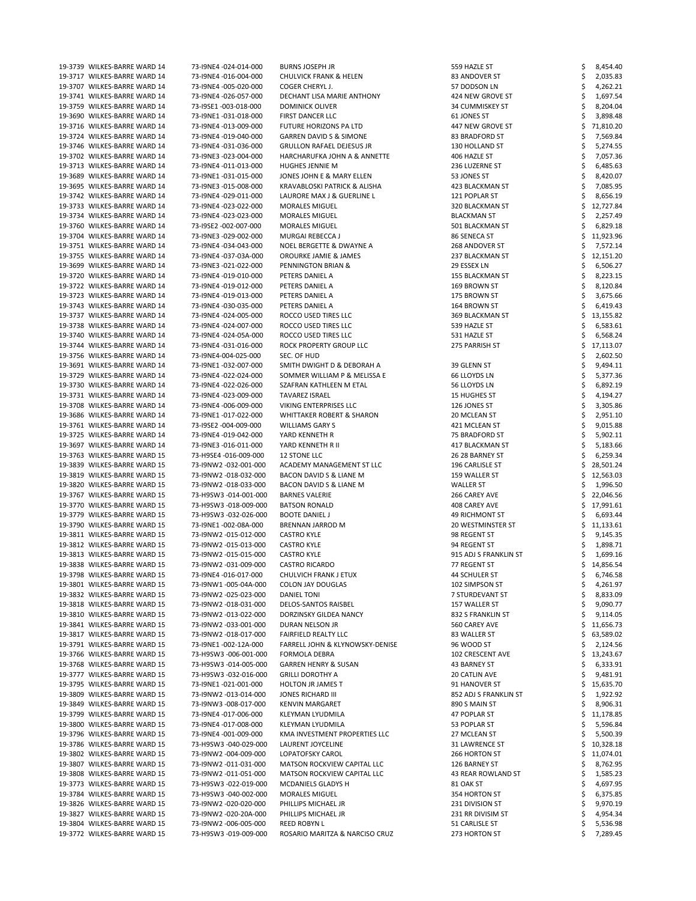| 19-3739 WILKES-BARRE WARD 14 | 73-I9NE4 -024-014-000 | <b>BURNS JOSEPH JR</b>               | 559 HAZLE ST             | 8,454.40    |
|------------------------------|-----------------------|--------------------------------------|--------------------------|-------------|
| 19-3717 WILKES-BARRE WARD 14 | 73-I9NE4 -016-004-000 | <b>CHULVICK FRANK &amp; HELEN</b>    | 83 ANDOVER ST            | 2,035.83    |
| 19-3707 WILKES-BARRE WARD 14 | 73-I9NE4 -005-020-000 | COGER CHERYL J.                      | 57 DODSON LN             | 4,262.21    |
| 19-3741 WILKES-BARRE WARD 14 | 73-I9NE4 -026-057-000 | DECHANT LISA MARIE ANTHONY           | 424 NEW GROVE ST         | 1,697.54    |
| 19-3759 WILKES-BARRE WARD 14 | 73-I9SE1 -003-018-000 | <b>DOMINICK OLIVER</b>               |                          |             |
|                              |                       |                                      | 34 CUMMISKEY ST          | 8,204.04    |
| 19-3690 WILKES-BARRE WARD 14 | 73-I9NE1-031-018-000  | FIRST DANCER LLC                     | 61 JONES ST              | 3,898.48    |
| 19-3716 WILKES-BARRE WARD 14 | 73-I9NE4 -013-009-000 | FUTURE HORIZONS PA LTD               | 447 NEW GROVE ST         | 71,810.20   |
| 19-3724 WILKES-BARRE WARD 14 | 73-I9NE4 -019-040-000 | <b>GARREN DAVID S &amp; SIMONE</b>   | 83 BRADFORD ST           | 7,569.84    |
| 19-3746 WILKES-BARRE WARD 14 | 73-I9NE4 -031-036-000 | <b>GRULLON RAFAEL DEJESUS JR</b>     | 130 HOLLAND ST           | 5,274.55    |
| 19-3702 WILKES-BARRE WARD 14 | 73-I9NE3 -023-004-000 | HARCHARUFKA JOHN A & ANNETTE         | 406 HAZLE ST             | 7,057.36    |
| 19-3713 WILKES-BARRE WARD 14 | 73-I9NE4 -011-013-000 | <b>HUGHES JENNIE M</b>               | 236 LUZERNE ST           | 6,485.63    |
| 19-3689 WILKES-BARRE WARD 14 | 73-I9NE1-031-015-000  | JONES JOHN E & MARY ELLEN            | 53 JONES ST              | 8,420.07    |
| 19-3695 WILKES-BARRE WARD 14 | 73-I9NE3 -015-008-000 | KRAVABLOSKI PATRICK & ALISHA         | 423 BLACKMAN ST          | 7,085.95    |
| 19-3742 WILKES-BARRE WARD 14 | 73-I9NE4 -029-011-000 | LAURORE MAX J & GUERLINE L           | 121 POPLAR ST            | 8,656.19    |
| 19-3733 WILKES-BARRE WARD 14 | 73-I9NE4 -023-022-000 | <b>MORALES MIGUEL</b>                | 320 BLACKMAN ST          | 12,727.84   |
|                              |                       | <b>MORALES MIGUEL</b>                | <b>BLACKMAN ST</b>       |             |
| 19-3734 WILKES-BARRE WARD 14 | 73-I9NE4 -023-023-000 |                                      |                          | 2,257.49    |
| 19-3760 WILKES-BARRE WARD 14 | 73-I9SE2 -002-007-000 | <b>MORALES MIGUEL</b>                | 501 BLACKMAN ST          | 6,829.18    |
| 19-3704 WILKES-BARRE WARD 14 | 73-I9NE3 -029-002-000 | MURGAI REBECCA J                     | 86 SENECA ST             | 11,923.96   |
| 19-3751 WILKES-BARRE WARD 14 | 73-I9NE4 -034-043-000 | <b>NOEL BERGETTE &amp; DWAYNE A</b>  | 268 ANDOVER ST           | 7,572.14    |
| 19-3755 WILKES-BARRE WARD 14 | 73-I9NE4 -037-03A-000 | OROURKE JAMIE & JAMES                | 237 BLACKMAN ST          | 12,151.20   |
| 19-3699 WILKES-BARRE WARD 14 | 73-I9NE3 -021-022-000 | PENNINGTON BRIAN &                   | 29 ESSEX LN              | 6,506.27    |
| 19-3720 WILKES-BARRE WARD 14 | 73-I9NE4 -019-010-000 | PETERS DANIEL A                      | 155 BLACKMAN ST          | 8,223.15    |
| 19-3722 WILKES-BARRE WARD 14 | 73-I9NE4 -019-012-000 | PETERS DANIEL A                      | 169 BROWN ST             | 8,120.84    |
| 19-3723 WILKES-BARRE WARD 14 | 73-I9NE4 -019-013-000 | PETERS DANIEL A                      | 175 BROWN ST             | 3,675.66    |
| 19-3743 WILKES-BARRE WARD 14 | 73-I9NE4 -030-035-000 | PETERS DANIEL A                      | 164 BROWN ST             | 6,419.43    |
| 19-3737 WILKES-BARRE WARD 14 | 73-I9NE4 -024-005-000 | ROCCO USED TIRES LLC                 | 369 BLACKMAN ST          | 13,155.82   |
|                              |                       |                                      |                          |             |
| 19-3738 WILKES-BARRE WARD 14 | 73-I9NE4 -024-007-000 | ROCCO USED TIRES LLC                 | 539 HAZLE ST             | 6,583.61    |
| 19-3740 WILKES-BARRE WARD 14 | 73-I9NE4 -024-05A-000 | ROCCO USED TIRES LLC                 | 531 HAZLE ST             | 6,568.24    |
| 19-3744 WILKES-BARRE WARD 14 | 73-I9NE4 -031-016-000 | ROCK PROPERTY GROUP LLC              | 275 PARRISH ST           | 17,113.07   |
| 19-3756 WILKES-BARRE WARD 14 | 73-I9NE4-004-025-000  | SEC. OF HUD                          |                          | 2,602.50    |
| 19-3691 WILKES-BARRE WARD 14 | 73-I9NE1-032-007-000  | SMITH DWIGHT D & DEBORAH A           | 39 GLENN ST              | 9,494.11    |
| 19-3729 WILKES-BARRE WARD 14 | 73-I9NE4 -022-024-000 | SOMMER WILLIAM P & MELISSA E         | <b>66 LLOYDS LN</b>      | 5,377.36    |
| 19-3730 WILKES-BARRE WARD 14 | 73-I9NE4 -022-026-000 | SZAFRAN KATHLEEN M ETAL              | 56 LLOYDS LN             | 6,892.19    |
| 19-3731 WILKES-BARRE WARD 14 | 73-I9NE4 -023-009-000 | <b>TAVAREZ ISRAEL</b>                | <b>15 HUGHES ST</b>      | 4,194.27    |
| 19-3708 WILKES-BARRE WARD 14 | 73-I9NE4 -006-009-000 | VIKING ENTERPRISES LLC               | 126 JONES ST             | 3,305.86    |
| 19-3686 WILKES-BARRE WARD 14 | 73-I9NE1-017-022-000  | <b>WHITTAKER ROBERT &amp; SHARON</b> | 20 MCLEAN ST             | 2,951.10    |
| 19-3761 WILKES-BARRE WARD 14 | 73-I9SE2 -004-009-000 | <b>WILLIAMS GARY S</b>               | 421 MCLEAN ST            | 9,015.88    |
|                              |                       |                                      |                          |             |
| 19-3725 WILKES-BARRE WARD 14 | 73-I9NE4 -019-042-000 | YARD KENNETH R                       | 75 BRADFORD ST           | 5,902.11    |
| 19-3697 WILKES-BARRE WARD 14 | 73-I9NE3 -016-011-000 | YARD KENNETH R II                    | 417 BLACKMAN ST          | 5,183.66    |
| 19-3763 WILKES-BARRE WARD 15 | 73-H9SE4 -016-009-000 | 12 STONE LLC                         | 26 28 BARNEY ST          | 6,259.34    |
| 19-3839 WILKES-BARRE WARD 15 | 73-I9NW2 -032-001-000 | ACADEMY MANAGEMENT ST LLC            | 196 CARLISLE ST          | 28,501.24   |
| 19-3819 WILKES-BARRE WARD 15 | 73-I9NW2 -018-032-000 | BACON DAVID S & LIANE M              | 159 WALLER ST            | 12,563.03   |
| 19-3820 WILKES-BARRE WARD 15 | 73-I9NW2 -018-033-000 | BACON DAVID S & LIANE M              | <b>WALLER ST</b>         | 1,996.50    |
| 19-3767 WILKES-BARRE WARD 15 | 73-H9SW3 -014-001-000 | <b>BARNES VALERIE</b>                | 266 CAREY AVE            | 22,046.56   |
| 19-3770 WILKES-BARRE WARD 15 | 73-H9SW3 -018-009-000 | <b>BATSON RONALD</b>                 | 408 CAREY AVE            | 17,991.61   |
| 19-3779 WILKES-BARRE WARD 15 | 73-H9SW3 -032-026-000 | <b>BOOTE DANIEL J</b>                | <b>49 RICHMONT ST</b>    | 6,693.44    |
| 19-3790 WILKES-BARRE WARD 15 | 73-I9NE1-002-08A-000  | <b>BRENNAN JARROD M</b>              | <b>20 WESTMINSTER ST</b> | 11,133.61   |
| 19-3811 WILKES-BARRE WARD 15 | 73-I9NW2 -015-012-000 | <b>CASTRO KYLE</b>                   | 98 REGENT ST             | 9,145.35    |
| 19-3812 WILKES-BARRE WARD 15 | 73-I9NW2 -015-013-000 | <b>CASTRO KYLE</b>                   | 94 REGENT ST             | 1,898.71    |
|                              |                       |                                      |                          |             |
| 19-3813 WILKES-BARRE WARD 15 | 73-I9NW2 -015-015-000 | <b>CASTRO KYLE</b>                   | 915 ADJ S FRANKLIN ST    | 1,699.16    |
| 19-3838 WILKES-BARRE WARD 15 | 73-I9NW2 -031-009-000 | <b>CASTRO RICARDO</b>                | 77 REGENT ST             | 14,856.54   |
| 19-3798 WILKES-BARRE WARD 15 | 73-I9NE4 -016-017-000 | CHULVICH FRANK J ETUX                | 44 SCHULER ST            | 6,746.58    |
| 19-3801 WILKES-BARRE WARD 15 | 73-I9NW1-005-04A-000  | <b>COLON JAY DOUGLAS</b>             | 102 SIMPSON ST           | 4,261.97    |
| 19-3832 WILKES-BARRE WARD 15 | 73-I9NW2 -025-023-000 | <b>DANIEL TONI</b>                   | 7 STURDEVANT ST          | 8,833.09    |
| 19-3818 WILKES-BARRE WARD 15 | 73-I9NW2 -018-031-000 | DELOS-SANTOS RAISBEL                 | 157 WALLER ST            | 9,090.77    |
| 19-3810 WILKES-BARRE WARD 15 | 73-I9NW2 -013-022-000 | DORZINSKY GILDEA NANCY               | 832 S FRANKLIN ST        | 9,114.05    |
| 19-3841 WILKES-BARRE WARD 15 | 73-I9NW2 -033-001-000 | DURAN NELSON JR                      | 560 CAREY AVE            | 11,656.73   |
| 19-3817 WILKES-BARRE WARD 15 | 73-I9NW2 -018-017-000 | <b>FAIRFIELD REALTY LLC</b>          | 83 WALLER ST             | 63,589.02   |
| 19-3791 WILKES-BARRE WARD 15 | 73-I9NE1-002-12A-000  | FARRELL JOHN & KLYNOWSKY-DENISE      | 96 WOOD ST               | 2,124.56    |
| 19-3766 WILKES-BARRE WARD 15 | 73-H9SW3 -006-001-000 | <b>FORMOLA DEBRA</b>                 | 102 CRESCENT AVE         | 13,243.67   |
| 19-3768 WILKES-BARRE WARD 15 |                       |                                      |                          |             |
|                              | 73-H9SW3 -014-005-000 | <b>GARREN HENRY &amp; SUSAN</b>      | 43 BARNEY ST             | 6,333.91    |
| 19-3777 WILKES-BARRE WARD 15 | 73-H9SW3-032-016-000  | <b>GRILLI DOROTHY A</b>              | 20 CATLIN AVE            | 9,481.91    |
| 19-3795 WILKES-BARRE WARD 15 | 73-I9NE1-021-001-000  | <b>HOLTON JR JAMES T</b>             | 91 HANOVER ST            | \$15,635.70 |
| 19-3809 WILKES-BARRE WARD 15 | 73-I9NW2 -013-014-000 | <b>JONES RICHARD III</b>             | 852 ADJ S FRANKLIN ST    | 1,922.92    |
| 19-3849 WILKES-BARRE WARD 15 | 73-I9NW3 -008-017-000 | <b>KENVIN MARGARET</b>               | 890 S MAIN ST            | 8,906.31    |
| 19-3799 WILKES-BARRE WARD 15 | 73-I9NE4 -017-006-000 | KLEYMAN LYUDMILA                     | 47 POPLAR ST             | 11,178.85   |
| 19-3800 WILKES-BARRE WARD 15 | 73-I9NE4 -017-008-000 | <b>KLEYMAN LYUDMILA</b>              | 53 POPLAR ST             | 5,596.84    |
| 19-3796 WILKES-BARRE WARD 15 | 73-I9NE4 -001-009-000 | KMA INVESTMENT PROPERTIES LLC        | 27 MCLEAN ST             | 5,500.39    |
| 19-3786 WILKES-BARRE WARD 15 | 73-H9SW3 -040-029-000 | LAURENT JOYCELINE                    | 31 LAWRENCE ST           | 10,328.18   |
| 19-3802 WILKES-BARRE WARD 15 | 73-I9NW2 -004-009-000 | <b>LOPATOFSKY CAROL</b>              | 266 HORTON ST            | 11,074.01   |
| 19-3807 WILKES-BARRE WARD 15 | 73-I9NW2 -011-031-000 | MATSON ROCKVIEW CAPITAL LLC          | 126 BARNEY ST            | 8,762.95    |
| 19-3808 WILKES-BARRE WARD 15 | 73-I9NW2 -011-051-000 | <b>MATSON ROCKVIEW CAPITAL LLC</b>   | 43 REAR ROWLAND ST       | 1,585.23    |
|                              |                       |                                      |                          |             |
| 19-3773 WILKES-BARRE WARD 15 | 73-H9SW3 -022-019-000 | MCDANIELS GLADYS H                   | 81 OAK ST                | 4,697.95    |
| 19-3784 WILKES-BARRE WARD 15 | 73-H9SW3-040-002-000  | <b>MORALES MIGUEL</b>                | 354 HORTON ST            | 6,375.85    |
| 19-3826 WILKES-BARRE WARD 15 | 73-I9NW2 -020-020-000 | PHILLIPS MICHAEL JR                  | 231 DIVISION ST          | 9,970.19    |
| 19-3827 WILKES-BARRE WARD 15 | 73-I9NW2 -020-20A-000 | PHILLIPS MICHAEL JR                  | 231 RR DIVISIM ST        | 4,954.34    |
| 19-3804 WILKES-BARRE WARD 15 | 73-I9NW2 -006-005-000 | <b>REED ROBYN L</b>                  | 51 CARLISLE ST           | 5,536.98    |
| 19-3772 WILKES-BARRE WARD 15 | 73-H9SW3 -019-009-000 | ROSARIO MARITZA & NARCISO CRUZ       | 273 HORTON ST            | 7,289.45    |
|                              |                       |                                      |                          |             |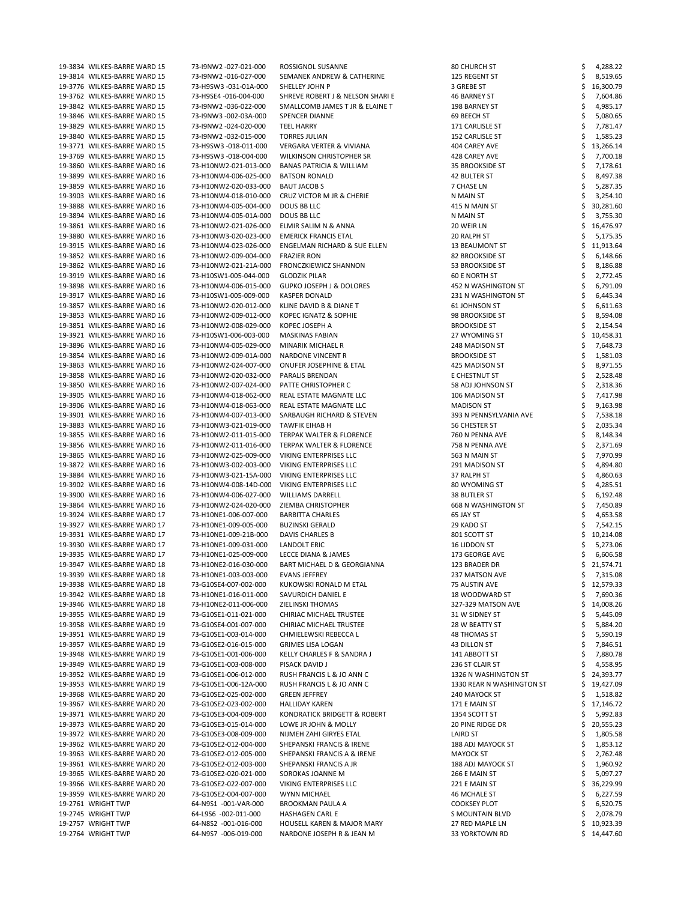| 19-3834 WILKES-BARRE WARD 15 | 73-I9NW2 -027-021-000 | ROSSIGNOL SUSANNE                           | 80 CHURCH ST              | 4,288.22  |
|------------------------------|-----------------------|---------------------------------------------|---------------------------|-----------|
| 19-3814 WILKES-BARRE WARD 15 | 73-I9NW2 -016-027-000 | SEMANEK ANDREW & CATHERINE                  | 125 REGENT ST             | 8,519.65  |
| 19-3776 WILKES-BARRE WARD 15 | 73-H9SW3 -031-01A-000 | SHELLEY JOHN P                              | 3 GREBE ST                | 16,300.79 |
|                              |                       |                                             |                           |           |
| 19-3762 WILKES-BARRE WARD 15 | 73-H9SE4 -016-004-000 | <b>SHREVE ROBERT J &amp; NELSON SHARI E</b> | 46 BARNEY ST              | 7,604.86  |
| 19-3842 WILKES-BARRE WARD 15 | 73-I9NW2 -036-022-000 | SMALLCOMB JAMES T JR & ELAINE T             | 198 BARNEY ST             | 4,985.17  |
| 19-3846 WILKES-BARRE WARD 15 | 73-I9NW3 -002-03A-000 | <b>SPENCER DIANNE</b>                       | 69 BEECH ST               | 5,080.65  |
| 19-3829 WILKES-BARRE WARD 15 | 73-I9NW2 -024-020-000 | <b>TEEL HARRY</b>                           | 171 CARLISLE ST           | 7,781.47  |
| 19-3840 WILKES-BARRE WARD 15 | 73-I9NW2 -032-015-000 | <b>TORRES JULIAN</b>                        | 152 CARLISLE ST           | 1,585.23  |
|                              |                       |                                             |                           |           |
| 19-3771 WILKES-BARRE WARD 15 | 73-H9SW3 -018-011-000 | <b>VERGARA VERTER &amp; VIVIANA</b>         | 404 CAREY AVE             | 13,266.14 |
| 19-3769 WILKES-BARRE WARD 15 | 73-H9SW3 -018-004-000 | <b>WILKINSON CHRISTOPHER SR</b>             | 428 CAREY AVE             | 7,700.18  |
| 19-3860 WILKES-BARRE WARD 16 | 73-H10NW2-021-013-000 | <b>BANAS PATRICIA &amp; WILLIAM</b>         | 35 BROOKSIDE ST           | 7,178.61  |
| 19-3899 WILKES-BARRE WARD 16 | 73-H10NW4-006-025-000 | <b>BATSON RONALD</b>                        | 42 BULTER ST              | 8,497.38  |
|                              |                       |                                             |                           |           |
| 19-3859 WILKES-BARRE WARD 16 | 73-H10NW2-020-033-000 | <b>BAUT JACOB S</b>                         | 7 CHASE LN                | 5,287.35  |
| 19-3903 WILKES-BARRE WARD 16 | 73-H10NW4-018-010-000 | CRUZ VICTOR M JR & CHERIE                   | N MAIN ST                 | 3,254.10  |
| 19-3888 WILKES-BARRE WARD 16 | 73-H10NW4-005-004-000 | <b>DOUS BB LLC</b>                          | 415 N MAIN ST             | 30,281.60 |
| 19-3894 WILKES-BARRE WARD 16 | 73-H10NW4-005-01A-000 | DOUS BB LLC                                 | N MAIN ST                 | 3,755.30  |
|                              |                       |                                             |                           |           |
| 19-3861 WILKES-BARRE WARD 16 | 73-H10NW2-021-026-000 | ELMIR SALIM N & ANNA                        | 20 WEIR LN                | 16,476.97 |
| 19-3880 WILKES-BARRE WARD 16 | 73-H10NW3-020-023-000 | <b>EMERICK FRANCIS ETAL</b>                 | 20 RALPH ST               | 5,175.35  |
| 19-3915 WILKES-BARRE WARD 16 | 73-H10NW4-023-026-000 | <b>ENGELMAN RICHARD &amp; SUE ELLEN</b>     | <b>13 BEAUMONT ST</b>     | 11,913.64 |
| 19-3852 WILKES-BARRE WARD 16 | 73-H10NW2-009-004-000 | <b>FRAZIER RON</b>                          | 82 BROOKSIDE ST           | 6,148.66  |
|                              |                       |                                             |                           |           |
| 19-3862 WILKES-BARRE WARD 16 | 73-H10NW2-021-21A-000 | <b>FRONCZKIEWICZ SHANNON</b>                | 53 BROOKSIDE ST           | 8,186.88  |
| 19-3919 WILKES-BARRE WARD 16 | 73-H10SW1-005-044-000 | <b>GLODZIK PILAR</b>                        | 60 E NORTH ST             | 2,772.45  |
| 19-3898 WILKES-BARRE WARD 16 | 73-H10NW4-006-015-000 | <b>GUPKO JOSEPH J &amp; DOLORES</b>         | 452 N WASHINGTON ST       | 6,791.09  |
| 19-3917 WILKES-BARRE WARD 16 | 73-H10SW1-005-009-000 | <b>KASPER DONALD</b>                        | 231 N WASHINGTON ST       | 6,445.34  |
|                              |                       |                                             |                           |           |
| 19-3857 WILKES-BARRE WARD 16 | 73-H10NW2-020-012-000 | KLINE DAVID B & DIANE T                     | 61 JOHNSON ST             | 6,611.63  |
| 19-3853 WILKES-BARRE WARD 16 | 73-H10NW2-009-012-000 | KOPEC IGNATZ & SOPHIE                       | 98 BROOKSIDE ST           | 8,594.08  |
| 19-3851 WILKES-BARRE WARD 16 | 73-H10NW2-008-029-000 | KOPEC JOSEPH A                              | <b>BROOKSIDE ST</b>       | 2,154.54  |
| 19-3921 WILKES-BARRE WARD 16 | 73-H10SW1-006-003-000 | <b>MASKINAS FABIAN</b>                      | 27 WYOMING ST             | 10,458.31 |
| 19-3896 WILKES-BARRE WARD 16 |                       |                                             |                           |           |
|                              | 73-H10NW4-005-029-000 | MINARIK MICHAEL R                           | 248 MADISON ST            | 7,648.73  |
| 19-3854 WILKES-BARRE WARD 16 | 73-H10NW2-009-01A-000 | NARDONE VINCENT R                           | <b>BROOKSIDE ST</b>       | 1,581.03  |
| 19-3863 WILKES-BARRE WARD 16 | 73-H10NW2-024-007-000 | <b>ONUFER JOSEPHINE &amp; ETAL</b>          | 425 MADISON ST            | 8,971.55  |
| 19-3858 WILKES-BARRE WARD 16 | 73-H10NW2-020-032-000 | PARALIS BRENDAN                             | E CHESTNUT ST             | 2,528.48  |
| 19-3850 WILKES-BARRE WARD 16 | 73-H10NW2-007-024-000 | PATTE CHRISTOPHER C                         | 58 ADJ JOHNSON ST         |           |
|                              |                       |                                             |                           | 2,318.36  |
| 19-3905 WILKES-BARRE WARD 16 | 73-H10NW4-018-062-000 | REAL ESTATE MAGNATE LLC                     | 106 MADISON ST            | 7,417.98  |
| 19-3906 WILKES-BARRE WARD 16 | 73-H10NW4-018-063-000 | REAL ESTATE MAGNATE LLC                     | <b>MADISON ST</b>         | 9,163.98  |
| 19-3901 WILKES-BARRE WARD 16 | 73-H10NW4-007-013-000 | SARBAUGH RICHARD & STEVEN                   | 393 N PENNSYLVANIA AVE    | 7,538.18  |
| 19-3883 WILKES-BARRE WARD 16 | 73-H10NW3-021-019-000 | <b>TAWFIK EIHAB H</b>                       | 56 CHESTER ST             | 2,035.34  |
|                              |                       |                                             |                           |           |
| 19-3855 WILKES-BARRE WARD 16 | 73-H10NW2-011-015-000 | TERPAK WALTER & FLORENCE                    | 760 N PENNA AVE           | 8,148.34  |
| 19-3856 WILKES-BARRE WARD 16 | 73-H10NW2-011-016-000 | TERPAK WALTER & FLORENCE                    | 758 N PENNA AVE           | 2,371.69  |
| 19-3865 WILKES-BARRE WARD 16 | 73-H10NW2-025-009-000 | VIKING ENTERPRISES LLC                      | 563 N MAIN ST             | 7,970.99  |
| 19-3872 WILKES-BARRE WARD 16 | 73-H10NW3-002-003-000 | VIKING ENTERPRISES LLC                      | 291 MADISON ST            | 4,894.80  |
|                              |                       |                                             |                           |           |
| 19-3884 WILKES-BARRE WARD 16 | 73-H10NW3-021-15A-000 | VIKING ENTERPRISES LLC                      | 37 RALPH ST               | 4,860.63  |
| 19-3902 WILKES-BARRE WARD 16 | 73-H10NW4-008-14D-000 | VIKING ENTERPRISES LLC                      | 80 WYOMING ST             | 4,285.51  |
| 19-3900 WILKES-BARRE WARD 16 | 73-H10NW4-006-027-000 | <b>WILLIAMS DARRELL</b>                     | 38 BUTLER ST              | 6,192.48  |
| 19-3864 WILKES-BARRE WARD 16 | 73-H10NW2-024-020-000 | ZIEMBA CHRISTOPHER                          | 668 N WASHINGTON ST       | 7,450.89  |
|                              |                       |                                             |                           |           |
| 19-3924 WILKES-BARRE WARD 17 | 73-H10NE1-006-007-000 | <b>BARBITTA CHARLES</b>                     | 65 JAY ST                 | 4,653.58  |
| 19-3927 WILKES-BARRE WARD 17 | 73-H10NE1-009-005-000 | <b>BUZINSKI GERALD</b>                      | 29 KADO ST                | 7,542.15  |
| 19-3931 WILKES-BARRE WARD 17 | 73-H10NE1-009-21B-000 | DAVIS CHARLES B                             | 801 SCOTT ST              | 10,214.08 |
| 19-3930 WILKES-BARRE WARD 17 | 73-H10NE1-009-031-000 | LANDOLT ERIC                                | 16 LIDDON ST              | 5,273.06  |
| 19-3935 WILKES-BARRE WARD 17 | 73-H10NE1-025-009-000 | LECCE DIANA & JAMES                         | 173 GEORGE AVE            | 6,606.58  |
|                              |                       |                                             |                           |           |
| 19-3947 WILKES-BARRE WARD 18 | 73-H10NE2-016-030-000 | BART MICHAEL D & GEORGIANNA                 | 123 BRADER DR             | 21,574.71 |
| 19-3939 WILKES-BARRE WARD 18 | 73-H10NE1-003-003-000 | <b>EVANS JEFFREY</b>                        | 237 MATSON AVE            | 7,315.08  |
| 19-3938 WILKES-BARRE WARD 18 | 73-G10SE4-007-002-000 | KUKOWSKI RONALD M ETAL                      | 75 AUSTIN AVE             | 12,579.33 |
| 19-3942 WILKES-BARRE WARD 18 | 73-H10NE1-016-011-000 | SAVURDICH DANIEL E                          | 18 WOODWARD ST            | 7,690.36  |
| 19-3946 WILKES-BARRE WARD 18 | 73-H10NE2-011-006-000 | ZIELINSKI THOMAS                            | 327-329 MATSON AVE        | 14,008.26 |
|                              |                       |                                             |                           |           |
| 19-3955 WILKES-BARRE WARD 19 | 73-G10SE1-011-021-000 | CHIRIAC MICHAEL TRUSTEE                     | 31 W SIDNEY ST            | 5,445.09  |
| 19-3958 WILKES-BARRE WARD 19 | 73-G10SE4-001-007-000 | <b>CHIRIAC MICHAEL TRUSTEE</b>              | 28 W BEATTY ST            | 5,884.20  |
| 19-3951 WILKES-BARRE WARD 19 | 73-G10SE1-003-014-000 | CHMIELEWSKI REBECCA L                       | 48 THOMAS ST              | 5,590.19  |
| 19-3957 WILKES-BARRE WARD 19 | 73-G10SE2-016-015-000 | <b>GRIMES LISA LOGAN</b>                    | 43 DILLON ST              | 7,846.51  |
|                              |                       |                                             |                           |           |
| 19-3948 WILKES-BARRE WARD 19 | 73-G10SE1-001-006-000 | KELLY CHARLES F & SANDRA J                  | 141 ABBOTT ST             | 7,880.78  |
| 19-3949 WILKES-BARRE WARD 19 | 73-G10SE1-003-008-000 | PISACK DAVID J                              | 236 ST CLAIR ST           | 4,558.95  |
| 19-3952 WILKES-BARRE WARD 19 | 73-G10SE1-006-012-000 | RUSH FRANCIS L & JO ANN C                   | 1326 N WASHINGTON ST      | 24,393.77 |
| 19-3953 WILKES-BARRE WARD 19 | 73-G10SE1-006-12A-000 | RUSH FRANCIS L & JO ANN C                   | 1330 REAR N WASHINGTON ST | 19,427.09 |
| 19-3968 WILKES-BARRE WARD 20 | 73-G10SE2-025-002-000 | <b>GREEN JEFFREY</b>                        | 240 MAYOCK ST             | 1,518.82  |
|                              |                       |                                             |                           |           |
| 19-3967 WILKES-BARRE WARD 20 | 73-G10SE2-023-002-000 | <b>HALLIDAY KAREN</b>                       | 171 E MAIN ST             | 17,146.72 |
| 19-3971 WILKES-BARRE WARD 20 | 73-G10SE3-004-009-000 | KONDRATICK BRIDGETT & ROBERT                | 1354 SCOTT ST             | 5,992.83  |
| 19-3973 WILKES-BARRE WARD 20 | 73-G10SE3-015-014-000 | LOWE JR JOHN & MOLLY                        | 20 PINE RIDGE DR          | 20,555.23 |
| 19-3972 WILKES-BARRE WARD 20 | 73-G10SE3-008-009-000 | NIJMEH ZAHI GIRYES ETAL                     | LAIRD ST                  | 1,805.58  |
|                              |                       |                                             |                           |           |
| 19-3962 WILKES-BARRE WARD 20 | 73-G10SE2-012-004-000 | SHEPANSKI FRANCIS & IRENE                   | 188 ADJ MAYOCK ST         | 1,853.12  |
| 19-3963 WILKES-BARRE WARD 20 | 73-G10SE2-012-005-000 | SHEPANSKI FRANCIS A & IRENE                 | <b>MAYOCK ST</b>          | 2,762.48  |
| 19-3961 WILKES-BARRE WARD 20 | 73-G10SE2-012-003-000 | SHEPANSKI FRANCIS A JR                      | 188 ADJ MAYOCK ST         | 1,960.92  |
| 19-3965 WILKES-BARRE WARD 20 | 73-G10SE2-020-021-000 | SOROKAS JOANNE M                            | 266 E MAIN ST             | 5,097.27  |
| 19-3966 WILKES-BARRE WARD 20 | 73-G10SE2-022-007-000 | VIKING ENTERPRISES LLC                      |                           |           |
|                              |                       |                                             | 221 E MAIN ST             | 36,229.99 |
| 19-3959 WILKES-BARRE WARD 20 | 73-G10SE2-004-007-000 | <b>WYNN MICHAEL</b>                         | 46 MCHALE ST              | 6,227.59  |
| 19-2761 WRIGHT TWP           | 64-N9S1 -001-VAR-000  | <b>BROOKMAN PAULA A</b>                     | <b>COOKSEY PLOT</b>       | 6,520.75  |
| 19-2745 WRIGHT TWP           | 64-L9S6 -002-011-000  | <b>HASHAGEN CARL E</b>                      | S MOUNTAIN BLVD           | 2,078.79  |
| 19-2757 WRIGHT TWP           | 64-N8S2 -001-016-000  | <b>HOUSELL KAREN &amp; MAJOR MARY</b>       | 27 RED MAPLE LN           | 10,923.39 |
|                              |                       |                                             |                           |           |
| 19-2764 WRIGHT TWP           | 64-N9S7 -006-019-000  | NARDONE JOSEPH R & JEAN M                   | 33 YORKTOWN RD            | 14,447.60 |